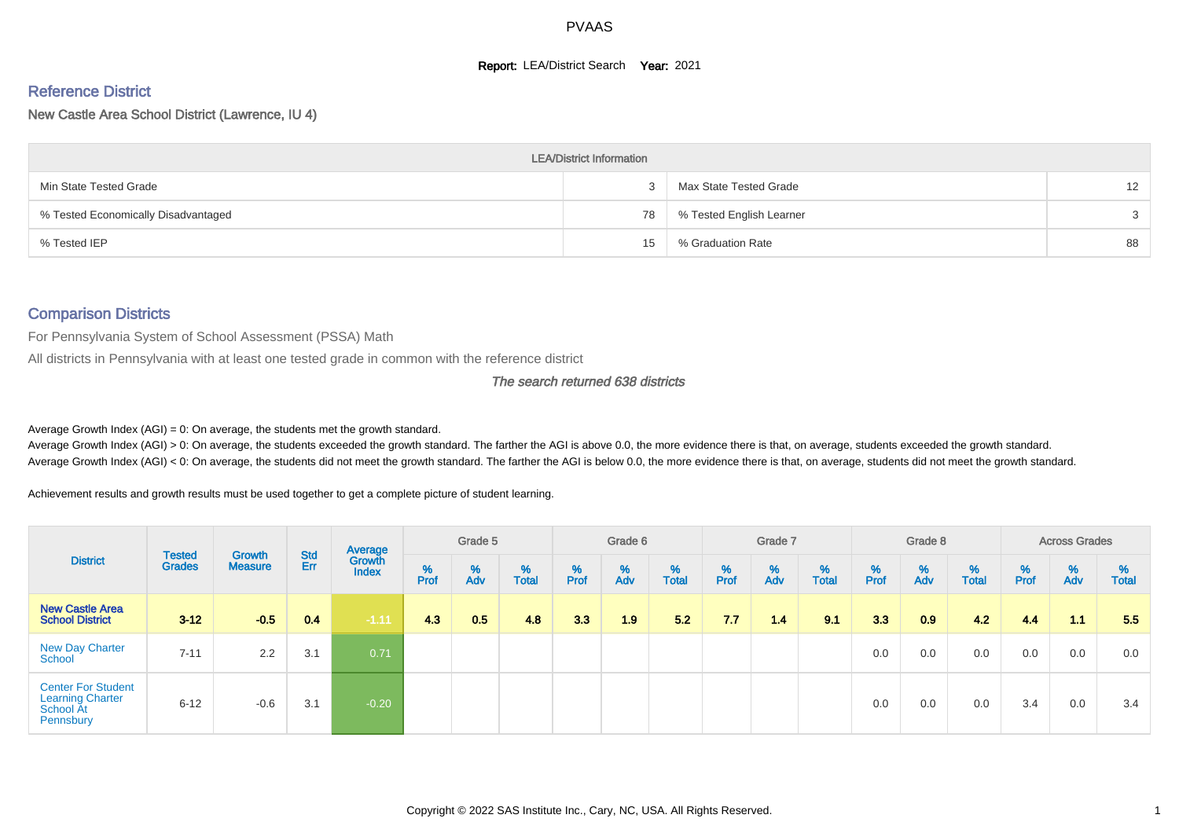#### **Report: LEA/District Search Year: 2021**

# Reference District

New Castle Area School District (Lawrence, IU 4)

|                                     | <b>LEA/District Information</b> |                          |                   |
|-------------------------------------|---------------------------------|--------------------------|-------------------|
| Min State Tested Grade              |                                 | Max State Tested Grade   | $12 \overline{ }$ |
| % Tested Economically Disadvantaged | 78                              | % Tested English Learner | 3                 |
| % Tested IEP                        | 15                              | % Graduation Rate        | 88                |

#### Comparison Districts

For Pennsylvania System of School Assessment (PSSA) Math

All districts in Pennsylvania with at least one tested grade in common with the reference district

The search returned 638 districts

Average Growth Index  $(AGI) = 0$ : On average, the students met the growth standard.

Average Growth Index (AGI) > 0: On average, the students exceeded the growth standard. The farther the AGI is above 0.0, the more evidence there is that, on average, students exceeded the growth standard. Average Growth Index (AGI) < 0: On average, the students did not meet the growth standard. The farther the AGI is below 0.0, the more evidence there is that, on average, students did not meet the growth standard.

Achievement results and growth results must be used together to get a complete picture of student learning.

|                                                                                |                                |                                 |            | Average                |           | Grade 5  |                   |           | Grade 6  |                   |           | Grade 7  |                   |           | Grade 8  |                   |           | <b>Across Grades</b> |                   |
|--------------------------------------------------------------------------------|--------------------------------|---------------------------------|------------|------------------------|-----------|----------|-------------------|-----------|----------|-------------------|-----------|----------|-------------------|-----------|----------|-------------------|-----------|----------------------|-------------------|
| <b>District</b>                                                                | <b>Tested</b><br><b>Grades</b> | <b>Growth</b><br><b>Measure</b> | Std<br>Err | Growth<br><b>Index</b> | %<br>Prof | %<br>Adv | %<br><b>Total</b> | %<br>Prof | %<br>Adv | %<br><b>Total</b> | %<br>Prof | %<br>Adv | %<br><b>Total</b> | %<br>Prof | %<br>Adv | %<br><b>Total</b> | %<br>Prof | %<br>Adv             | %<br><b>Total</b> |
| <b>New Castle Area</b><br><b>School District</b>                               | $3 - 12$                       | $-0.5$                          | 0.4        | $-1.11$                | 4.3       | 0.5      | 4.8               | 3.3       | 1.9      | 5.2               | 7.7       | 1.4      | 9.1               | 3.3       | 0.9      | 4.2               | 4.4       | 1.1                  | 5.5               |
| <b>New Day Charter</b><br>School                                               | $7 - 11$                       | 2.2                             | 3.1        | 0.71                   |           |          |                   |           |          |                   |           |          |                   | 0.0       | 0.0      | 0.0               | 0.0       | 0.0                  | 0.0               |
| <b>Center For Student</b><br><b>Learning Charter</b><br>School At<br>Pennsbury | $6 - 12$                       | $-0.6$                          | 3.1        | $-0.20$                |           |          |                   |           |          |                   |           |          |                   | 0.0       | 0.0      | 0.0               | 3.4       | 0.0                  | 3.4               |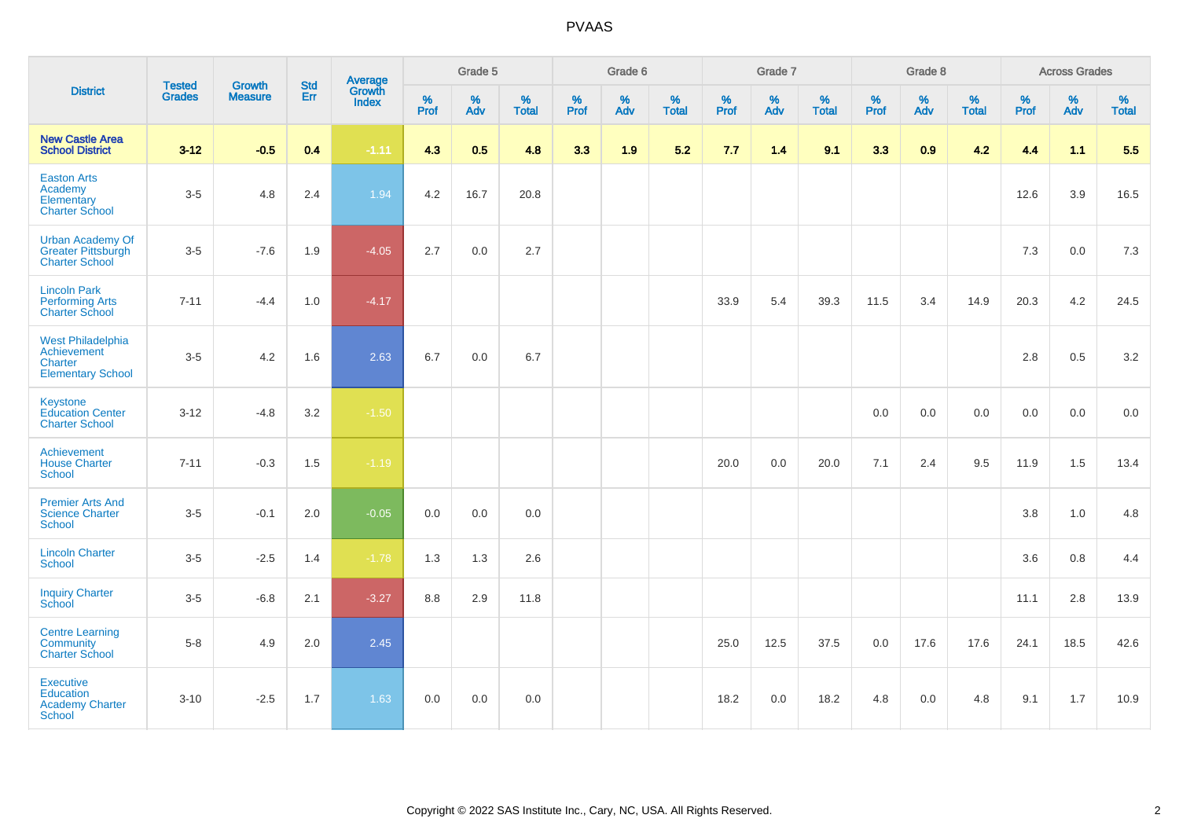|                                                                                       | <b>Tested</b> | <b>Growth</b>  | <b>Std</b> | Average                |              | Grade 5  |                   |              | Grade 6  |                   |              | Grade 7  |                   |              | Grade 8  |                   |           | <b>Across Grades</b> |                   |
|---------------------------------------------------------------------------------------|---------------|----------------|------------|------------------------|--------------|----------|-------------------|--------------|----------|-------------------|--------------|----------|-------------------|--------------|----------|-------------------|-----------|----------------------|-------------------|
| <b>District</b>                                                                       | <b>Grades</b> | <b>Measure</b> | Err        | Growth<br><b>Index</b> | $\%$<br>Prof | %<br>Adv | %<br><b>Total</b> | $\%$<br>Prof | %<br>Adv | %<br><b>Total</b> | $\%$<br>Prof | %<br>Adv | %<br><b>Total</b> | $\%$<br>Prof | %<br>Adv | %<br><b>Total</b> | %<br>Prof | %<br>Adv             | %<br><b>Total</b> |
| <b>New Castle Area</b><br><b>School District</b>                                      | $3-12$        | $-0.5$         | 0.4        | $-1.11$                | 4.3          | 0.5      | 4.8               | 3.3          | 1.9      | 5.2               | 7.7          | 1.4      | 9.1               | 3.3          | 0.9      | 4.2               | 4.4       | 1.1                  | 5.5               |
| <b>Easton Arts</b><br>Academy<br>Elementary<br><b>Charter School</b>                  | $3-5$         | 4.8            | 2.4        | 1.94                   | 4.2          | 16.7     | 20.8              |              |          |                   |              |          |                   |              |          |                   | 12.6      | 3.9                  | 16.5              |
| <b>Urban Academy Of</b><br><b>Greater Pittsburgh</b><br><b>Charter School</b>         | $3-5$         | $-7.6$         | 1.9        | $-4.05$                | 2.7          | 0.0      | 2.7               |              |          |                   |              |          |                   |              |          |                   | 7.3       | 0.0                  | 7.3               |
| <b>Lincoln Park</b><br><b>Performing Arts</b><br><b>Charter School</b>                | $7 - 11$      | $-4.4$         | 1.0        | $-4.17$                |              |          |                   |              |          |                   | 33.9         | 5.4      | 39.3              | 11.5         | 3.4      | 14.9              | 20.3      | 4.2                  | 24.5              |
| <b>West Philadelphia</b><br>Achievement<br><b>Charter</b><br><b>Elementary School</b> | $3-5$         | 4.2            | 1.6        | 2.63                   | 6.7          | 0.0      | 6.7               |              |          |                   |              |          |                   |              |          |                   | 2.8       | 0.5                  | 3.2               |
| Keystone<br><b>Education Center</b><br><b>Charter School</b>                          | $3 - 12$      | $-4.8$         | 3.2        | $-1.50$                |              |          |                   |              |          |                   |              |          |                   | 0.0          | 0.0      | 0.0               | 0.0       | 0.0                  | 0.0               |
| Achievement<br><b>House Charter</b><br><b>School</b>                                  | $7 - 11$      | $-0.3$         | 1.5        | $-1.19$                |              |          |                   |              |          |                   | 20.0         | 0.0      | 20.0              | 7.1          | 2.4      | 9.5               | 11.9      | 1.5                  | 13.4              |
| <b>Premier Arts And</b><br><b>Science Charter</b><br><b>School</b>                    | $3-5$         | $-0.1$         | 2.0        | $-0.05$                | 0.0          | 0.0      | 0.0               |              |          |                   |              |          |                   |              |          |                   | 3.8       | 1.0                  | 4.8               |
| <b>Lincoln Charter</b><br><b>School</b>                                               | $3-5$         | $-2.5$         | 1.4        | $-1.78$                | 1.3          | 1.3      | 2.6               |              |          |                   |              |          |                   |              |          |                   | 3.6       | 0.8                  | 4.4               |
| <b>Inquiry Charter</b><br>School                                                      | $3-5$         | $-6.8$         | 2.1        | $-3.27$                | 8.8          | 2.9      | 11.8              |              |          |                   |              |          |                   |              |          |                   | 11.1      | 2.8                  | 13.9              |
| <b>Centre Learning</b><br>Community<br><b>Charter School</b>                          | $5-8$         | 4.9            | 2.0        | 2.45                   |              |          |                   |              |          |                   | 25.0         | 12.5     | 37.5              | 0.0          | 17.6     | 17.6              | 24.1      | 18.5                 | 42.6              |
| <b>Executive</b><br><b>Education</b><br><b>Academy Charter</b><br><b>School</b>       | $3 - 10$      | $-2.5$         | 1.7        | 1.63                   | 0.0          | 0.0      | 0.0               |              |          |                   | 18.2         | 0.0      | 18.2              | 4.8          | 0.0      | 4.8               | 9.1       | 1.7                  | 10.9              |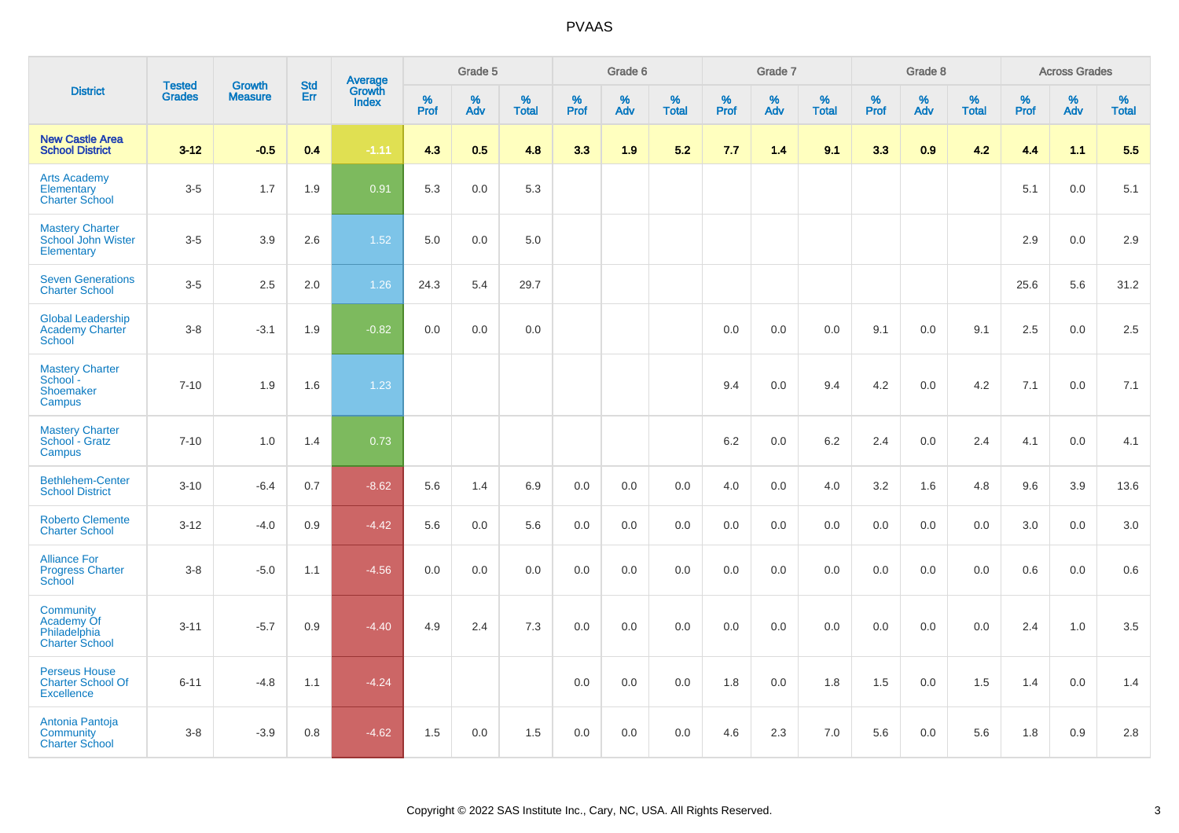|                                                                       |                                |                                 | <b>Std</b> | Average                |              | Grade 5  |                   |           | Grade 6  |                   |           | Grade 7  |                   |           | Grade 8  |                   |              | <b>Across Grades</b> |                   |
|-----------------------------------------------------------------------|--------------------------------|---------------------------------|------------|------------------------|--------------|----------|-------------------|-----------|----------|-------------------|-----------|----------|-------------------|-----------|----------|-------------------|--------------|----------------------|-------------------|
| <b>District</b>                                                       | <b>Tested</b><br><b>Grades</b> | <b>Growth</b><br><b>Measure</b> | Err        | Growth<br><b>Index</b> | $\%$<br>Prof | %<br>Adv | %<br><b>Total</b> | %<br>Prof | %<br>Adv | %<br><b>Total</b> | %<br>Prof | %<br>Adv | %<br><b>Total</b> | %<br>Prof | %<br>Adv | %<br><b>Total</b> | $\%$<br>Prof | %<br>Adv             | %<br><b>Total</b> |
| <b>New Castle Area</b><br><b>School District</b>                      | $3-12$                         | $-0.5$                          | 0.4        | $-1.11$                | 4.3          | 0.5      | 4.8               | 3.3       | 1.9      | 5.2               | 7.7       | 1.4      | 9.1               | 3.3       | 0.9      | 4.2               | 4.4          | 1.1                  | 5.5               |
| <b>Arts Academy</b><br>Elementary<br><b>Charter School</b>            | $3-5$                          | 1.7                             | 1.9        | 0.91                   | 5.3          | 0.0      | 5.3               |           |          |                   |           |          |                   |           |          |                   | 5.1          | 0.0                  | 5.1               |
| <b>Mastery Charter</b><br>School John Wister<br>Elementary            | $3-5$                          | 3.9                             | 2.6        | 1.52                   | 5.0          | 0.0      | 5.0               |           |          |                   |           |          |                   |           |          |                   | 2.9          | 0.0                  | 2.9               |
| <b>Seven Generations</b><br><b>Charter School</b>                     | $3-5$                          | 2.5                             | 2.0        | 1.26                   | 24.3         | 5.4      | 29.7              |           |          |                   |           |          |                   |           |          |                   | 25.6         | 5.6                  | 31.2              |
| <b>Global Leadership</b><br><b>Academy Charter</b><br>School          | $3-8$                          | $-3.1$                          | 1.9        | $-0.82$                | 0.0          | 0.0      | 0.0               |           |          |                   | 0.0       | 0.0      | 0.0               | 9.1       | 0.0      | 9.1               | 2.5          | 0.0                  | 2.5               |
| <b>Mastery Charter</b><br>School-<br>Shoemaker<br>Campus              | $7 - 10$                       | 1.9                             | 1.6        | 1.23                   |              |          |                   |           |          |                   | 9.4       | 0.0      | 9.4               | 4.2       | 0.0      | 4.2               | 7.1          | 0.0                  | 7.1               |
| <b>Mastery Charter</b><br>School - Gratz<br>Campus                    | $7 - 10$                       | 1.0                             | 1.4        | 0.73                   |              |          |                   |           |          |                   | 6.2       | 0.0      | 6.2               | 2.4       | 0.0      | 2.4               | 4.1          | 0.0                  | 4.1               |
| <b>Bethlehem-Center</b><br><b>School District</b>                     | $3 - 10$                       | $-6.4$                          | 0.7        | $-8.62$                | 5.6          | 1.4      | 6.9               | 0.0       | 0.0      | 0.0               | 4.0       | 0.0      | 4.0               | 3.2       | 1.6      | 4.8               | 9.6          | 3.9                  | 13.6              |
| <b>Roberto Clemente</b><br><b>Charter School</b>                      | $3 - 12$                       | $-4.0$                          | 0.9        | $-4.42$                | 5.6          | 0.0      | 5.6               | 0.0       | 0.0      | 0.0               | 0.0       | 0.0      | 0.0               | 0.0       | 0.0      | 0.0               | 3.0          | 0.0                  | 3.0               |
| <b>Alliance For</b><br><b>Progress Charter</b><br>School              | $3-8$                          | $-5.0$                          | 1.1        | $-4.56$                | 0.0          | 0.0      | 0.0               | 0.0       | 0.0      | 0.0               | 0.0       | 0.0      | 0.0               | 0.0       | 0.0      | 0.0               | 0.6          | 0.0                  | 0.6               |
| Community<br>Academy Of<br>Philadelphia<br><b>Charter School</b>      | $3 - 11$                       | $-5.7$                          | 0.9        | $-4.40$                | 4.9          | 2.4      | 7.3               | 0.0       | 0.0      | 0.0               | 0.0       | 0.0      | 0.0               | 0.0       | 0.0      | 0.0               | 2.4          | 1.0                  | 3.5               |
| <b>Perseus House</b><br><b>Charter School Of</b><br><b>Excellence</b> | $6 - 11$                       | $-4.8$                          | 1.1        | $-4.24$                |              |          |                   | 0.0       | 0.0      | 0.0               | 1.8       | 0.0      | 1.8               | 1.5       | 0.0      | 1.5               | 1.4          | 0.0                  | 1.4               |
| Antonia Pantoja<br>Community<br><b>Charter School</b>                 | $3 - 8$                        | $-3.9$                          | 0.8        | $-4.62$                | 1.5          | 0.0      | 1.5               | 0.0       | 0.0      | 0.0               | 4.6       | 2.3      | 7.0               | 5.6       | 0.0      | 5.6               | 1.8          | 0.9                  | $2.8\,$           |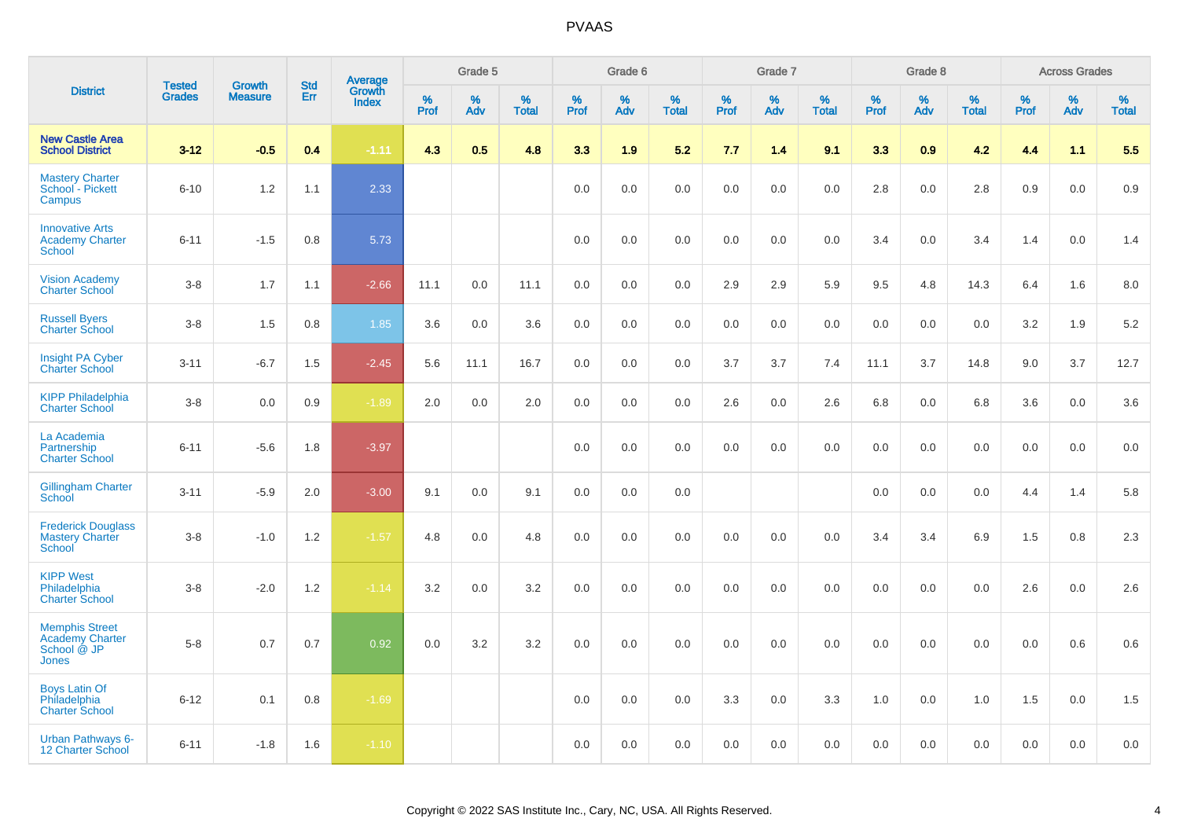|                                                                                |                                | <b>Growth</b>  |                   | Average                |                     | Grade 5     |                   |                  | Grade 6     |                   |                  | Grade 7  |                   |           | Grade 8  |                   |                     | <b>Across Grades</b> |                   |
|--------------------------------------------------------------------------------|--------------------------------|----------------|-------------------|------------------------|---------------------|-------------|-------------------|------------------|-------------|-------------------|------------------|----------|-------------------|-----------|----------|-------------------|---------------------|----------------------|-------------------|
| <b>District</b>                                                                | <b>Tested</b><br><b>Grades</b> | <b>Measure</b> | <b>Std</b><br>Err | Growth<br><b>Index</b> | $\%$<br><b>Prof</b> | $\%$<br>Adv | %<br><b>Total</b> | %<br><b>Prof</b> | $\%$<br>Adv | %<br><b>Total</b> | %<br><b>Prof</b> | %<br>Adv | %<br><b>Total</b> | %<br>Prof | %<br>Adv | %<br><b>Total</b> | $\%$<br><b>Prof</b> | $\%$<br>Adv          | %<br><b>Total</b> |
| <b>New Castle Area</b><br><b>School District</b>                               | $3 - 12$                       | $-0.5$         | 0.4               | $-1.11$                | 4.3                 | 0.5         | 4.8               | 3.3              | 1.9         | 5.2               | 7.7              | 1.4      | 9.1               | 3.3       | 0.9      | 4.2               | 4.4                 | 1.1                  | 5.5               |
| <b>Mastery Charter</b><br>School - Pickett<br>Campus                           | $6 - 10$                       | 1.2            | 1.1               | 2.33                   |                     |             |                   | 0.0              | 0.0         | 0.0               | 0.0              | 0.0      | 0.0               | 2.8       | 0.0      | 2.8               | $0.9\,$             | 0.0                  | $0.9\,$           |
| <b>Innovative Arts</b><br><b>Academy Charter</b><br><b>School</b>              | $6 - 11$                       | $-1.5$         | 0.8               | 5.73                   |                     |             |                   | 0.0              | 0.0         | 0.0               | 0.0              | 0.0      | 0.0               | 3.4       | 0.0      | 3.4               | 1.4                 | 0.0                  | 1.4               |
| <b>Vision Academy</b><br><b>Charter School</b>                                 | $3-8$                          | 1.7            | 1.1               | $-2.66$                | 11.1                | 0.0         | 11.1              | 0.0              | 0.0         | 0.0               | 2.9              | 2.9      | 5.9               | 9.5       | 4.8      | 14.3              | 6.4                 | 1.6                  | 8.0               |
| <b>Russell Byers</b><br><b>Charter School</b>                                  | $3-8$                          | 1.5            | 0.8               | 1.85                   | 3.6                 | 0.0         | 3.6               | 0.0              | 0.0         | 0.0               | 0.0              | 0.0      | 0.0               | 0.0       | 0.0      | 0.0               | 3.2                 | 1.9                  | 5.2               |
| <b>Insight PA Cyber</b><br><b>Charter School</b>                               | $3 - 11$                       | $-6.7$         | 1.5               | $-2.45$                | 5.6                 | 11.1        | 16.7              | 0.0              | 0.0         | 0.0               | 3.7              | 3.7      | 7.4               | 11.1      | 3.7      | 14.8              | 9.0                 | 3.7                  | 12.7              |
| <b>KIPP Philadelphia</b><br><b>Charter School</b>                              | $3-8$                          | 0.0            | 0.9               | $-1.89$                | 2.0                 | 0.0         | 2.0               | 0.0              | 0.0         | 0.0               | 2.6              | 0.0      | 2.6               | 6.8       | 0.0      | 6.8               | 3.6                 | 0.0                  | 3.6               |
| La Academia<br>Partnership<br><b>Charter School</b>                            | $6 - 11$                       | $-5.6$         | 1.8               | $-3.97$                |                     |             |                   | 0.0              | 0.0         | 0.0               | 0.0              | 0.0      | 0.0               | 0.0       | 0.0      | 0.0               | 0.0                 | 0.0                  | 0.0               |
| <b>Gillingham Charter</b><br>School                                            | $3 - 11$                       | $-5.9$         | 2.0               | $-3.00$                | 9.1                 | 0.0         | 9.1               | 0.0              | 0.0         | 0.0               |                  |          |                   | 0.0       | 0.0      | 0.0               | 4.4                 | 1.4                  | 5.8               |
| <b>Frederick Douglass</b><br><b>Mastery Charter</b><br><b>School</b>           | $3-8$                          | $-1.0$         | 1.2               | $-1.57$                | 4.8                 | 0.0         | 4.8               | 0.0              | 0.0         | 0.0               | 0.0              | 0.0      | 0.0               | 3.4       | 3.4      | 6.9               | 1.5                 | 0.8                  | 2.3               |
| <b>KIPP West</b><br>Philadelphia<br><b>Charter School</b>                      | $3-8$                          | $-2.0$         | 1.2               | $-1.14$                | 3.2                 | 0.0         | 3.2               | 0.0              | 0.0         | 0.0               | 0.0              | 0.0      | 0.0               | 0.0       | 0.0      | 0.0               | 2.6                 | 0.0                  | 2.6               |
| <b>Memphis Street</b><br><b>Academy Charter</b><br>School @ JP<br><b>Jones</b> | $5 - 8$                        | 0.7            | 0.7               | 0.92                   | 0.0                 | 3.2         | 3.2               | 0.0              | 0.0         | 0.0               | 0.0              | 0.0      | 0.0               | 0.0       | 0.0      | 0.0               | 0.0                 | 0.6                  | 0.6               |
| <b>Boys Latin Of</b><br>Philadelphia<br><b>Charter School</b>                  | $6 - 12$                       | 0.1            | 0.8               | $-1.69$                |                     |             |                   | 0.0              | 0.0         | 0.0               | 3.3              | 0.0      | 3.3               | 1.0       | 0.0      | 1.0               | 1.5                 | 0.0                  | 1.5               |
| <b>Urban Pathways 6-</b><br>12 Charter School                                  | $6 - 11$                       | $-1.8$         | 1.6               | $-1.10$                |                     |             |                   | 0.0              | 0.0         | 0.0               | 0.0              | 0.0      | 0.0               | 0.0       | 0.0      | 0.0               | 0.0                 | 0.0                  | 0.0               |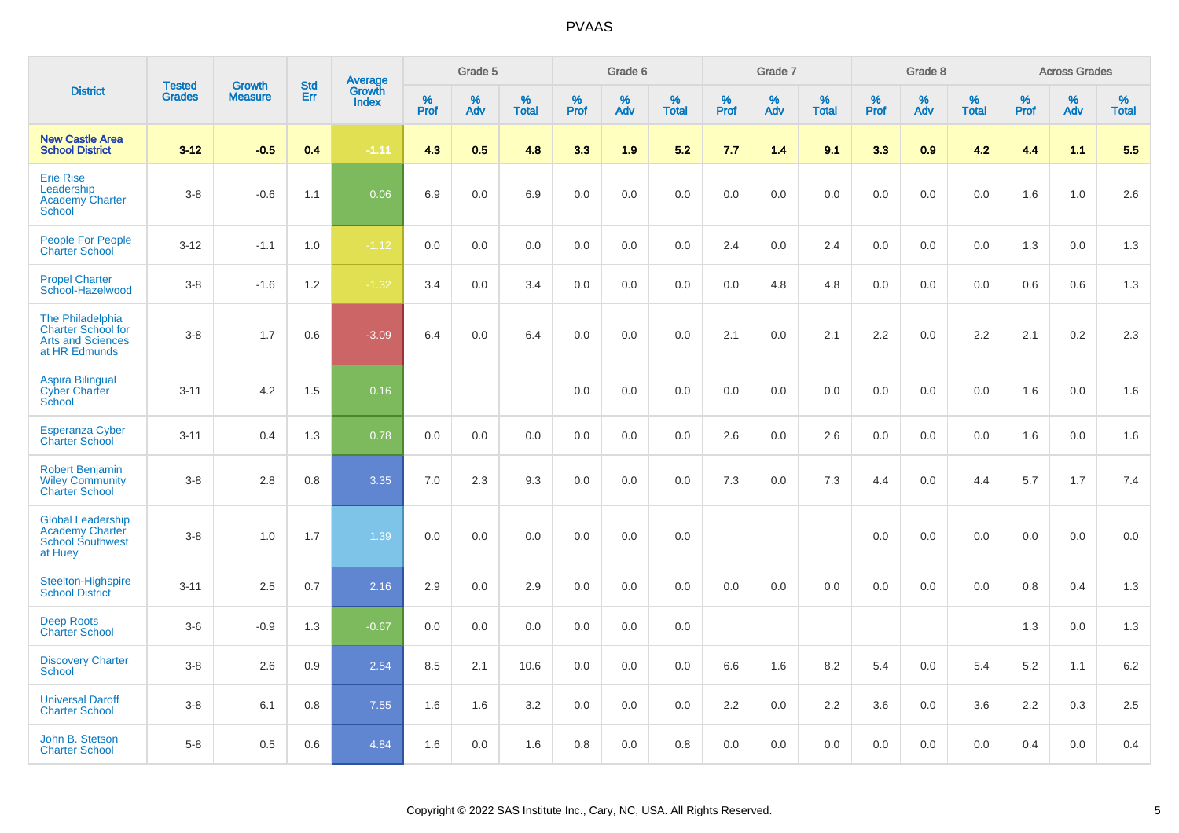|                                                                                            | <b>Tested</b> | <b>Growth</b>  | <b>Std</b> |                                          |              | Grade 5  |                      |              | Grade 6  |                   |              | Grade 7  |                      |              | Grade 8  |                   |              | <b>Across Grades</b> |                      |
|--------------------------------------------------------------------------------------------|---------------|----------------|------------|------------------------------------------|--------------|----------|----------------------|--------------|----------|-------------------|--------------|----------|----------------------|--------------|----------|-------------------|--------------|----------------------|----------------------|
| <b>District</b>                                                                            | <b>Grades</b> | <b>Measure</b> | Err        | <b>Average</b><br>Growth<br><b>Index</b> | $\%$<br>Prof | %<br>Adv | $\%$<br><b>Total</b> | $\%$<br>Prof | %<br>Adv | %<br><b>Total</b> | $\%$<br>Prof | %<br>Adv | $\%$<br><b>Total</b> | $\%$<br>Prof | %<br>Adv | %<br><b>Total</b> | $\%$<br>Prof | %<br>Adv             | $\%$<br><b>Total</b> |
| <b>New Castle Area</b><br><b>School District</b>                                           | $3 - 12$      | $-0.5$         | 0.4        | $-1.11$                                  | 4.3          | 0.5      | 4.8                  | 3.3          | 1.9      | 5.2               | 7.7          | 1.4      | 9.1                  | 3.3          | 0.9      | 4.2               | 4.4          | 1.1                  | 5.5                  |
| <b>Erie Rise</b><br>Leadership<br><b>Academy Charter</b><br>School                         | $3 - 8$       | $-0.6$         | 1.1        | 0.06                                     | 6.9          | 0.0      | 6.9                  | 0.0          | 0.0      | 0.0               | 0.0          | 0.0      | 0.0                  | 0.0          | 0.0      | 0.0               | 1.6          | 1.0                  | 2.6                  |
| <b>People For People</b><br><b>Charter School</b>                                          | $3 - 12$      | $-1.1$         | 1.0        | $-1.12$                                  | 0.0          | 0.0      | 0.0                  | 0.0          | 0.0      | 0.0               | 2.4          | 0.0      | 2.4                  | 0.0          | 0.0      | 0.0               | 1.3          | 0.0                  | 1.3                  |
| <b>Propel Charter</b><br>School-Hazelwood                                                  | $3 - 8$       | $-1.6$         | 1.2        | $-1.32$                                  | 3.4          | 0.0      | 3.4                  | 0.0          | 0.0      | 0.0               | 0.0          | 4.8      | 4.8                  | 0.0          | 0.0      | 0.0               | 0.6          | 0.6                  | 1.3                  |
| The Philadelphia<br><b>Charter School for</b><br><b>Arts and Sciences</b><br>at HR Edmunds | $3 - 8$       | 1.7            | 0.6        | $-3.09$                                  | 6.4          | 0.0      | 6.4                  | 0.0          | 0.0      | 0.0               | 2.1          | 0.0      | 2.1                  | 2.2          | 0.0      | 2.2               | 2.1          | $0.2\,$              | 2.3                  |
| <b>Aspira Bilingual</b><br><b>Cyber Charter</b><br>School                                  | $3 - 11$      | 4.2            | 1.5        | 0.16                                     |              |          |                      | 0.0          | 0.0      | 0.0               | 0.0          | 0.0      | 0.0                  | 0.0          | 0.0      | 0.0               | 1.6          | 0.0                  | 1.6                  |
| <b>Esperanza Cyber</b><br><b>Charter School</b>                                            | $3 - 11$      | 0.4            | 1.3        | 0.78                                     | 0.0          | 0.0      | 0.0                  | 0.0          | 0.0      | 0.0               | 2.6          | 0.0      | 2.6                  | 0.0          | 0.0      | 0.0               | 1.6          | 0.0                  | 1.6                  |
| <b>Robert Benjamin</b><br><b>Wiley Community</b><br><b>Charter School</b>                  | $3 - 8$       | 2.8            | 0.8        | 3.35                                     | 7.0          | 2.3      | 9.3                  | 0.0          | 0.0      | 0.0               | 7.3          | 0.0      | 7.3                  | 4.4          | 0.0      | 4.4               | 5.7          | 1.7                  | 7.4                  |
| <b>Global Leadership</b><br><b>Academy Charter</b><br><b>School Southwest</b><br>at Huey   | $3 - 8$       | 1.0            | 1.7        | 1.39                                     | 0.0          | 0.0      | 0.0                  | 0.0          | 0.0      | 0.0               |              |          |                      | 0.0          | 0.0      | 0.0               | 0.0          | 0.0                  | 0.0                  |
| Steelton-Highspire<br><b>School District</b>                                               | $3 - 11$      | 2.5            | 0.7        | 2.16                                     | 2.9          | 0.0      | 2.9                  | 0.0          | 0.0      | 0.0               | 0.0          | 0.0      | 0.0                  | 0.0          | 0.0      | 0.0               | 0.8          | 0.4                  | 1.3                  |
| <b>Deep Roots</b><br><b>Charter School</b>                                                 | $3-6$         | $-0.9$         | 1.3        | $-0.67$                                  | 0.0          | 0.0      | 0.0                  | 0.0          | 0.0      | 0.0               |              |          |                      |              |          |                   | 1.3          | 0.0                  | 1.3                  |
| <b>Discovery Charter</b><br>School                                                         | $3 - 8$       | 2.6            | 0.9        | 2.54                                     | 8.5          | 2.1      | 10.6                 | 0.0          | 0.0      | 0.0               | 6.6          | 1.6      | 8.2                  | 5.4          | 0.0      | 5.4               | 5.2          | 1.1                  | 6.2                  |
| <b>Universal Daroff</b><br><b>Charter School</b>                                           | $3-8$         | 6.1            | 0.8        | 7.55                                     | 1.6          | 1.6      | 3.2                  | 0.0          | 0.0      | 0.0               | $2.2\,$      | 0.0      | 2.2                  | 3.6          | 0.0      | 3.6               | $2.2\,$      | 0.3                  | 2.5                  |
| John B. Stetson<br><b>Charter School</b>                                                   | $5 - 8$       | 0.5            | 0.6        | 4.84                                     | 1.6          | 0.0      | 1.6                  | 0.8          | 0.0      | 0.8               | 0.0          | 0.0      | 0.0                  | 0.0          | 0.0      | 0.0               | 0.4          | 0.0                  | 0.4                  |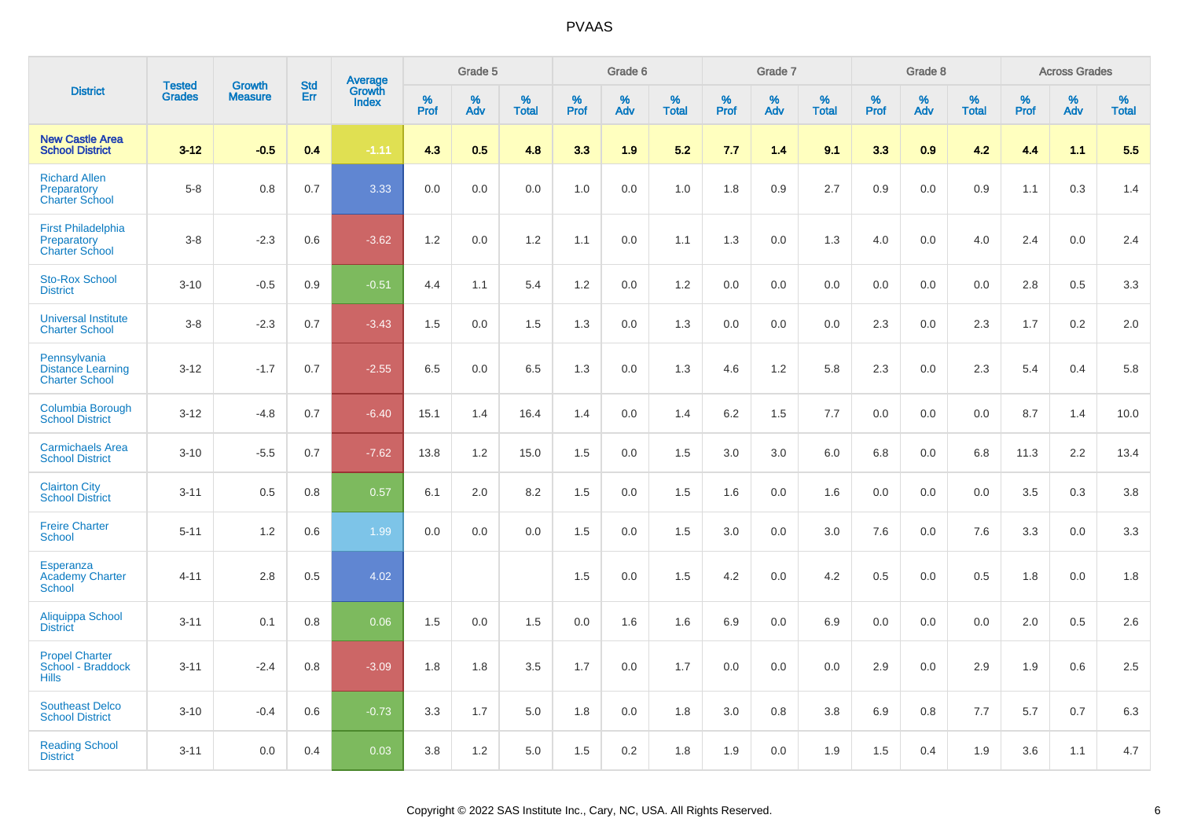|                                                                   | <b>Tested</b> | <b>Growth</b>  | <b>Std</b> |                                          |              | Grade 5  |                   |           | Grade 6  |                   |                  | Grade 7  |                   |                  | Grade 8  |                   |              | <b>Across Grades</b> |                   |
|-------------------------------------------------------------------|---------------|----------------|------------|------------------------------------------|--------------|----------|-------------------|-----------|----------|-------------------|------------------|----------|-------------------|------------------|----------|-------------------|--------------|----------------------|-------------------|
| <b>District</b>                                                   | <b>Grades</b> | <b>Measure</b> | Err        | <b>Average</b><br>Growth<br><b>Index</b> | $\%$<br>Prof | %<br>Adv | %<br><b>Total</b> | %<br>Prof | %<br>Adv | %<br><b>Total</b> | %<br><b>Prof</b> | %<br>Adv | %<br><b>Total</b> | %<br><b>Prof</b> | %<br>Adv | %<br><b>Total</b> | $\%$<br>Prof | %<br>Adv             | %<br><b>Total</b> |
| <b>New Castle Area</b><br><b>School District</b>                  | $3 - 12$      | $-0.5$         | 0.4        | $-1.11$                                  | 4.3          | 0.5      | 4.8               | 3.3       | 1.9      | 5.2               | 7.7              | 1.4      | 9.1               | 3.3              | 0.9      | 4.2               | 4.4          | 1.1                  | 5.5               |
| <b>Richard Allen</b><br>Preparatory<br><b>Charter School</b>      | $5-8$         | 0.8            | 0.7        | 3.33                                     | 0.0          | 0.0      | 0.0               | 1.0       | 0.0      | 1.0               | 1.8              | 0.9      | 2.7               | 0.9              | 0.0      | 0.9               | 1.1          | 0.3                  | 1.4               |
| <b>First Philadelphia</b><br>Preparatory<br><b>Charter School</b> | $3-8$         | $-2.3$         | 0.6        | $-3.62$                                  | 1.2          | 0.0      | 1.2               | 1.1       | 0.0      | 1.1               | 1.3              | 0.0      | 1.3               | 4.0              | 0.0      | 4.0               | 2.4          | 0.0                  | 2.4               |
| <b>Sto-Rox School</b><br><b>District</b>                          | $3 - 10$      | $-0.5$         | 0.9        | $-0.51$                                  | 4.4          | 1.1      | 5.4               | 1.2       | 0.0      | 1.2               | 0.0              | 0.0      | 0.0               | 0.0              | 0.0      | 0.0               | 2.8          | 0.5                  | 3.3               |
| <b>Universal Institute</b><br><b>Charter School</b>               | $3-8$         | $-2.3$         | 0.7        | $-3.43$                                  | 1.5          | 0.0      | 1.5               | 1.3       | 0.0      | 1.3               | 0.0              | 0.0      | 0.0               | $2.3\,$          | 0.0      | 2.3               | 1.7          | 0.2                  | $2.0\,$           |
| Pennsylvania<br><b>Distance Learning</b><br><b>Charter School</b> | $3 - 12$      | $-1.7$         | 0.7        | $-2.55$                                  | 6.5          | 0.0      | 6.5               | 1.3       | 0.0      | 1.3               | 4.6              | 1.2      | 5.8               | 2.3              | 0.0      | 2.3               | 5.4          | 0.4                  | 5.8               |
| <b>Columbia Borough</b><br><b>School District</b>                 | $3 - 12$      | $-4.8$         | 0.7        | $-6.40$                                  | 15.1         | 1.4      | 16.4              | 1.4       | 0.0      | 1.4               | 6.2              | 1.5      | 7.7               | 0.0              | 0.0      | 0.0               | 8.7          | 1.4                  | 10.0              |
| <b>Carmichaels Area</b><br><b>School District</b>                 | $3 - 10$      | $-5.5$         | 0.7        | $-7.62$                                  | 13.8         | 1.2      | 15.0              | 1.5       | 0.0      | 1.5               | 3.0              | 3.0      | 6.0               | 6.8              | 0.0      | 6.8               | 11.3         | 2.2                  | 13.4              |
| <b>Clairton City</b><br><b>School District</b>                    | $3 - 11$      | 0.5            | 0.8        | 0.57                                     | 6.1          | 2.0      | 8.2               | 1.5       | 0.0      | 1.5               | 1.6              | 0.0      | 1.6               | 0.0              | 0.0      | 0.0               | 3.5          | 0.3                  | 3.8               |
| <b>Freire Charter</b><br><b>School</b>                            | $5 - 11$      | 1.2            | 0.6        | 1.99                                     | 0.0          | 0.0      | 0.0               | 1.5       | 0.0      | 1.5               | 3.0              | 0.0      | 3.0               | 7.6              | 0.0      | 7.6               | 3.3          | 0.0                  | 3.3               |
| Esperanza<br><b>Academy Charter</b><br><b>School</b>              | $4 - 11$      | 2.8            | 0.5        | 4.02                                     |              |          |                   | 1.5       | 0.0      | 1.5               | 4.2              | 0.0      | 4.2               | 0.5              | 0.0      | 0.5               | 1.8          | 0.0                  | 1.8               |
| <b>Aliquippa School</b><br><b>District</b>                        | $3 - 11$      | 0.1            | 0.8        | 0.06                                     | 1.5          | 0.0      | 1.5               | 0.0       | 1.6      | 1.6               | 6.9              | 0.0      | 6.9               | 0.0              | 0.0      | 0.0               | 2.0          | 0.5                  | 2.6               |
| <b>Propel Charter</b><br>School - Braddock<br><b>Hills</b>        | $3 - 11$      | $-2.4$         | 0.8        | $-3.09$                                  | 1.8          | 1.8      | 3.5               | 1.7       | 0.0      | 1.7               | 0.0              | 0.0      | 0.0               | 2.9              | 0.0      | 2.9               | 1.9          | 0.6                  | $2.5\,$           |
| <b>Southeast Delco</b><br><b>School District</b>                  | $3 - 10$      | $-0.4$         | 0.6        | $-0.73$                                  | 3.3          | 1.7      | 5.0               | 1.8       | 0.0      | 1.8               | 3.0              | 0.8      | 3.8               | 6.9              | 0.8      | 7.7               | 5.7          | 0.7                  | $6.3\,$           |
| <b>Reading School</b><br><b>District</b>                          | $3 - 11$      | 0.0            | 0.4        | 0.03                                     | 3.8          | 1.2      | 5.0               | 1.5       | 0.2      | 1.8               | 1.9              | 0.0      | 1.9               | 1.5              | 0.4      | 1.9               | 3.6          | 1.1                  | 4.7               |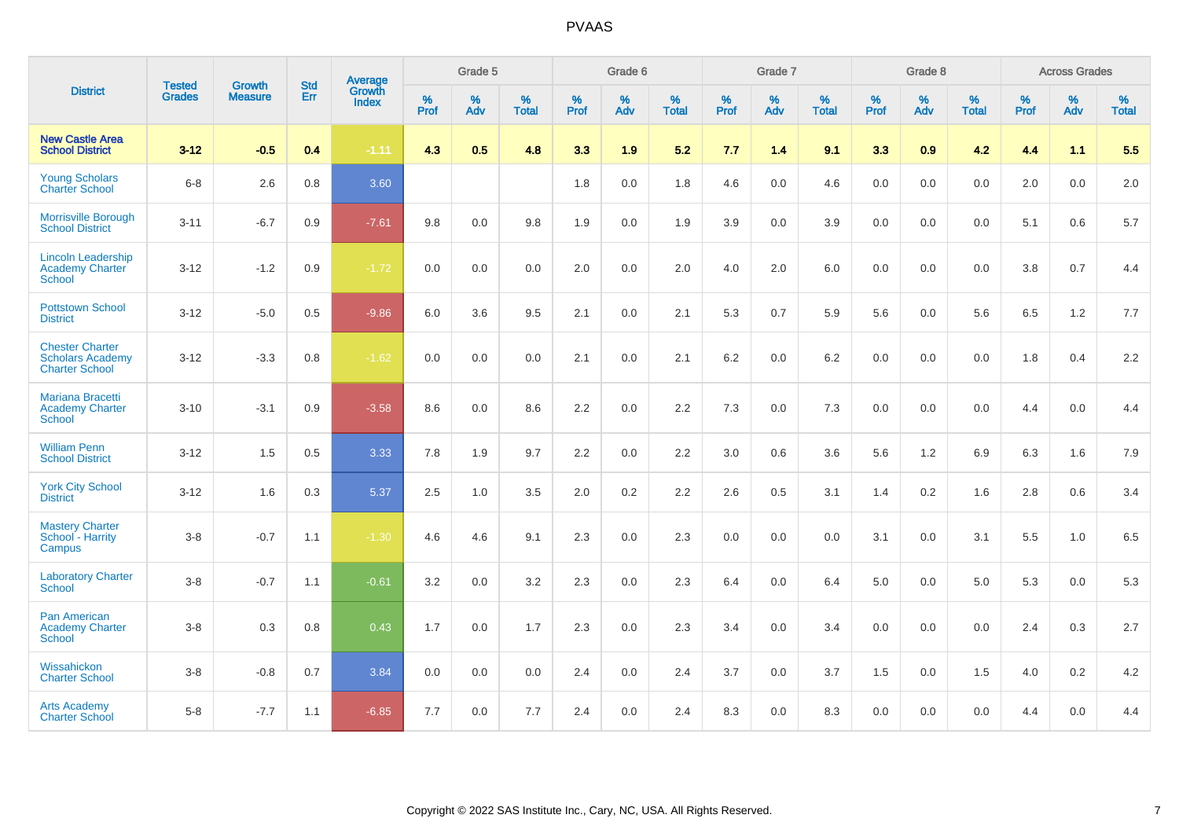|                                                                            |                                |                                 | <b>Std</b> | Average                |                     | Grade 5  |                   |              | Grade 6  |                   |                     | Grade 7  |                   |                     | Grade 8  |                   |              | <b>Across Grades</b> |                   |
|----------------------------------------------------------------------------|--------------------------------|---------------------------------|------------|------------------------|---------------------|----------|-------------------|--------------|----------|-------------------|---------------------|----------|-------------------|---------------------|----------|-------------------|--------------|----------------------|-------------------|
| <b>District</b>                                                            | <b>Tested</b><br><b>Grades</b> | <b>Growth</b><br><b>Measure</b> | Err        | Growth<br><b>Index</b> | $\%$<br><b>Prof</b> | %<br>Adv | %<br><b>Total</b> | $\%$<br>Prof | %<br>Adv | %<br><b>Total</b> | $\%$<br><b>Prof</b> | %<br>Adv | %<br><b>Total</b> | $\%$<br><b>Prof</b> | %<br>Adv | %<br><b>Total</b> | $\%$<br>Prof | %<br>Adv             | %<br><b>Total</b> |
| <b>New Castle Area</b><br><b>School District</b>                           | $3 - 12$                       | $-0.5$                          | 0.4        | $-1.11$                | 4.3                 | 0.5      | 4.8               | 3.3          | 1.9      | 5.2               | 7.7                 | 1.4      | 9.1               | 3.3                 | 0.9      | 4.2               | 4.4          | 1.1                  | 5.5               |
| <b>Young Scholars</b><br><b>Charter School</b>                             | $6 - 8$                        | 2.6                             | 0.8        | 3.60                   |                     |          |                   | 1.8          | 0.0      | 1.8               | 4.6                 | 0.0      | 4.6               | 0.0                 | 0.0      | 0.0               | 2.0          | 0.0                  | 2.0               |
| Morrisville Borough<br><b>School District</b>                              | $3 - 11$                       | $-6.7$                          | 0.9        | $-7.61$                | 9.8                 | 0.0      | 9.8               | 1.9          | 0.0      | 1.9               | 3.9                 | 0.0      | 3.9               | 0.0                 | 0.0      | 0.0               | 5.1          | 0.6                  | 5.7               |
| <b>Lincoln Leadership</b><br><b>Academy Charter</b><br><b>School</b>       | $3 - 12$                       | $-1.2$                          | 0.9        | $-1.72$                | 0.0                 | 0.0      | 0.0               | 2.0          | 0.0      | 2.0               | 4.0                 | 2.0      | 6.0               | 0.0                 | 0.0      | 0.0               | 3.8          | 0.7                  | 4.4               |
| <b>Pottstown School</b><br><b>District</b>                                 | $3 - 12$                       | $-5.0$                          | 0.5        | $-9.86$                | 6.0                 | 3.6      | 9.5               | 2.1          | 0.0      | 2.1               | 5.3                 | 0.7      | 5.9               | 5.6                 | 0.0      | 5.6               | 6.5          | 1.2                  | 7.7               |
| <b>Chester Charter</b><br><b>Scholars Academy</b><br><b>Charter School</b> | $3 - 12$                       | $-3.3$                          | 0.8        | $-1.62$                | 0.0                 | 0.0      | 0.0               | 2.1          | 0.0      | 2.1               | 6.2                 | 0.0      | 6.2               | 0.0                 | 0.0      | 0.0               | 1.8          | 0.4                  | 2.2               |
| <b>Mariana Bracetti</b><br><b>Academy Charter</b><br><b>School</b>         | $3 - 10$                       | $-3.1$                          | 0.9        | $-3.58$                | 8.6                 | 0.0      | 8.6               | 2.2          | 0.0      | 2.2               | 7.3                 | 0.0      | 7.3               | 0.0                 | 0.0      | 0.0               | 4.4          | 0.0                  | 4.4               |
| <b>William Penn</b><br><b>School District</b>                              | $3 - 12$                       | 1.5                             | 0.5        | 3.33                   | 7.8                 | 1.9      | 9.7               | 2.2          | 0.0      | 2.2               | 3.0                 | 0.6      | 3.6               | 5.6                 | 1.2      | 6.9               | 6.3          | 1.6                  | 7.9               |
| <b>York City School</b><br><b>District</b>                                 | $3 - 12$                       | 1.6                             | 0.3        | 5.37                   | 2.5                 | 1.0      | 3.5               | 2.0          | 0.2      | 2.2               | 2.6                 | 0.5      | 3.1               | 1.4                 | 0.2      | 1.6               | 2.8          | 0.6                  | 3.4               |
| <b>Mastery Charter</b><br>School - Harrity<br>Campus                       | $3 - 8$                        | $-0.7$                          | 1.1        | $-1.30$                | 4.6                 | 4.6      | 9.1               | 2.3          | 0.0      | 2.3               | 0.0                 | 0.0      | 0.0               | 3.1                 | 0.0      | 3.1               | 5.5          | 1.0                  | 6.5               |
| <b>Laboratory Charter</b><br><b>School</b>                                 | $3 - 8$                        | $-0.7$                          | 1.1        | $-0.61$                | 3.2                 | 0.0      | 3.2               | 2.3          | 0.0      | 2.3               | 6.4                 | 0.0      | 6.4               | 5.0                 | 0.0      | 5.0               | 5.3          | 0.0                  | 5.3               |
| <b>Pan American</b><br><b>Academy Charter</b><br><b>School</b>             | $3-8$                          | 0.3                             | 0.8        | 0.43                   | 1.7                 | $0.0\,$  | 1.7               | 2.3          | 0.0      | 2.3               | 3.4                 | 0.0      | 3.4               | 0.0                 | 0.0      | 0.0               | 2.4          | 0.3                  | 2.7               |
| Wissahickon<br><b>Charter School</b>                                       | $3 - 8$                        | $-0.8$                          | 0.7        | 3.84                   | 0.0                 | 0.0      | 0.0               | 2.4          | 0.0      | 2.4               | 3.7                 | 0.0      | 3.7               | 1.5                 | 0.0      | 1.5               | 4.0          | 0.2                  | 4.2               |
| <b>Arts Academy</b><br><b>Charter School</b>                               | $5-8$                          | $-7.7$                          | 1.1        | $-6.85$                | 7.7                 | 0.0      | 7.7               | 2.4          | 0.0      | 2.4               | 8.3                 | 0.0      | 8.3               | 0.0                 | 0.0      | 0.0               | 4.4          | 0.0                  | 4.4               |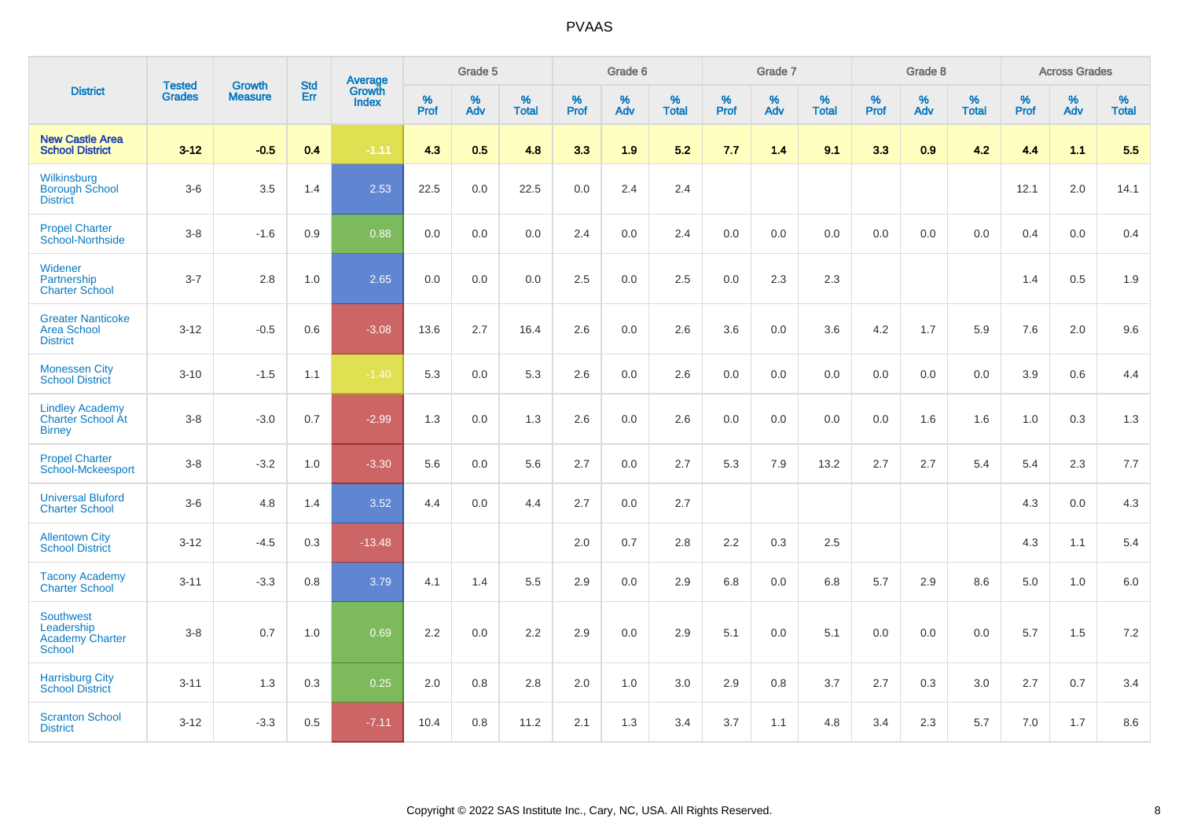|                                                                    | <b>Tested</b> | <b>Growth</b>  | <b>Std</b> | Average                |                     | Grade 5  |                   |                     | Grade 6  |                   |              | Grade 7  |                   |                     | Grade 8  |                   |                  | <b>Across Grades</b> |                   |
|--------------------------------------------------------------------|---------------|----------------|------------|------------------------|---------------------|----------|-------------------|---------------------|----------|-------------------|--------------|----------|-------------------|---------------------|----------|-------------------|------------------|----------------------|-------------------|
| <b>District</b>                                                    | <b>Grades</b> | <b>Measure</b> | Err        | Growth<br><b>Index</b> | $\%$<br><b>Prof</b> | %<br>Adv | %<br><b>Total</b> | $\%$<br><b>Prof</b> | %<br>Adv | %<br><b>Total</b> | $\%$<br>Prof | %<br>Adv | %<br><b>Total</b> | $\%$<br><b>Prof</b> | %<br>Adv | %<br><b>Total</b> | %<br><b>Prof</b> | %<br>Adv             | %<br><b>Total</b> |
| <b>New Castle Area</b><br><b>School District</b>                   | $3 - 12$      | $-0.5$         | 0.4        | $-1.11$                | 4.3                 | 0.5      | 4.8               | 3.3                 | 1.9      | 5.2               | 7.7          | 1.4      | 9.1               | 3.3                 | 0.9      | 4.2               | 4.4              | 1.1                  | 5.5               |
| Wilkinsburg<br><b>Borough School</b><br><b>District</b>            | $3-6$         | 3.5            | 1.4        | 2.53                   | 22.5                | 0.0      | 22.5              | 0.0                 | 2.4      | 2.4               |              |          |                   |                     |          |                   | 12.1             | 2.0                  | 14.1              |
| <b>Propel Charter</b><br>School-Northside                          | $3 - 8$       | $-1.6$         | 0.9        | 0.88                   | 0.0                 | 0.0      | 0.0               | 2.4                 | 0.0      | 2.4               | 0.0          | 0.0      | 0.0               | 0.0                 | 0.0      | 0.0               | 0.4              | 0.0                  | 0.4               |
| Widener<br>Partnership<br><b>Charter School</b>                    | $3 - 7$       | 2.8            | 1.0        | 2.65                   | 0.0                 | 0.0      | 0.0               | 2.5                 | $0.0\,$  | 2.5               | 0.0          | 2.3      | 2.3               |                     |          |                   | 1.4              | 0.5                  | 1.9               |
| <b>Greater Nanticoke</b><br><b>Area School</b><br><b>District</b>  | $3 - 12$      | $-0.5$         | 0.6        | $-3.08$                | 13.6                | 2.7      | 16.4              | 2.6                 | 0.0      | 2.6               | 3.6          | 0.0      | 3.6               | 4.2                 | 1.7      | 5.9               | 7.6              | 2.0                  | 9.6               |
| <b>Monessen City</b><br><b>School District</b>                     | $3 - 10$      | $-1.5$         | 1.1        | $-1.40$                | 5.3                 | 0.0      | 5.3               | 2.6                 | 0.0      | 2.6               | 0.0          | 0.0      | 0.0               | 0.0                 | 0.0      | 0.0               | 3.9              | 0.6                  | 4.4               |
| <b>Lindley Academy</b><br>Charter School At<br><b>Birney</b>       | $3 - 8$       | $-3.0$         | 0.7        | $-2.99$                | 1.3                 | 0.0      | 1.3               | 2.6                 | 0.0      | 2.6               | 0.0          | 0.0      | 0.0               | 0.0                 | 1.6      | 1.6               | 1.0              | 0.3                  | 1.3               |
| <b>Propel Charter</b><br>School-Mckeesport                         | $3-8$         | $-3.2$         | 1.0        | $-3.30$                | 5.6                 | 0.0      | 5.6               | 2.7                 | 0.0      | 2.7               | 5.3          | 7.9      | 13.2              | 2.7                 | 2.7      | 5.4               | 5.4              | 2.3                  | 7.7               |
| <b>Universal Bluford</b><br><b>Charter School</b>                  | $3-6$         | 4.8            | 1.4        | 3.52                   | 4.4                 | 0.0      | 4.4               | 2.7                 | 0.0      | 2.7               |              |          |                   |                     |          |                   | 4.3              | 0.0                  | 4.3               |
| <b>Allentown City</b><br><b>School District</b>                    | $3 - 12$      | $-4.5$         | 0.3        | $-13.48$               |                     |          |                   | 2.0                 | 0.7      | 2.8               | 2.2          | 0.3      | 2.5               |                     |          |                   | 4.3              | 1.1                  | 5.4               |
| <b>Tacony Academy</b><br><b>Charter School</b>                     | $3 - 11$      | $-3.3$         | 0.8        | 3.79                   | 4.1                 | 1.4      | 5.5               | 2.9                 | 0.0      | 2.9               | 6.8          | 0.0      | 6.8               | 5.7                 | 2.9      | 8.6               | 5.0              | 1.0                  | 6.0               |
| <b>Southwest</b><br>Leadership<br><b>Academy Charter</b><br>School | $3 - 8$       | 0.7            | 1.0        | 0.69                   | 2.2                 | 0.0      | 2.2               | 2.9                 | 0.0      | 2.9               | 5.1          | 0.0      | 5.1               | 0.0                 | 0.0      | 0.0               | 5.7              | 1.5                  | 7.2               |
| <b>Harrisburg City</b><br><b>School District</b>                   | $3 - 11$      | 1.3            | 0.3        | 0.25                   | 2.0                 | 0.8      | 2.8               | 2.0                 | 1.0      | 3.0               | 2.9          | 0.8      | 3.7               | 2.7                 | 0.3      | 3.0               | 2.7              | 0.7                  | 3.4               |
| <b>Scranton School</b><br><b>District</b>                          | $3 - 12$      | $-3.3$         | 0.5        | $-7.11$                | 10.4                | 0.8      | 11.2              | 2.1                 | 1.3      | 3.4               | 3.7          | 1.1      | 4.8               | 3.4                 | 2.3      | 5.7               | 7.0              | 1.7                  | 8.6               |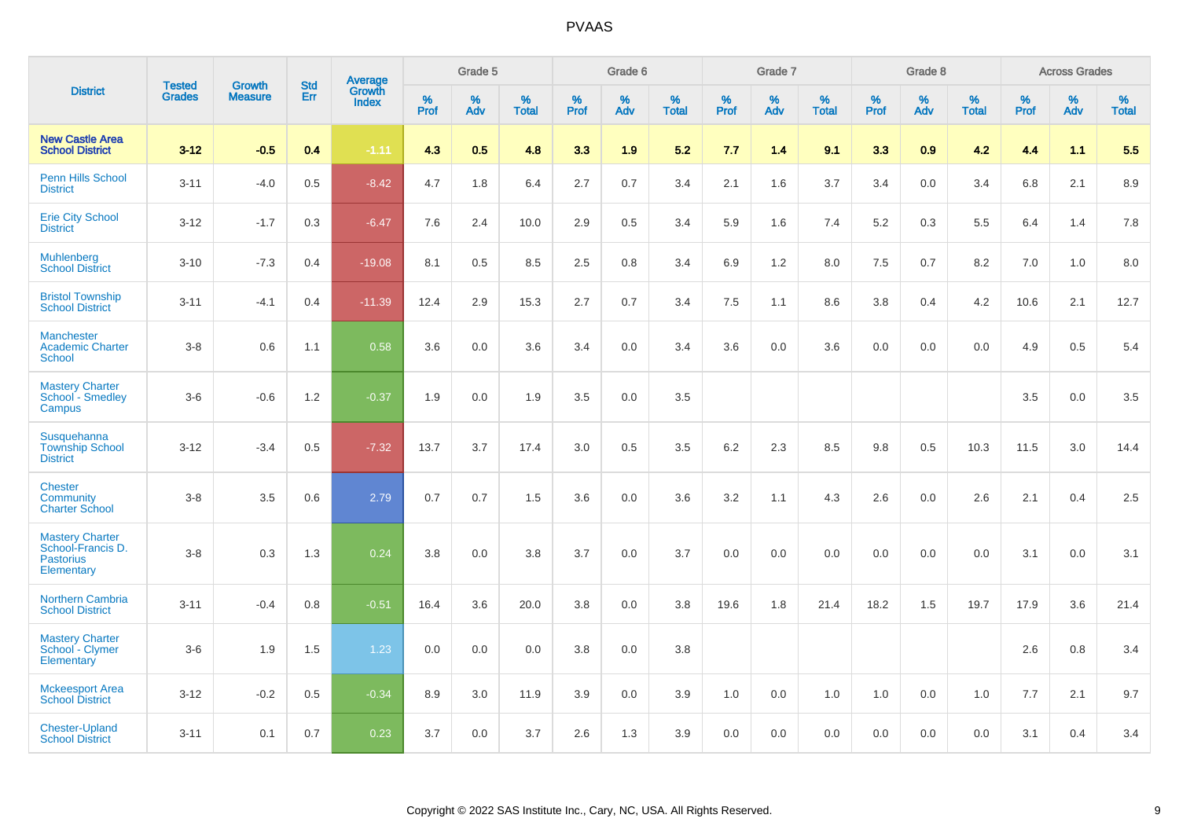|                                                                               |                                |                                 | <b>Std</b> |                                          |           | Grade 5  |                      |           | Grade 6  |                   |           | Grade 7  |                   |           | Grade 8  |                   |           | <b>Across Grades</b> |                   |
|-------------------------------------------------------------------------------|--------------------------------|---------------------------------|------------|------------------------------------------|-----------|----------|----------------------|-----------|----------|-------------------|-----------|----------|-------------------|-----------|----------|-------------------|-----------|----------------------|-------------------|
| <b>District</b>                                                               | <b>Tested</b><br><b>Grades</b> | <b>Growth</b><br><b>Measure</b> | Err        | <b>Average</b><br>Growth<br><b>Index</b> | %<br>Prof | %<br>Adv | $\%$<br><b>Total</b> | %<br>Prof | %<br>Adv | %<br><b>Total</b> | %<br>Prof | %<br>Adv | %<br><b>Total</b> | %<br>Prof | %<br>Adv | %<br><b>Total</b> | %<br>Prof | %<br>Adv             | %<br><b>Total</b> |
| <b>New Castle Area</b><br><b>School District</b>                              | $3 - 12$                       | $-0.5$                          | 0.4        | $-1.11$                                  | 4.3       | 0.5      | 4.8                  | 3.3       | 1.9      | 5.2               | 7.7       | 1.4      | 9.1               | 3.3       | 0.9      | 4.2               | 4.4       | 1.1                  | 5.5               |
| <b>Penn Hills School</b><br><b>District</b>                                   | $3 - 11$                       | $-4.0$                          | 0.5        | $-8.42$                                  | 4.7       | 1.8      | 6.4                  | 2.7       | 0.7      | 3.4               | 2.1       | 1.6      | 3.7               | 3.4       | 0.0      | 3.4               | 6.8       | 2.1                  | 8.9               |
| <b>Erie City School</b><br><b>District</b>                                    | $3 - 12$                       | $-1.7$                          | 0.3        | $-6.47$                                  | 7.6       | 2.4      | 10.0                 | 2.9       | 0.5      | 3.4               | 5.9       | 1.6      | 7.4               | 5.2       | 0.3      | 5.5               | 6.4       | 1.4                  | 7.8               |
| <b>Muhlenberg</b><br><b>School District</b>                                   | $3 - 10$                       | $-7.3$                          | 0.4        | $-19.08$                                 | 8.1       | 0.5      | 8.5                  | 2.5       | 0.8      | 3.4               | 6.9       | 1.2      | 8.0               | 7.5       | 0.7      | 8.2               | 7.0       | 1.0                  | 8.0               |
| <b>Bristol Township</b><br><b>School District</b>                             | $3 - 11$                       | $-4.1$                          | 0.4        | $-11.39$                                 | 12.4      | 2.9      | 15.3                 | 2.7       | 0.7      | 3.4               | 7.5       | 1.1      | 8.6               | 3.8       | 0.4      | 4.2               | 10.6      | 2.1                  | 12.7              |
| Manchester<br><b>Academic Charter</b><br><b>School</b>                        | $3-8$                          | 0.6                             | 1.1        | 0.58                                     | 3.6       | 0.0      | 3.6                  | 3.4       | 0.0      | 3.4               | 3.6       | 0.0      | 3.6               | 0.0       | 0.0      | 0.0               | 4.9       | 0.5                  | 5.4               |
| <b>Mastery Charter</b><br>School - Smedley<br>Campus                          | $3-6$                          | $-0.6$                          | 1.2        | $-0.37$                                  | 1.9       | 0.0      | 1.9                  | 3.5       | 0.0      | 3.5               |           |          |                   |           |          |                   | 3.5       | 0.0                  | 3.5               |
| Susquehanna<br><b>Township School</b><br><b>District</b>                      | $3 - 12$                       | $-3.4$                          | 0.5        | $-7.32$                                  | 13.7      | 3.7      | 17.4                 | 3.0       | 0.5      | 3.5               | 6.2       | 2.3      | 8.5               | 9.8       | 0.5      | 10.3              | 11.5      | 3.0                  | 14.4              |
| <b>Chester</b><br>Community<br><b>Charter School</b>                          | $3-8$                          | 3.5                             | 0.6        | 2.79                                     | 0.7       | 0.7      | 1.5                  | 3.6       | 0.0      | 3.6               | 3.2       | 1.1      | 4.3               | 2.6       | 0.0      | 2.6               | 2.1       | 0.4                  | 2.5               |
| <b>Mastery Charter</b><br>School-Francis D.<br><b>Pastorius</b><br>Elementary | $3-8$                          | 0.3                             | 1.3        | 0.24                                     | 3.8       | 0.0      | 3.8                  | 3.7       | 0.0      | 3.7               | 0.0       | 0.0      | 0.0               | 0.0       | 0.0      | 0.0               | 3.1       | 0.0                  | 3.1               |
| <b>Northern Cambria</b><br><b>School District</b>                             | $3 - 11$                       | $-0.4$                          | 0.8        | $-0.51$                                  | 16.4      | 3.6      | 20.0                 | 3.8       | 0.0      | 3.8               | 19.6      | 1.8      | 21.4              | 18.2      | 1.5      | 19.7              | 17.9      | 3.6                  | 21.4              |
| <b>Mastery Charter</b><br>School - Clymer<br>Elementary                       | $3-6$                          | 1.9                             | 1.5        | 1.23                                     | 0.0       | 0.0      | 0.0                  | 3.8       | 0.0      | 3.8               |           |          |                   |           |          |                   | 2.6       | 0.8                  | 3.4               |
| <b>Mckeesport Area</b><br><b>School District</b>                              | $3 - 12$                       | $-0.2$                          | 0.5        | $-0.34$                                  | 8.9       | 3.0      | 11.9                 | 3.9       | 0.0      | 3.9               | 1.0       | 0.0      | 1.0               | 1.0       | 0.0      | 1.0               | 7.7       | 2.1                  | 9.7               |
| <b>Chester-Upland</b><br><b>School District</b>                               | $3 - 11$                       | 0.1                             | 0.7        | 0.23                                     | 3.7       | 0.0      | 3.7                  | 2.6       | 1.3      | 3.9               | 0.0       | 0.0      | 0.0               | 0.0       | 0.0      | 0.0               | 3.1       | 0.4                  | 3.4               |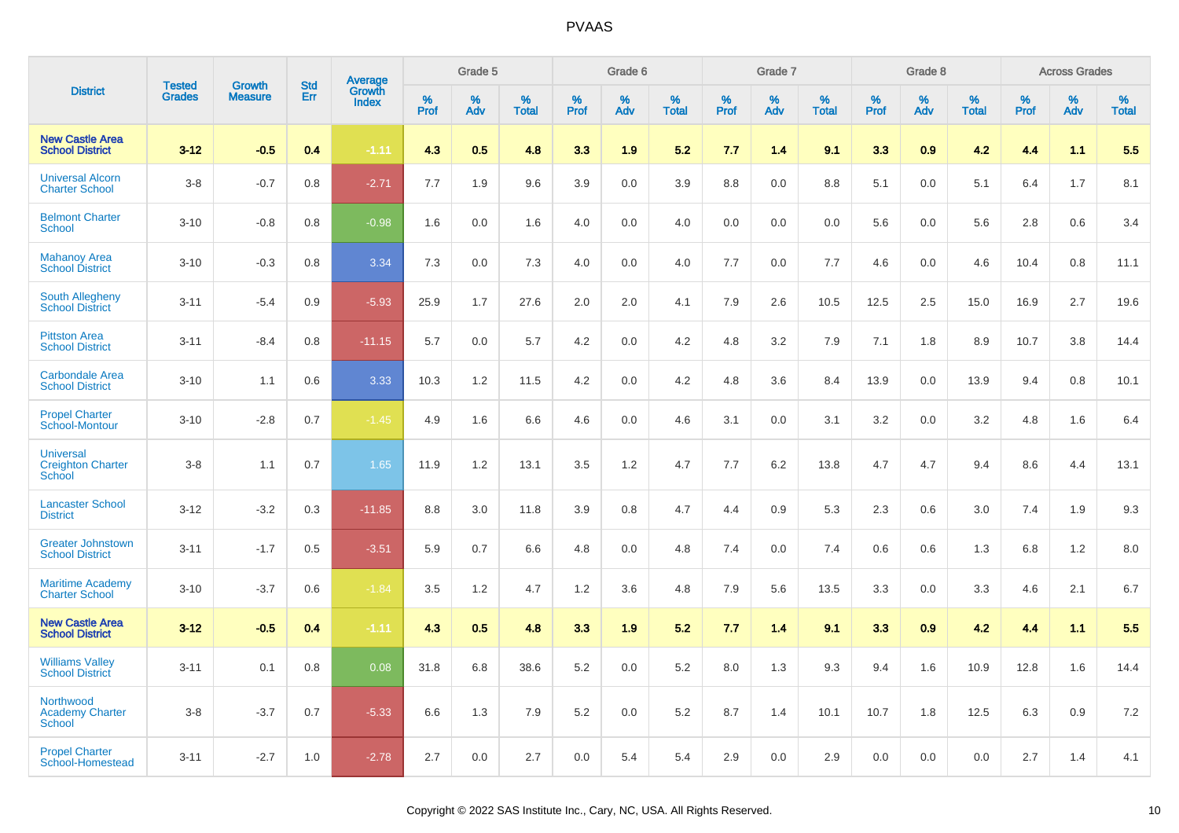|                                                        | <b>Tested</b> | <b>Growth</b>  | <b>Std</b> | Average                |              | Grade 5  |                   |              | Grade 6  |                   |              | Grade 7  |                   |              | Grade 8  |                   |              | <b>Across Grades</b> |                   |
|--------------------------------------------------------|---------------|----------------|------------|------------------------|--------------|----------|-------------------|--------------|----------|-------------------|--------------|----------|-------------------|--------------|----------|-------------------|--------------|----------------------|-------------------|
| <b>District</b>                                        | <b>Grades</b> | <b>Measure</b> | Err        | Growth<br><b>Index</b> | $\%$<br>Prof | %<br>Adv | %<br><b>Total</b> | $\%$<br>Prof | %<br>Adv | %<br><b>Total</b> | $\%$<br>Prof | %<br>Adv | %<br><b>Total</b> | $\%$<br>Prof | %<br>Adv | %<br><b>Total</b> | $\%$<br>Prof | %<br>Adv             | %<br><b>Total</b> |
| <b>New Castle Area</b><br><b>School District</b>       | $3 - 12$      | $-0.5$         | 0.4        | $-1.11$                | 4.3          | 0.5      | 4.8               | 3.3          | 1.9      | 5.2               | 7.7          | 1.4      | 9.1               | 3.3          | 0.9      | 4.2               | 4.4          | 1.1                  | 5.5               |
| <b>Universal Alcorn</b><br><b>Charter School</b>       | $3 - 8$       | $-0.7$         | 0.8        | $-2.71$                | 7.7          | 1.9      | 9.6               | 3.9          | 0.0      | 3.9               | 8.8          | 0.0      | 8.8               | 5.1          | 0.0      | 5.1               | 6.4          | 1.7                  | 8.1               |
| <b>Belmont Charter</b><br><b>School</b>                | $3 - 10$      | $-0.8$         | 0.8        | $-0.98$                | 1.6          | 0.0      | 1.6               | 4.0          | 0.0      | 4.0               | 0.0          | 0.0      | 0.0               | 5.6          | 0.0      | 5.6               | 2.8          | 0.6                  | 3.4               |
| <b>Mahanoy Area</b><br><b>School District</b>          | $3 - 10$      | $-0.3$         | 0.8        | 3.34                   | 7.3          | 0.0      | 7.3               | 4.0          | 0.0      | 4.0               | 7.7          | 0.0      | 7.7               | 4.6          | 0.0      | 4.6               | 10.4         | 0.8                  | 11.1              |
| <b>South Allegheny</b><br><b>School District</b>       | $3 - 11$      | $-5.4$         | 0.9        | $-5.93$                | 25.9         | 1.7      | 27.6              | 2.0          | 2.0      | 4.1               | 7.9          | 2.6      | 10.5              | 12.5         | 2.5      | 15.0              | 16.9         | 2.7                  | 19.6              |
| <b>Pittston Area</b><br><b>School District</b>         | $3 - 11$      | $-8.4$         | 0.8        | $-11.15$               | 5.7          | 0.0      | 5.7               | 4.2          | 0.0      | 4.2               | 4.8          | 3.2      | 7.9               | 7.1          | 1.8      | 8.9               | 10.7         | 3.8                  | 14.4              |
| <b>Carbondale Area</b><br><b>School District</b>       | $3 - 10$      | 1.1            | 0.6        | 3.33                   | 10.3         | 1.2      | 11.5              | 4.2          | 0.0      | 4.2               | 4.8          | 3.6      | 8.4               | 13.9         | 0.0      | 13.9              | 9.4          | 0.8                  | 10.1              |
| <b>Propel Charter</b><br>School-Montour                | $3 - 10$      | $-2.8$         | 0.7        | $-1.45$                | 4.9          | 1.6      | 6.6               | 4.6          | 0.0      | 4.6               | 3.1          | 0.0      | 3.1               | 3.2          | 0.0      | 3.2               | 4.8          | 1.6                  | 6.4               |
| <b>Universal</b><br><b>Creighton Charter</b><br>School | $3 - 8$       | 1.1            | 0.7        | 1.65                   | 11.9         | 1.2      | 13.1              | 3.5          | $1.2$    | 4.7               | 7.7          | $6.2\,$  | 13.8              | 4.7          | 4.7      | 9.4               | 8.6          | 4.4                  | 13.1              |
| <b>Lancaster School</b><br><b>District</b>             | $3 - 12$      | $-3.2$         | 0.3        | $-11.85$               | 8.8          | 3.0      | 11.8              | 3.9          | 0.8      | 4.7               | 4.4          | 0.9      | 5.3               | 2.3          | 0.6      | 3.0               | 7.4          | 1.9                  | 9.3               |
| <b>Greater Johnstown</b><br><b>School District</b>     | $3 - 11$      | $-1.7$         | 0.5        | $-3.51$                | 5.9          | 0.7      | 6.6               | 4.8          | 0.0      | 4.8               | 7.4          | 0.0      | 7.4               | 0.6          | 0.6      | 1.3               | 6.8          | 1.2                  | 8.0               |
| <b>Maritime Academy</b><br><b>Charter School</b>       | $3 - 10$      | $-3.7$         | 0.6        | $-1.84$                | 3.5          | 1.2      | 4.7               | 1.2          | 3.6      | 4.8               | 7.9          | 5.6      | 13.5              | 3.3          | 0.0      | 3.3               | 4.6          | 2.1                  | 6.7               |
| <b>New Castle Area</b><br><b>School District</b>       | $3 - 12$      | $-0.5$         | 0.4        | $-1.11$                | 4.3          | 0.5      | 4.8               | 3.3          | 1.9      | 5.2               | 7.7          | 14       | 9.1               | 3.3          | 0.9      | 4.2               | 4.4          | 1.1                  | 5.5               |
| <b>Williams Valley</b><br><b>School District</b>       | $3 - 11$      | 0.1            | 0.8        | 0.08                   | 31.8         | 6.8      | 38.6              | 5.2          | 0.0      | 5.2               | 8.0          | 1.3      | 9.3               | 9.4          | 1.6      | 10.9              | 12.8         | 1.6                  | 14.4              |
| Northwood<br><b>Academy Charter</b><br><b>School</b>   | $3 - 8$       | $-3.7$         | 0.7        | $-5.33$                | 6.6          | 1.3      | 7.9               | 5.2          | 0.0      | 5.2               | 8.7          | 1.4      | 10.1              | 10.7         | 1.8      | 12.5              | 6.3          | 0.9                  | 7.2               |
| <b>Propel Charter</b><br>School-Homestead              | $3 - 11$      | $-2.7$         | 1.0        | $-2.78$                | 2.7          | 0.0      | 2.7               | 0.0          | 5.4      | 5.4               | 2.9          | 0.0      | 2.9               | 0.0          | 0.0      | 0.0               | 2.7          | 1.4                  | 4.1               |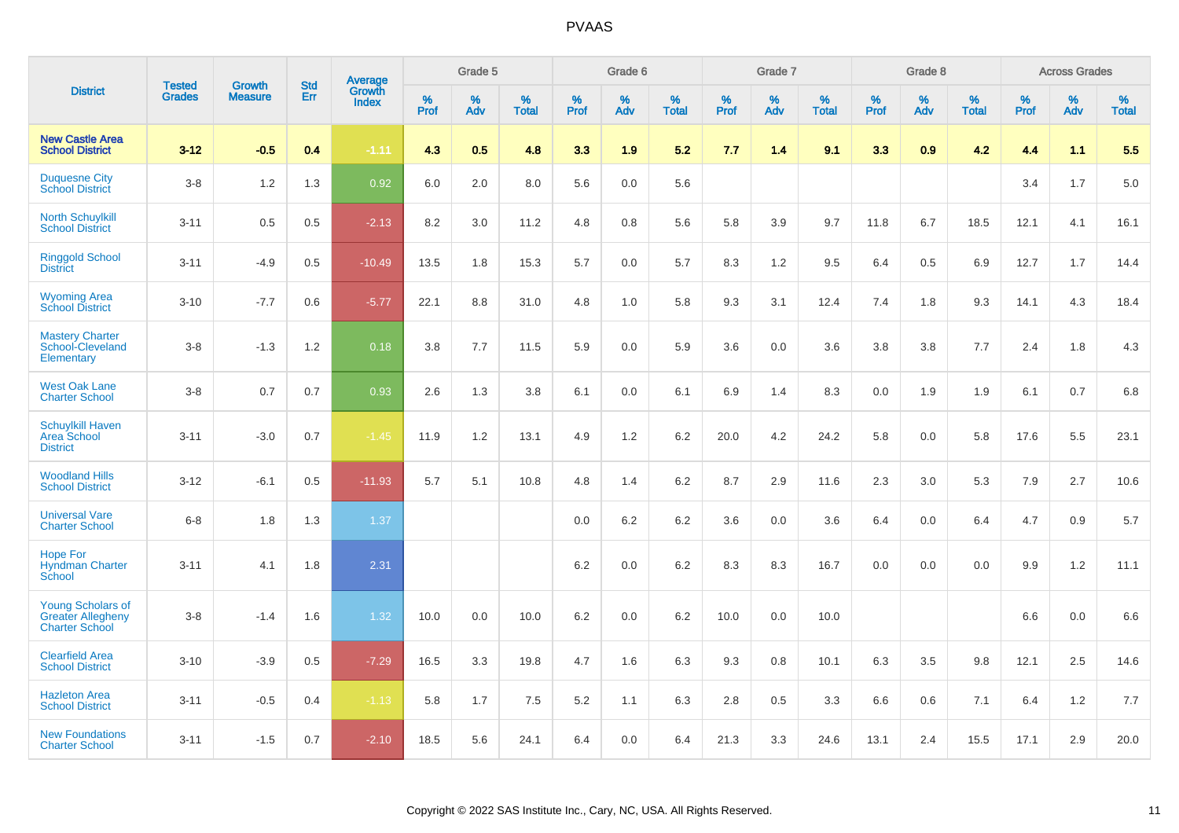|                                                                               |                                | <b>Growth</b>  | <b>Std</b> | <b>Average</b><br>Growth |              | Grade 5  |                      |                     | Grade 6  |                   |              | Grade 7  |                   |              | Grade 8  |                   |              | <b>Across Grades</b> |                      |
|-------------------------------------------------------------------------------|--------------------------------|----------------|------------|--------------------------|--------------|----------|----------------------|---------------------|----------|-------------------|--------------|----------|-------------------|--------------|----------|-------------------|--------------|----------------------|----------------------|
| <b>District</b>                                                               | <b>Tested</b><br><b>Grades</b> | <b>Measure</b> | <b>Err</b> | <b>Index</b>             | $\%$<br>Prof | %<br>Adv | $\%$<br><b>Total</b> | $\%$<br><b>Prof</b> | %<br>Adv | %<br><b>Total</b> | $\%$<br>Prof | %<br>Adv | %<br><b>Total</b> | $\%$<br>Prof | %<br>Adv | %<br><b>Total</b> | $\%$<br>Prof | %<br>Adv             | $\%$<br><b>Total</b> |
| <b>New Castle Area</b><br><b>School District</b>                              | $3 - 12$                       | $-0.5$         | 0.4        | $-1.11$                  | 4.3          | 0.5      | 4.8                  | 3.3                 | 1.9      | 5.2               | 7.7          | 1.4      | 9.1               | 3.3          | 0.9      | 4.2               | 4.4          | 1.1                  | 5.5                  |
| <b>Duquesne City</b><br><b>School District</b>                                | $3-8$                          | 1.2            | 1.3        | 0.92                     | 6.0          | 2.0      | 8.0                  | 5.6                 | 0.0      | 5.6               |              |          |                   |              |          |                   | 3.4          | 1.7                  | 5.0                  |
| <b>North Schuylkill</b><br><b>School District</b>                             | $3 - 11$                       | 0.5            | 0.5        | $-2.13$                  | 8.2          | 3.0      | 11.2                 | 4.8                 | 0.8      | 5.6               | 5.8          | 3.9      | 9.7               | 11.8         | 6.7      | 18.5              | 12.1         | 4.1                  | 16.1                 |
| <b>Ringgold School</b><br><b>District</b>                                     | $3 - 11$                       | $-4.9$         | 0.5        | $-10.49$                 | 13.5         | 1.8      | 15.3                 | 5.7                 | 0.0      | 5.7               | 8.3          | 1.2      | 9.5               | 6.4          | 0.5      | 6.9               | 12.7         | 1.7                  | 14.4                 |
| <b>Wyoming Area</b><br><b>School District</b>                                 | $3 - 10$                       | $-7.7$         | 0.6        | $-5.77$                  | 22.1         | 8.8      | 31.0                 | 4.8                 | 1.0      | 5.8               | 9.3          | 3.1      | 12.4              | 7.4          | 1.8      | 9.3               | 14.1         | 4.3                  | 18.4                 |
| <b>Mastery Charter</b><br>School-Cleveland<br>Elementary                      | $3-8$                          | $-1.3$         | 1.2        | 0.18                     | 3.8          | 7.7      | 11.5                 | 5.9                 | 0.0      | 5.9               | 3.6          | 0.0      | 3.6               | 3.8          | 3.8      | 7.7               | 2.4          | 1.8                  | 4.3                  |
| <b>West Oak Lane</b><br><b>Charter School</b>                                 | $3-8$                          | 0.7            | 0.7        | 0.93                     | 2.6          | 1.3      | 3.8                  | 6.1                 | 0.0      | 6.1               | 6.9          | 1.4      | 8.3               | 0.0          | 1.9      | 1.9               | 6.1          | 0.7                  | $6.8\,$              |
| <b>Schuylkill Haven</b><br>Area School<br><b>District</b>                     | $3 - 11$                       | $-3.0$         | 0.7        | $-1.45$                  | 11.9         | 1.2      | 13.1                 | 4.9                 | 1.2      | 6.2               | 20.0         | 4.2      | 24.2              | 5.8          | 0.0      | 5.8               | 17.6         | 5.5                  | 23.1                 |
| <b>Woodland Hills</b><br><b>School District</b>                               | $3 - 12$                       | $-6.1$         | 0.5        | $-11.93$                 | 5.7          | 5.1      | 10.8                 | 4.8                 | 1.4      | 6.2               | 8.7          | 2.9      | 11.6              | 2.3          | 3.0      | 5.3               | 7.9          | 2.7                  | 10.6                 |
| <b>Universal Vare</b><br><b>Charter School</b>                                | $6 - 8$                        | 1.8            | 1.3        | 1.37                     |              |          |                      | 0.0                 | $6.2\,$  | 6.2               | 3.6          | 0.0      | 3.6               | 6.4          | 0.0      | 6.4               | 4.7          | 0.9                  | 5.7                  |
| <b>Hope For</b><br><b>Hyndman Charter</b><br>School                           | $3 - 11$                       | 4.1            | 1.8        | 2.31                     |              |          |                      | 6.2                 | 0.0      | 6.2               | 8.3          | 8.3      | 16.7              | 0.0          | 0.0      | 0.0               | 9.9          | 1.2                  | 11.1                 |
| <b>Young Scholars of</b><br><b>Greater Allegheny</b><br><b>Charter School</b> | $3-8$                          | $-1.4$         | 1.6        | 1.32                     | 10.0         | 0.0      | 10.0                 | 6.2                 | 0.0      | 6.2               | 10.0         | 0.0      | 10.0              |              |          |                   | 6.6          | 0.0                  | 6.6                  |
| <b>Clearfield Area</b><br><b>School District</b>                              | $3 - 10$                       | $-3.9$         | 0.5        | $-7.29$                  | 16.5         | 3.3      | 19.8                 | 4.7                 | 1.6      | 6.3               | 9.3          | 0.8      | 10.1              | 6.3          | 3.5      | 9.8               | 12.1         | 2.5                  | 14.6                 |
| <b>Hazleton Area</b><br><b>School District</b>                                | $3 - 11$                       | $-0.5$         | 0.4        | $-1.13$                  | 5.8          | 1.7      | 7.5                  | 5.2                 | 1.1      | 6.3               | 2.8          | 0.5      | 3.3               | 6.6          | 0.6      | 7.1               | 6.4          | 1.2                  | 7.7                  |
| <b>New Foundations</b><br><b>Charter School</b>                               | $3 - 11$                       | $-1.5$         | 0.7        | $-2.10$                  | 18.5         | 5.6      | 24.1                 | 6.4                 | 0.0      | 6.4               | 21.3         | 3.3      | 24.6              | 13.1         | 2.4      | 15.5              | 17.1         | 2.9                  | 20.0                 |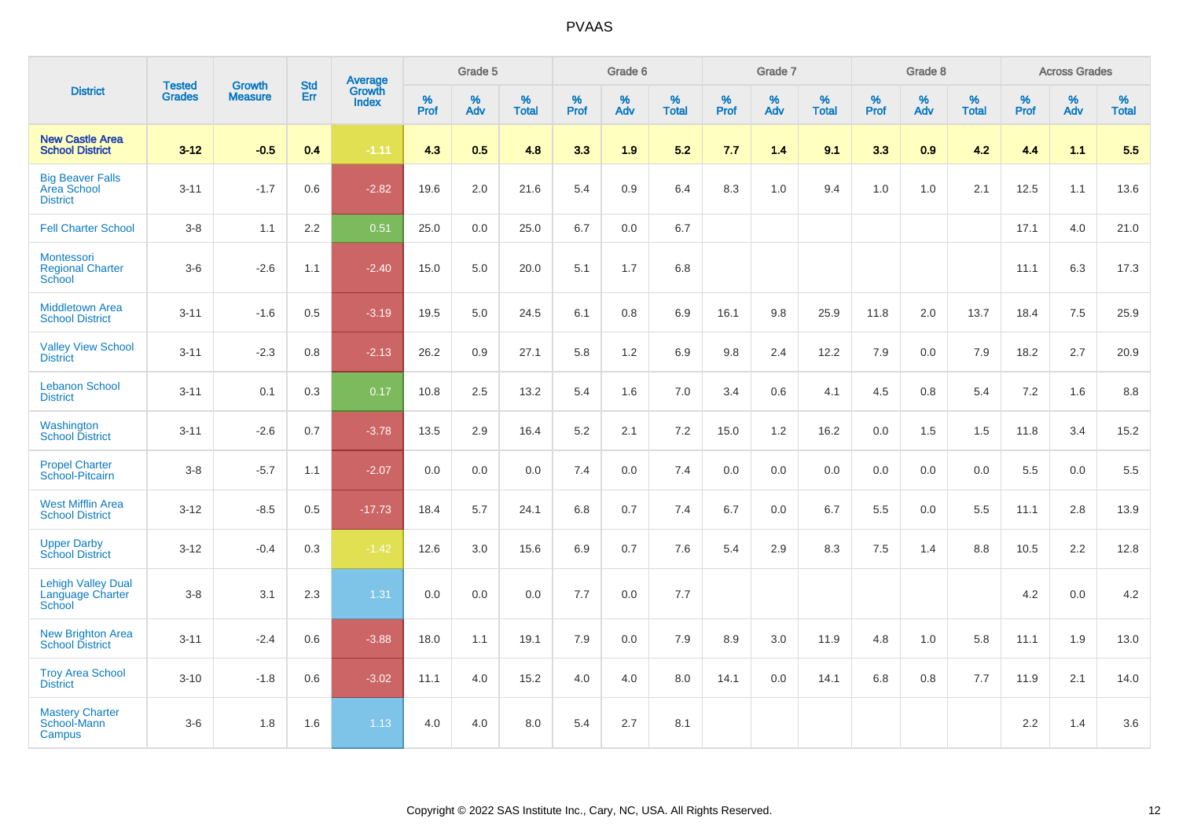|                                                               |                         |                          | <b>Std</b> | Average                |           | Grade 5  |                   |           | Grade 6  |                   |           | Grade 7  |                   |           | Grade 8  |                   |           | <b>Across Grades</b> |                   |
|---------------------------------------------------------------|-------------------------|--------------------------|------------|------------------------|-----------|----------|-------------------|-----------|----------|-------------------|-----------|----------|-------------------|-----------|----------|-------------------|-----------|----------------------|-------------------|
| <b>District</b>                                               | <b>Tested</b><br>Grades | Growth<br><b>Measure</b> | Err        | Growth<br><b>Index</b> | %<br>Prof | %<br>Adv | %<br><b>Total</b> | %<br>Prof | %<br>Adv | %<br><b>Total</b> | %<br>Prof | %<br>Adv | %<br><b>Total</b> | %<br>Prof | %<br>Adv | %<br><b>Total</b> | %<br>Prof | %<br>Adv             | %<br><b>Total</b> |
| <b>New Castle Area</b><br><b>School District</b>              | $3 - 12$                | $-0.5$                   | 0.4        | $-1.11$                | 4.3       | 0.5      | 4.8               | 3.3       | 1.9      | 5.2               | 7.7       | 1.4      | 9.1               | 3.3       | 0.9      | 4.2               | 4.4       | 1.1                  | 5.5               |
| <b>Big Beaver Falls</b><br>Area School<br><b>District</b>     | $3 - 11$                | $-1.7$                   | 0.6        | $-2.82$                | 19.6      | 2.0      | 21.6              | 5.4       | 0.9      | 6.4               | 8.3       | 1.0      | 9.4               | 1.0       | 1.0      | 2.1               | 12.5      | 1.1                  | 13.6              |
| <b>Fell Charter School</b>                                    | $3 - 8$                 | 1.1                      | 2.2        | 0.51                   | 25.0      | 0.0      | 25.0              | 6.7       | 0.0      | 6.7               |           |          |                   |           |          |                   | 17.1      | 4.0                  | 21.0              |
| <b>Montessori</b><br><b>Regional Charter</b><br><b>School</b> | $3-6$                   | $-2.6$                   | 1.1        | $-2.40$                | 15.0      | 5.0      | 20.0              | 5.1       | 1.7      | 6.8               |           |          |                   |           |          |                   | 11.1      | 6.3                  | 17.3              |
| <b>Middletown Area</b><br><b>School District</b>              | $3 - 11$                | $-1.6$                   | 0.5        | $-3.19$                | 19.5      | 5.0      | 24.5              | 6.1       | $0.8\,$  | 6.9               | 16.1      | 9.8      | 25.9              | 11.8      | 2.0      | 13.7              | 18.4      | 7.5                  | 25.9              |
| <b>Valley View School</b><br><b>District</b>                  | $3 - 11$                | $-2.3$                   | 0.8        | $-2.13$                | 26.2      | 0.9      | 27.1              | 5.8       | 1.2      | 6.9               | 9.8       | 2.4      | 12.2              | 7.9       | 0.0      | 7.9               | 18.2      | 2.7                  | 20.9              |
| <b>Lebanon School</b><br><b>District</b>                      | $3 - 11$                | 0.1                      | 0.3        | 0.17                   | 10.8      | 2.5      | 13.2              | 5.4       | 1.6      | 7.0               | 3.4       | 0.6      | 4.1               | 4.5       | 0.8      | 5.4               | 7.2       | 1.6                  | 8.8               |
| Washington<br><b>School District</b>                          | $3 - 11$                | $-2.6$                   | 0.7        | $-3.78$                | 13.5      | 2.9      | 16.4              | 5.2       | 2.1      | 7.2               | 15.0      | 1.2      | 16.2              | 0.0       | 1.5      | 1.5               | 11.8      | 3.4                  | 15.2              |
| <b>Propel Charter</b><br>School-Pitcairn                      | $3-8$                   | $-5.7$                   | 1.1        | $-2.07$                | 0.0       | 0.0      | 0.0               | 7.4       | 0.0      | 7.4               | $0.0\,$   | 0.0      | 0.0               | 0.0       | 0.0      | 0.0               | 5.5       | 0.0                  | 5.5               |
| <b>West Mifflin Area</b><br><b>School District</b>            | $3 - 12$                | $-8.5$                   | 0.5        | $-17.73$               | 18.4      | 5.7      | 24.1              | 6.8       | 0.7      | 7.4               | 6.7       | 0.0      | 6.7               | 5.5       | 0.0      | 5.5               | 11.1      | 2.8                  | 13.9              |
| <b>Upper Darby</b><br><b>School District</b>                  | $3 - 12$                | $-0.4$                   | 0.3        | $-1.42$                | 12.6      | 3.0      | 15.6              | 6.9       | 0.7      | 7.6               | 5.4       | 2.9      | 8.3               | 7.5       | 1.4      | 8.8               | 10.5      | 2.2                  | 12.8              |
| <b>Lehigh Valley Dual</b><br>Language Charter<br>School       | $3-8$                   | 3.1                      | 2.3        | 1.31                   | 0.0       | 0.0      | 0.0               | 7.7       | 0.0      | 7.7               |           |          |                   |           |          |                   | 4.2       | 0.0                  | 4.2               |
| <b>New Brighton Area</b><br><b>School District</b>            | $3 - 11$                | $-2.4$                   | 0.6        | $-3.88$                | 18.0      | 1.1      | 19.1              | 7.9       | 0.0      | 7.9               | 8.9       | 3.0      | 11.9              | 4.8       | 1.0      | 5.8               | 11.1      | 1.9                  | 13.0              |
| <b>Troy Area School</b><br><b>District</b>                    | $3 - 10$                | $-1.8$                   | 0.6        | $-3.02$                | 11.1      | 4.0      | 15.2              | 4.0       | 4.0      | 8.0               | 14.1      | 0.0      | 14.1              | 6.8       | 0.8      | 7.7               | 11.9      | 2.1                  | 14.0              |
| <b>Mastery Charter</b><br>School-Mann<br>Campus               | $3-6$                   | 1.8                      | 1.6        | 1.13                   | 4.0       | 4.0      | 8.0               | 5.4       | 2.7      | 8.1               |           |          |                   |           |          |                   | 2.2       | 1.4                  | 3.6               |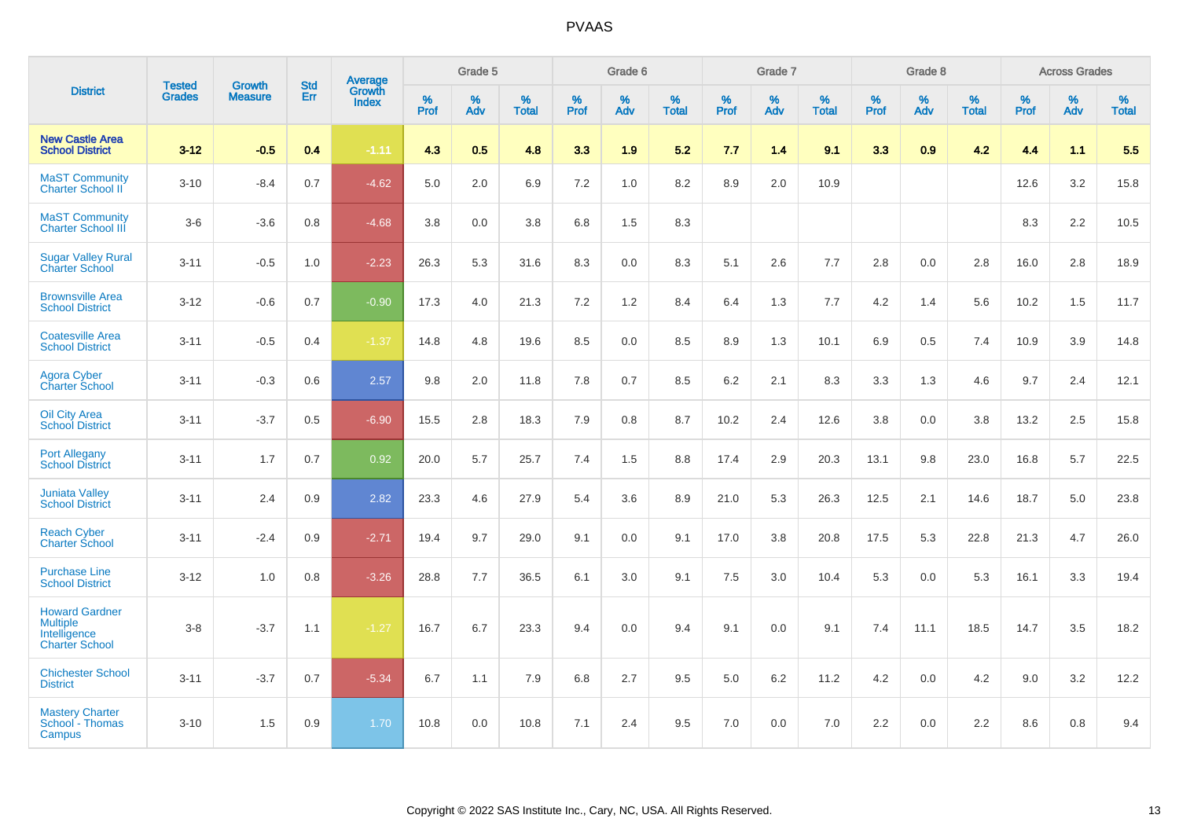|                                                                                   | <b>Tested</b> | <b>Growth</b>  | <b>Std</b> | Average                |           | Grade 5  |                   |           | Grade 6  |                   |           | Grade 7  |                   |           | Grade 8  |                   |           | <b>Across Grades</b> |                   |
|-----------------------------------------------------------------------------------|---------------|----------------|------------|------------------------|-----------|----------|-------------------|-----------|----------|-------------------|-----------|----------|-------------------|-----------|----------|-------------------|-----------|----------------------|-------------------|
| <b>District</b>                                                                   | <b>Grades</b> | <b>Measure</b> | Err        | Growth<br><b>Index</b> | %<br>Prof | %<br>Adv | %<br><b>Total</b> | %<br>Prof | %<br>Adv | %<br><b>Total</b> | %<br>Prof | %<br>Adv | %<br><b>Total</b> | %<br>Prof | %<br>Adv | %<br><b>Total</b> | %<br>Prof | %<br>Adv             | %<br><b>Total</b> |
| <b>New Castle Area</b><br><b>School District</b>                                  | $3 - 12$      | $-0.5$         | 0.4        | $-1.11$                | 4.3       | 0.5      | 4.8               | 3.3       | 1.9      | 5.2               | 7.7       | 1.4      | 9.1               | 3.3       | 0.9      | 4.2               | 4.4       | 1.1                  | 5.5               |
| <b>MaST Community</b><br>Charter School II                                        | $3 - 10$      | $-8.4$         | 0.7        | $-4.62$                | 5.0       | 2.0      | 6.9               | 7.2       | 1.0      | 8.2               | 8.9       | 2.0      | 10.9              |           |          |                   | 12.6      | 3.2                  | 15.8              |
| <b>MaST Community</b><br><b>Charter School III</b>                                | $3-6$         | $-3.6$         | 0.8        | $-4.68$                | 3.8       | 0.0      | 3.8               | 6.8       | 1.5      | 8.3               |           |          |                   |           |          |                   | 8.3       | 2.2                  | 10.5              |
| <b>Sugar Valley Rural</b><br><b>Charter School</b>                                | $3 - 11$      | $-0.5$         | 1.0        | $-2.23$                | 26.3      | 5.3      | 31.6              | 8.3       | 0.0      | 8.3               | 5.1       | 2.6      | 7.7               | 2.8       | $0.0\,$  | 2.8               | 16.0      | $2.8\,$              | 18.9              |
| <b>Brownsville Area</b><br><b>School District</b>                                 | $3 - 12$      | $-0.6$         | 0.7        | $-0.90$                | 17.3      | 4.0      | 21.3              | 7.2       | 1.2      | 8.4               | 6.4       | 1.3      | 7.7               | 4.2       | 1.4      | 5.6               | 10.2      | 1.5                  | 11.7              |
| <b>Coatesville Area</b><br><b>School District</b>                                 | $3 - 11$      | $-0.5$         | 0.4        | $-1.37$                | 14.8      | 4.8      | 19.6              | 8.5       | 0.0      | 8.5               | 8.9       | 1.3      | 10.1              | 6.9       | 0.5      | 7.4               | 10.9      | 3.9                  | 14.8              |
| Agora Cyber<br>Charter School                                                     | $3 - 11$      | $-0.3$         | 0.6        | 2.57                   | 9.8       | 2.0      | 11.8              | 7.8       | 0.7      | 8.5               | 6.2       | 2.1      | 8.3               | 3.3       | 1.3      | 4.6               | 9.7       | 2.4                  | 12.1              |
| <b>Oil City Area</b><br><b>School District</b>                                    | $3 - 11$      | $-3.7$         | 0.5        | $-6.90$                | 15.5      | 2.8      | 18.3              | 7.9       | 0.8      | 8.7               | 10.2      | 2.4      | 12.6              | 3.8       | 0.0      | 3.8               | 13.2      | 2.5                  | 15.8              |
| <b>Port Allegany</b><br><b>School District</b>                                    | $3 - 11$      | 1.7            | 0.7        | 0.92                   | 20.0      | 5.7      | 25.7              | 7.4       | 1.5      | 8.8               | 17.4      | 2.9      | 20.3              | 13.1      | 9.8      | 23.0              | 16.8      | 5.7                  | 22.5              |
| <b>Juniata Valley</b><br><b>School District</b>                                   | $3 - 11$      | 2.4            | 0.9        | 2.82                   | 23.3      | 4.6      | 27.9              | 5.4       | 3.6      | 8.9               | 21.0      | 5.3      | 26.3              | 12.5      | 2.1      | 14.6              | 18.7      | 5.0                  | 23.8              |
| <b>Reach Cyber</b><br><b>Charter School</b>                                       | $3 - 11$      | $-2.4$         | 0.9        | $-2.71$                | 19.4      | 9.7      | 29.0              | 9.1       | 0.0      | 9.1               | 17.0      | 3.8      | 20.8              | 17.5      | 5.3      | 22.8              | 21.3      | 4.7                  | 26.0              |
| <b>Purchase Line</b><br><b>School District</b>                                    | $3 - 12$      | 1.0            | 0.8        | $-3.26$                | 28.8      | 7.7      | 36.5              | 6.1       | 3.0      | 9.1               | 7.5       | 3.0      | 10.4              | 5.3       | 0.0      | 5.3               | 16.1      | 3.3                  | 19.4              |
| <b>Howard Gardner</b><br><b>Multiple</b><br>Intelligence<br><b>Charter School</b> | $3 - 8$       | $-3.7$         | 1.1        | $-1.27$                | 16.7      | 6.7      | 23.3              | 9.4       | $0.0\,$  | 9.4               | 9.1       | 0.0      | 9.1               | 7.4       | 11.1     | 18.5              | 14.7      | 3.5                  | 18.2              |
| <b>Chichester School</b><br><b>District</b>                                       | $3 - 11$      | $-3.7$         | 0.7        | $-5.34$                | 6.7       | 1.1      | 7.9               | 6.8       | 2.7      | 9.5               | 5.0       | $6.2\,$  | 11.2              | 4.2       | 0.0      | 4.2               | 9.0       | 3.2                  | 12.2              |
| <b>Mastery Charter</b><br>School - Thomas<br>Campus                               | $3 - 10$      | 1.5            | 0.9        | 1.70                   | 10.8      | 0.0      | 10.8              | 7.1       | 2.4      | 9.5               | 7.0       | 0.0      | 7.0               | 2.2       | 0.0      | 2.2               | 8.6       | 0.8                  | 9.4               |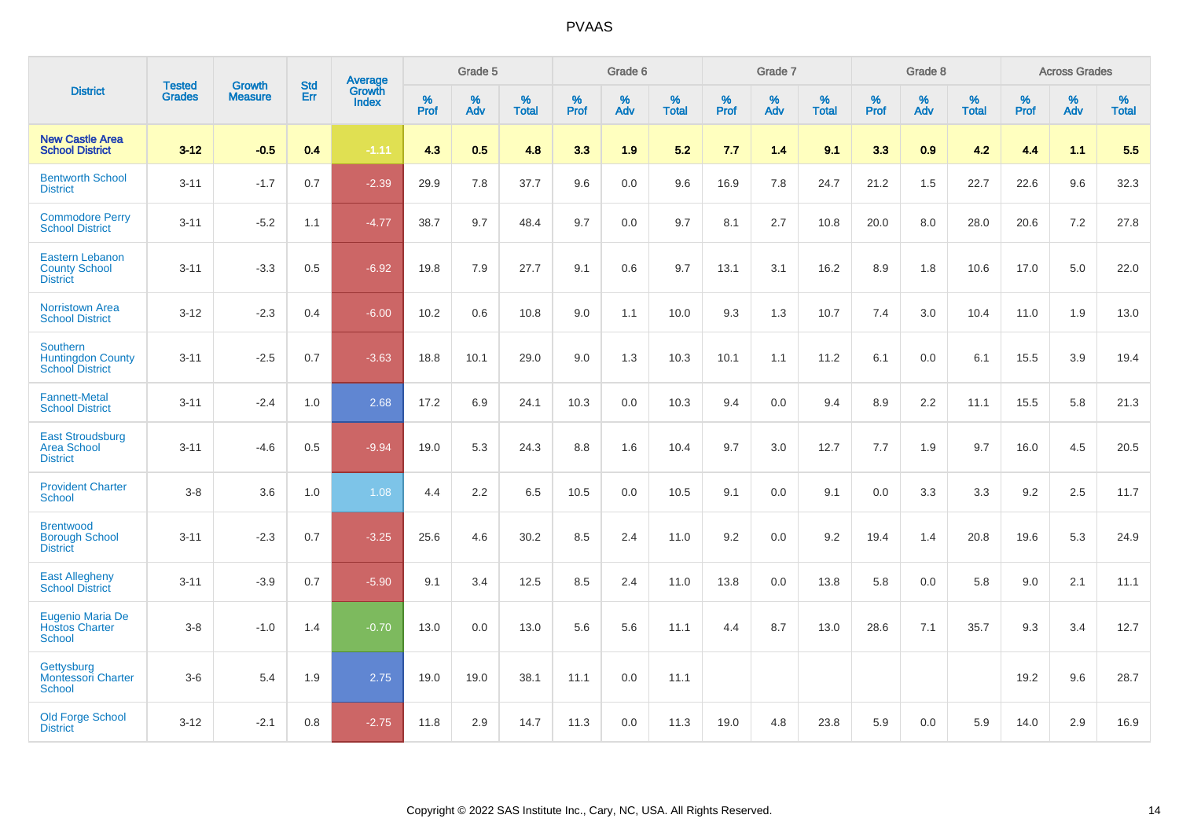|                                                                       |                                |                                 | <b>Std</b> | Average         |           | Grade 5  |                   |           | Grade 6  |                   |           | Grade 7  |                   |           | Grade 8  |                   |              | <b>Across Grades</b> |                   |
|-----------------------------------------------------------------------|--------------------------------|---------------------------------|------------|-----------------|-----------|----------|-------------------|-----------|----------|-------------------|-----------|----------|-------------------|-----------|----------|-------------------|--------------|----------------------|-------------------|
| <b>District</b>                                                       | <b>Tested</b><br><b>Grades</b> | <b>Growth</b><br><b>Measure</b> | Err        | Growth<br>Index | %<br>Prof | %<br>Adv | %<br><b>Total</b> | %<br>Prof | %<br>Adv | %<br><b>Total</b> | %<br>Prof | %<br>Adv | %<br><b>Total</b> | %<br>Prof | %<br>Adv | %<br><b>Total</b> | $\%$<br>Prof | %<br>Adv             | %<br><b>Total</b> |
| <b>New Castle Area</b><br><b>School District</b>                      | $3 - 12$                       | $-0.5$                          | 0.4        | $-1.11$         | 4.3       | 0.5      | 4.8               | 3.3       | 1.9      | 5.2               | 7.7       | 1.4      | 9.1               | 3.3       | 0.9      | 4.2               | 4.4          | 1.1                  | 5.5               |
| <b>Bentworth School</b><br><b>District</b>                            | $3 - 11$                       | $-1.7$                          | 0.7        | $-2.39$         | 29.9      | 7.8      | 37.7              | 9.6       | 0.0      | 9.6               | 16.9      | 7.8      | 24.7              | 21.2      | 1.5      | 22.7              | 22.6         | 9.6                  | 32.3              |
| <b>Commodore Perry</b><br><b>School District</b>                      | $3 - 11$                       | $-5.2$                          | 1.1        | $-4.77$         | 38.7      | 9.7      | 48.4              | 9.7       | 0.0      | 9.7               | 8.1       | 2.7      | 10.8              | 20.0      | 8.0      | 28.0              | 20.6         | 7.2                  | 27.8              |
| <b>Eastern Lebanon</b><br><b>County School</b><br><b>District</b>     | $3 - 11$                       | $-3.3$                          | 0.5        | $-6.92$         | 19.8      | 7.9      | 27.7              | 9.1       | 0.6      | 9.7               | 13.1      | 3.1      | 16.2              | 8.9       | 1.8      | 10.6              | 17.0         | 5.0                  | 22.0              |
| <b>Norristown Area</b><br><b>School District</b>                      | $3 - 12$                       | $-2.3$                          | 0.4        | $-6.00$         | 10.2      | 0.6      | 10.8              | 9.0       | 1.1      | 10.0              | 9.3       | 1.3      | 10.7              | 7.4       | 3.0      | 10.4              | 11.0         | 1.9                  | 13.0              |
| <b>Southern</b><br><b>Huntingdon County</b><br><b>School District</b> | $3 - 11$                       | $-2.5$                          | 0.7        | $-3.63$         | 18.8      | 10.1     | 29.0              | 9.0       | 1.3      | 10.3              | 10.1      | 1.1      | 11.2              | 6.1       | 0.0      | 6.1               | 15.5         | 3.9                  | 19.4              |
| <b>Fannett-Metal</b><br><b>School District</b>                        | $3 - 11$                       | $-2.4$                          | 1.0        | 2.68            | 17.2      | 6.9      | 24.1              | 10.3      | 0.0      | 10.3              | 9.4       | 0.0      | 9.4               | 8.9       | 2.2      | 11.1              | 15.5         | 5.8                  | 21.3              |
| <b>East Stroudsburg</b><br><b>Area School</b><br><b>District</b>      | $3 - 11$                       | $-4.6$                          | 0.5        | $-9.94$         | 19.0      | 5.3      | 24.3              | 8.8       | 1.6      | 10.4              | 9.7       | 3.0      | 12.7              | 7.7       | 1.9      | 9.7               | 16.0         | 4.5                  | 20.5              |
| <b>Provident Charter</b><br><b>School</b>                             | $3 - 8$                        | 3.6                             | 1.0        | 1.08            | 4.4       | 2.2      | 6.5               | 10.5      | 0.0      | 10.5              | 9.1       | 0.0      | 9.1               | 0.0       | 3.3      | 3.3               | 9.2          | 2.5                  | 11.7              |
| <b>Brentwood</b><br><b>Borough School</b><br><b>District</b>          | $3 - 11$                       | $-2.3$                          | 0.7        | $-3.25$         | 25.6      | 4.6      | 30.2              | 8.5       | 2.4      | 11.0              | 9.2       | 0.0      | 9.2               | 19.4      | 1.4      | 20.8              | 19.6         | 5.3                  | 24.9              |
| <b>East Allegheny</b><br><b>School District</b>                       | $3 - 11$                       | $-3.9$                          | 0.7        | $-5.90$         | 9.1       | 3.4      | 12.5              | 8.5       | 2.4      | 11.0              | 13.8      | 0.0      | 13.8              | 5.8       | 0.0      | 5.8               | 9.0          | 2.1                  | 11.1              |
| Eugenio Maria De<br><b>Hostos Charter</b><br><b>School</b>            | $3 - 8$                        | $-1.0$                          | 1.4        | $-0.70$         | 13.0      | 0.0      | 13.0              | 5.6       | 5.6      | 11.1              | 4.4       | 8.7      | 13.0              | 28.6      | 7.1      | 35.7              | 9.3          | 3.4                  | 12.7              |
| Gettysburg<br><b>Montessori Charter</b><br>School                     | $3-6$                          | 5.4                             | 1.9        | 2.75            | 19.0      | 19.0     | 38.1              | 11.1      | 0.0      | 11.1              |           |          |                   |           |          |                   | 19.2         | 9.6                  | 28.7              |
| <b>Old Forge School</b><br><b>District</b>                            | $3 - 12$                       | $-2.1$                          | 0.8        | $-2.75$         | 11.8      | 2.9      | 14.7              | 11.3      | 0.0      | 11.3              | 19.0      | 4.8      | 23.8              | 5.9       | 0.0      | 5.9               | 14.0         | 2.9                  | 16.9              |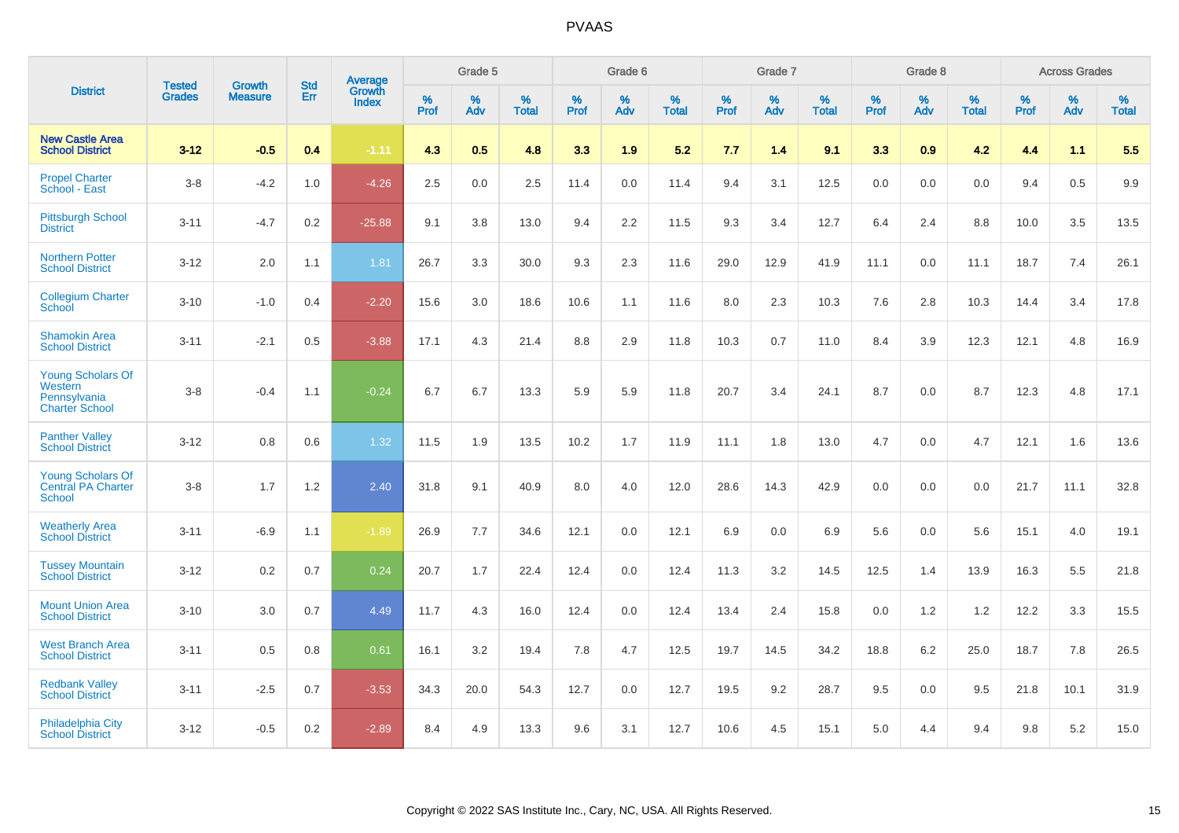|                                                                              | <b>Tested</b> | <b>Growth</b>  | <b>Std</b> | Average                |              | Grade 5  |                   |           | Grade 6  |                   |           | Grade 7  |                   |           | Grade 8  |                   |           | <b>Across Grades</b> |                   |
|------------------------------------------------------------------------------|---------------|----------------|------------|------------------------|--------------|----------|-------------------|-----------|----------|-------------------|-----------|----------|-------------------|-----------|----------|-------------------|-----------|----------------------|-------------------|
| <b>District</b>                                                              | <b>Grades</b> | <b>Measure</b> | Err        | Growth<br><b>Index</b> | $\%$<br>Prof | %<br>Adv | %<br><b>Total</b> | %<br>Prof | %<br>Adv | %<br><b>Total</b> | %<br>Prof | %<br>Adv | %<br><b>Total</b> | %<br>Prof | %<br>Adv | %<br><b>Total</b> | %<br>Prof | %<br>Adv             | %<br><b>Total</b> |
| <b>New Castle Area</b><br><b>School District</b>                             | $3 - 12$      | $-0.5$         | 0.4        | $-1.11$                | 4.3          | 0.5      | 4.8               | 3.3       | 1.9      | 5.2               | 7.7       | 1.4      | 9.1               | 3.3       | 0.9      | 4.2               | 4.4       | 1.1                  | 5.5               |
| <b>Propel Charter</b><br><b>School - East</b>                                | $3 - 8$       | $-4.2$         | 1.0        | $-4.26$                | 2.5          | 0.0      | 2.5               | 11.4      | 0.0      | 11.4              | 9.4       | 3.1      | 12.5              | 0.0       | 0.0      | 0.0               | 9.4       | 0.5                  | 9.9               |
| <b>Pittsburgh School</b><br><b>District</b>                                  | $3 - 11$      | $-4.7$         | 0.2        | $-25.88$               | 9.1          | 3.8      | 13.0              | 9.4       | 2.2      | 11.5              | 9.3       | 3.4      | 12.7              | 6.4       | 2.4      | 8.8               | 10.0      | 3.5                  | 13.5              |
| <b>Northern Potter</b><br><b>School District</b>                             | $3 - 12$      | 2.0            | 1.1        | 1.81                   | 26.7         | 3.3      | 30.0              | 9.3       | 2.3      | 11.6              | 29.0      | 12.9     | 41.9              | 11.1      | 0.0      | 11.1              | 18.7      | 7.4                  | 26.1              |
| <b>Collegium Charter</b><br>School                                           | $3 - 10$      | $-1.0$         | 0.4        | $-2.20$                | 15.6         | 3.0      | 18.6              | 10.6      | 1.1      | 11.6              | 8.0       | 2.3      | 10.3              | 7.6       | 2.8      | 10.3              | 14.4      | 3.4                  | 17.8              |
| <b>Shamokin Area</b><br><b>School District</b>                               | $3 - 11$      | $-2.1$         | 0.5        | $-3.88$                | 17.1         | 4.3      | 21.4              | 8.8       | 2.9      | 11.8              | 10.3      | 0.7      | 11.0              | 8.4       | 3.9      | 12.3              | 12.1      | 4.8                  | 16.9              |
| <b>Young Scholars Of</b><br>Western<br>Pennsylvania<br><b>Charter School</b> | $3-8$         | $-0.4$         | 1.1        | $-0.24$                | 6.7          | 6.7      | 13.3              | 5.9       | 5.9      | 11.8              | 20.7      | 3.4      | 24.1              | 8.7       | 0.0      | 8.7               | 12.3      | 4.8                  | 17.1              |
| <b>Panther Valley</b><br><b>School District</b>                              | $3 - 12$      | 0.8            | 0.6        | 1.32                   | 11.5         | 1.9      | 13.5              | 10.2      | 1.7      | 11.9              | 11.1      | 1.8      | 13.0              | 4.7       | 0.0      | 4.7               | 12.1      | 1.6                  | 13.6              |
| <b>Young Scholars Of</b><br><b>Central PA Charter</b><br><b>School</b>       | $3 - 8$       | 1.7            | 1.2        | 2.40                   | 31.8         | 9.1      | 40.9              | 8.0       | 4.0      | 12.0              | 28.6      | 14.3     | 42.9              | 0.0       | 0.0      | 0.0               | 21.7      | 11.1                 | 32.8              |
| <b>Weatherly Area</b><br><b>School District</b>                              | $3 - 11$      | $-6.9$         | 1.1        | $-1.89$                | 26.9         | 7.7      | 34.6              | 12.1      | 0.0      | 12.1              | 6.9       | 0.0      | 6.9               | 5.6       | 0.0      | 5.6               | 15.1      | 4.0                  | 19.1              |
| <b>Tussey Mountain</b><br><b>School District</b>                             | $3 - 12$      | 0.2            | 0.7        | 0.24                   | 20.7         | 1.7      | 22.4              | 12.4      | 0.0      | 12.4              | 11.3      | 3.2      | 14.5              | 12.5      | 1.4      | 13.9              | 16.3      | 5.5                  | 21.8              |
| <b>Mount Union Area</b><br><b>School District</b>                            | $3 - 10$      | 3.0            | 0.7        | 4.49                   | 11.7         | 4.3      | 16.0              | 12.4      | 0.0      | 12.4              | 13.4      | 2.4      | 15.8              | 0.0       | 1.2      | 1.2               | 12.2      | 3.3                  | 15.5              |
| <b>West Branch Area</b><br><b>School District</b>                            | $3 - 11$      | 0.5            | 0.8        | 0.61                   | 16.1         | 3.2      | 19.4              | 7.8       | 4.7      | 12.5              | 19.7      | 14.5     | 34.2              | 18.8      | 6.2      | 25.0              | 18.7      | 7.8                  | 26.5              |
| <b>Redbank Valley</b><br><b>School District</b>                              | $3 - 11$      | $-2.5$         | 0.7        | $-3.53$                | 34.3         | 20.0     | 54.3              | 12.7      | 0.0      | 12.7              | 19.5      | 9.2      | 28.7              | 9.5       | 0.0      | 9.5               | 21.8      | 10.1                 | 31.9              |
| <b>Philadelphia City</b><br><b>School District</b>                           | $3 - 12$      | $-0.5$         | 0.2        | $-2.89$                | 8.4          | 4.9      | 13.3              | 9.6       | 3.1      | 12.7              | 10.6      | 4.5      | 15.1              | 5.0       | 4.4      | 9.4               | 9.8       | 5.2                  | 15.0              |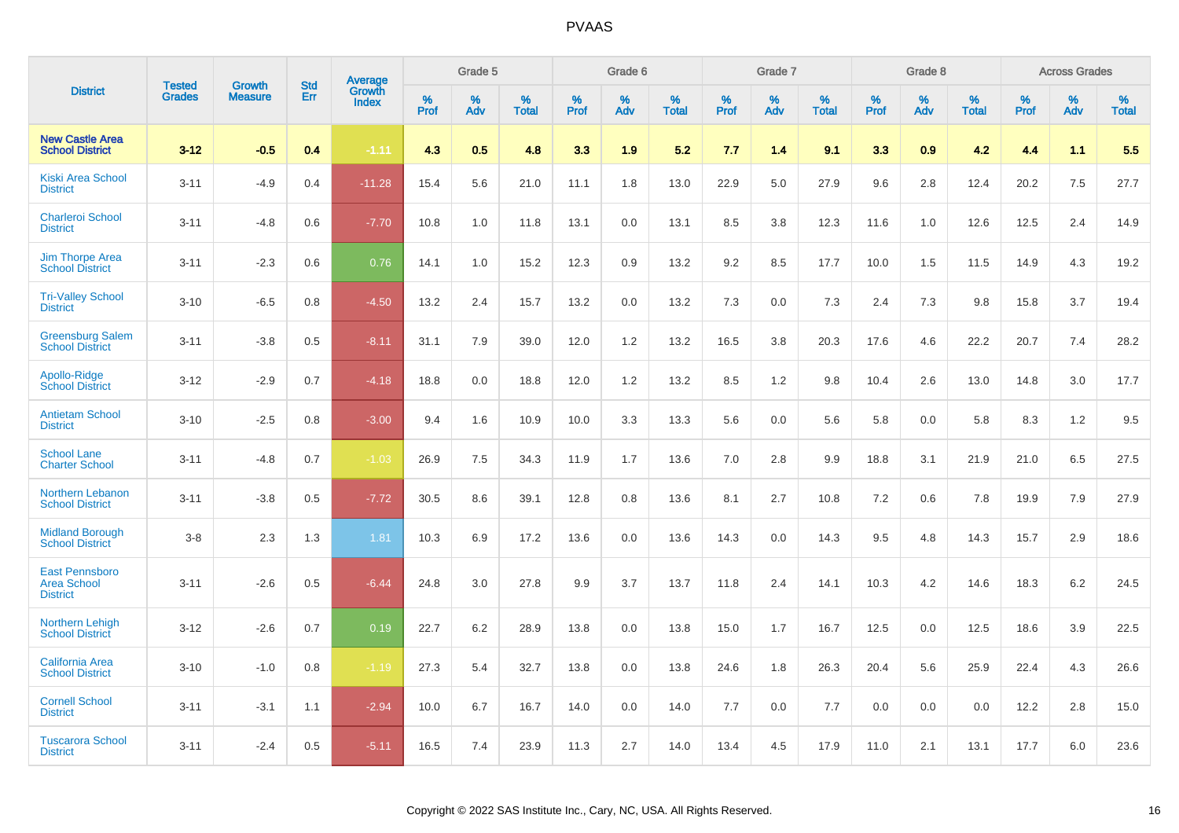|                                                                |                                |                          | <b>Std</b> | Average                |                     | Grade 5  |                      |              | Grade 6     |                      |                     | Grade 7  |                      |                     | Grade 8     |                      |              | <b>Across Grades</b> |                      |
|----------------------------------------------------------------|--------------------------------|--------------------------|------------|------------------------|---------------------|----------|----------------------|--------------|-------------|----------------------|---------------------|----------|----------------------|---------------------|-------------|----------------------|--------------|----------------------|----------------------|
| <b>District</b>                                                | <b>Tested</b><br><b>Grades</b> | Growth<br><b>Measure</b> | Err        | Growth<br><b>Index</b> | $\%$<br><b>Prof</b> | %<br>Adv | $\%$<br><b>Total</b> | $\%$<br>Prof | $\%$<br>Adv | $\%$<br><b>Total</b> | $\%$<br><b>Prof</b> | %<br>Adv | $\%$<br><b>Total</b> | $\%$<br><b>Prof</b> | $\%$<br>Adv | $\%$<br><b>Total</b> | $\%$<br>Prof | $\%$<br>Adv          | $\%$<br><b>Total</b> |
| <b>New Castle Area</b><br><b>School District</b>               | $3 - 12$                       | $-0.5$                   | 0.4        | $-1.11$                | 4.3                 | 0.5      | 4.8                  | 3.3          | 1.9         | 5.2                  | 7.7                 | 1.4      | 9.1                  | 3.3                 | 0.9         | 4.2                  | 4.4          | 1.1                  | 5.5                  |
| <b>Kiski Area School</b><br><b>District</b>                    | $3 - 11$                       | $-4.9$                   | 0.4        | $-11.28$               | 15.4                | 5.6      | 21.0                 | 11.1         | 1.8         | 13.0                 | 22.9                | 5.0      | 27.9                 | 9.6                 | 2.8         | 12.4                 | 20.2         | 7.5                  | 27.7                 |
| <b>Charleroi School</b><br><b>District</b>                     | $3 - 11$                       | $-4.8$                   | 0.6        | $-7.70$                | 10.8                | 1.0      | 11.8                 | 13.1         | 0.0         | 13.1                 | 8.5                 | 3.8      | 12.3                 | 11.6                | 1.0         | 12.6                 | 12.5         | 2.4                  | 14.9                 |
| <b>Jim Thorpe Area</b><br><b>School District</b>               | $3 - 11$                       | $-2.3$                   | 0.6        | 0.76                   | 14.1                | 1.0      | 15.2                 | 12.3         | 0.9         | 13.2                 | 9.2                 | 8.5      | 17.7                 | 10.0                | 1.5         | 11.5                 | 14.9         | 4.3                  | 19.2                 |
| <b>Tri-Valley School</b><br><b>District</b>                    | $3 - 10$                       | $-6.5$                   | 0.8        | $-4.50$                | 13.2                | 2.4      | 15.7                 | 13.2         | 0.0         | 13.2                 | 7.3                 | 0.0      | 7.3                  | 2.4                 | 7.3         | 9.8                  | 15.8         | 3.7                  | 19.4                 |
| <b>Greensburg Salem</b><br><b>School District</b>              | $3 - 11$                       | $-3.8$                   | 0.5        | $-8.11$                | 31.1                | 7.9      | 39.0                 | 12.0         | 1.2         | 13.2                 | 16.5                | 3.8      | 20.3                 | 17.6                | 4.6         | 22.2                 | 20.7         | 7.4                  | 28.2                 |
| Apollo-Ridge<br><b>School District</b>                         | $3 - 12$                       | $-2.9$                   | 0.7        | $-4.18$                | 18.8                | 0.0      | 18.8                 | 12.0         | 1.2         | 13.2                 | 8.5                 | 1.2      | 9.8                  | 10.4                | 2.6         | 13.0                 | 14.8         | 3.0                  | 17.7                 |
| <b>Antietam School</b><br><b>District</b>                      | $3 - 10$                       | $-2.5$                   | 0.8        | $-3.00$                | 9.4                 | 1.6      | 10.9                 | 10.0         | 3.3         | 13.3                 | 5.6                 | 0.0      | 5.6                  | 5.8                 | 0.0         | 5.8                  | 8.3          | 1.2                  | 9.5                  |
| <b>School Lane</b><br><b>Charter School</b>                    | $3 - 11$                       | $-4.8$                   | 0.7        | $-1.03$                | 26.9                | 7.5      | 34.3                 | 11.9         | 1.7         | 13.6                 | 7.0                 | 2.8      | 9.9                  | 18.8                | 3.1         | 21.9                 | 21.0         | 6.5                  | 27.5                 |
| Northern Lebanon<br><b>School District</b>                     | $3 - 11$                       | $-3.8$                   | 0.5        | $-7.72$                | 30.5                | 8.6      | 39.1                 | 12.8         | 0.8         | 13.6                 | 8.1                 | 2.7      | 10.8                 | 7.2                 | 0.6         | 7.8                  | 19.9         | 7.9                  | 27.9                 |
| <b>Midland Borough</b><br><b>School District</b>               | $3 - 8$                        | 2.3                      | 1.3        | 1.81                   | 10.3                | 6.9      | 17.2                 | 13.6         | 0.0         | 13.6                 | 14.3                | 0.0      | 14.3                 | 9.5                 | 4.8         | 14.3                 | 15.7         | 2.9                  | 18.6                 |
| <b>East Pennsboro</b><br><b>Area School</b><br><b>District</b> | $3 - 11$                       | $-2.6$                   | 0.5        | $-6.44$                | 24.8                | 3.0      | 27.8                 | 9.9          | 3.7         | 13.7                 | 11.8                | 2.4      | 14.1                 | 10.3                | 4.2         | 14.6                 | 18.3         | 6.2                  | 24.5                 |
| Northern Lehigh<br><b>School District</b>                      | $3 - 12$                       | $-2.6$                   | 0.7        | 0.19                   | 22.7                | 6.2      | 28.9                 | 13.8         | 0.0         | 13.8                 | 15.0                | 1.7      | 16.7                 | 12.5                | 0.0         | 12.5                 | 18.6         | 3.9                  | 22.5                 |
| <b>California Area</b><br><b>School District</b>               | $3 - 10$                       | $-1.0$                   | 0.8        | $-1.19$                | 27.3                | 5.4      | 32.7                 | 13.8         | 0.0         | 13.8                 | 24.6                | 1.8      | 26.3                 | 20.4                | 5.6         | 25.9                 | 22.4         | 4.3                  | 26.6                 |
| <b>Cornell School</b><br><b>District</b>                       | $3 - 11$                       | $-3.1$                   | 1.1        | $-2.94$                | 10.0                | 6.7      | 16.7                 | 14.0         | 0.0         | 14.0                 | 7.7                 | 0.0      | 7.7                  | 0.0                 | 0.0         | 0.0                  | 12.2         | 2.8                  | 15.0                 |
| <b>Tuscarora School</b><br><b>District</b>                     | $3 - 11$                       | $-2.4$                   | 0.5        | $-5.11$                | 16.5                | 7.4      | 23.9                 | 11.3         | 2.7         | 14.0                 | 13.4                | 4.5      | 17.9                 | 11.0                | 2.1         | 13.1                 | 17.7         | 6.0                  | 23.6                 |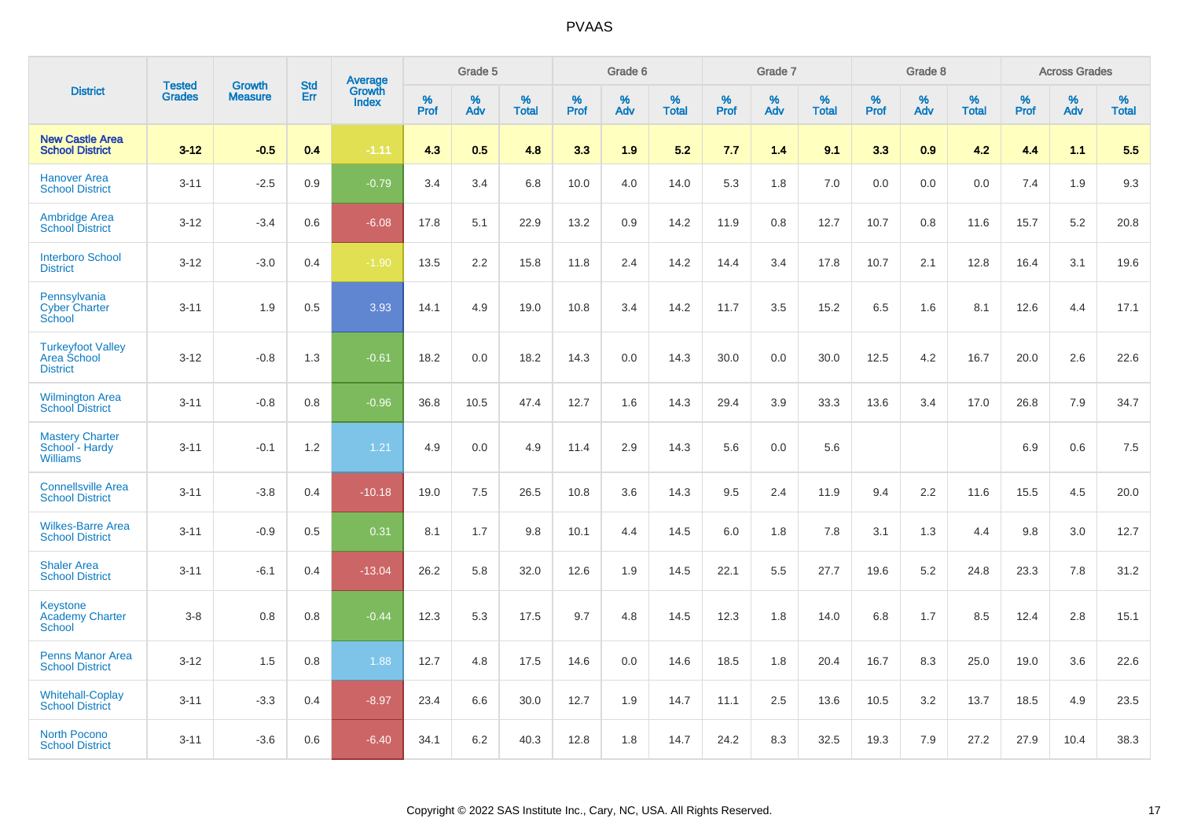|                                                             | <b>Tested</b> | <b>Growth</b>  | <b>Std</b> | <b>Average</b><br>Growth |              | Grade 5  |                      |              | Grade 6  |                   |              | Grade 7  |                   |              | Grade 8  |                   |              | <b>Across Grades</b> |                   |
|-------------------------------------------------------------|---------------|----------------|------------|--------------------------|--------------|----------|----------------------|--------------|----------|-------------------|--------------|----------|-------------------|--------------|----------|-------------------|--------------|----------------------|-------------------|
| <b>District</b>                                             | <b>Grades</b> | <b>Measure</b> | <b>Err</b> | <b>Index</b>             | $\%$<br>Prof | %<br>Adv | $\%$<br><b>Total</b> | $\%$<br>Prof | %<br>Adv | %<br><b>Total</b> | $\%$<br>Prof | %<br>Adv | %<br><b>Total</b> | $\%$<br>Prof | %<br>Adv | %<br><b>Total</b> | $\%$<br>Prof | %<br>Adv             | %<br><b>Total</b> |
| <b>New Castle Area</b><br><b>School District</b>            | $3 - 12$      | $-0.5$         | 0.4        | $-1.11$                  | 4.3          | 0.5      | 4.8                  | 3.3          | 1.9      | 5.2               | 7.7          | 1.4      | 9.1               | 3.3          | 0.9      | 4.2               | 4.4          | 1.1                  | 5.5               |
| <b>Hanover Area</b><br><b>School District</b>               | $3 - 11$      | $-2.5$         | 0.9        | $-0.79$                  | 3.4          | 3.4      | 6.8                  | 10.0         | 4.0      | 14.0              | 5.3          | 1.8      | 7.0               | 0.0          | 0.0      | 0.0               | 7.4          | 1.9                  | 9.3               |
| <b>Ambridge Area</b><br><b>School District</b>              | $3 - 12$      | $-3.4$         | 0.6        | $-6.08$                  | 17.8         | 5.1      | 22.9                 | 13.2         | 0.9      | 14.2              | 11.9         | 0.8      | 12.7              | 10.7         | 0.8      | 11.6              | 15.7         | 5.2                  | 20.8              |
| <b>Interboro School</b><br><b>District</b>                  | $3 - 12$      | $-3.0$         | 0.4        | $-1.90$                  | 13.5         | 2.2      | 15.8                 | 11.8         | 2.4      | 14.2              | 14.4         | 3.4      | 17.8              | 10.7         | 2.1      | 12.8              | 16.4         | 3.1                  | 19.6              |
| Pennsylvania<br><b>Cyber Charter</b><br>School              | $3 - 11$      | 1.9            | 0.5        | 3.93                     | 14.1         | 4.9      | 19.0                 | 10.8         | 3.4      | 14.2              | 11.7         | 3.5      | 15.2              | 6.5          | 1.6      | 8.1               | 12.6         | 4.4                  | 17.1              |
| <b>Turkeyfoot Valley</b><br>Area School<br><b>District</b>  | $3 - 12$      | $-0.8$         | 1.3        | $-0.61$                  | 18.2         | 0.0      | 18.2                 | 14.3         | 0.0      | 14.3              | 30.0         | 0.0      | 30.0              | 12.5         | 4.2      | 16.7              | 20.0         | 2.6                  | 22.6              |
| <b>Wilmington Area</b><br><b>School District</b>            | $3 - 11$      | $-0.8$         | 0.8        | $-0.96$                  | 36.8         | 10.5     | 47.4                 | 12.7         | 1.6      | 14.3              | 29.4         | 3.9      | 33.3              | 13.6         | 3.4      | 17.0              | 26.8         | 7.9                  | 34.7              |
| <b>Mastery Charter</b><br>School - Hardy<br><b>Williams</b> | $3 - 11$      | $-0.1$         | 1.2        | 1.21                     | 4.9          | 0.0      | 4.9                  | 11.4         | 2.9      | 14.3              | 5.6          | 0.0      | 5.6               |              |          |                   | 6.9          | 0.6                  | 7.5               |
| <b>Connellsville Area</b><br><b>School District</b>         | $3 - 11$      | $-3.8$         | 0.4        | $-10.18$                 | 19.0         | 7.5      | 26.5                 | 10.8         | 3.6      | 14.3              | 9.5          | 2.4      | 11.9              | 9.4          | 2.2      | 11.6              | 15.5         | 4.5                  | 20.0              |
| <b>Wilkes-Barre Area</b><br><b>School District</b>          | $3 - 11$      | $-0.9$         | 0.5        | 0.31                     | 8.1          | 1.7      | 9.8                  | 10.1         | 4.4      | 14.5              | 6.0          | 1.8      | 7.8               | 3.1          | 1.3      | 4.4               | 9.8          | 3.0                  | 12.7              |
| <b>Shaler Area</b><br><b>School District</b>                | $3 - 11$      | $-6.1$         | 0.4        | $-13.04$                 | 26.2         | 5.8      | 32.0                 | 12.6         | 1.9      | 14.5              | 22.1         | 5.5      | 27.7              | 19.6         | 5.2      | 24.8              | 23.3         | 7.8                  | 31.2              |
| Keystone<br><b>Academy Charter</b><br><b>School</b>         | $3 - 8$       | 0.8            | 0.8        | $-0.44$                  | 12.3         | 5.3      | 17.5                 | 9.7          | 4.8      | 14.5              | 12.3         | 1.8      | 14.0              | 6.8          | 1.7      | 8.5               | 12.4         | 2.8                  | 15.1              |
| Penns Manor Area<br><b>School District</b>                  | $3 - 12$      | 1.5            | 0.8        | 1.88                     | 12.7         | 4.8      | 17.5                 | 14.6         | 0.0      | 14.6              | 18.5         | 1.8      | 20.4              | 16.7         | 8.3      | 25.0              | 19.0         | 3.6                  | 22.6              |
| <b>Whitehall-Coplay</b><br><b>School District</b>           | $3 - 11$      | $-3.3$         | 0.4        | $-8.97$                  | 23.4         | 6.6      | 30.0                 | 12.7         | 1.9      | 14.7              | 11.1         | 2.5      | 13.6              | 10.5         | 3.2      | 13.7              | 18.5         | 4.9                  | 23.5              |
| <b>North Pocono</b><br><b>School District</b>               | $3 - 11$      | $-3.6$         | 0.6        | $-6.40$                  | 34.1         | 6.2      | 40.3                 | 12.8         | 1.8      | 14.7              | 24.2         | 8.3      | 32.5              | 19.3         | 7.9      | 27.2              | 27.9         | 10.4                 | 38.3              |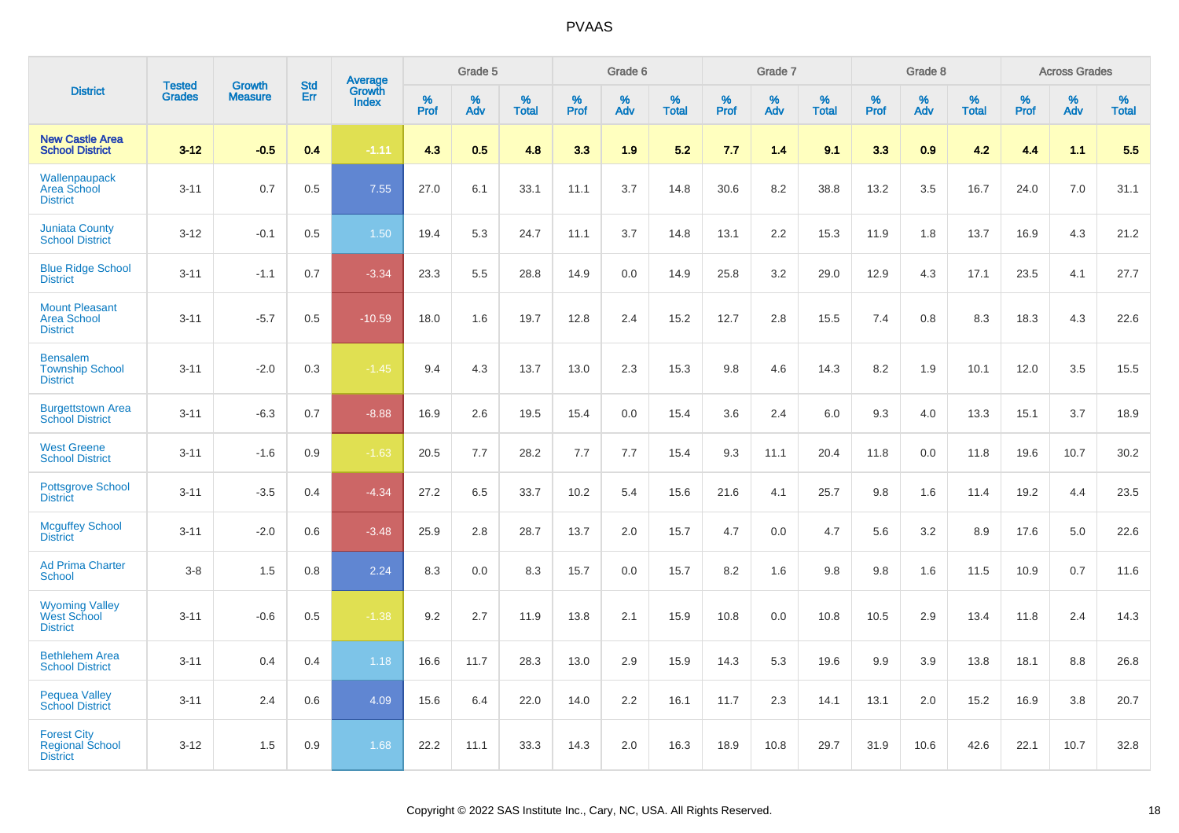|                                                                 |                                |                                 | <b>Std</b> |                                   |                     | Grade 5     |                   |                     | Grade 6  |                   |                  | Grade 7  |                   |           | Grade 8  |                   |              | <b>Across Grades</b> |                   |
|-----------------------------------------------------------------|--------------------------------|---------------------------------|------------|-----------------------------------|---------------------|-------------|-------------------|---------------------|----------|-------------------|------------------|----------|-------------------|-----------|----------|-------------------|--------------|----------------------|-------------------|
| <b>District</b>                                                 | <b>Tested</b><br><b>Grades</b> | <b>Growth</b><br><b>Measure</b> | Err        | Average<br>Growth<br><b>Index</b> | $\%$<br><b>Prof</b> | $\%$<br>Adv | %<br><b>Total</b> | $\%$<br><b>Prof</b> | %<br>Adv | %<br><b>Total</b> | %<br><b>Prof</b> | %<br>Adv | %<br><b>Total</b> | %<br>Prof | %<br>Adv | %<br><b>Total</b> | $\%$<br>Prof | $\%$<br>Adv          | %<br><b>Total</b> |
| <b>New Castle Area</b><br><b>School District</b>                | $3 - 12$                       | $-0.5$                          | 0.4        | $-1.11$                           | 4.3                 | 0.5         | 4.8               | 3.3                 | 1.9      | 5.2               | 7.7              | 1.4      | 9.1               | 3.3       | 0.9      | 4.2               | 4.4          | 1.1                  | 5.5               |
| Wallenpaupack<br>Area School<br><b>District</b>                 | $3 - 11$                       | 0.7                             | 0.5        | 7.55                              | 27.0                | 6.1         | 33.1              | 11.1                | 3.7      | 14.8              | 30.6             | 8.2      | 38.8              | 13.2      | 3.5      | 16.7              | 24.0         | 7.0                  | 31.1              |
| <b>Juniata County</b><br><b>School District</b>                 | $3 - 12$                       | $-0.1$                          | 0.5        | 1.50                              | 19.4                | 5.3         | 24.7              | 11.1                | 3.7      | 14.8              | 13.1             | 2.2      | 15.3              | 11.9      | 1.8      | 13.7              | 16.9         | 4.3                  | 21.2              |
| <b>Blue Ridge School</b><br><b>District</b>                     | $3 - 11$                       | $-1.1$                          | 0.7        | $-3.34$                           | 23.3                | 5.5         | 28.8              | 14.9                | 0.0      | 14.9              | 25.8             | 3.2      | 29.0              | 12.9      | 4.3      | 17.1              | 23.5         | 4.1                  | 27.7              |
| <b>Mount Pleasant</b><br><b>Area School</b><br><b>District</b>  | $3 - 11$                       | $-5.7$                          | 0.5        | $-10.59$                          | 18.0                | 1.6         | 19.7              | 12.8                | 2.4      | 15.2              | 12.7             | 2.8      | 15.5              | 7.4       | 0.8      | 8.3               | 18.3         | 4.3                  | 22.6              |
| <b>Bensalem</b><br><b>Township School</b><br><b>District</b>    | $3 - 11$                       | $-2.0$                          | 0.3        | $-1.45$                           | 9.4                 | 4.3         | 13.7              | 13.0                | 2.3      | 15.3              | 9.8              | 4.6      | 14.3              | 8.2       | 1.9      | 10.1              | 12.0         | 3.5                  | 15.5              |
| <b>Burgettstown Area</b><br><b>School District</b>              | $3 - 11$                       | $-6.3$                          | 0.7        | $-8.88$                           | 16.9                | 2.6         | 19.5              | 15.4                | 0.0      | 15.4              | 3.6              | 2.4      | 6.0               | 9.3       | 4.0      | 13.3              | 15.1         | 3.7                  | 18.9              |
| <b>West Greene</b><br><b>School District</b>                    | $3 - 11$                       | $-1.6$                          | 0.9        | $-1.63$                           | 20.5                | 7.7         | 28.2              | 7.7                 | 7.7      | 15.4              | 9.3              | 11.1     | 20.4              | 11.8      | 0.0      | 11.8              | 19.6         | 10.7                 | 30.2              |
| <b>Pottsgrove School</b><br><b>District</b>                     | $3 - 11$                       | $-3.5$                          | 0.4        | $-4.34$                           | 27.2                | 6.5         | 33.7              | 10.2                | 5.4      | 15.6              | 21.6             | 4.1      | 25.7              | 9.8       | 1.6      | 11.4              | 19.2         | 4.4                  | 23.5              |
| <b>Mcguffey School</b><br><b>District</b>                       | $3 - 11$                       | $-2.0$                          | 0.6        | $-3.48$                           | 25.9                | 2.8         | 28.7              | 13.7                | 2.0      | 15.7              | 4.7              | 0.0      | 4.7               | 5.6       | 3.2      | 8.9               | 17.6         | 5.0                  | 22.6              |
| <b>Ad Prima Charter</b><br>School                               | $3-8$                          | 1.5                             | 0.8        | 2.24                              | 8.3                 | 0.0         | 8.3               | 15.7                | 0.0      | 15.7              | 8.2              | 1.6      | 9.8               | 9.8       | 1.6      | 11.5              | 10.9         | 0.7                  | 11.6              |
| <b>Wyoming Valley</b><br>West School<br><b>District</b>         | $3 - 11$                       | $-0.6$                          | 0.5        | $-1.38$                           | 9.2                 | 2.7         | 11.9              | 13.8                | 2.1      | 15.9              | 10.8             | 0.0      | 10.8              | 10.5      | 2.9      | 13.4              | 11.8         | 2.4                  | 14.3              |
| <b>Bethlehem Area</b><br><b>School District</b>                 | $3 - 11$                       | 0.4                             | 0.4        | 1.18                              | 16.6                | 11.7        | 28.3              | 13.0                | 2.9      | 15.9              | 14.3             | 5.3      | 19.6              | 9.9       | 3.9      | 13.8              | 18.1         | 8.8                  | 26.8              |
| <b>Pequea Valley</b><br><b>School District</b>                  | $3 - 11$                       | 2.4                             | 0.6        | 4.09                              | 15.6                | 6.4         | 22.0              | 14.0                | 2.2      | 16.1              | 11.7             | 2.3      | 14.1              | 13.1      | 2.0      | 15.2              | 16.9         | 3.8                  | 20.7              |
| <b>Forest City</b><br><b>Regional School</b><br><b>District</b> | $3 - 12$                       | 1.5                             | 0.9        | 1.68                              | 22.2                | 11.1        | 33.3              | 14.3                | 2.0      | 16.3              | 18.9             | 10.8     | 29.7              | 31.9      | 10.6     | 42.6              | 22.1         | 10.7                 | 32.8              |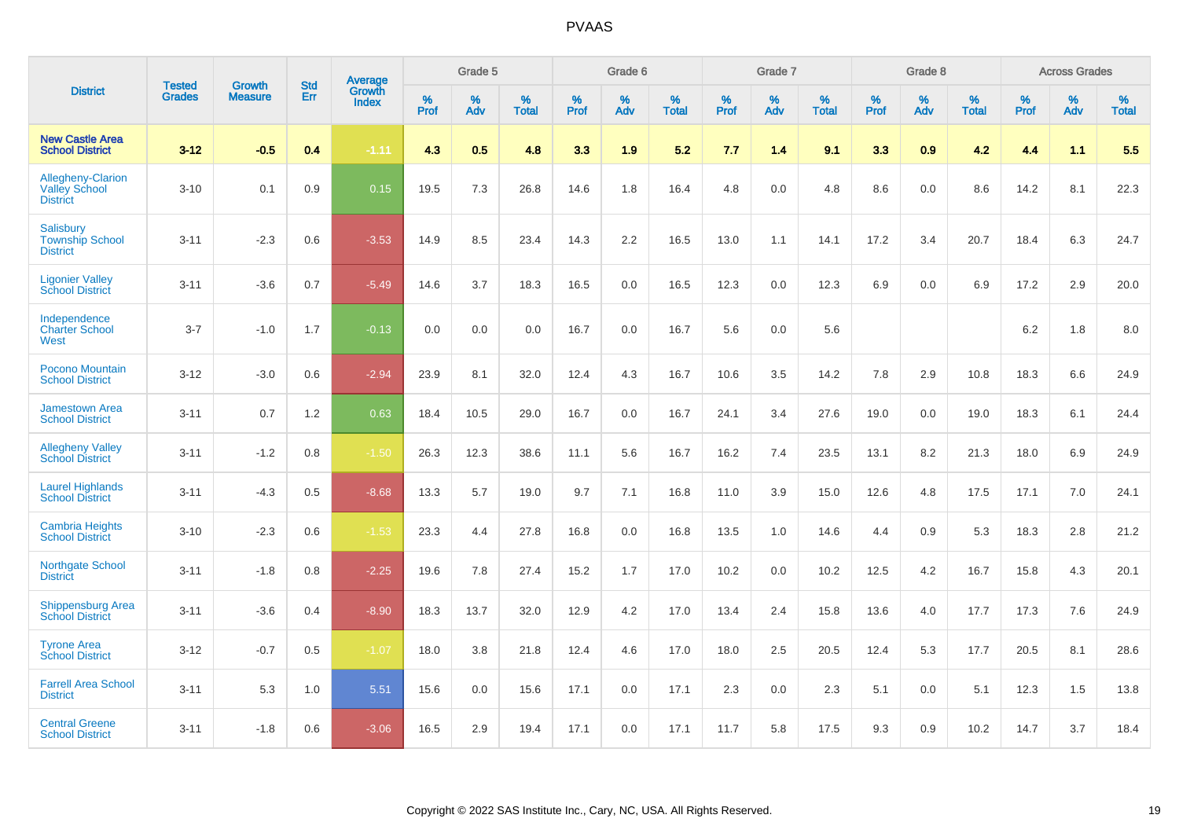|                                                                     | <b>Tested</b> | <b>Growth</b>  | <b>Std</b> | Average                       |              | Grade 5  |                   |           | Grade 6  |                   |           | Grade 7  |                   |           | Grade 8  |                   |           | <b>Across Grades</b> |                   |
|---------------------------------------------------------------------|---------------|----------------|------------|-------------------------------|--------------|----------|-------------------|-----------|----------|-------------------|-----------|----------|-------------------|-----------|----------|-------------------|-----------|----------------------|-------------------|
| <b>District</b>                                                     | <b>Grades</b> | <b>Measure</b> | Err        | <b>Growth</b><br><b>Index</b> | $\%$<br>Prof | %<br>Adv | %<br><b>Total</b> | %<br>Prof | %<br>Adv | %<br><b>Total</b> | %<br>Prof | %<br>Adv | %<br><b>Total</b> | %<br>Prof | %<br>Adv | %<br><b>Total</b> | %<br>Prof | %<br>Adv             | %<br><b>Total</b> |
| <b>New Castle Area</b><br><b>School District</b>                    | $3 - 12$      | $-0.5$         | 0.4        | $-1.11$                       | 4.3          | 0.5      | 4.8               | 3.3       | 1.9      | 5.2               | 7.7       | 1.4      | 9.1               | 3.3       | 0.9      | 4.2               | 4.4       | 1.1                  | 5.5               |
| <b>Allegheny-Clarion</b><br><b>Valley School</b><br><b>District</b> | $3 - 10$      | 0.1            | 0.9        | 0.15                          | 19.5         | 7.3      | 26.8              | 14.6      | 1.8      | 16.4              | 4.8       | 0.0      | 4.8               | 8.6       | 0.0      | 8.6               | 14.2      | 8.1                  | 22.3              |
| <b>Salisbury</b><br><b>Township School</b><br><b>District</b>       | $3 - 11$      | $-2.3$         | 0.6        | $-3.53$                       | 14.9         | 8.5      | 23.4              | 14.3      | 2.2      | 16.5              | 13.0      | 1.1      | 14.1              | 17.2      | 3.4      | 20.7              | 18.4      | 6.3                  | 24.7              |
| <b>Ligonier Valley</b><br><b>School District</b>                    | $3 - 11$      | $-3.6$         | 0.7        | $-5.49$                       | 14.6         | 3.7      | 18.3              | 16.5      | 0.0      | 16.5              | 12.3      | 0.0      | 12.3              | 6.9       | 0.0      | 6.9               | 17.2      | 2.9                  | 20.0              |
| Independence<br><b>Charter School</b><br>West                       | $3 - 7$       | $-1.0$         | 1.7        | $-0.13$                       | 0.0          | 0.0      | 0.0               | 16.7      | 0.0      | 16.7              | 5.6       | 0.0      | 5.6               |           |          |                   | 6.2       | 1.8                  | 8.0               |
| Pocono Mountain<br><b>School District</b>                           | $3 - 12$      | $-3.0$         | 0.6        | $-2.94$                       | 23.9         | 8.1      | 32.0              | 12.4      | 4.3      | 16.7              | 10.6      | 3.5      | 14.2              | 7.8       | 2.9      | 10.8              | 18.3      | 6.6                  | 24.9              |
| <b>Jamestown Area</b><br><b>School District</b>                     | $3 - 11$      | 0.7            | 1.2        | 0.63                          | 18.4         | 10.5     | 29.0              | 16.7      | 0.0      | 16.7              | 24.1      | 3.4      | 27.6              | 19.0      | 0.0      | 19.0              | 18.3      | 6.1                  | 24.4              |
| <b>Allegheny Valley</b><br><b>School District</b>                   | $3 - 11$      | $-1.2$         | 0.8        | $-1.50$                       | 26.3         | 12.3     | 38.6              | 11.1      | 5.6      | 16.7              | 16.2      | 7.4      | 23.5              | 13.1      | 8.2      | 21.3              | 18.0      | 6.9                  | 24.9              |
| <b>Laurel Highlands</b><br><b>School District</b>                   | $3 - 11$      | $-4.3$         | 0.5        | $-8.68$                       | 13.3         | 5.7      | 19.0              | 9.7       | 7.1      | 16.8              | 11.0      | 3.9      | 15.0              | 12.6      | 4.8      | 17.5              | 17.1      | 7.0                  | 24.1              |
| <b>Cambria Heights</b><br><b>School District</b>                    | $3 - 10$      | $-2.3$         | 0.6        | $-1.53$                       | 23.3         | 4.4      | 27.8              | 16.8      | 0.0      | 16.8              | 13.5      | 1.0      | 14.6              | 4.4       | 0.9      | 5.3               | 18.3      | 2.8                  | 21.2              |
| Northgate School<br><b>District</b>                                 | $3 - 11$      | $-1.8$         | 0.8        | $-2.25$                       | 19.6         | 7.8      | 27.4              | 15.2      | 1.7      | 17.0              | 10.2      | 0.0      | 10.2              | 12.5      | 4.2      | 16.7              | 15.8      | 4.3                  | 20.1              |
| <b>Shippensburg Area</b><br><b>School District</b>                  | $3 - 11$      | $-3.6$         | 0.4        | $-8.90$                       | 18.3         | 13.7     | 32.0              | 12.9      | 4.2      | 17.0              | 13.4      | 2.4      | 15.8              | 13.6      | 4.0      | 17.7              | 17.3      | 7.6                  | 24.9              |
| <b>Tyrone Area</b><br><b>School District</b>                        | $3 - 12$      | $-0.7$         | 0.5        | $-1.07$                       | 18.0         | 3.8      | 21.8              | 12.4      | 4.6      | 17.0              | 18.0      | 2.5      | 20.5              | 12.4      | 5.3      | 17.7              | 20.5      | 8.1                  | 28.6              |
| <b>Farrell Area School</b><br><b>District</b>                       | $3 - 11$      | 5.3            | 1.0        | 5.51                          | 15.6         | 0.0      | 15.6              | 17.1      | 0.0      | 17.1              | 2.3       | 0.0      | 2.3               | 5.1       | 0.0      | 5.1               | 12.3      | 1.5                  | 13.8              |
| <b>Central Greene</b><br><b>School District</b>                     | $3 - 11$      | $-1.8$         | 0.6        | $-3.06$                       | 16.5         | 2.9      | 19.4              | 17.1      | 0.0      | 17.1              | 11.7      | 5.8      | 17.5              | 9.3       | 0.9      | 10.2              | 14.7      | 3.7                  | 18.4              |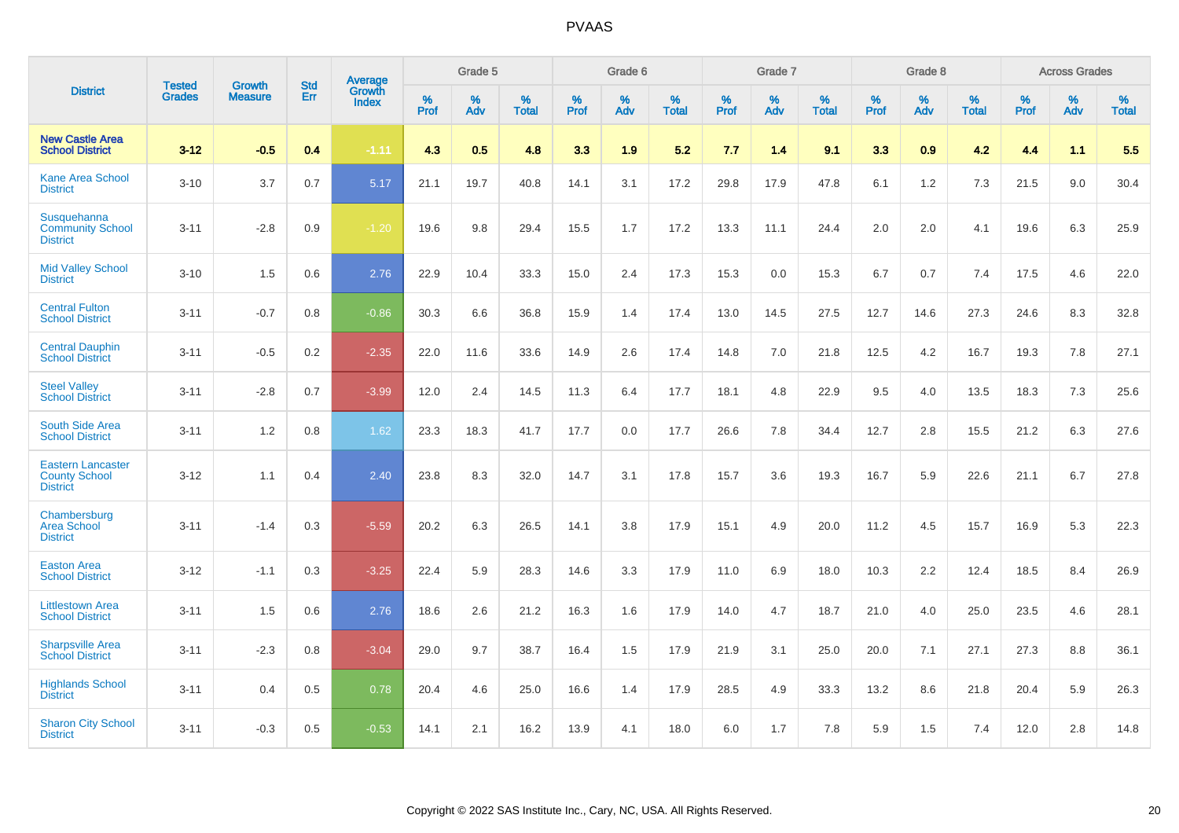|                                                                     |                                |                                 | <b>Std</b> | Average                       |              | Grade 5  |                   |           | Grade 6  |                   |           | Grade 7  |                   |           | Grade 8  |                   |           | <b>Across Grades</b> |                   |
|---------------------------------------------------------------------|--------------------------------|---------------------------------|------------|-------------------------------|--------------|----------|-------------------|-----------|----------|-------------------|-----------|----------|-------------------|-----------|----------|-------------------|-----------|----------------------|-------------------|
| <b>District</b>                                                     | <b>Tested</b><br><b>Grades</b> | <b>Growth</b><br><b>Measure</b> | Err        | <b>Growth</b><br><b>Index</b> | $\%$<br>Prof | %<br>Adv | %<br><b>Total</b> | %<br>Prof | %<br>Adv | %<br><b>Total</b> | %<br>Prof | %<br>Adv | %<br><b>Total</b> | %<br>Prof | %<br>Adv | %<br><b>Total</b> | %<br>Prof | %<br>Adv             | %<br><b>Total</b> |
| <b>New Castle Area</b><br><b>School District</b>                    | $3 - 12$                       | $-0.5$                          | 0.4        | $-1.11$                       | 4.3          | 0.5      | 4.8               | 3.3       | 1.9      | 5.2               | 7.7       | 1.4      | 9.1               | 3.3       | 0.9      | 4.2               | 4.4       | 1.1                  | 5.5               |
| <b>Kane Area School</b><br><b>District</b>                          | $3 - 10$                       | 3.7                             | 0.7        | 5.17                          | 21.1         | 19.7     | 40.8              | 14.1      | 3.1      | 17.2              | 29.8      | 17.9     | 47.8              | 6.1       | 1.2      | 7.3               | 21.5      | 9.0                  | 30.4              |
| Susquehanna<br><b>Community School</b><br><b>District</b>           | $3 - 11$                       | $-2.8$                          | 0.9        | $-1.20$                       | 19.6         | 9.8      | 29.4              | 15.5      | 1.7      | 17.2              | 13.3      | 11.1     | 24.4              | 2.0       | 2.0      | 4.1               | 19.6      | 6.3                  | 25.9              |
| <b>Mid Valley School</b><br><b>District</b>                         | $3 - 10$                       | 1.5                             | 0.6        | 2.76                          | 22.9         | 10.4     | 33.3              | 15.0      | 2.4      | 17.3              | 15.3      | 0.0      | 15.3              | 6.7       | 0.7      | 7.4               | 17.5      | 4.6                  | 22.0              |
| <b>Central Fulton</b><br><b>School District</b>                     | $3 - 11$                       | $-0.7$                          | 0.8        | $-0.86$                       | 30.3         | 6.6      | 36.8              | 15.9      | 1.4      | 17.4              | 13.0      | 14.5     | 27.5              | 12.7      | 14.6     | 27.3              | 24.6      | 8.3                  | 32.8              |
| <b>Central Dauphin</b><br><b>School District</b>                    | $3 - 11$                       | $-0.5$                          | 0.2        | $-2.35$                       | 22.0         | 11.6     | 33.6              | 14.9      | 2.6      | 17.4              | 14.8      | 7.0      | 21.8              | 12.5      | 4.2      | 16.7              | 19.3      | 7.8                  | 27.1              |
| <b>Steel Valley</b><br><b>School District</b>                       | $3 - 11$                       | $-2.8$                          | 0.7        | $-3.99$                       | 12.0         | 2.4      | 14.5              | 11.3      | 6.4      | 17.7              | 18.1      | 4.8      | 22.9              | 9.5       | 4.0      | 13.5              | 18.3      | 7.3                  | 25.6              |
| <b>South Side Area</b><br><b>School District</b>                    | $3 - 11$                       | 1.2                             | 0.8        | 1.62                          | 23.3         | 18.3     | 41.7              | 17.7      | 0.0      | 17.7              | 26.6      | 7.8      | 34.4              | 12.7      | 2.8      | 15.5              | 21.2      | 6.3                  | 27.6              |
| <b>Eastern Lancaster</b><br><b>County School</b><br><b>District</b> | $3 - 12$                       | 1.1                             | 0.4        | 2.40                          | 23.8         | 8.3      | 32.0              | 14.7      | 3.1      | 17.8              | 15.7      | 3.6      | 19.3              | 16.7      | 5.9      | 22.6              | 21.1      | 6.7                  | 27.8              |
| Chambersburg<br><b>Area School</b><br><b>District</b>               | $3 - 11$                       | $-1.4$                          | 0.3        | $-5.59$                       | 20.2         | 6.3      | 26.5              | 14.1      | 3.8      | 17.9              | 15.1      | 4.9      | 20.0              | 11.2      | 4.5      | 15.7              | 16.9      | 5.3                  | 22.3              |
| <b>Easton Area</b><br><b>School District</b>                        | $3 - 12$                       | $-1.1$                          | 0.3        | $-3.25$                       | 22.4         | 5.9      | 28.3              | 14.6      | 3.3      | 17.9              | 11.0      | 6.9      | 18.0              | 10.3      | 2.2      | 12.4              | 18.5      | 8.4                  | 26.9              |
| <b>Littlestown Area</b><br><b>School District</b>                   | $3 - 11$                       | 1.5                             | 0.6        | 2.76                          | 18.6         | 2.6      | 21.2              | 16.3      | 1.6      | 17.9              | 14.0      | 4.7      | 18.7              | 21.0      | 4.0      | 25.0              | 23.5      | 4.6                  | 28.1              |
| <b>Sharpsville Area</b><br><b>School District</b>                   | $3 - 11$                       | $-2.3$                          | 0.8        | $-3.04$                       | 29.0         | 9.7      | 38.7              | 16.4      | 1.5      | 17.9              | 21.9      | 3.1      | 25.0              | 20.0      | 7.1      | 27.1              | 27.3      | 8.8                  | 36.1              |
| <b>Highlands School</b><br><b>District</b>                          | $3 - 11$                       | 0.4                             | 0.5        | 0.78                          | 20.4         | 4.6      | 25.0              | 16.6      | 1.4      | 17.9              | 28.5      | 4.9      | 33.3              | 13.2      | 8.6      | 21.8              | 20.4      | 5.9                  | 26.3              |
| <b>Sharon City School</b><br><b>District</b>                        | $3 - 11$                       | $-0.3$                          | 0.5        | $-0.53$                       | 14.1         | 2.1      | 16.2              | 13.9      | 4.1      | 18.0              | 6.0       | 1.7      | 7.8               | 5.9       | 1.5      | 7.4               | 12.0      | 2.8                  | 14.8              |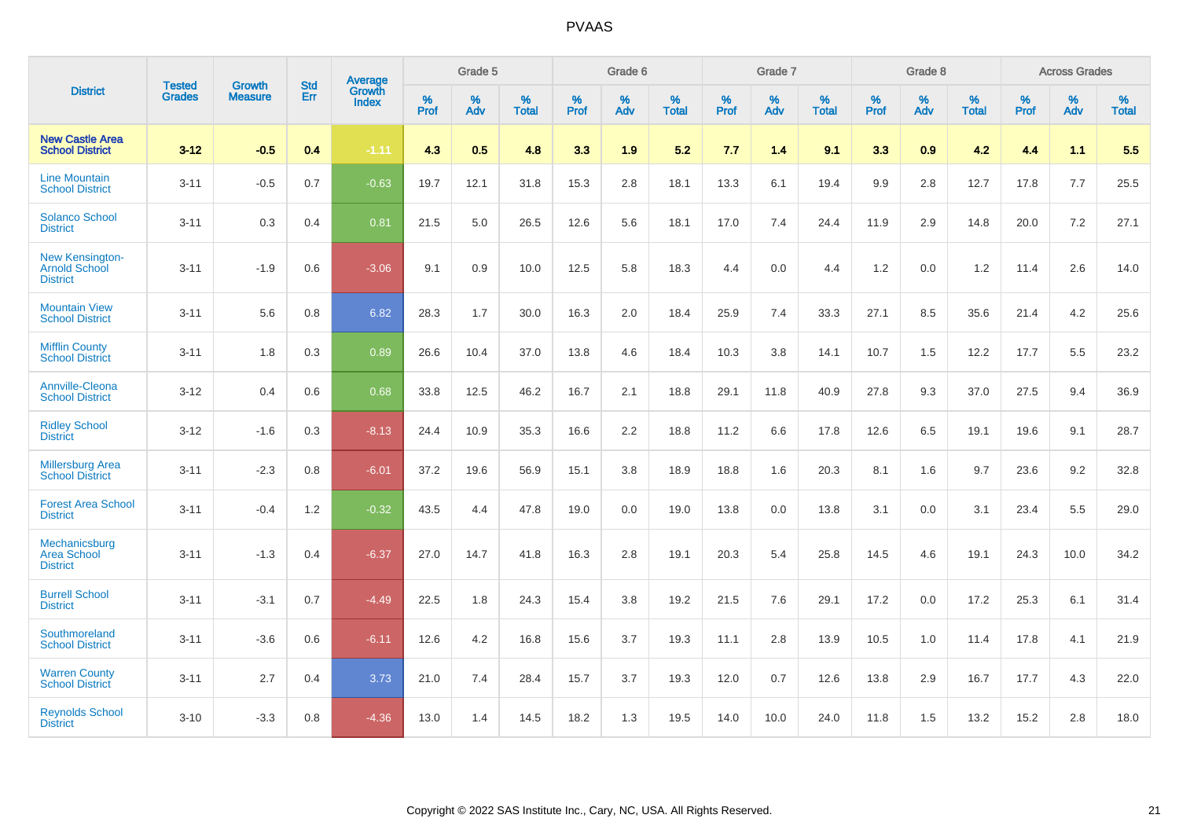|                                                            | <b>Tested</b> | <b>Growth</b>  | <b>Std</b> | Average                |           | Grade 5  |                   |           | Grade 6  |                   |           | Grade 7  |                   |           | Grade 8  |                   |           | <b>Across Grades</b> |                   |
|------------------------------------------------------------|---------------|----------------|------------|------------------------|-----------|----------|-------------------|-----------|----------|-------------------|-----------|----------|-------------------|-----------|----------|-------------------|-----------|----------------------|-------------------|
| <b>District</b>                                            | <b>Grades</b> | <b>Measure</b> | <b>Err</b> | Growth<br><b>Index</b> | %<br>Prof | %<br>Adv | %<br><b>Total</b> | %<br>Prof | %<br>Adv | %<br><b>Total</b> | %<br>Prof | %<br>Adv | %<br><b>Total</b> | %<br>Prof | %<br>Adv | %<br><b>Total</b> | %<br>Prof | %<br>Adv             | %<br><b>Total</b> |
| <b>New Castle Area</b><br><b>School District</b>           | $3 - 12$      | $-0.5$         | 0.4        | $-1.11$                | 4.3       | 0.5      | 4.8               | 3.3       | 1.9      | 5.2               | 7.7       | 1.4      | 9.1               | 3.3       | 0.9      | 4.2               | 4.4       | 1.1                  | 5.5               |
| <b>Line Mountain</b><br><b>School District</b>             | $3 - 11$      | $-0.5$         | 0.7        | $-0.63$                | 19.7      | 12.1     | 31.8              | 15.3      | 2.8      | 18.1              | 13.3      | 6.1      | 19.4              | 9.9       | 2.8      | 12.7              | 17.8      | 7.7                  | 25.5              |
| <b>Solanco School</b><br><b>District</b>                   | $3 - 11$      | 0.3            | 0.4        | 0.81                   | 21.5      | 5.0      | 26.5              | 12.6      | 5.6      | 18.1              | 17.0      | 7.4      | 24.4              | 11.9      | 2.9      | 14.8              | 20.0      | 7.2                  | 27.1              |
| New Kensington-<br><b>Arnold School</b><br><b>District</b> | $3 - 11$      | $-1.9$         | 0.6        | $-3.06$                | 9.1       | 0.9      | 10.0              | 12.5      | 5.8      | 18.3              | 4.4       | 0.0      | 4.4               | 1.2       | 0.0      | 1.2               | 11.4      | 2.6                  | 14.0              |
| <b>Mountain View</b><br><b>School District</b>             | $3 - 11$      | 5.6            | 0.8        | 6.82                   | 28.3      | 1.7      | 30.0              | 16.3      | 2.0      | 18.4              | 25.9      | 7.4      | 33.3              | 27.1      | 8.5      | 35.6              | 21.4      | 4.2                  | 25.6              |
| <b>Mifflin County</b><br><b>School District</b>            | $3 - 11$      | 1.8            | 0.3        | 0.89                   | 26.6      | 10.4     | 37.0              | 13.8      | 4.6      | 18.4              | 10.3      | 3.8      | 14.1              | 10.7      | 1.5      | 12.2              | 17.7      | 5.5                  | 23.2              |
| <b>Annville-Cleona</b><br><b>School District</b>           | $3 - 12$      | 0.4            | 0.6        | 0.68                   | 33.8      | 12.5     | 46.2              | 16.7      | 2.1      | 18.8              | 29.1      | 11.8     | 40.9              | 27.8      | 9.3      | 37.0              | 27.5      | 9.4                  | 36.9              |
| <b>Ridley School</b><br><b>District</b>                    | $3 - 12$      | $-1.6$         | 0.3        | $-8.13$                | 24.4      | 10.9     | 35.3              | 16.6      | 2.2      | 18.8              | 11.2      | 6.6      | 17.8              | 12.6      | 6.5      | 19.1              | 19.6      | 9.1                  | 28.7              |
| <b>Millersburg Area</b><br><b>School District</b>          | $3 - 11$      | $-2.3$         | 0.8        | $-6.01$                | 37.2      | 19.6     | 56.9              | 15.1      | 3.8      | 18.9              | 18.8      | 1.6      | 20.3              | 8.1       | 1.6      | 9.7               | 23.6      | 9.2                  | 32.8              |
| <b>Forest Area School</b><br><b>District</b>               | $3 - 11$      | $-0.4$         | 1.2        | $-0.32$                | 43.5      | 4.4      | 47.8              | 19.0      | 0.0      | 19.0              | 13.8      | 0.0      | 13.8              | 3.1       | 0.0      | 3.1               | 23.4      | 5.5                  | 29.0              |
| Mechanicsburg<br><b>Area School</b><br><b>District</b>     | $3 - 11$      | $-1.3$         | 0.4        | $-6.37$                | 27.0      | 14.7     | 41.8              | 16.3      | 2.8      | 19.1              | 20.3      | 5.4      | 25.8              | 14.5      | 4.6      | 19.1              | 24.3      | 10.0                 | 34.2              |
| <b>Burrell School</b><br><b>District</b>                   | $3 - 11$      | $-3.1$         | 0.7        | $-4.49$                | 22.5      | 1.8      | 24.3              | 15.4      | 3.8      | 19.2              | 21.5      | 7.6      | 29.1              | 17.2      | 0.0      | 17.2              | 25.3      | 6.1                  | 31.4              |
| Southmoreland<br><b>School District</b>                    | $3 - 11$      | $-3.6$         | 0.6        | $-6.11$                | 12.6      | 4.2      | 16.8              | 15.6      | 3.7      | 19.3              | 11.1      | 2.8      | 13.9              | 10.5      | 1.0      | 11.4              | 17.8      | 4.1                  | 21.9              |
| <b>Warren County</b><br><b>School District</b>             | $3 - 11$      | 2.7            | 0.4        | 3.73                   | 21.0      | 7.4      | 28.4              | 15.7      | 3.7      | 19.3              | 12.0      | 0.7      | 12.6              | 13.8      | 2.9      | 16.7              | 17.7      | 4.3                  | 22.0              |
| <b>Reynolds School</b><br><b>District</b>                  | $3 - 10$      | $-3.3$         | 0.8        | $-4.36$                | 13.0      | 1.4      | 14.5              | 18.2      | 1.3      | 19.5              | 14.0      | 10.0     | 24.0              | 11.8      | 1.5      | 13.2              | 15.2      | 2.8                  | 18.0              |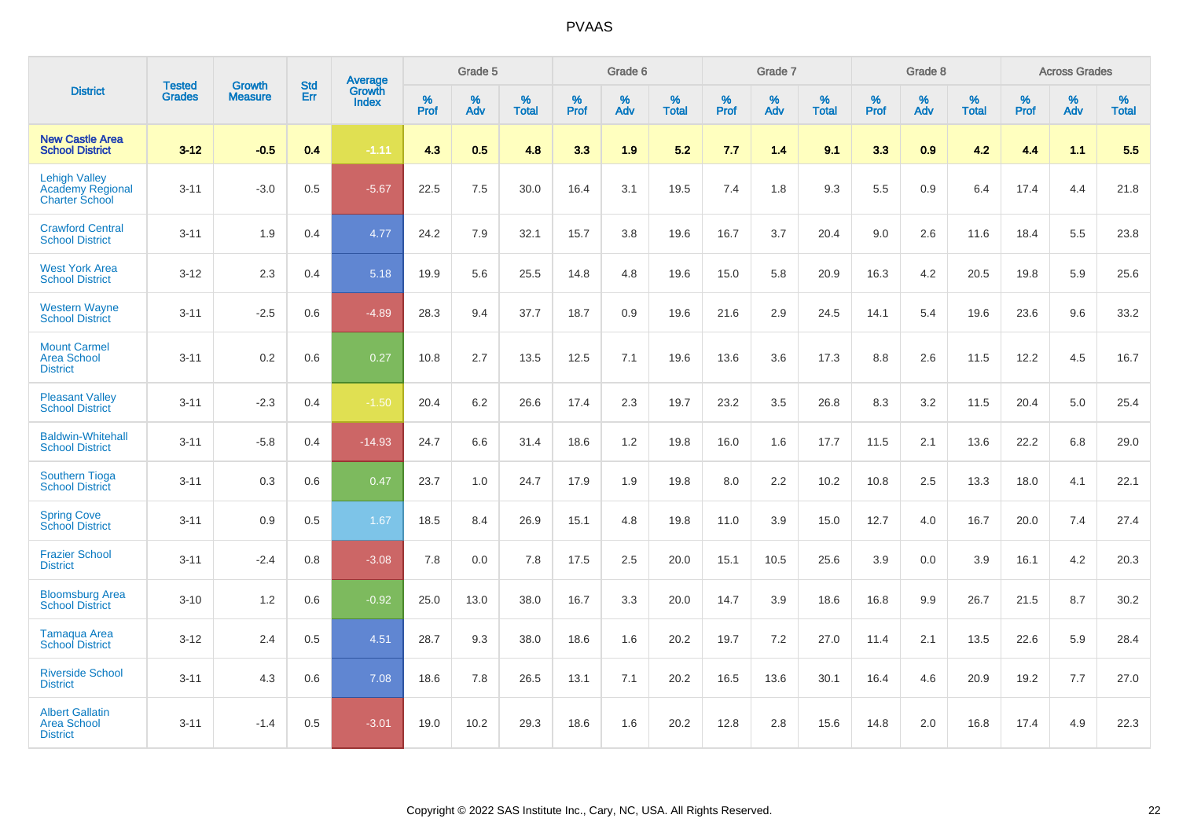|                                                                          | <b>Tested</b> | <b>Growth</b>  | <b>Std</b> | Average                |           | Grade 5  |                   |           | Grade 6  |                   |           | Grade 7  |                   |           | Grade 8  |                   |           | <b>Across Grades</b> |                   |
|--------------------------------------------------------------------------|---------------|----------------|------------|------------------------|-----------|----------|-------------------|-----------|----------|-------------------|-----------|----------|-------------------|-----------|----------|-------------------|-----------|----------------------|-------------------|
| <b>District</b>                                                          | <b>Grades</b> | <b>Measure</b> | Err        | Growth<br><b>Index</b> | %<br>Prof | %<br>Adv | %<br><b>Total</b> | %<br>Prof | %<br>Adv | %<br><b>Total</b> | %<br>Prof | %<br>Adv | %<br><b>Total</b> | %<br>Prof | %<br>Adv | %<br><b>Total</b> | %<br>Prof | %<br>Adv             | %<br><b>Total</b> |
| <b>New Castle Area</b><br><b>School District</b>                         | $3 - 12$      | $-0.5$         | 0.4        | $-1.11$                | 4.3       | 0.5      | 4.8               | 3.3       | 1.9      | 5.2               | 7.7       | 1.4      | 9.1               | 3.3       | 0.9      | 4.2               | 4.4       | 1.1                  | 5.5               |
| <b>Lehigh Valley</b><br><b>Academy Regional</b><br><b>Charter School</b> | $3 - 11$      | $-3.0$         | 0.5        | $-5.67$                | 22.5      | 7.5      | 30.0              | 16.4      | 3.1      | 19.5              | 7.4       | 1.8      | 9.3               | 5.5       | 0.9      | 6.4               | 17.4      | 4.4                  | 21.8              |
| <b>Crawford Central</b><br><b>School District</b>                        | $3 - 11$      | 1.9            | 0.4        | 4.77                   | 24.2      | 7.9      | 32.1              | 15.7      | 3.8      | 19.6              | 16.7      | 3.7      | 20.4              | 9.0       | 2.6      | 11.6              | 18.4      | 5.5                  | 23.8              |
| <b>West York Area</b><br><b>School District</b>                          | $3 - 12$      | 2.3            | 0.4        | 5.18                   | 19.9      | 5.6      | 25.5              | 14.8      | 4.8      | 19.6              | 15.0      | 5.8      | 20.9              | 16.3      | 4.2      | 20.5              | 19.8      | 5.9                  | 25.6              |
| <b>Western Wayne</b><br><b>School District</b>                           | $3 - 11$      | $-2.5$         | 0.6        | $-4.89$                | 28.3      | 9.4      | 37.7              | 18.7      | 0.9      | 19.6              | 21.6      | 2.9      | 24.5              | 14.1      | 5.4      | 19.6              | 23.6      | 9.6                  | 33.2              |
| <b>Mount Carmel</b><br><b>Area School</b><br><b>District</b>             | $3 - 11$      | 0.2            | 0.6        | 0.27                   | 10.8      | 2.7      | 13.5              | 12.5      | 7.1      | 19.6              | 13.6      | 3.6      | 17.3              | 8.8       | 2.6      | 11.5              | 12.2      | 4.5                  | 16.7              |
| <b>Pleasant Valley</b><br><b>School District</b>                         | $3 - 11$      | $-2.3$         | 0.4        | $-1.50$                | 20.4      | 6.2      | 26.6              | 17.4      | 2.3      | 19.7              | 23.2      | 3.5      | 26.8              | 8.3       | 3.2      | 11.5              | 20.4      | 5.0                  | 25.4              |
| <b>Baldwin-Whitehall</b><br><b>School District</b>                       | $3 - 11$      | $-5.8$         | 0.4        | $-14.93$               | 24.7      | 6.6      | 31.4              | 18.6      | 1.2      | 19.8              | 16.0      | 1.6      | 17.7              | 11.5      | 2.1      | 13.6              | 22.2      | 6.8                  | 29.0              |
| <b>Southern Tioga</b><br><b>School District</b>                          | $3 - 11$      | 0.3            | 0.6        | 0.47                   | 23.7      | 1.0      | 24.7              | 17.9      | 1.9      | 19.8              | 8.0       | 2.2      | 10.2              | 10.8      | 2.5      | 13.3              | 18.0      | 4.1                  | 22.1              |
| <b>Spring Cove</b><br><b>School District</b>                             | $3 - 11$      | 0.9            | 0.5        | 1.67                   | 18.5      | 8.4      | 26.9              | 15.1      | 4.8      | 19.8              | 11.0      | 3.9      | 15.0              | 12.7      | 4.0      | 16.7              | 20.0      | 7.4                  | 27.4              |
| <b>Frazier School</b><br><b>District</b>                                 | $3 - 11$      | $-2.4$         | 0.8        | $-3.08$                | 7.8       | 0.0      | 7.8               | 17.5      | 2.5      | 20.0              | 15.1      | 10.5     | 25.6              | 3.9       | 0.0      | 3.9               | 16.1      | 4.2                  | 20.3              |
| <b>Bloomsburg Area</b><br><b>School District</b>                         | $3 - 10$      | 1.2            | 0.6        | $-0.92$                | 25.0      | 13.0     | 38.0              | 16.7      | 3.3      | 20.0              | 14.7      | 3.9      | 18.6              | 16.8      | 9.9      | 26.7              | 21.5      | 8.7                  | 30.2              |
| <b>Tamaqua Area</b><br><b>School District</b>                            | $3 - 12$      | 2.4            | 0.5        | 4.51                   | 28.7      | 9.3      | 38.0              | 18.6      | 1.6      | 20.2              | 19.7      | 7.2      | 27.0              | 11.4      | 2.1      | 13.5              | 22.6      | 5.9                  | 28.4              |
| <b>Riverside School</b><br><b>District</b>                               | $3 - 11$      | 4.3            | 0.6        | 7.08                   | 18.6      | 7.8      | 26.5              | 13.1      | 7.1      | 20.2              | 16.5      | 13.6     | 30.1              | 16.4      | 4.6      | 20.9              | 19.2      | 7.7                  | 27.0              |
| <b>Albert Gallatin</b><br><b>Area School</b><br><b>District</b>          | $3 - 11$      | $-1.4$         | 0.5        | $-3.01$                | 19.0      | 10.2     | 29.3              | 18.6      | 1.6      | 20.2              | 12.8      | 2.8      | 15.6              | 14.8      | 2.0      | 16.8              | 17.4      | 4.9                  | 22.3              |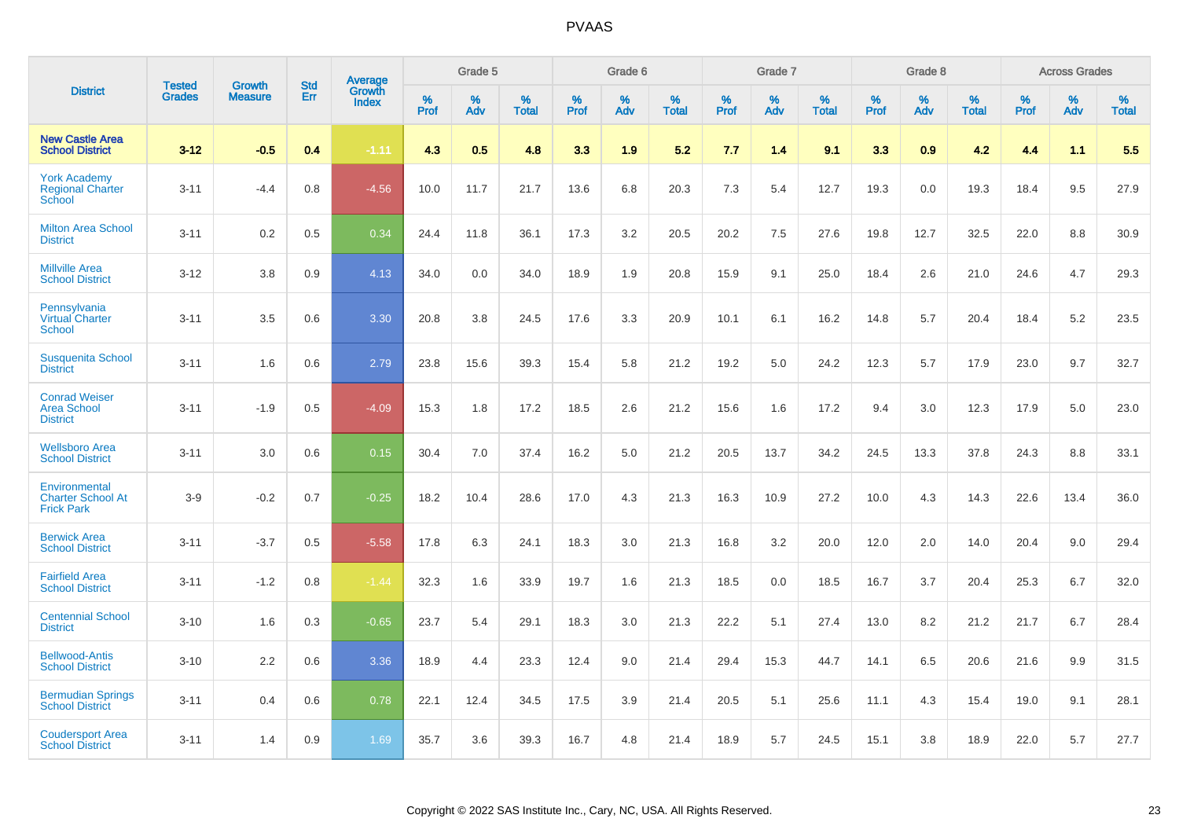|                                                                 |                                | <b>Growth</b>  | <b>Std</b> |                                   |              | Grade 5  |                   |           | Grade 6  |                   |           | Grade 7  |                   |              | Grade 8  |                   |              | <b>Across Grades</b> |                   |
|-----------------------------------------------------------------|--------------------------------|----------------|------------|-----------------------------------|--------------|----------|-------------------|-----------|----------|-------------------|-----------|----------|-------------------|--------------|----------|-------------------|--------------|----------------------|-------------------|
| <b>District</b>                                                 | <b>Tested</b><br><b>Grades</b> | <b>Measure</b> | <b>Err</b> | Average<br>Growth<br><b>Index</b> | $\%$<br>Prof | %<br>Adv | %<br><b>Total</b> | %<br>Prof | %<br>Adv | %<br><b>Total</b> | %<br>Prof | %<br>Adv | %<br><b>Total</b> | $\%$<br>Prof | %<br>Adv | %<br><b>Total</b> | $\%$<br>Prof | %<br>Adv             | %<br><b>Total</b> |
| <b>New Castle Area</b><br><b>School District</b>                | $3 - 12$                       | $-0.5$         | 0.4        | $-1.11$                           | 4.3          | 0.5      | 4.8               | 3.3       | 1.9      | 5.2               | 7.7       | 1.4      | 9.1               | 3.3          | 0.9      | 4.2               | 4.4          | 1.1                  | 5.5               |
| <b>York Academy</b><br><b>Regional Charter</b><br><b>School</b> | $3 - 11$                       | $-4.4$         | 0.8        | $-4.56$                           | 10.0         | 11.7     | 21.7              | 13.6      | 6.8      | 20.3              | 7.3       | 5.4      | 12.7              | 19.3         | 0.0      | 19.3              | 18.4         | 9.5                  | 27.9              |
| <b>Milton Area School</b><br><b>District</b>                    | $3 - 11$                       | 0.2            | 0.5        | 0.34                              | 24.4         | 11.8     | 36.1              | 17.3      | 3.2      | 20.5              | 20.2      | 7.5      | 27.6              | 19.8         | 12.7     | 32.5              | 22.0         | 8.8                  | 30.9              |
| <b>Millville Area</b><br><b>School District</b>                 | $3 - 12$                       | 3.8            | 0.9        | 4.13                              | 34.0         | 0.0      | 34.0              | 18.9      | 1.9      | 20.8              | 15.9      | 9.1      | 25.0              | 18.4         | 2.6      | 21.0              | 24.6         | 4.7                  | 29.3              |
| Pennsylvania<br><b>Virtual Charter</b><br><b>School</b>         | $3 - 11$                       | 3.5            | 0.6        | 3.30                              | 20.8         | 3.8      | 24.5              | 17.6      | 3.3      | 20.9              | 10.1      | 6.1      | 16.2              | 14.8         | 5.7      | 20.4              | 18.4         | 5.2                  | 23.5              |
| <b>Susquenita School</b><br><b>District</b>                     | $3 - 11$                       | 1.6            | 0.6        | 2.79                              | 23.8         | 15.6     | 39.3              | 15.4      | 5.8      | 21.2              | 19.2      | 5.0      | 24.2              | 12.3         | 5.7      | 17.9              | 23.0         | 9.7                  | 32.7              |
| <b>Conrad Weiser</b><br><b>Area School</b><br><b>District</b>   | $3 - 11$                       | $-1.9$         | 0.5        | $-4.09$                           | 15.3         | 1.8      | 17.2              | 18.5      | 2.6      | 21.2              | 15.6      | 1.6      | 17.2              | 9.4          | 3.0      | 12.3              | 17.9         | 5.0                  | 23.0              |
| <b>Wellsboro Area</b><br><b>School District</b>                 | $3 - 11$                       | 3.0            | 0.6        | 0.15                              | 30.4         | 7.0      | 37.4              | 16.2      | 5.0      | 21.2              | 20.5      | 13.7     | 34.2              | 24.5         | 13.3     | 37.8              | 24.3         | 8.8                  | 33.1              |
| Environmental<br><b>Charter School At</b><br><b>Frick Park</b>  | $3-9$                          | $-0.2$         | 0.7        | $-0.25$                           | 18.2         | 10.4     | 28.6              | 17.0      | 4.3      | 21.3              | 16.3      | 10.9     | 27.2              | 10.0         | 4.3      | 14.3              | 22.6         | 13.4                 | 36.0              |
| <b>Berwick Area</b><br><b>School District</b>                   | $3 - 11$                       | $-3.7$         | 0.5        | $-5.58$                           | 17.8         | 6.3      | 24.1              | 18.3      | 3.0      | 21.3              | 16.8      | 3.2      | 20.0              | 12.0         | 2.0      | 14.0              | 20.4         | 9.0                  | 29.4              |
| <b>Fairfield Area</b><br><b>School District</b>                 | $3 - 11$                       | $-1.2$         | 0.8        | $-1.44$                           | 32.3         | 1.6      | 33.9              | 19.7      | 1.6      | 21.3              | 18.5      | 0.0      | 18.5              | 16.7         | 3.7      | 20.4              | 25.3         | 6.7                  | 32.0              |
| <b>Centennial School</b><br><b>District</b>                     | $3 - 10$                       | 1.6            | 0.3        | $-0.65$                           | 23.7         | 5.4      | 29.1              | 18.3      | 3.0      | 21.3              | 22.2      | 5.1      | 27.4              | 13.0         | 8.2      | 21.2              | 21.7         | 6.7                  | 28.4              |
| <b>Bellwood-Antis</b><br><b>School District</b>                 | $3 - 10$                       | 2.2            | 0.6        | 3.36                              | 18.9         | 4.4      | 23.3              | 12.4      | 9.0      | 21.4              | 29.4      | 15.3     | 44.7              | 14.1         | 6.5      | 20.6              | 21.6         | 9.9                  | 31.5              |
| <b>Bermudian Springs</b><br><b>School District</b>              | $3 - 11$                       | 0.4            | 0.6        | 0.78                              | 22.1         | 12.4     | 34.5              | 17.5      | 3.9      | 21.4              | 20.5      | 5.1      | 25.6              | 11.1         | 4.3      | 15.4              | 19.0         | 9.1                  | 28.1              |
| <b>Coudersport Area</b><br><b>School District</b>               | $3 - 11$                       | 1.4            | 0.9        | 1.69                              | 35.7         | 3.6      | 39.3              | 16.7      | 4.8      | 21.4              | 18.9      | 5.7      | 24.5              | 15.1         | 3.8      | 18.9              | 22.0         | 5.7                  | 27.7              |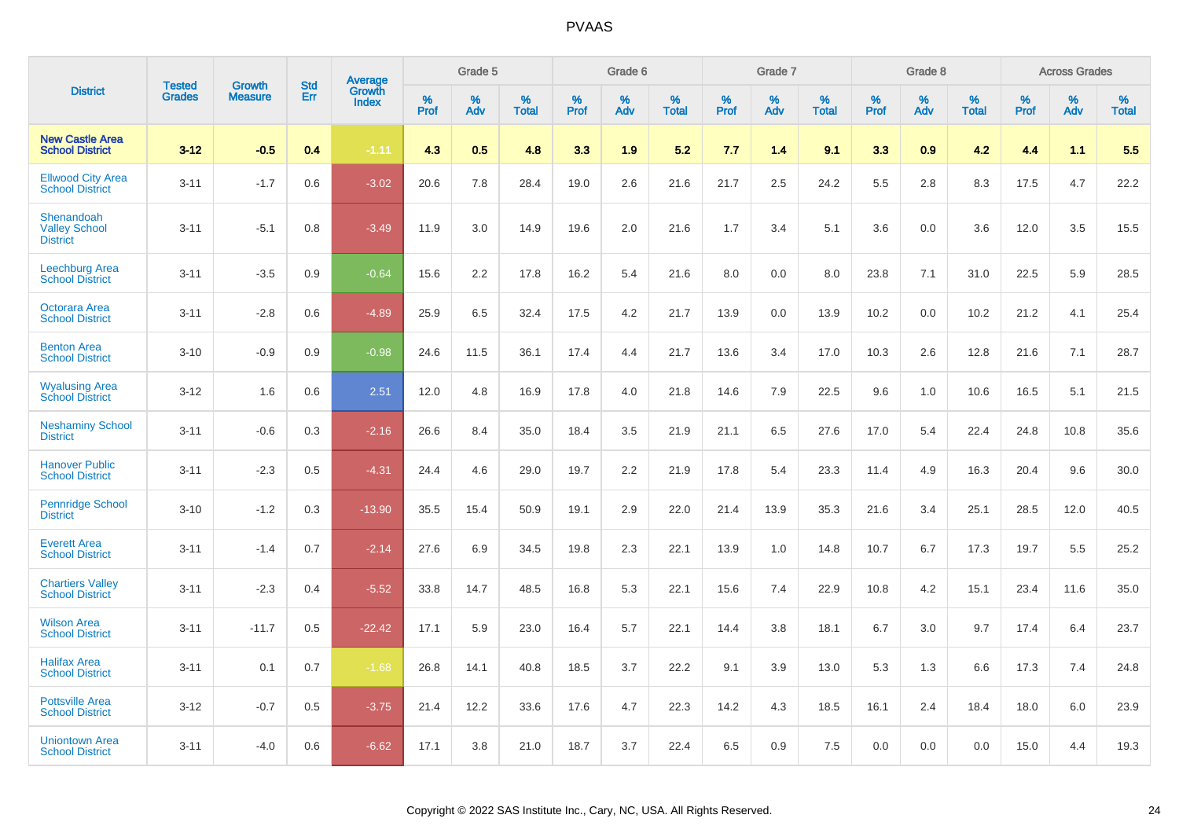|                                                       | <b>Tested</b> | <b>Growth</b>  | <b>Std</b> | Average<br>Growth |                     | Grade 5  |                      |                     | Grade 6  |                      |              | Grade 7  |                      |              | Grade 8  |                      |                     | <b>Across Grades</b> |                      |
|-------------------------------------------------------|---------------|----------------|------------|-------------------|---------------------|----------|----------------------|---------------------|----------|----------------------|--------------|----------|----------------------|--------------|----------|----------------------|---------------------|----------------------|----------------------|
| <b>District</b>                                       | <b>Grades</b> | <b>Measure</b> | Err        | Index             | $\%$<br><b>Prof</b> | %<br>Adv | $\%$<br><b>Total</b> | $\%$<br><b>Prof</b> | %<br>Adv | $\%$<br><b>Total</b> | $\%$<br>Prof | %<br>Adv | $\%$<br><b>Total</b> | $\%$<br>Prof | %<br>Adv | $\%$<br><b>Total</b> | $\%$<br><b>Prof</b> | $\%$<br>Adv          | $\%$<br><b>Total</b> |
| <b>New Castle Area</b><br><b>School District</b>      | $3 - 12$      | $-0.5$         | 0.4        | $-1.11$           | 4.3                 | 0.5      | 4.8                  | 3.3                 | 1.9      | 5.2                  | 7.7          | 1.4      | 9.1                  | 3.3          | 0.9      | 4.2                  | 4.4                 | 1.1                  | 5.5                  |
| <b>Ellwood City Area</b><br><b>School District</b>    | $3 - 11$      | $-1.7$         | 0.6        | $-3.02$           | 20.6                | 7.8      | 28.4                 | 19.0                | 2.6      | 21.6                 | 21.7         | 2.5      | 24.2                 | 5.5          | 2.8      | 8.3                  | 17.5                | 4.7                  | 22.2                 |
| Shenandoah<br><b>Valley School</b><br><b>District</b> | $3 - 11$      | $-5.1$         | 0.8        | $-3.49$           | 11.9                | 3.0      | 14.9                 | 19.6                | 2.0      | 21.6                 | 1.7          | 3.4      | 5.1                  | 3.6          | 0.0      | 3.6                  | 12.0                | 3.5                  | 15.5                 |
| <b>Leechburg Area</b><br><b>School District</b>       | $3 - 11$      | $-3.5$         | 0.9        | $-0.64$           | 15.6                | 2.2      | 17.8                 | 16.2                | 5.4      | 21.6                 | 8.0          | 0.0      | 8.0                  | 23.8         | 7.1      | 31.0                 | 22.5                | 5.9                  | 28.5                 |
| Octorara Area<br><b>School District</b>               | $3 - 11$      | $-2.8$         | 0.6        | $-4.89$           | 25.9                | 6.5      | 32.4                 | 17.5                | 4.2      | 21.7                 | 13.9         | 0.0      | 13.9                 | 10.2         | 0.0      | 10.2                 | 21.2                | 4.1                  | 25.4                 |
| <b>Benton Area</b><br><b>School District</b>          | $3 - 10$      | $-0.9$         | 0.9        | $-0.98$           | 24.6                | 11.5     | 36.1                 | 17.4                | 4.4      | 21.7                 | 13.6         | 3.4      | 17.0                 | 10.3         | 2.6      | 12.8                 | 21.6                | 7.1                  | 28.7                 |
| <b>Wyalusing Area</b><br><b>School District</b>       | $3 - 12$      | 1.6            | 0.6        | 2.51              | 12.0                | 4.8      | 16.9                 | 17.8                | 4.0      | 21.8                 | 14.6         | 7.9      | 22.5                 | 9.6          | 1.0      | 10.6                 | 16.5                | 5.1                  | 21.5                 |
| <b>Neshaminy School</b><br><b>District</b>            | $3 - 11$      | $-0.6$         | 0.3        | $-2.16$           | 26.6                | 8.4      | 35.0                 | 18.4                | 3.5      | 21.9                 | 21.1         | 6.5      | 27.6                 | 17.0         | 5.4      | 22.4                 | 24.8                | 10.8                 | 35.6                 |
| <b>Hanover Public</b><br><b>School District</b>       | $3 - 11$      | $-2.3$         | 0.5        | $-4.31$           | 24.4                | 4.6      | 29.0                 | 19.7                | 2.2      | 21.9                 | 17.8         | 5.4      | 23.3                 | 11.4         | 4.9      | 16.3                 | 20.4                | 9.6                  | 30.0                 |
| <b>Pennridge School</b><br><b>District</b>            | $3 - 10$      | $-1.2$         | 0.3        | $-13.90$          | 35.5                | 15.4     | 50.9                 | 19.1                | 2.9      | 22.0                 | 21.4         | 13.9     | 35.3                 | 21.6         | 3.4      | 25.1                 | 28.5                | 12.0                 | 40.5                 |
| <b>Everett Area</b><br><b>School District</b>         | $3 - 11$      | $-1.4$         | 0.7        | $-2.14$           | 27.6                | 6.9      | 34.5                 | 19.8                | 2.3      | 22.1                 | 13.9         | 1.0      | 14.8                 | 10.7         | 6.7      | 17.3                 | 19.7                | 5.5                  | 25.2                 |
| <b>Chartiers Valley</b><br><b>School District</b>     | $3 - 11$      | $-2.3$         | 0.4        | $-5.52$           | 33.8                | 14.7     | 48.5                 | 16.8                | 5.3      | 22.1                 | 15.6         | 7.4      | 22.9                 | 10.8         | 4.2      | 15.1                 | 23.4                | 11.6                 | 35.0                 |
| <b>Wilson Area</b><br><b>School District</b>          | $3 - 11$      | $-11.7$        | 0.5        | $-22.42$          | 17.1                | 5.9      | 23.0                 | 16.4                | 5.7      | 22.1                 | 14.4         | 3.8      | 18.1                 | 6.7          | 3.0      | 9.7                  | 17.4                | 6.4                  | 23.7                 |
| <b>Halifax Area</b><br><b>School District</b>         | $3 - 11$      | 0.1            | 0.7        | $-1.68$           | 26.8                | 14.1     | 40.8                 | 18.5                | 3.7      | 22.2                 | 9.1          | 3.9      | 13.0                 | 5.3          | 1.3      | 6.6                  | 17.3                | 7.4                  | 24.8                 |
| <b>Pottsville Area</b><br><b>School District</b>      | $3 - 12$      | $-0.7$         | 0.5        | $-3.75$           | 21.4                | 12.2     | 33.6                 | 17.6                | 4.7      | 22.3                 | 14.2         | 4.3      | 18.5                 | 16.1         | 2.4      | 18.4                 | 18.0                | 6.0                  | 23.9                 |
| <b>Uniontown Area</b><br><b>School District</b>       | $3 - 11$      | $-4.0$         | 0.6        | $-6.62$           | 17.1                | 3.8      | 21.0                 | 18.7                | 3.7      | 22.4                 | 6.5          | 0.9      | 7.5                  | 0.0          | 0.0      | 0.0                  | 15.0                | 4.4                  | 19.3                 |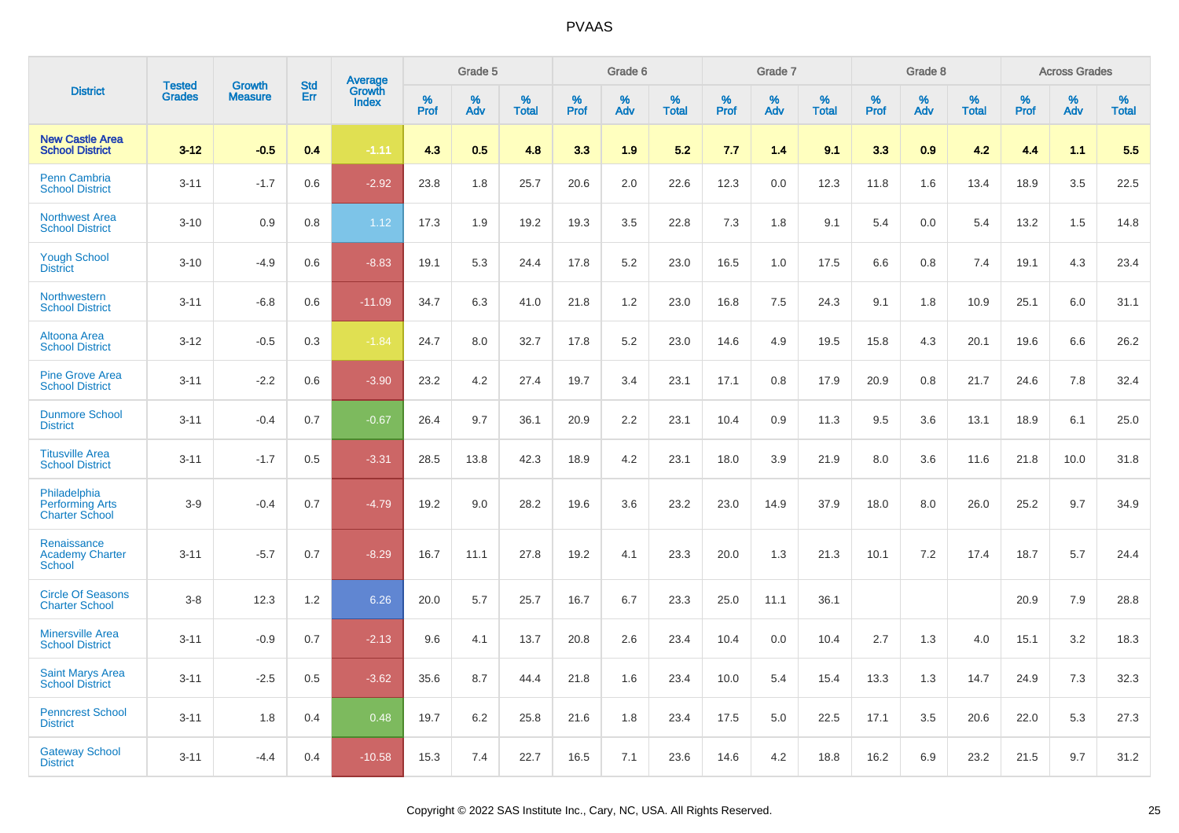|                                                                 | <b>Tested</b> | <b>Growth</b>  | <b>Std</b> |                                          |              | Grade 5  |                   |              | Grade 6  |                   |              | Grade 7  |                   |              | Grade 8  |                   |              | <b>Across Grades</b> |                   |
|-----------------------------------------------------------------|---------------|----------------|------------|------------------------------------------|--------------|----------|-------------------|--------------|----------|-------------------|--------------|----------|-------------------|--------------|----------|-------------------|--------------|----------------------|-------------------|
| <b>District</b>                                                 | <b>Grades</b> | <b>Measure</b> | Err        | <b>Average</b><br>Growth<br><b>Index</b> | $\%$<br>Prof | %<br>Adv | %<br><b>Total</b> | $\%$<br>Prof | %<br>Adv | %<br><b>Total</b> | $\%$<br>Prof | %<br>Adv | %<br><b>Total</b> | $\%$<br>Prof | %<br>Adv | %<br><b>Total</b> | $\%$<br>Prof | %<br>Adv             | %<br><b>Total</b> |
| <b>New Castle Area</b><br><b>School District</b>                | $3 - 12$      | $-0.5$         | 0.4        | $-1.11$                                  | 4.3          | 0.5      | 4.8               | 3.3          | 1.9      | 5.2               | 7.7          | 1.4      | 9.1               | 3.3          | 0.9      | 4.2               | 4.4          | 1.1                  | 5.5               |
| <b>Penn Cambria</b><br><b>School District</b>                   | $3 - 11$      | $-1.7$         | 0.6        | $-2.92$                                  | 23.8         | 1.8      | 25.7              | 20.6         | 2.0      | 22.6              | 12.3         | 0.0      | 12.3              | 11.8         | 1.6      | 13.4              | 18.9         | 3.5                  | 22.5              |
| <b>Northwest Area</b><br><b>School District</b>                 | $3 - 10$      | 0.9            | 0.8        | 1.12                                     | 17.3         | 1.9      | 19.2              | 19.3         | 3.5      | 22.8              | 7.3          | 1.8      | 9.1               | 5.4          | 0.0      | 5.4               | 13.2         | 1.5                  | 14.8              |
| <b>Yough School</b><br><b>District</b>                          | $3 - 10$      | $-4.9$         | 0.6        | $-8.83$                                  | 19.1         | 5.3      | 24.4              | 17.8         | 5.2      | 23.0              | 16.5         | 1.0      | 17.5              | 6.6          | 0.8      | 7.4               | 19.1         | 4.3                  | 23.4              |
| <b>Northwestern</b><br><b>School District</b>                   | $3 - 11$      | $-6.8$         | 0.6        | $-11.09$                                 | 34.7         | 6.3      | 41.0              | 21.8         | 1.2      | 23.0              | 16.8         | 7.5      | 24.3              | 9.1          | 1.8      | 10.9              | 25.1         | 6.0                  | 31.1              |
| Altoona Area<br><b>School District</b>                          | $3 - 12$      | $-0.5$         | 0.3        | $-1.84$                                  | 24.7         | 8.0      | 32.7              | 17.8         | 5.2      | 23.0              | 14.6         | 4.9      | 19.5              | 15.8         | 4.3      | 20.1              | 19.6         | 6.6                  | 26.2              |
| <b>Pine Grove Area</b><br><b>School District</b>                | $3 - 11$      | $-2.2$         | 0.6        | $-3.90$                                  | 23.2         | 4.2      | 27.4              | 19.7         | 3.4      | 23.1              | 17.1         | 0.8      | 17.9              | 20.9         | 0.8      | 21.7              | 24.6         | 7.8                  | 32.4              |
| <b>Dunmore School</b><br><b>District</b>                        | $3 - 11$      | $-0.4$         | 0.7        | $-0.67$                                  | 26.4         | 9.7      | 36.1              | 20.9         | 2.2      | 23.1              | 10.4         | 0.9      | 11.3              | 9.5          | 3.6      | 13.1              | 18.9         | 6.1                  | 25.0              |
| <b>Titusville Area</b><br><b>School District</b>                | $3 - 11$      | $-1.7$         | 0.5        | $-3.31$                                  | 28.5         | 13.8     | 42.3              | 18.9         | 4.2      | 23.1              | 18.0         | 3.9      | 21.9              | 8.0          | 3.6      | 11.6              | 21.8         | 10.0                 | 31.8              |
| Philadelphia<br><b>Performing Arts</b><br><b>Charter School</b> | $3-9$         | $-0.4$         | 0.7        | $-4.79$                                  | 19.2         | 9.0      | 28.2              | 19.6         | 3.6      | 23.2              | 23.0         | 14.9     | 37.9              | 18.0         | 8.0      | 26.0              | 25.2         | 9.7                  | 34.9              |
| Renaissance<br><b>Academy Charter</b><br>School                 | $3 - 11$      | $-5.7$         | 0.7        | $-8.29$                                  | 16.7         | 11.1     | 27.8              | 19.2         | 4.1      | 23.3              | 20.0         | 1.3      | 21.3              | 10.1         | 7.2      | 17.4              | 18.7         | 5.7                  | 24.4              |
| <b>Circle Of Seasons</b><br><b>Charter School</b>               | $3 - 8$       | 12.3           | 1.2        | 6.26                                     | 20.0         | 5.7      | 25.7              | 16.7         | 6.7      | 23.3              | 25.0         | 11.1     | 36.1              |              |          |                   | 20.9         | 7.9                  | 28.8              |
| <b>Minersville Area</b><br><b>School District</b>               | $3 - 11$      | $-0.9$         | 0.7        | $-2.13$                                  | 9.6          | 4.1      | 13.7              | 20.8         | 2.6      | 23.4              | 10.4         | 0.0      | 10.4              | 2.7          | 1.3      | 4.0               | 15.1         | 3.2                  | 18.3              |
| <b>Saint Marys Area</b><br><b>School District</b>               | $3 - 11$      | $-2.5$         | 0.5        | $-3.62$                                  | 35.6         | 8.7      | 44.4              | 21.8         | 1.6      | 23.4              | 10.0         | 5.4      | 15.4              | 13.3         | 1.3      | 14.7              | 24.9         | 7.3                  | 32.3              |
| <b>Penncrest School</b><br><b>District</b>                      | $3 - 11$      | 1.8            | 0.4        | 0.48                                     | 19.7         | 6.2      | 25.8              | 21.6         | 1.8      | 23.4              | 17.5         | 5.0      | 22.5              | 17.1         | 3.5      | 20.6              | 22.0         | 5.3                  | 27.3              |
| <b>Gateway School</b><br><b>District</b>                        | $3 - 11$      | $-4.4$         | 0.4        | $-10.58$                                 | 15.3         | 7.4      | 22.7              | 16.5         | 7.1      | 23.6              | 14.6         | 4.2      | 18.8              | 16.2         | 6.9      | 23.2              | 21.5         | 9.7                  | 31.2              |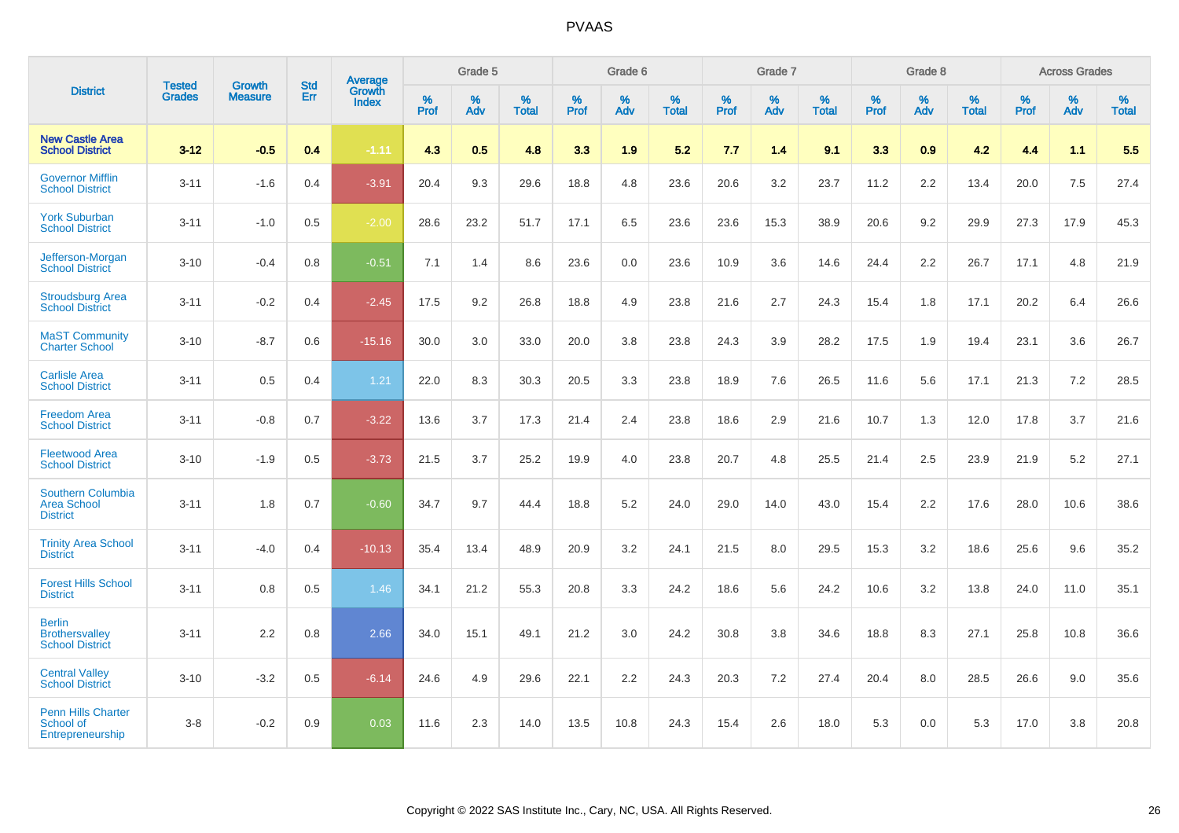|                                                                   |                                |                                 | <b>Std</b> | Average                       |           | Grade 5  |                   |           | Grade 6  |                   |           | Grade 7  |                   |           | Grade 8  |                   |           | <b>Across Grades</b> |                   |
|-------------------------------------------------------------------|--------------------------------|---------------------------------|------------|-------------------------------|-----------|----------|-------------------|-----------|----------|-------------------|-----------|----------|-------------------|-----------|----------|-------------------|-----------|----------------------|-------------------|
| <b>District</b>                                                   | <b>Tested</b><br><b>Grades</b> | <b>Growth</b><br><b>Measure</b> | Err        | <b>Growth</b><br><b>Index</b> | %<br>Prof | %<br>Adv | %<br><b>Total</b> | %<br>Prof | %<br>Adv | %<br><b>Total</b> | %<br>Prof | %<br>Adv | %<br><b>Total</b> | %<br>Prof | %<br>Adv | %<br><b>Total</b> | %<br>Prof | %<br>Adv             | %<br><b>Total</b> |
| <b>New Castle Area</b><br><b>School District</b>                  | $3 - 12$                       | $-0.5$                          | 0.4        | $-1.11$                       | 4.3       | 0.5      | 4.8               | 3.3       | 1.9      | 5.2               | 7.7       | 1.4      | 9.1               | 3.3       | 0.9      | 4.2               | 4.4       | 1.1                  | 5.5               |
| <b>Governor Mifflin</b><br><b>School District</b>                 | $3 - 11$                       | $-1.6$                          | 0.4        | $-3.91$                       | 20.4      | 9.3      | 29.6              | 18.8      | 4.8      | 23.6              | 20.6      | 3.2      | 23.7              | 11.2      | 2.2      | 13.4              | 20.0      | 7.5                  | 27.4              |
| <b>York Suburban</b><br><b>School District</b>                    | $3 - 11$                       | $-1.0$                          | 0.5        | $-2.00$                       | 28.6      | 23.2     | 51.7              | 17.1      | 6.5      | 23.6              | 23.6      | 15.3     | 38.9              | 20.6      | 9.2      | 29.9              | 27.3      | 17.9                 | 45.3              |
| Jefferson-Morgan<br><b>School District</b>                        | $3 - 10$                       | $-0.4$                          | 0.8        | $-0.51$                       | 7.1       | 1.4      | 8.6               | 23.6      | 0.0      | 23.6              | 10.9      | 3.6      | 14.6              | 24.4      | 2.2      | 26.7              | 17.1      | 4.8                  | 21.9              |
| <b>Stroudsburg Area</b><br><b>School District</b>                 | $3 - 11$                       | $-0.2$                          | 0.4        | $-2.45$                       | 17.5      | 9.2      | 26.8              | 18.8      | 4.9      | 23.8              | 21.6      | 2.7      | 24.3              | 15.4      | 1.8      | 17.1              | 20.2      | 6.4                  | 26.6              |
| <b>MaST Community</b><br><b>Charter School</b>                    | $3 - 10$                       | $-8.7$                          | 0.6        | $-15.16$                      | 30.0      | 3.0      | 33.0              | 20.0      | 3.8      | 23.8              | 24.3      | 3.9      | 28.2              | 17.5      | 1.9      | 19.4              | 23.1      | 3.6                  | 26.7              |
| <b>Carlisle Area</b><br><b>School District</b>                    | $3 - 11$                       | 0.5                             | 0.4        | 1.21                          | 22.0      | 8.3      | 30.3              | 20.5      | 3.3      | 23.8              | 18.9      | 7.6      | 26.5              | 11.6      | 5.6      | 17.1              | 21.3      | 7.2                  | 28.5              |
| <b>Freedom Area</b><br><b>School District</b>                     | $3 - 11$                       | $-0.8$                          | 0.7        | $-3.22$                       | 13.6      | 3.7      | 17.3              | 21.4      | 2.4      | 23.8              | 18.6      | 2.9      | 21.6              | 10.7      | 1.3      | 12.0              | 17.8      | 3.7                  | 21.6              |
| <b>Fleetwood Area</b><br><b>School District</b>                   | $3 - 10$                       | $-1.9$                          | 0.5        | $-3.73$                       | 21.5      | 3.7      | 25.2              | 19.9      | 4.0      | 23.8              | 20.7      | 4.8      | 25.5              | 21.4      | 2.5      | 23.9              | 21.9      | 5.2                  | 27.1              |
| <b>Southern Columbia</b><br><b>Area School</b><br><b>District</b> | $3 - 11$                       | 1.8                             | 0.7        | $-0.60$                       | 34.7      | 9.7      | 44.4              | 18.8      | 5.2      | 24.0              | 29.0      | 14.0     | 43.0              | 15.4      | 2.2      | 17.6              | 28.0      | 10.6                 | 38.6              |
| <b>Trinity Area School</b><br><b>District</b>                     | $3 - 11$                       | $-4.0$                          | 0.4        | $-10.13$                      | 35.4      | 13.4     | 48.9              | 20.9      | 3.2      | 24.1              | 21.5      | 8.0      | 29.5              | 15.3      | 3.2      | 18.6              | 25.6      | 9.6                  | 35.2              |
| <b>Forest Hills School</b><br><b>District</b>                     | $3 - 11$                       | 0.8                             | 0.5        | 1.46                          | 34.1      | 21.2     | 55.3              | 20.8      | 3.3      | 24.2              | 18.6      | 5.6      | 24.2              | 10.6      | 3.2      | 13.8              | 24.0      | 11.0                 | 35.1              |
| <b>Berlin</b><br><b>Brothersvalley</b><br><b>School District</b>  | $3 - 11$                       | 2.2                             | 0.8        | 2.66                          | 34.0      | 15.1     | 49.1              | 21.2      | 3.0      | 24.2              | 30.8      | 3.8      | 34.6              | 18.8      | 8.3      | 27.1              | 25.8      | 10.8                 | 36.6              |
| <b>Central Valley</b><br><b>School District</b>                   | $3 - 10$                       | $-3.2$                          | 0.5        | $-6.14$                       | 24.6      | 4.9      | 29.6              | 22.1      | 2.2      | 24.3              | 20.3      | 7.2      | 27.4              | 20.4      | 8.0      | 28.5              | 26.6      | 9.0                  | 35.6              |
| <b>Penn Hills Charter</b><br>School of<br>Entrepreneurship        | $3-8$                          | $-0.2$                          | 0.9        | 0.03                          | 11.6      | 2.3      | 14.0              | 13.5      | 10.8     | 24.3              | 15.4      | 2.6      | 18.0              | 5.3       | 0.0      | 5.3               | 17.0      | 3.8                  | 20.8              |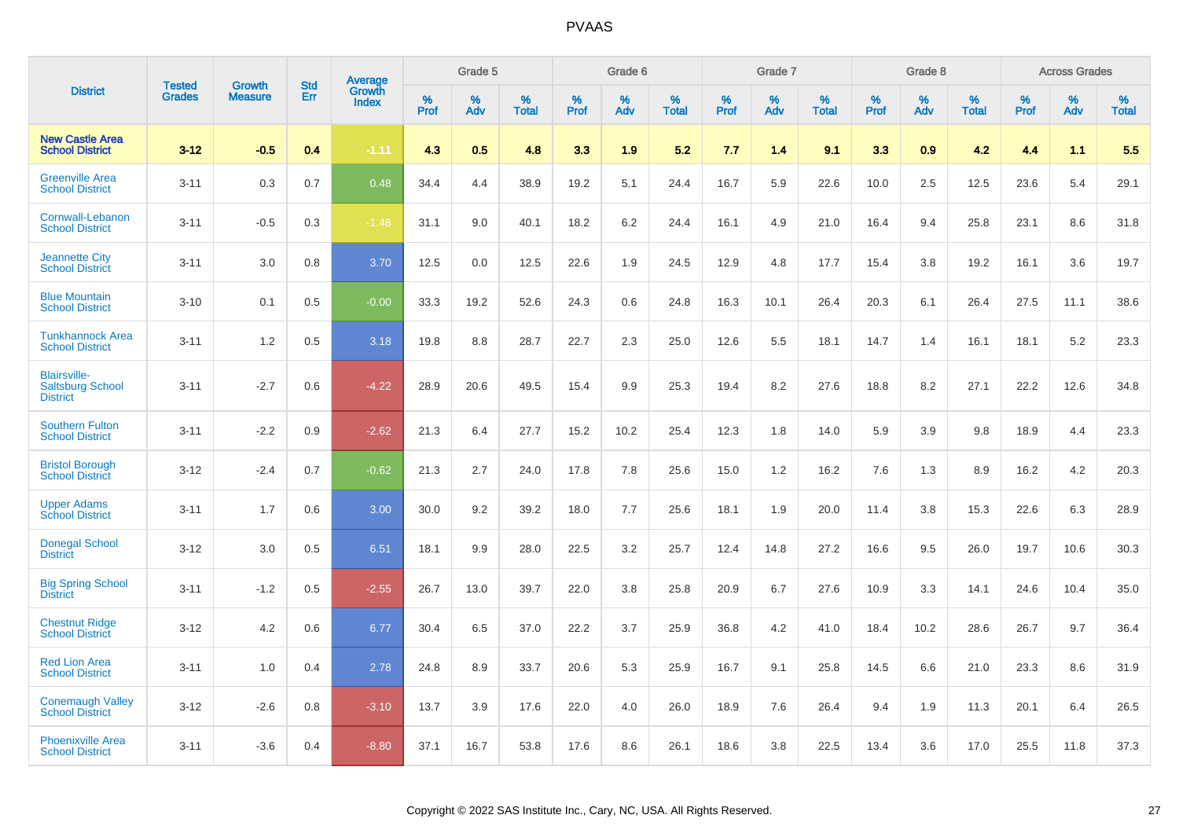|                                                                   | <b>Tested</b> | <b>Growth</b>  | <b>Std</b> | Average<br>Growth |                     | Grade 5  |                      |              | Grade 6  |                      |              | Grade 7  |                      |              | Grade 8  |                      |                     | <b>Across Grades</b> |                      |
|-------------------------------------------------------------------|---------------|----------------|------------|-------------------|---------------------|----------|----------------------|--------------|----------|----------------------|--------------|----------|----------------------|--------------|----------|----------------------|---------------------|----------------------|----------------------|
| <b>District</b>                                                   | <b>Grades</b> | <b>Measure</b> | Err        | <b>Index</b>      | $\%$<br><b>Prof</b> | %<br>Adv | $\%$<br><b>Total</b> | $\%$<br>Prof | %<br>Adv | $\%$<br><b>Total</b> | $\%$<br>Prof | %<br>Adv | $\%$<br><b>Total</b> | $\%$<br>Prof | %<br>Adv | $\%$<br><b>Total</b> | $\%$<br><b>Prof</b> | $\%$<br>Adv          | $\%$<br><b>Total</b> |
| <b>New Castle Area</b><br><b>School District</b>                  | $3 - 12$      | $-0.5$         | 0.4        | $-1.11$           | 4.3                 | 0.5      | 4.8                  | 3.3          | 1.9      | 5.2                  | 7.7          | 1.4      | 9.1                  | 3.3          | 0.9      | 4.2                  | 4.4                 | 1.1                  | 5.5                  |
| <b>Greenville Area</b><br><b>School District</b>                  | $3 - 11$      | 0.3            | 0.7        | 0.48              | 34.4                | 4.4      | 38.9                 | 19.2         | 5.1      | 24.4                 | 16.7         | 5.9      | 22.6                 | 10.0         | 2.5      | 12.5                 | 23.6                | 5.4                  | 29.1                 |
| Cornwall-Lebanon<br><b>School District</b>                        | $3 - 11$      | $-0.5$         | 0.3        | $-1.48$           | 31.1                | 9.0      | 40.1                 | 18.2         | 6.2      | 24.4                 | 16.1         | 4.9      | 21.0                 | 16.4         | 9.4      | 25.8                 | 23.1                | 8.6                  | 31.8                 |
| <b>Jeannette City</b><br><b>School District</b>                   | $3 - 11$      | 3.0            | 0.8        | 3.70              | 12.5                | 0.0      | 12.5                 | 22.6         | 1.9      | 24.5                 | 12.9         | 4.8      | 17.7                 | 15.4         | 3.8      | 19.2                 | 16.1                | 3.6                  | 19.7                 |
| <b>Blue Mountain</b><br><b>School District</b>                    | $3 - 10$      | 0.1            | 0.5        | $-0.00$           | 33.3                | 19.2     | 52.6                 | 24.3         | 0.6      | 24.8                 | 16.3         | 10.1     | 26.4                 | 20.3         | 6.1      | 26.4                 | 27.5                | 11.1                 | 38.6                 |
| <b>Tunkhannock Area</b><br><b>School District</b>                 | $3 - 11$      | 1.2            | 0.5        | 3.18              | 19.8                | 8.8      | 28.7                 | 22.7         | 2.3      | 25.0                 | 12.6         | 5.5      | 18.1                 | 14.7         | 1.4      | 16.1                 | 18.1                | 5.2                  | 23.3                 |
| <b>Blairsville-</b><br><b>Saltsburg School</b><br><b>District</b> | $3 - 11$      | $-2.7$         | 0.6        | $-4.22$           | 28.9                | 20.6     | 49.5                 | 15.4         | 9.9      | 25.3                 | 19.4         | 8.2      | 27.6                 | 18.8         | 8.2      | 27.1                 | 22.2                | 12.6                 | 34.8                 |
| <b>Southern Fulton</b><br><b>School District</b>                  | $3 - 11$      | $-2.2$         | 0.9        | $-2.62$           | 21.3                | 6.4      | 27.7                 | 15.2         | 10.2     | 25.4                 | 12.3         | 1.8      | 14.0                 | 5.9          | 3.9      | 9.8                  | 18.9                | 4.4                  | 23.3                 |
| <b>Bristol Borough</b><br><b>School District</b>                  | $3 - 12$      | $-2.4$         | 0.7        | $-0.62$           | 21.3                | 2.7      | 24.0                 | 17.8         | 7.8      | 25.6                 | 15.0         | 1.2      | 16.2                 | 7.6          | 1.3      | 8.9                  | 16.2                | 4.2                  | 20.3                 |
| <b>Upper Adams</b><br><b>School District</b>                      | $3 - 11$      | 1.7            | 0.6        | 3.00              | 30.0                | 9.2      | 39.2                 | 18.0         | 7.7      | 25.6                 | 18.1         | 1.9      | 20.0                 | 11.4         | 3.8      | 15.3                 | 22.6                | 6.3                  | 28.9                 |
| <b>Donegal School</b><br><b>District</b>                          | $3 - 12$      | 3.0            | 0.5        | 6.51              | 18.1                | 9.9      | 28.0                 | 22.5         | 3.2      | 25.7                 | 12.4         | 14.8     | 27.2                 | 16.6         | 9.5      | 26.0                 | 19.7                | 10.6                 | 30.3                 |
| <b>Big Spring School</b><br><b>District</b>                       | $3 - 11$      | $-1.2$         | 0.5        | $-2.55$           | 26.7                | 13.0     | 39.7                 | 22.0         | 3.8      | 25.8                 | 20.9         | 6.7      | 27.6                 | 10.9         | 3.3      | 14.1                 | 24.6                | 10.4                 | 35.0                 |
| <b>Chestnut Ridge</b><br><b>School District</b>                   | $3 - 12$      | 4.2            | 0.6        | 6.77              | 30.4                | 6.5      | 37.0                 | 22.2         | 3.7      | 25.9                 | 36.8         | 4.2      | 41.0                 | 18.4         | 10.2     | 28.6                 | 26.7                | 9.7                  | 36.4                 |
| <b>Red Lion Area</b><br><b>School District</b>                    | $3 - 11$      | 1.0            | 0.4        | 2.78              | 24.8                | 8.9      | 33.7                 | 20.6         | 5.3      | 25.9                 | 16.7         | 9.1      | 25.8                 | 14.5         | 6.6      | 21.0                 | 23.3                | 8.6                  | 31.9                 |
| <b>Conemaugh Valley</b><br><b>School District</b>                 | $3 - 12$      | $-2.6$         | 0.8        | $-3.10$           | 13.7                | 3.9      | 17.6                 | 22.0         | 4.0      | 26.0                 | 18.9         | 7.6      | 26.4                 | 9.4          | 1.9      | 11.3                 | 20.1                | 6.4                  | 26.5                 |
| <b>Phoenixville Area</b><br><b>School District</b>                | $3 - 11$      | $-3.6$         | 0.4        | $-8.80$           | 37.1                | 16.7     | 53.8                 | 17.6         | 8.6      | 26.1                 | 18.6         | 3.8      | 22.5                 | 13.4         | 3.6      | 17.0                 | 25.5                | 11.8                 | 37.3                 |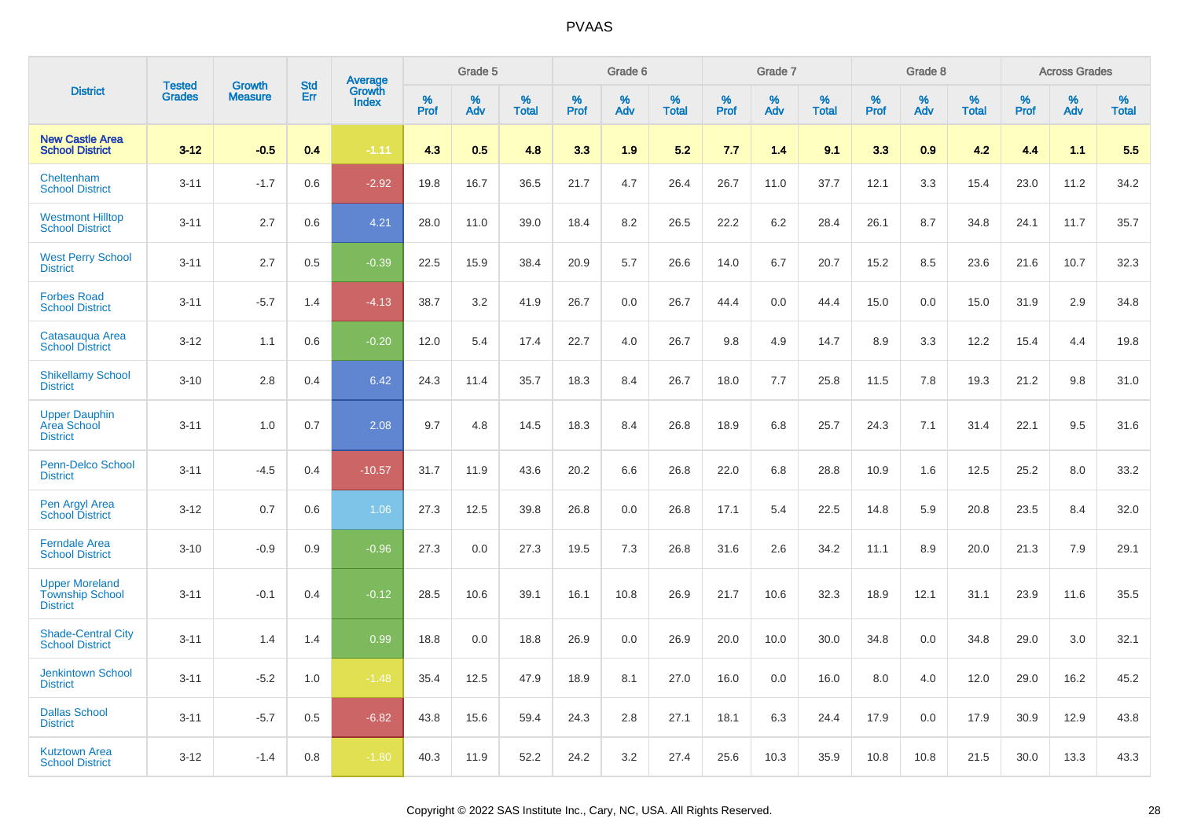|                                                                    | <b>Tested</b> | <b>Growth</b>  | <b>Std</b> | Average                |           | Grade 5  |                   |           | Grade 6  |                   |           | Grade 7  |                   |           | Grade 8  |                   |           | <b>Across Grades</b> |                   |
|--------------------------------------------------------------------|---------------|----------------|------------|------------------------|-----------|----------|-------------------|-----------|----------|-------------------|-----------|----------|-------------------|-----------|----------|-------------------|-----------|----------------------|-------------------|
| <b>District</b>                                                    | <b>Grades</b> | <b>Measure</b> | Err        | Growth<br><b>Index</b> | %<br>Prof | %<br>Adv | %<br><b>Total</b> | %<br>Prof | %<br>Adv | %<br><b>Total</b> | %<br>Prof | %<br>Adv | %<br><b>Total</b> | %<br>Prof | %<br>Adv | %<br><b>Total</b> | %<br>Prof | %<br>Adv             | %<br><b>Total</b> |
| <b>New Castle Area</b><br><b>School District</b>                   | $3 - 12$      | $-0.5$         | 0.4        | $-1.11$                | 4.3       | 0.5      | 4.8               | 3.3       | 1.9      | 5.2               | 7.7       | 1.4      | 9.1               | 3.3       | 0.9      | 4.2               | 4.4       | 1.1                  | 5.5               |
| Cheltenham<br><b>School District</b>                               | $3 - 11$      | $-1.7$         | 0.6        | $-2.92$                | 19.8      | 16.7     | 36.5              | 21.7      | 4.7      | 26.4              | 26.7      | 11.0     | 37.7              | 12.1      | 3.3      | 15.4              | 23.0      | 11.2                 | 34.2              |
| <b>Westmont Hilltop</b><br><b>School District</b>                  | $3 - 11$      | 2.7            | 0.6        | 4.21                   | 28.0      | 11.0     | 39.0              | 18.4      | 8.2      | 26.5              | 22.2      | 6.2      | 28.4              | 26.1      | 8.7      | 34.8              | 24.1      | 11.7                 | 35.7              |
| <b>West Perry School</b><br><b>District</b>                        | $3 - 11$      | 2.7            | 0.5        | $-0.39$                | 22.5      | 15.9     | 38.4              | 20.9      | 5.7      | 26.6              | 14.0      | 6.7      | 20.7              | 15.2      | 8.5      | 23.6              | 21.6      | 10.7                 | 32.3              |
| <b>Forbes Road</b><br><b>School District</b>                       | $3 - 11$      | $-5.7$         | 1.4        | $-4.13$                | 38.7      | 3.2      | 41.9              | 26.7      | 0.0      | 26.7              | 44.4      | 0.0      | 44.4              | 15.0      | 0.0      | 15.0              | 31.9      | 2.9                  | 34.8              |
| Catasauqua Area<br><b>School District</b>                          | $3 - 12$      | 1.1            | 0.6        | $-0.20$                | 12.0      | 5.4      | 17.4              | 22.7      | 4.0      | 26.7              | 9.8       | 4.9      | 14.7              | 8.9       | 3.3      | 12.2              | 15.4      | 4.4                  | 19.8              |
| <b>Shikellamy School</b><br><b>District</b>                        | $3 - 10$      | 2.8            | 0.4        | 6.42                   | 24.3      | 11.4     | 35.7              | 18.3      | 8.4      | 26.7              | 18.0      | 7.7      | 25.8              | 11.5      | 7.8      | 19.3              | 21.2      | 9.8                  | 31.0              |
| <b>Upper Dauphin</b><br>Area School<br><b>District</b>             | $3 - 11$      | 1.0            | 0.7        | 2.08                   | 9.7       | 4.8      | 14.5              | 18.3      | 8.4      | 26.8              | 18.9      | 6.8      | 25.7              | 24.3      | 7.1      | 31.4              | 22.1      | 9.5                  | 31.6              |
| Penn-Delco School<br><b>District</b>                               | $3 - 11$      | $-4.5$         | 0.4        | $-10.57$               | 31.7      | 11.9     | 43.6              | 20.2      | 6.6      | 26.8              | 22.0      | 6.8      | 28.8              | 10.9      | 1.6      | 12.5              | 25.2      | 8.0                  | 33.2              |
| Pen Argyl Area<br><b>School District</b>                           | $3 - 12$      | 0.7            | 0.6        | 1.06                   | 27.3      | 12.5     | 39.8              | 26.8      | 0.0      | 26.8              | 17.1      | 5.4      | 22.5              | 14.8      | 5.9      | 20.8              | 23.5      | 8.4                  | 32.0              |
| <b>Ferndale Area</b><br><b>School District</b>                     | $3 - 10$      | $-0.9$         | 0.9        | $-0.96$                | 27.3      | 0.0      | 27.3              | 19.5      | 7.3      | 26.8              | 31.6      | 2.6      | 34.2              | 11.1      | 8.9      | 20.0              | 21.3      | 7.9                  | 29.1              |
| <b>Upper Moreland</b><br><b>Township School</b><br><b>District</b> | $3 - 11$      | $-0.1$         | 0.4        | $-0.12$                | 28.5      | 10.6     | 39.1              | 16.1      | 10.8     | 26.9              | 21.7      | 10.6     | 32.3              | 18.9      | 12.1     | 31.1              | 23.9      | 11.6                 | 35.5              |
| <b>Shade-Central City</b><br><b>School District</b>                | $3 - 11$      | 1.4            | 1.4        | 0.99                   | 18.8      | 0.0      | 18.8              | 26.9      | 0.0      | 26.9              | 20.0      | 10.0     | 30.0              | 34.8      | 0.0      | 34.8              | 29.0      | 3.0                  | 32.1              |
| <b>Jenkintown School</b><br><b>District</b>                        | $3 - 11$      | $-5.2$         | 1.0        | $-1.48$                | 35.4      | 12.5     | 47.9              | 18.9      | 8.1      | 27.0              | 16.0      | 0.0      | 16.0              | 8.0       | 4.0      | 12.0              | 29.0      | 16.2                 | 45.2              |
| <b>Dallas School</b><br><b>District</b>                            | $3 - 11$      | $-5.7$         | 0.5        | $-6.82$                | 43.8      | 15.6     | 59.4              | 24.3      | 2.8      | 27.1              | 18.1      | 6.3      | 24.4              | 17.9      | 0.0      | 17.9              | 30.9      | 12.9                 | 43.8              |
| <b>Kutztown Area</b><br><b>School District</b>                     | $3 - 12$      | $-1.4$         | 0.8        | $-1.80$                | 40.3      | 11.9     | 52.2              | 24.2      | 3.2      | 27.4              | 25.6      | 10.3     | 35.9              | 10.8      | 10.8     | 21.5              | 30.0      | 13.3                 | 43.3              |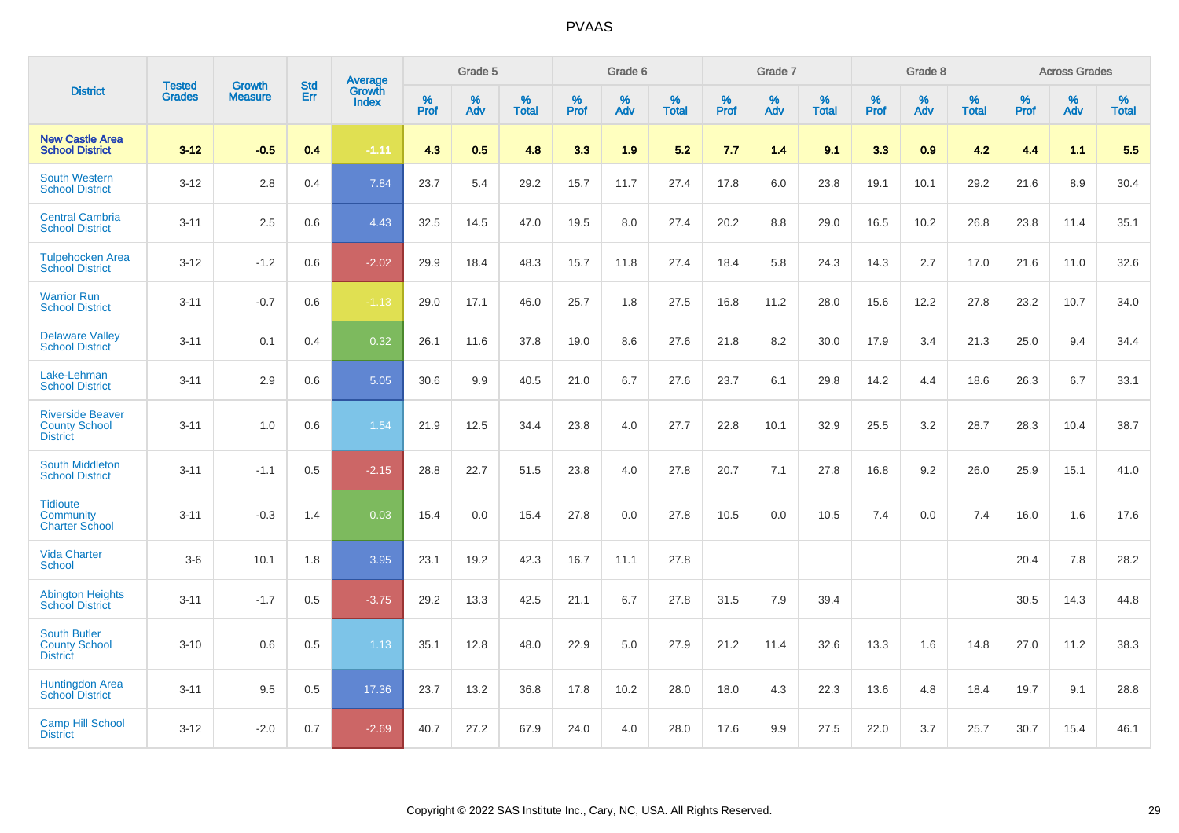|                                                                    | <b>Tested</b> | <b>Growth</b>  | <b>Std</b> | Average                       |           | Grade 5  |                   |           | Grade 6  |                   |           | Grade 7  |                   |           | Grade 8  |                   |           | <b>Across Grades</b> |                   |
|--------------------------------------------------------------------|---------------|----------------|------------|-------------------------------|-----------|----------|-------------------|-----------|----------|-------------------|-----------|----------|-------------------|-----------|----------|-------------------|-----------|----------------------|-------------------|
| <b>District</b>                                                    | <b>Grades</b> | <b>Measure</b> | Err        | <b>Growth</b><br><b>Index</b> | %<br>Prof | %<br>Adv | %<br><b>Total</b> | %<br>Prof | %<br>Adv | %<br><b>Total</b> | %<br>Prof | %<br>Adv | %<br><b>Total</b> | %<br>Prof | %<br>Adv | %<br><b>Total</b> | %<br>Prof | %<br>Adv             | %<br><b>Total</b> |
| <b>New Castle Area</b><br><b>School District</b>                   | $3 - 12$      | $-0.5$         | 0.4        | $-1.11$                       | 4.3       | 0.5      | 4.8               | 3.3       | 1.9      | 5.2               | 7.7       | 1.4      | 9.1               | 3.3       | 0.9      | 4.2               | 4.4       | 1.1                  | 5.5               |
| <b>South Western</b><br><b>School District</b>                     | $3 - 12$      | 2.8            | 0.4        | 7.84                          | 23.7      | 5.4      | 29.2              | 15.7      | 11.7     | 27.4              | 17.8      | 6.0      | 23.8              | 19.1      | 10.1     | 29.2              | 21.6      | 8.9                  | 30.4              |
| <b>Central Cambria</b><br><b>School District</b>                   | $3 - 11$      | 2.5            | 0.6        | 4.43                          | 32.5      | 14.5     | 47.0              | 19.5      | 8.0      | 27.4              | 20.2      | 8.8      | 29.0              | 16.5      | 10.2     | 26.8              | 23.8      | 11.4                 | 35.1              |
| <b>Tulpehocken Area</b><br><b>School District</b>                  | $3 - 12$      | $-1.2$         | 0.6        | $-2.02$                       | 29.9      | 18.4     | 48.3              | 15.7      | 11.8     | 27.4              | 18.4      | 5.8      | 24.3              | 14.3      | 2.7      | 17.0              | 21.6      | 11.0                 | 32.6              |
| <b>Warrior Run</b><br><b>School District</b>                       | $3 - 11$      | $-0.7$         | 0.6        | $-1.13$                       | 29.0      | 17.1     | 46.0              | 25.7      | 1.8      | 27.5              | 16.8      | 11.2     | 28.0              | 15.6      | 12.2     | 27.8              | 23.2      | 10.7                 | 34.0              |
| <b>Delaware Valley</b><br><b>School District</b>                   | $3 - 11$      | 0.1            | 0.4        | 0.32                          | 26.1      | 11.6     | 37.8              | 19.0      | 8.6      | 27.6              | 21.8      | 8.2      | 30.0              | 17.9      | 3.4      | 21.3              | 25.0      | 9.4                  | 34.4              |
| Lake-Lehman<br><b>School District</b>                              | $3 - 11$      | 2.9            | 0.6        | 5.05                          | 30.6      | 9.9      | 40.5              | 21.0      | 6.7      | 27.6              | 23.7      | 6.1      | 29.8              | 14.2      | 4.4      | 18.6              | 26.3      | 6.7                  | 33.1              |
| <b>Riverside Beaver</b><br><b>County School</b><br><b>District</b> | $3 - 11$      | 1.0            | 0.6        | 1.54                          | 21.9      | 12.5     | 34.4              | 23.8      | 4.0      | 27.7              | 22.8      | 10.1     | 32.9              | 25.5      | 3.2      | 28.7              | 28.3      | 10.4                 | 38.7              |
| South Middleton<br><b>School District</b>                          | $3 - 11$      | $-1.1$         | 0.5        | $-2.15$                       | 28.8      | 22.7     | 51.5              | 23.8      | 4.0      | 27.8              | 20.7      | 7.1      | 27.8              | 16.8      | 9.2      | 26.0              | 25.9      | 15.1                 | 41.0              |
| <b>Tidioute</b><br>Community<br><b>Charter School</b>              | $3 - 11$      | $-0.3$         | 1.4        | 0.03                          | 15.4      | 0.0      | 15.4              | 27.8      | 0.0      | 27.8              | 10.5      | 0.0      | 10.5              | 7.4       | 0.0      | 7.4               | 16.0      | 1.6                  | 17.6              |
| <b>Vida Charter</b><br><b>School</b>                               | $3 - 6$       | 10.1           | 1.8        | 3.95                          | 23.1      | 19.2     | 42.3              | 16.7      | 11.1     | 27.8              |           |          |                   |           |          |                   | 20.4      | 7.8                  | 28.2              |
| <b>Abington Heights</b><br><b>School District</b>                  | $3 - 11$      | $-1.7$         | 0.5        | $-3.75$                       | 29.2      | 13.3     | 42.5              | 21.1      | 6.7      | 27.8              | 31.5      | 7.9      | 39.4              |           |          |                   | 30.5      | 14.3                 | 44.8              |
| <b>South Butler</b><br><b>County School</b><br><b>District</b>     | $3 - 10$      | 0.6            | 0.5        | 1.13                          | 35.1      | 12.8     | 48.0              | 22.9      | 5.0      | 27.9              | 21.2      | 11.4     | 32.6              | 13.3      | 1.6      | 14.8              | 27.0      | 11.2                 | 38.3              |
| <b>Huntingdon Area</b><br><b>School District</b>                   | $3 - 11$      | 9.5            | 0.5        | 17.36                         | 23.7      | 13.2     | 36.8              | 17.8      | 10.2     | 28.0              | 18.0      | 4.3      | 22.3              | 13.6      | 4.8      | 18.4              | 19.7      | 9.1                  | 28.8              |
| <b>Camp Hill School</b><br><b>District</b>                         | $3 - 12$      | $-2.0$         | 0.7        | $-2.69$                       | 40.7      | 27.2     | 67.9              | 24.0      | 4.0      | 28.0              | 17.6      | 9.9      | 27.5              | 22.0      | 3.7      | 25.7              | 30.7      | 15.4                 | 46.1              |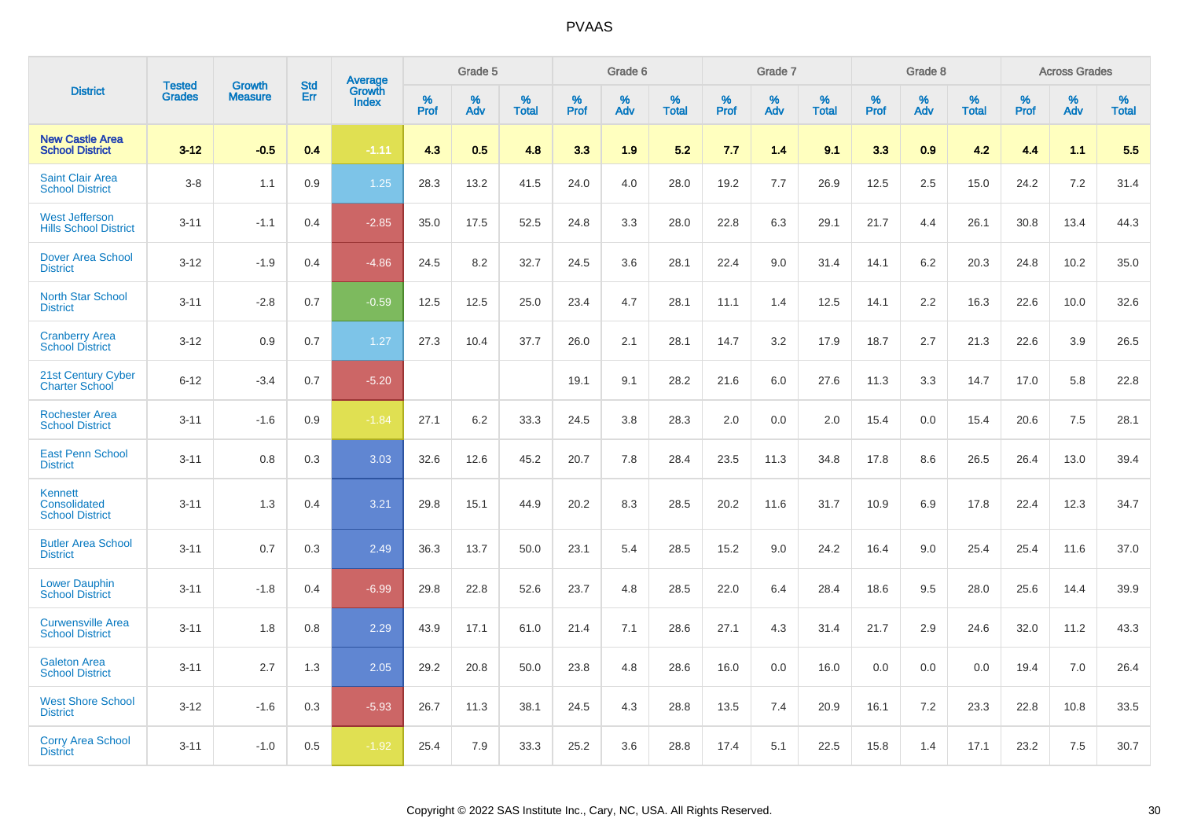|                                                       | <b>Tested</b> | <b>Growth</b>  | <b>Std</b> | Average                |              | Grade 5  |                   |              | Grade 6  |                   |              | Grade 7  |                   |              | Grade 8  |                   |              | <b>Across Grades</b> |                   |
|-------------------------------------------------------|---------------|----------------|------------|------------------------|--------------|----------|-------------------|--------------|----------|-------------------|--------------|----------|-------------------|--------------|----------|-------------------|--------------|----------------------|-------------------|
| <b>District</b>                                       | <b>Grades</b> | <b>Measure</b> | Err        | Growth<br><b>Index</b> | $\%$<br>Prof | %<br>Adv | %<br><b>Total</b> | $\%$<br>Prof | %<br>Adv | %<br><b>Total</b> | $\%$<br>Prof | %<br>Adv | %<br><b>Total</b> | $\%$<br>Prof | %<br>Adv | %<br><b>Total</b> | $\%$<br>Prof | %<br>Adv             | %<br><b>Total</b> |
| <b>New Castle Area</b><br><b>School District</b>      | $3 - 12$      | $-0.5$         | 0.4        | $-1.11$                | 4.3          | 0.5      | 4.8               | 3.3          | 1.9      | 5.2               | 7.7          | 1.4      | 9.1               | 3.3          | 0.9      | 4.2               | 4.4          | 1.1                  | 5.5               |
| <b>Saint Clair Area</b><br><b>School District</b>     | $3 - 8$       | 1.1            | 0.9        | 1.25                   | 28.3         | 13.2     | 41.5              | 24.0         | 4.0      | 28.0              | 19.2         | 7.7      | 26.9              | 12.5         | 2.5      | 15.0              | 24.2         | 7.2                  | 31.4              |
| <b>West Jefferson</b><br><b>Hills School District</b> | $3 - 11$      | $-1.1$         | 0.4        | $-2.85$                | 35.0         | 17.5     | 52.5              | 24.8         | 3.3      | 28.0              | 22.8         | 6.3      | 29.1              | 21.7         | 4.4      | 26.1              | 30.8         | 13.4                 | 44.3              |
| <b>Dover Area School</b><br><b>District</b>           | $3 - 12$      | $-1.9$         | 0.4        | $-4.86$                | 24.5         | 8.2      | 32.7              | 24.5         | 3.6      | 28.1              | 22.4         | 9.0      | 31.4              | 14.1         | 6.2      | 20.3              | 24.8         | 10.2                 | 35.0              |
| <b>North Star School</b><br><b>District</b>           | $3 - 11$      | $-2.8$         | 0.7        | $-0.59$                | 12.5         | 12.5     | 25.0              | 23.4         | 4.7      | 28.1              | 11.1         | 1.4      | 12.5              | 14.1         | 2.2      | 16.3              | 22.6         | 10.0                 | 32.6              |
| <b>Cranberry Area</b><br><b>School District</b>       | $3 - 12$      | 0.9            | 0.7        | 1.27                   | 27.3         | 10.4     | 37.7              | 26.0         | 2.1      | 28.1              | 14.7         | 3.2      | 17.9              | 18.7         | 2.7      | 21.3              | 22.6         | 3.9                  | 26.5              |
| 21st Century Cyber<br><b>Charter School</b>           | $6 - 12$      | $-3.4$         | 0.7        | $-5.20$                |              |          |                   | 19.1         | 9.1      | 28.2              | 21.6         | 6.0      | 27.6              | 11.3         | 3.3      | 14.7              | 17.0         | 5.8                  | 22.8              |
| <b>Rochester Area</b><br><b>School District</b>       | $3 - 11$      | $-1.6$         | 0.9        | $-1.84$                | 27.1         | 6.2      | 33.3              | 24.5         | 3.8      | 28.3              | 2.0          | 0.0      | 2.0               | 15.4         | 0.0      | 15.4              | 20.6         | 7.5                  | 28.1              |
| <b>East Penn School</b><br><b>District</b>            | $3 - 11$      | 0.8            | 0.3        | 3.03                   | 32.6         | 12.6     | 45.2              | 20.7         | 7.8      | 28.4              | 23.5         | 11.3     | 34.8              | 17.8         | 8.6      | 26.5              | 26.4         | 13.0                 | 39.4              |
| Kennett<br>Consolidated<br><b>School District</b>     | $3 - 11$      | 1.3            | 0.4        | 3.21                   | 29.8         | 15.1     | 44.9              | 20.2         | 8.3      | 28.5              | 20.2         | 11.6     | 31.7              | 10.9         | 6.9      | 17.8              | 22.4         | 12.3                 | 34.7              |
| <b>Butler Area School</b><br><b>District</b>          | $3 - 11$      | 0.7            | 0.3        | 2.49                   | 36.3         | 13.7     | 50.0              | 23.1         | 5.4      | 28.5              | 15.2         | 9.0      | 24.2              | 16.4         | 9.0      | 25.4              | 25.4         | 11.6                 | 37.0              |
| <b>Lower Dauphin</b><br><b>School District</b>        | $3 - 11$      | $-1.8$         | 0.4        | $-6.99$                | 29.8         | 22.8     | 52.6              | 23.7         | 4.8      | 28.5              | 22.0         | 6.4      | 28.4              | 18.6         | 9.5      | 28.0              | 25.6         | 14.4                 | 39.9              |
| <b>Curwensville Area</b><br><b>School District</b>    | $3 - 11$      | 1.8            | 0.8        | 2.29                   | 43.9         | 17.1     | 61.0              | 21.4         | 7.1      | 28.6              | 27.1         | 4.3      | 31.4              | 21.7         | 2.9      | 24.6              | 32.0         | 11.2                 | 43.3              |
| <b>Galeton Area</b><br><b>School District</b>         | $3 - 11$      | 2.7            | 1.3        | 2.05                   | 29.2         | 20.8     | 50.0              | 23.8         | 4.8      | 28.6              | 16.0         | 0.0      | 16.0              | 0.0          | 0.0      | 0.0               | 19.4         | 7.0                  | 26.4              |
| <b>West Shore School</b><br><b>District</b>           | $3 - 12$      | $-1.6$         | 0.3        | $-5.93$                | 26.7         | 11.3     | 38.1              | 24.5         | 4.3      | 28.8              | 13.5         | 7.4      | 20.9              | 16.1         | 7.2      | 23.3              | 22.8         | 10.8                 | 33.5              |
| <b>Corry Area School</b><br><b>District</b>           | $3 - 11$      | $-1.0$         | 0.5        | $-1.92$                | 25.4         | 7.9      | 33.3              | 25.2         | 3.6      | 28.8              | 17.4         | 5.1      | 22.5              | 15.8         | 1.4      | 17.1              | 23.2         | 7.5                  | 30.7              |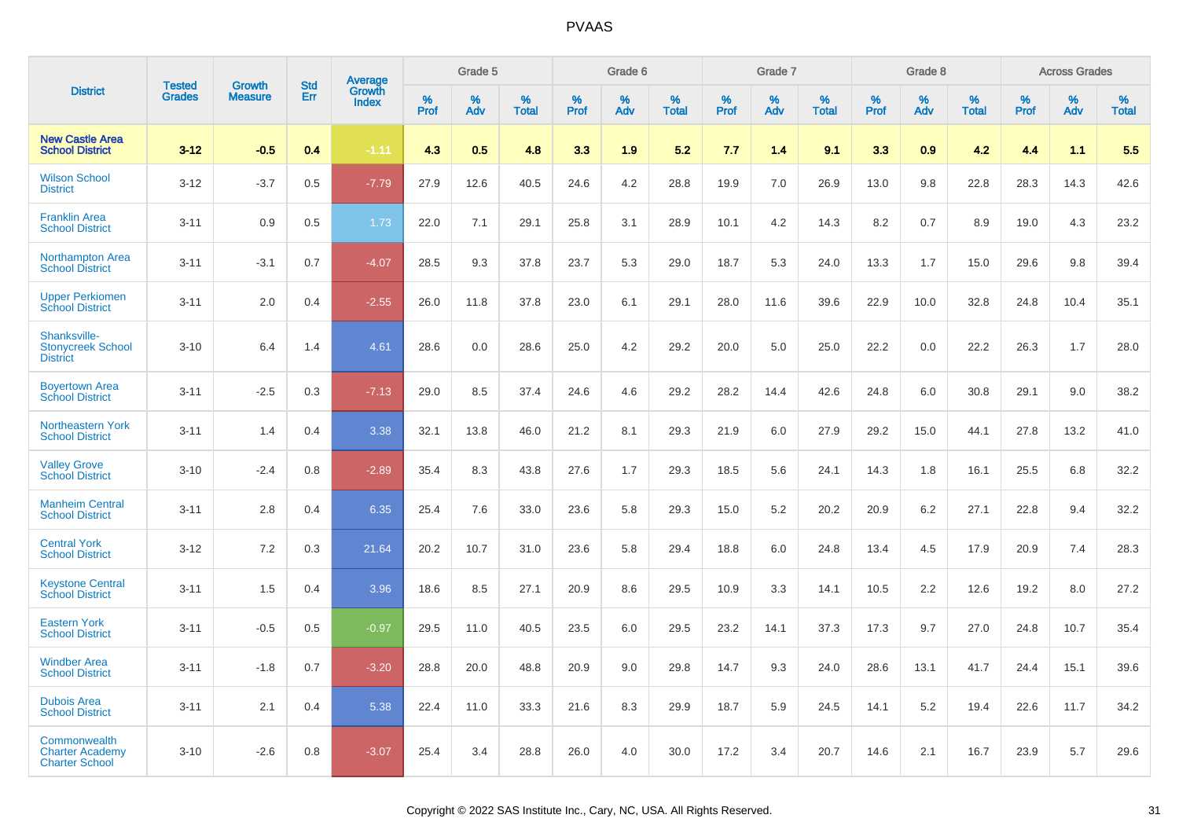|                                                                 | <b>Tested</b> | <b>Growth</b>  | <b>Std</b> |                                          |              | Grade 5  |                   |              | Grade 6  |                   |              | Grade 7  |                   |              | Grade 8  |                   |              | <b>Across Grades</b> |                   |
|-----------------------------------------------------------------|---------------|----------------|------------|------------------------------------------|--------------|----------|-------------------|--------------|----------|-------------------|--------------|----------|-------------------|--------------|----------|-------------------|--------------|----------------------|-------------------|
| <b>District</b>                                                 | <b>Grades</b> | <b>Measure</b> | Err        | <b>Average</b><br>Growth<br><b>Index</b> | $\%$<br>Prof | %<br>Adv | %<br><b>Total</b> | $\%$<br>Prof | %<br>Adv | %<br><b>Total</b> | $\%$<br>Prof | %<br>Adv | %<br><b>Total</b> | $\%$<br>Prof | %<br>Adv | %<br><b>Total</b> | $\%$<br>Prof | %<br>Adv             | %<br><b>Total</b> |
| <b>New Castle Area</b><br><b>School District</b>                | $3 - 12$      | $-0.5$         | 0.4        | $-1.11$                                  | 4.3          | 0.5      | 4.8               | 3.3          | 1.9      | 5.2               | 7.7          | 1.4      | 9.1               | 3.3          | 0.9      | 4.2               | 4.4          | 1.1                  | 5.5               |
| <b>Wilson School</b><br><b>District</b>                         | $3 - 12$      | $-3.7$         | 0.5        | $-7.79$                                  | 27.9         | 12.6     | 40.5              | 24.6         | 4.2      | 28.8              | 19.9         | 7.0      | 26.9              | 13.0         | 9.8      | 22.8              | 28.3         | 14.3                 | 42.6              |
| <b>Franklin Area</b><br><b>School District</b>                  | $3 - 11$      | 0.9            | 0.5        | 1.73                                     | 22.0         | 7.1      | 29.1              | 25.8         | 3.1      | 28.9              | 10.1         | 4.2      | 14.3              | 8.2          | 0.7      | 8.9               | 19.0         | 4.3                  | 23.2              |
| Northampton Area<br><b>School District</b>                      | $3 - 11$      | $-3.1$         | 0.7        | $-4.07$                                  | 28.5         | 9.3      | 37.8              | 23.7         | 5.3      | 29.0              | 18.7         | 5.3      | 24.0              | 13.3         | 1.7      | 15.0              | 29.6         | 9.8                  | 39.4              |
| <b>Upper Perkiomen</b><br><b>School District</b>                | $3 - 11$      | 2.0            | 0.4        | $-2.55$                                  | 26.0         | 11.8     | 37.8              | 23.0         | 6.1      | 29.1              | 28.0         | 11.6     | 39.6              | 22.9         | 10.0     | 32.8              | 24.8         | 10.4                 | 35.1              |
| Shanksville-<br><b>Stonycreek School</b><br><b>District</b>     | $3 - 10$      | 6.4            | 1.4        | 4.61                                     | 28.6         | 0.0      | 28.6              | 25.0         | 4.2      | 29.2              | 20.0         | 5.0      | 25.0              | 22.2         | 0.0      | 22.2              | 26.3         | 1.7                  | 28.0              |
| <b>Boyertown Area</b><br><b>School District</b>                 | $3 - 11$      | $-2.5$         | 0.3        | $-7.13$                                  | 29.0         | 8.5      | 37.4              | 24.6         | 4.6      | 29.2              | 28.2         | 14.4     | 42.6              | 24.8         | 6.0      | 30.8              | 29.1         | 9.0                  | 38.2              |
| Northeastern York<br><b>School District</b>                     | $3 - 11$      | 1.4            | 0.4        | 3.38                                     | 32.1         | 13.8     | 46.0              | 21.2         | 8.1      | 29.3              | 21.9         | 6.0      | 27.9              | 29.2         | 15.0     | 44.1              | 27.8         | 13.2                 | 41.0              |
| <b>Valley Grove</b><br><b>School District</b>                   | $3 - 10$      | $-2.4$         | 0.8        | $-2.89$                                  | 35.4         | 8.3      | 43.8              | 27.6         | 1.7      | 29.3              | 18.5         | 5.6      | 24.1              | 14.3         | 1.8      | 16.1              | 25.5         | 6.8                  | 32.2              |
| <b>Manheim Central</b><br><b>School District</b>                | $3 - 11$      | 2.8            | 0.4        | 6.35                                     | 25.4         | 7.6      | 33.0              | 23.6         | 5.8      | 29.3              | 15.0         | 5.2      | 20.2              | 20.9         | 6.2      | 27.1              | 22.8         | 9.4                  | 32.2              |
| <b>Central York</b><br><b>School District</b>                   | $3 - 12$      | 7.2            | 0.3        | 21.64                                    | 20.2         | 10.7     | 31.0              | 23.6         | 5.8      | 29.4              | 18.8         | 6.0      | 24.8              | 13.4         | 4.5      | 17.9              | 20.9         | 7.4                  | 28.3              |
| <b>Keystone Central</b><br><b>School District</b>               | $3 - 11$      | 1.5            | 0.4        | 3.96                                     | 18.6         | 8.5      | 27.1              | 20.9         | 8.6      | 29.5              | 10.9         | 3.3      | 14.1              | 10.5         | 2.2      | 12.6              | 19.2         | 8.0                  | 27.2              |
| <b>Eastern York</b><br><b>School District</b>                   | $3 - 11$      | $-0.5$         | 0.5        | $-0.97$                                  | 29.5         | 11.0     | 40.5              | 23.5         | 6.0      | 29.5              | 23.2         | 14.1     | 37.3              | 17.3         | 9.7      | 27.0              | 24.8         | 10.7                 | 35.4              |
| <b>Windber Area</b><br><b>School District</b>                   | $3 - 11$      | $-1.8$         | 0.7        | $-3.20$                                  | 28.8         | 20.0     | 48.8              | 20.9         | 9.0      | 29.8              | 14.7         | 9.3      | 24.0              | 28.6         | 13.1     | 41.7              | 24.4         | 15.1                 | 39.6              |
| <b>Dubois Area</b><br><b>School District</b>                    | $3 - 11$      | 2.1            | 0.4        | 5.38                                     | 22.4         | 11.0     | 33.3              | 21.6         | 8.3      | 29.9              | 18.7         | 5.9      | 24.5              | 14.1         | 5.2      | 19.4              | 22.6         | 11.7                 | 34.2              |
| Commonwealth<br><b>Charter Academy</b><br><b>Charter School</b> | $3 - 10$      | $-2.6$         | 0.8        | $-3.07$                                  | 25.4         | 3.4      | 28.8              | 26.0         | 4.0      | 30.0              | 17.2         | 3.4      | 20.7              | 14.6         | 2.1      | 16.7              | 23.9         | 5.7                  | 29.6              |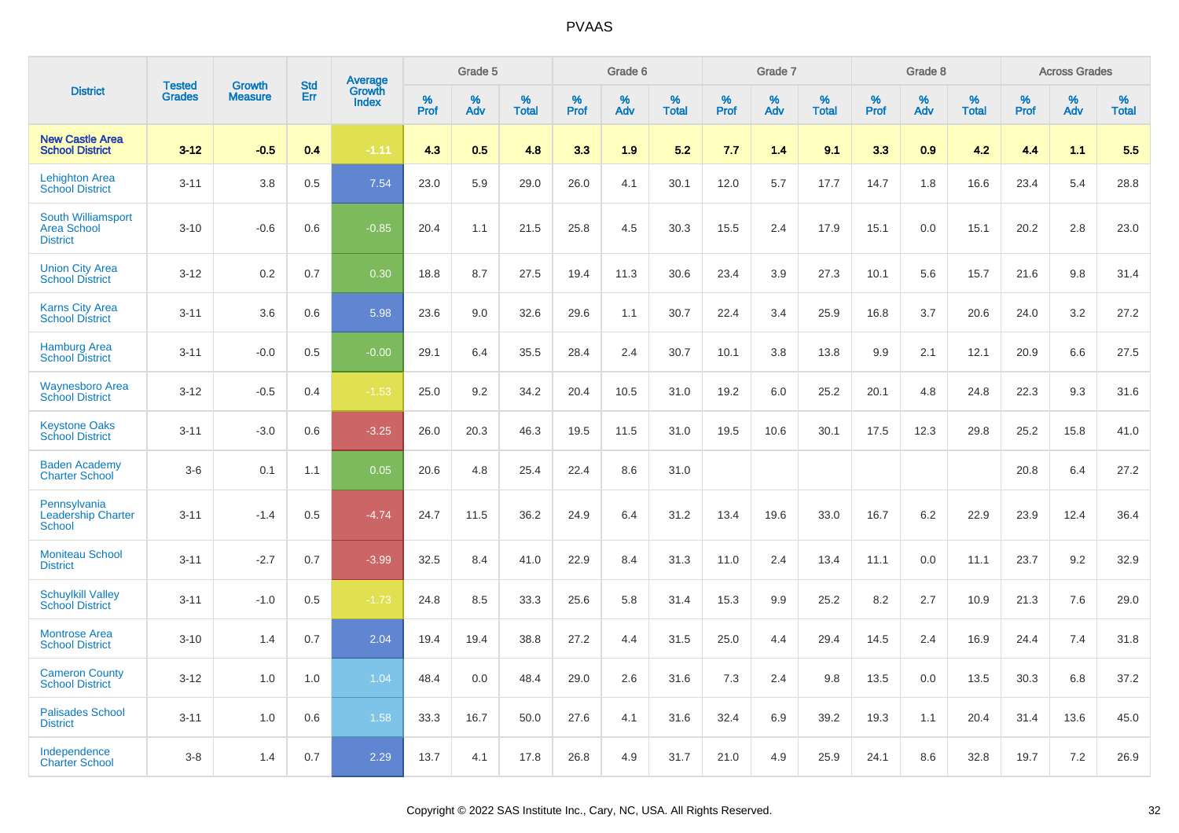|                                                             | <b>Tested</b> | <b>Growth</b>  | <b>Std</b> | Average                |              | Grade 5  |                   |              | Grade 6  |                   |              | Grade 7  |                   |                     | Grade 8  |                   |              | <b>Across Grades</b> |                   |
|-------------------------------------------------------------|---------------|----------------|------------|------------------------|--------------|----------|-------------------|--------------|----------|-------------------|--------------|----------|-------------------|---------------------|----------|-------------------|--------------|----------------------|-------------------|
| <b>District</b>                                             | <b>Grades</b> | <b>Measure</b> | Err        | Growth<br><b>Index</b> | $\%$<br>Prof | %<br>Adv | %<br><b>Total</b> | $\%$<br>Prof | %<br>Adv | %<br><b>Total</b> | $\%$<br>Prof | %<br>Adv | %<br><b>Total</b> | $\%$<br><b>Prof</b> | %<br>Adv | %<br><b>Total</b> | $\%$<br>Prof | %<br>Adv             | %<br><b>Total</b> |
| <b>New Castle Area</b><br><b>School District</b>            | $3 - 12$      | $-0.5$         | 0.4        | $-1.11$                | 4.3          | 0.5      | 4.8               | 3.3          | 1.9      | 5.2               | 7.7          | 1.4      | 9.1               | 3.3                 | 0.9      | 4.2               | 4.4          | 1.1                  | 5.5               |
| <b>Lehighton Area</b><br><b>School District</b>             | $3 - 11$      | 3.8            | 0.5        | 7.54                   | 23.0         | 5.9      | 29.0              | 26.0         | 4.1      | 30.1              | 12.0         | 5.7      | 17.7              | 14.7                | 1.8      | 16.6              | 23.4         | 5.4                  | 28.8              |
| South Williamsport<br><b>Area School</b><br><b>District</b> | $3 - 10$      | $-0.6$         | 0.6        | $-0.85$                | 20.4         | 1.1      | 21.5              | 25.8         | 4.5      | 30.3              | 15.5         | 2.4      | 17.9              | 15.1                | 0.0      | 15.1              | 20.2         | 2.8                  | 23.0              |
| <b>Union City Area</b><br><b>School District</b>            | $3 - 12$      | 0.2            | 0.7        | 0.30                   | 18.8         | 8.7      | 27.5              | 19.4         | 11.3     | 30.6              | 23.4         | 3.9      | 27.3              | 10.1                | 5.6      | 15.7              | 21.6         | 9.8                  | 31.4              |
| <b>Karns City Area</b><br><b>School District</b>            | $3 - 11$      | 3.6            | 0.6        | 5.98                   | 23.6         | 9.0      | 32.6              | 29.6         | 1.1      | 30.7              | 22.4         | 3.4      | 25.9              | 16.8                | 3.7      | 20.6              | 24.0         | 3.2                  | 27.2              |
| <b>Hamburg Area</b><br><b>School District</b>               | $3 - 11$      | $-0.0$         | 0.5        | $-0.00$                | 29.1         | 6.4      | 35.5              | 28.4         | 2.4      | 30.7              | 10.1         | 3.8      | 13.8              | 9.9                 | 2.1      | 12.1              | 20.9         | 6.6                  | 27.5              |
| <b>Waynesboro Area</b><br><b>School District</b>            | $3 - 12$      | $-0.5$         | 0.4        | $-1.53$                | 25.0         | 9.2      | 34.2              | 20.4         | 10.5     | 31.0              | 19.2         | 6.0      | 25.2              | 20.1                | 4.8      | 24.8              | 22.3         | 9.3                  | 31.6              |
| <b>Keystone Oaks</b><br><b>School District</b>              | $3 - 11$      | $-3.0$         | 0.6        | $-3.25$                | 26.0         | 20.3     | 46.3              | 19.5         | 11.5     | 31.0              | 19.5         | 10.6     | 30.1              | 17.5                | 12.3     | 29.8              | 25.2         | 15.8                 | 41.0              |
| <b>Baden Academy</b><br><b>Charter School</b>               | $3-6$         | 0.1            | 1.1        | 0.05                   | 20.6         | 4.8      | 25.4              | 22.4         | 8.6      | 31.0              |              |          |                   |                     |          |                   | 20.8         | 6.4                  | 27.2              |
| Pennsylvania<br><b>Leadership Charter</b><br><b>School</b>  | $3 - 11$      | $-1.4$         | 0.5        | $-4.74$                | 24.7         | 11.5     | 36.2              | 24.9         | 6.4      | 31.2              | 13.4         | 19.6     | 33.0              | 16.7                | 6.2      | 22.9              | 23.9         | 12.4                 | 36.4              |
| <b>Moniteau School</b><br><b>District</b>                   | $3 - 11$      | $-2.7$         | 0.7        | $-3.99$                | 32.5         | 8.4      | 41.0              | 22.9         | 8.4      | 31.3              | 11.0         | 2.4      | 13.4              | 11.1                | 0.0      | 11.1              | 23.7         | 9.2                  | 32.9              |
| <b>Schuylkill Valley</b><br><b>School District</b>          | $3 - 11$      | $-1.0$         | 0.5        | $-1.73$                | 24.8         | 8.5      | 33.3              | 25.6         | 5.8      | 31.4              | 15.3         | 9.9      | 25.2              | 8.2                 | 2.7      | 10.9              | 21.3         | 7.6                  | 29.0              |
| <b>Montrose Area</b><br><b>School District</b>              | $3 - 10$      | 1.4            | 0.7        | 2.04                   | 19.4         | 19.4     | 38.8              | 27.2         | 4.4      | 31.5              | 25.0         | 4.4      | 29.4              | 14.5                | 2.4      | 16.9              | 24.4         | 7.4                  | 31.8              |
| <b>Cameron County</b><br><b>School District</b>             | $3 - 12$      | 1.0            | 1.0        | 1.04                   | 48.4         | 0.0      | 48.4              | 29.0         | 2.6      | 31.6              | 7.3          | 2.4      | 9.8               | 13.5                | 0.0      | 13.5              | 30.3         | 6.8                  | 37.2              |
| <b>Palisades School</b><br><b>District</b>                  | $3 - 11$      | 1.0            | 0.6        | 1.58                   | 33.3         | 16.7     | 50.0              | 27.6         | 4.1      | 31.6              | 32.4         | 6.9      | 39.2              | 19.3                | 1.1      | 20.4              | 31.4         | 13.6                 | 45.0              |
| Independence<br><b>Charter School</b>                       | $3 - 8$       | 1.4            | 0.7        | 2.29                   | 13.7         | 4.1      | 17.8              | 26.8         | 4.9      | 31.7              | 21.0         | 4.9      | 25.9              | 24.1                | 8.6      | 32.8              | 19.7         | 7.2                  | 26.9              |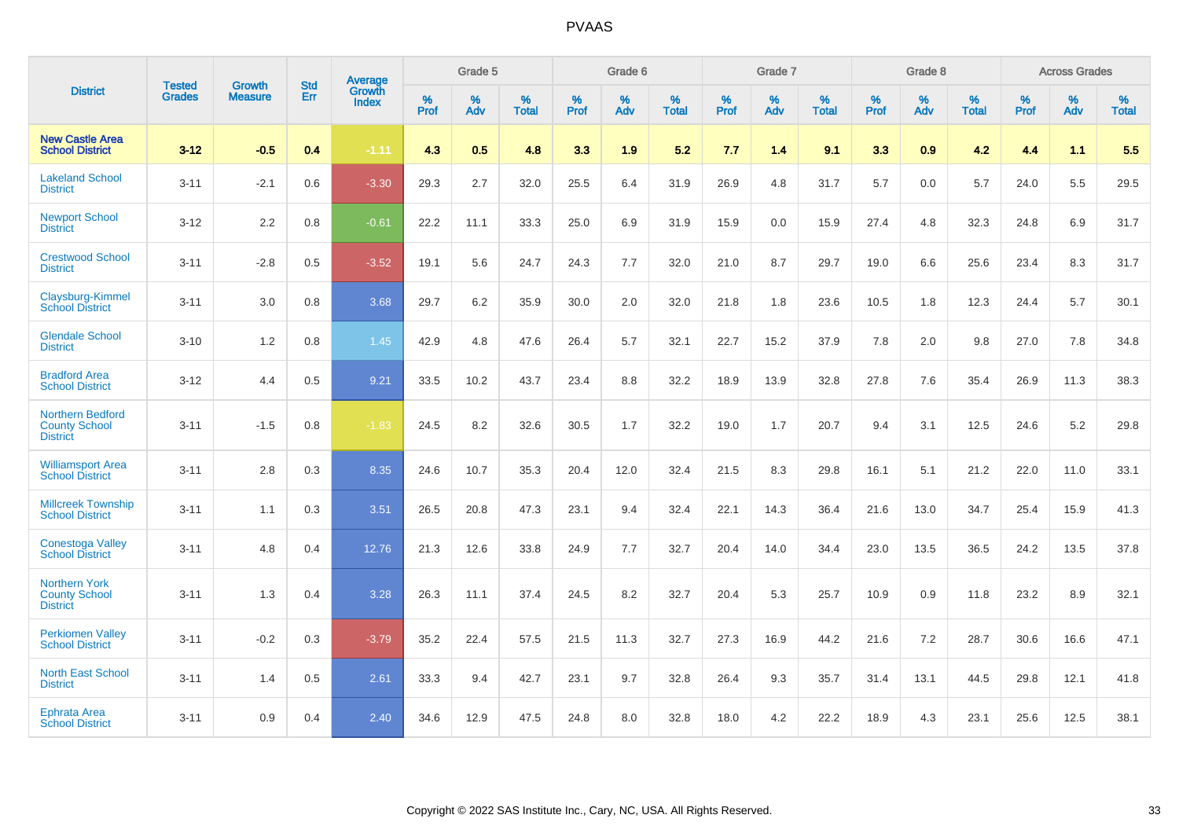|                                                                 | <b>Tested</b> | <b>Growth</b>  | <b>Std</b> | <b>Average</b>         |           | Grade 5  |                   |           | Grade 6  |                   |           | Grade 7  |                   |           | Grade 8  |                   |           | <b>Across Grades</b> |                   |
|-----------------------------------------------------------------|---------------|----------------|------------|------------------------|-----------|----------|-------------------|-----------|----------|-------------------|-----------|----------|-------------------|-----------|----------|-------------------|-----------|----------------------|-------------------|
| <b>District</b>                                                 | <b>Grades</b> | <b>Measure</b> | Err        | Growth<br><b>Index</b> | %<br>Prof | %<br>Adv | %<br><b>Total</b> | %<br>Prof | %<br>Adv | %<br><b>Total</b> | %<br>Prof | %<br>Adv | %<br><b>Total</b> | %<br>Prof | %<br>Adv | %<br><b>Total</b> | %<br>Prof | %<br>Adv             | %<br><b>Total</b> |
| <b>New Castle Area</b><br><b>School District</b>                | $3 - 12$      | $-0.5$         | 0.4        | $-1.11$                | 4.3       | 0.5      | 4.8               | 3.3       | 1.9      | 5.2               | 7.7       | 1.4      | 9.1               | 3.3       | 0.9      | 4.2               | 4.4       | 1.1                  | 5.5               |
| <b>Lakeland School</b><br><b>District</b>                       | $3 - 11$      | $-2.1$         | 0.6        | $-3.30$                | 29.3      | 2.7      | 32.0              | 25.5      | 6.4      | 31.9              | 26.9      | 4.8      | 31.7              | 5.7       | 0.0      | 5.7               | 24.0      | 5.5                  | 29.5              |
| <b>Newport School</b><br><b>District</b>                        | $3 - 12$      | 2.2            | 0.8        | $-0.61$                | 22.2      | 11.1     | 33.3              | 25.0      | 6.9      | 31.9              | 15.9      | 0.0      | 15.9              | 27.4      | 4.8      | 32.3              | 24.8      | 6.9                  | 31.7              |
| <b>Crestwood School</b><br><b>District</b>                      | $3 - 11$      | $-2.8$         | 0.5        | $-3.52$                | 19.1      | 5.6      | 24.7              | 24.3      | 7.7      | 32.0              | 21.0      | 8.7      | 29.7              | 19.0      | 6.6      | 25.6              | 23.4      | 8.3                  | 31.7              |
| Claysburg-Kimmel<br><b>School District</b>                      | $3 - 11$      | 3.0            | 0.8        | 3.68                   | 29.7      | 6.2      | 35.9              | 30.0      | 2.0      | 32.0              | 21.8      | 1.8      | 23.6              | 10.5      | 1.8      | 12.3              | 24.4      | 5.7                  | 30.1              |
| <b>Glendale School</b><br><b>District</b>                       | $3 - 10$      | 1.2            | 0.8        | 1.45                   | 42.9      | 4.8      | 47.6              | 26.4      | 5.7      | 32.1              | 22.7      | 15.2     | 37.9              | 7.8       | 2.0      | 9.8               | 27.0      | 7.8                  | 34.8              |
| <b>Bradford Area</b><br><b>School District</b>                  | $3 - 12$      | 4.4            | 0.5        | 9.21                   | 33.5      | 10.2     | 43.7              | 23.4      | 8.8      | 32.2              | 18.9      | 13.9     | 32.8              | 27.8      | 7.6      | 35.4              | 26.9      | 11.3                 | 38.3              |
| Northern Bedford<br><b>County School</b><br><b>District</b>     | $3 - 11$      | $-1.5$         | 0.8        | $-1.83$                | 24.5      | 8.2      | 32.6              | 30.5      | 1.7      | 32.2              | 19.0      | 1.7      | 20.7              | 9.4       | 3.1      | 12.5              | 24.6      | $5.2\,$              | 29.8              |
| <b>Williamsport Area</b><br><b>School District</b>              | $3 - 11$      | 2.8            | 0.3        | 8.35                   | 24.6      | 10.7     | 35.3              | 20.4      | 12.0     | 32.4              | 21.5      | 8.3      | 29.8              | 16.1      | 5.1      | 21.2              | 22.0      | 11.0                 | 33.1              |
| <b>Millcreek Township</b><br><b>School District</b>             | $3 - 11$      | 1.1            | 0.3        | 3.51                   | 26.5      | 20.8     | 47.3              | 23.1      | 9.4      | 32.4              | 22.1      | 14.3     | 36.4              | 21.6      | 13.0     | 34.7              | 25.4      | 15.9                 | 41.3              |
| <b>Conestoga Valley</b><br><b>School District</b>               | $3 - 11$      | 4.8            | 0.4        | 12.76                  | 21.3      | 12.6     | 33.8              | 24.9      | 7.7      | 32.7              | 20.4      | 14.0     | 34.4              | 23.0      | 13.5     | 36.5              | 24.2      | 13.5                 | 37.8              |
| <b>Northern York</b><br><b>County School</b><br><b>District</b> | $3 - 11$      | 1.3            | 0.4        | 3.28                   | 26.3      | 11.1     | 37.4              | 24.5      | 8.2      | 32.7              | 20.4      | 5.3      | 25.7              | 10.9      | 0.9      | 11.8              | 23.2      | 8.9                  | 32.1              |
| <b>Perkiomen Valley</b><br><b>School District</b>               | $3 - 11$      | $-0.2$         | 0.3        | $-3.79$                | 35.2      | 22.4     | 57.5              | 21.5      | 11.3     | 32.7              | 27.3      | 16.9     | 44.2              | 21.6      | 7.2      | 28.7              | 30.6      | 16.6                 | 47.1              |
| <b>North East School</b><br><b>District</b>                     | $3 - 11$      | 1.4            | 0.5        | 2.61                   | 33.3      | 9.4      | 42.7              | 23.1      | 9.7      | 32.8              | 26.4      | 9.3      | 35.7              | 31.4      | 13.1     | 44.5              | 29.8      | 12.1                 | 41.8              |
| <b>Ephrata Area</b><br><b>School District</b>                   | $3 - 11$      | 0.9            | 0.4        | 2.40                   | 34.6      | 12.9     | 47.5              | 24.8      | 8.0      | 32.8              | 18.0      | 4.2      | 22.2              | 18.9      | 4.3      | 23.1              | 25.6      | 12.5                 | 38.1              |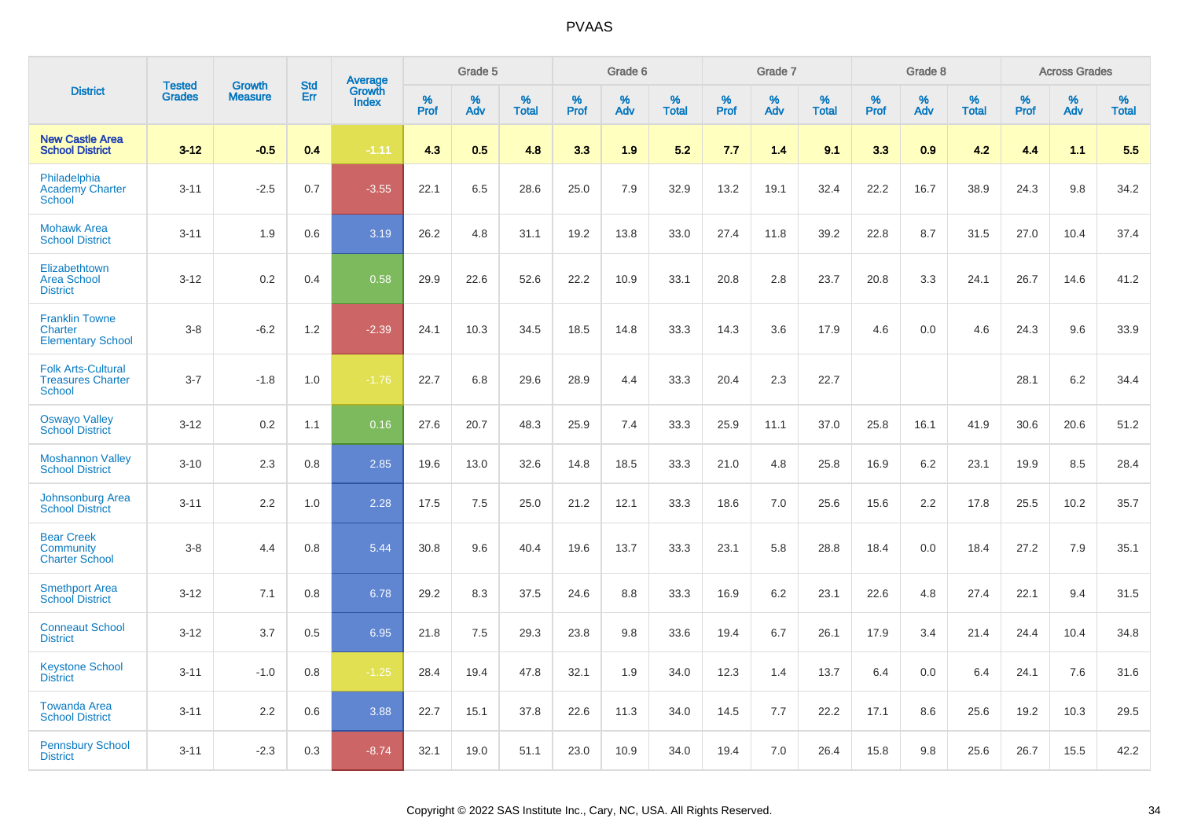|                                                                        | <b>Tested</b> | <b>Growth</b>  | <b>Std</b> | Average<br>Growth |              | Grade 5  |                   |           | Grade 6  |                   |           | Grade 7  |                   |           | Grade 8  |                   |           | <b>Across Grades</b> |                   |
|------------------------------------------------------------------------|---------------|----------------|------------|-------------------|--------------|----------|-------------------|-----------|----------|-------------------|-----------|----------|-------------------|-----------|----------|-------------------|-----------|----------------------|-------------------|
| <b>District</b>                                                        | <b>Grades</b> | <b>Measure</b> | <b>Err</b> | <b>Index</b>      | $\%$<br>Prof | %<br>Adv | %<br><b>Total</b> | %<br>Prof | %<br>Adv | %<br><b>Total</b> | %<br>Prof | %<br>Adv | %<br><b>Total</b> | %<br>Prof | %<br>Adv | %<br><b>Total</b> | %<br>Prof | %<br>Adv             | %<br><b>Total</b> |
| <b>New Castle Area</b><br><b>School District</b>                       | $3 - 12$      | $-0.5$         | 0.4        | $-1.11$           | 4.3          | 0.5      | 4.8               | 3.3       | 1.9      | 5.2               | 7.7       | 1.4      | 9.1               | 3.3       | 0.9      | 4.2               | 4.4       | 1.1                  | 5.5               |
| Philadelphia<br><b>Academy Charter</b><br>School                       | $3 - 11$      | $-2.5$         | 0.7        | $-3.55$           | 22.1         | 6.5      | 28.6              | 25.0      | 7.9      | 32.9              | 13.2      | 19.1     | 32.4              | 22.2      | 16.7     | 38.9              | 24.3      | 9.8                  | 34.2              |
| <b>Mohawk Area</b><br><b>School District</b>                           | $3 - 11$      | 1.9            | 0.6        | 3.19              | 26.2         | 4.8      | 31.1              | 19.2      | 13.8     | 33.0              | 27.4      | 11.8     | 39.2              | 22.8      | 8.7      | 31.5              | 27.0      | 10.4                 | 37.4              |
| Elizabethtown<br><b>Area School</b><br><b>District</b>                 | $3 - 12$      | 0.2            | 0.4        | 0.58              | 29.9         | 22.6     | 52.6              | 22.2      | 10.9     | 33.1              | 20.8      | 2.8      | 23.7              | 20.8      | 3.3      | 24.1              | 26.7      | 14.6                 | 41.2              |
| <b>Franklin Towne</b><br><b>Charter</b><br><b>Elementary School</b>    | $3 - 8$       | $-6.2$         | 1.2        | $-2.39$           | 24.1         | 10.3     | 34.5              | 18.5      | 14.8     | 33.3              | 14.3      | 3.6      | 17.9              | 4.6       | 0.0      | 4.6               | 24.3      | 9.6                  | 33.9              |
| <b>Folk Arts-Cultural</b><br><b>Treasures Charter</b><br><b>School</b> | $3 - 7$       | $-1.8$         | 1.0        | $-1.76$           | 22.7         | 6.8      | 29.6              | 28.9      | 4.4      | 33.3              | 20.4      | 2.3      | 22.7              |           |          |                   | 28.1      | 6.2                  | 34.4              |
| <b>Oswayo Valley</b><br><b>School District</b>                         | $3 - 12$      | 0.2            | 1.1        | 0.16              | 27.6         | 20.7     | 48.3              | 25.9      | 7.4      | 33.3              | 25.9      | 11.1     | 37.0              | 25.8      | 16.1     | 41.9              | 30.6      | 20.6                 | 51.2              |
| <b>Moshannon Valley</b><br><b>School District</b>                      | $3 - 10$      | 2.3            | 0.8        | 2.85              | 19.6         | 13.0     | 32.6              | 14.8      | 18.5     | 33.3              | 21.0      | 4.8      | 25.8              | 16.9      | 6.2      | 23.1              | 19.9      | 8.5                  | 28.4              |
| <b>Johnsonburg Area</b><br><b>School District</b>                      | $3 - 11$      | 2.2            | 1.0        | 2.28              | 17.5         | 7.5      | 25.0              | 21.2      | 12.1     | 33.3              | 18.6      | 7.0      | 25.6              | 15.6      | 2.2      | 17.8              | 25.5      | 10.2                 | 35.7              |
| <b>Bear Creek</b><br>Community<br><b>Charter School</b>                | $3 - 8$       | 4.4            | 0.8        | 5.44              | 30.8         | 9.6      | 40.4              | 19.6      | 13.7     | 33.3              | 23.1      | 5.8      | 28.8              | 18.4      | 0.0      | 18.4              | 27.2      | 7.9                  | 35.1              |
| <b>Smethport Area</b><br><b>School District</b>                        | $3 - 12$      | 7.1            | 0.8        | 6.78              | 29.2         | 8.3      | 37.5              | 24.6      | 8.8      | 33.3              | 16.9      | 6.2      | 23.1              | 22.6      | 4.8      | 27.4              | 22.1      | 9.4                  | 31.5              |
| <b>Conneaut School</b><br><b>District</b>                              | $3 - 12$      | 3.7            | 0.5        | 6.95              | 21.8         | 7.5      | 29.3              | 23.8      | 9.8      | 33.6              | 19.4      | 6.7      | 26.1              | 17.9      | 3.4      | 21.4              | 24.4      | 10.4                 | 34.8              |
| <b>Keystone School</b><br><b>District</b>                              | $3 - 11$      | $-1.0$         | 0.8        | $-1.25$           | 28.4         | 19.4     | 47.8              | 32.1      | 1.9      | 34.0              | 12.3      | 1.4      | 13.7              | 6.4       | 0.0      | 6.4               | 24.1      | 7.6                  | 31.6              |
| <b>Towanda Area</b><br><b>School District</b>                          | $3 - 11$      | 2.2            | 0.6        | 3.88              | 22.7         | 15.1     | 37.8              | 22.6      | 11.3     | 34.0              | 14.5      | 7.7      | 22.2              | 17.1      | 8.6      | 25.6              | 19.2      | 10.3                 | 29.5              |
| <b>Pennsbury School</b><br><b>District</b>                             | $3 - 11$      | $-2.3$         | 0.3        | $-8.74$           | 32.1         | 19.0     | 51.1              | 23.0      | 10.9     | 34.0              | 19.4      | 7.0      | 26.4              | 15.8      | 9.8      | 25.6              | 26.7      | 15.5                 | 42.2              |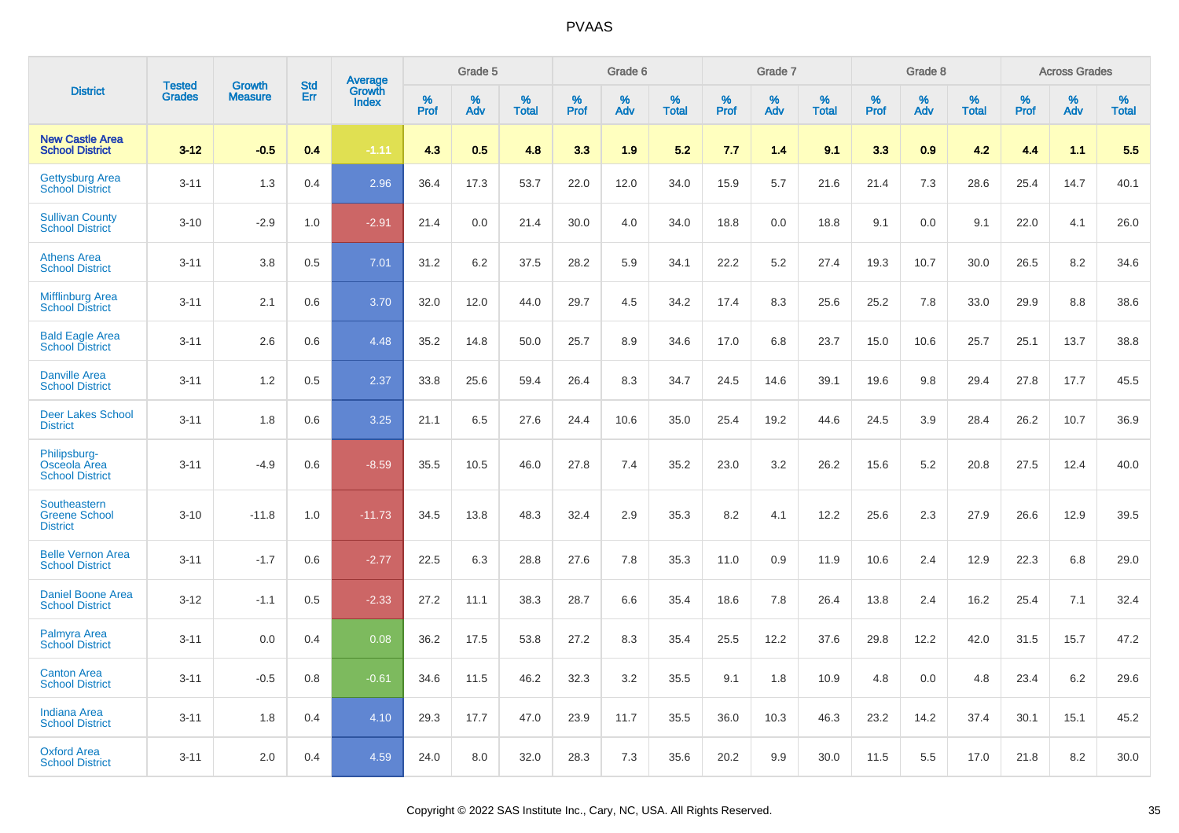|                                                         | <b>Tested</b> |                                 | <b>Std</b> | Average                |              | Grade 5  |                   |              | Grade 6  |                   |              | Grade 7  |                   |              | Grade 8  |                   |              | <b>Across Grades</b> |                   |
|---------------------------------------------------------|---------------|---------------------------------|------------|------------------------|--------------|----------|-------------------|--------------|----------|-------------------|--------------|----------|-------------------|--------------|----------|-------------------|--------------|----------------------|-------------------|
| <b>District</b>                                         | <b>Grades</b> | <b>Growth</b><br><b>Measure</b> | Err        | Growth<br><b>Index</b> | $\%$<br>Prof | %<br>Adv | %<br><b>Total</b> | $\%$<br>Prof | %<br>Adv | %<br><b>Total</b> | $\%$<br>Prof | %<br>Adv | %<br><b>Total</b> | $\%$<br>Prof | %<br>Adv | %<br><b>Total</b> | $\%$<br>Prof | %<br>Adv             | %<br><b>Total</b> |
| <b>New Castle Area</b><br><b>School District</b>        | $3 - 12$      | $-0.5$                          | 0.4        | $-1.11$                | 4.3          | 0.5      | 4.8               | 3.3          | 1.9      | 5.2               | 7.7          | 1.4      | 9.1               | 3.3          | 0.9      | 4.2               | 4.4          | 1.1                  | 5.5               |
| <b>Gettysburg Area</b><br><b>School District</b>        | $3 - 11$      | 1.3                             | 0.4        | 2.96                   | 36.4         | 17.3     | 53.7              | 22.0         | 12.0     | 34.0              | 15.9         | 5.7      | 21.6              | 21.4         | 7.3      | 28.6              | 25.4         | 14.7                 | 40.1              |
| <b>Sullivan County</b><br><b>School District</b>        | $3 - 10$      | $-2.9$                          | 1.0        | $-2.91$                | 21.4         | 0.0      | 21.4              | 30.0         | 4.0      | 34.0              | 18.8         | 0.0      | 18.8              | 9.1          | 0.0      | 9.1               | 22.0         | 4.1                  | 26.0              |
| <b>Athens Area</b><br><b>School District</b>            | $3 - 11$      | 3.8                             | 0.5        | 7.01                   | 31.2         | 6.2      | 37.5              | 28.2         | 5.9      | 34.1              | 22.2         | 5.2      | 27.4              | 19.3         | 10.7     | 30.0              | 26.5         | 8.2                  | 34.6              |
| <b>Mifflinburg Area</b><br><b>School District</b>       | $3 - 11$      | 2.1                             | 0.6        | 3.70                   | 32.0         | 12.0     | 44.0              | 29.7         | 4.5      | 34.2              | 17.4         | 8.3      | 25.6              | 25.2         | 7.8      | 33.0              | 29.9         | 8.8                  | 38.6              |
| <b>Bald Eagle Area</b><br><b>School District</b>        | $3 - 11$      | 2.6                             | 0.6        | 4.48                   | 35.2         | 14.8     | 50.0              | 25.7         | 8.9      | 34.6              | 17.0         | 6.8      | 23.7              | 15.0         | 10.6     | 25.7              | 25.1         | 13.7                 | 38.8              |
| <b>Danville Area</b><br><b>School District</b>          | $3 - 11$      | 1.2                             | 0.5        | 2.37                   | 33.8         | 25.6     | 59.4              | 26.4         | 8.3      | 34.7              | 24.5         | 14.6     | 39.1              | 19.6         | 9.8      | 29.4              | 27.8         | 17.7                 | 45.5              |
| <b>Deer Lakes School</b><br><b>District</b>             | $3 - 11$      | 1.8                             | 0.6        | 3.25                   | 21.1         | 6.5      | 27.6              | 24.4         | 10.6     | 35.0              | 25.4         | 19.2     | 44.6              | 24.5         | 3.9      | 28.4              | 26.2         | 10.7                 | 36.9              |
| Philipsburg-<br>Osceola Area<br><b>School District</b>  | $3 - 11$      | $-4.9$                          | 0.6        | $-8.59$                | 35.5         | 10.5     | 46.0              | 27.8         | 7.4      | 35.2              | 23.0         | 3.2      | 26.2              | 15.6         | 5.2      | 20.8              | 27.5         | 12.4                 | 40.0              |
| Southeastern<br><b>Greene School</b><br><b>District</b> | $3 - 10$      | $-11.8$                         | 1.0        | $-11.73$               | 34.5         | 13.8     | 48.3              | 32.4         | 2.9      | 35.3              | 8.2          | 4.1      | 12.2              | 25.6         | 2.3      | 27.9              | 26.6         | 12.9                 | 39.5              |
| <b>Belle Vernon Area</b><br><b>School District</b>      | $3 - 11$      | $-1.7$                          | 0.6        | $-2.77$                | 22.5         | 6.3      | 28.8              | 27.6         | 7.8      | 35.3              | 11.0         | 0.9      | 11.9              | 10.6         | 2.4      | 12.9              | 22.3         | 6.8                  | 29.0              |
| Daniel Boone Area<br><b>School District</b>             | $3 - 12$      | $-1.1$                          | 0.5        | $-2.33$                | 27.2         | 11.1     | 38.3              | 28.7         | 6.6      | 35.4              | 18.6         | 7.8      | 26.4              | 13.8         | 2.4      | 16.2              | 25.4         | 7.1                  | 32.4              |
| <b>Palmyra Area</b><br><b>School District</b>           | $3 - 11$      | 0.0                             | 0.4        | 0.08                   | 36.2         | 17.5     | 53.8              | 27.2         | 8.3      | 35.4              | 25.5         | 12.2     | 37.6              | 29.8         | 12.2     | 42.0              | 31.5         | 15.7                 | 47.2              |
| <b>Canton Area</b><br><b>School District</b>            | $3 - 11$      | $-0.5$                          | 0.8        | $-0.61$                | 34.6         | 11.5     | 46.2              | 32.3         | 3.2      | 35.5              | 9.1          | 1.8      | 10.9              | 4.8          | 0.0      | 4.8               | 23.4         | 6.2                  | 29.6              |
| <b>Indiana Area</b><br><b>School District</b>           | $3 - 11$      | 1.8                             | 0.4        | 4.10                   | 29.3         | 17.7     | 47.0              | 23.9         | 11.7     | 35.5              | 36.0         | 10.3     | 46.3              | 23.2         | 14.2     | 37.4              | 30.1         | 15.1                 | 45.2              |
| <b>Oxford Area</b><br><b>School District</b>            | $3 - 11$      | 2.0                             | 0.4        | 4.59                   | 24.0         | 8.0      | 32.0              | 28.3         | 7.3      | 35.6              | 20.2         | 9.9      | 30.0              | 11.5         | 5.5      | 17.0              | 21.8         | 8.2                  | 30.0              |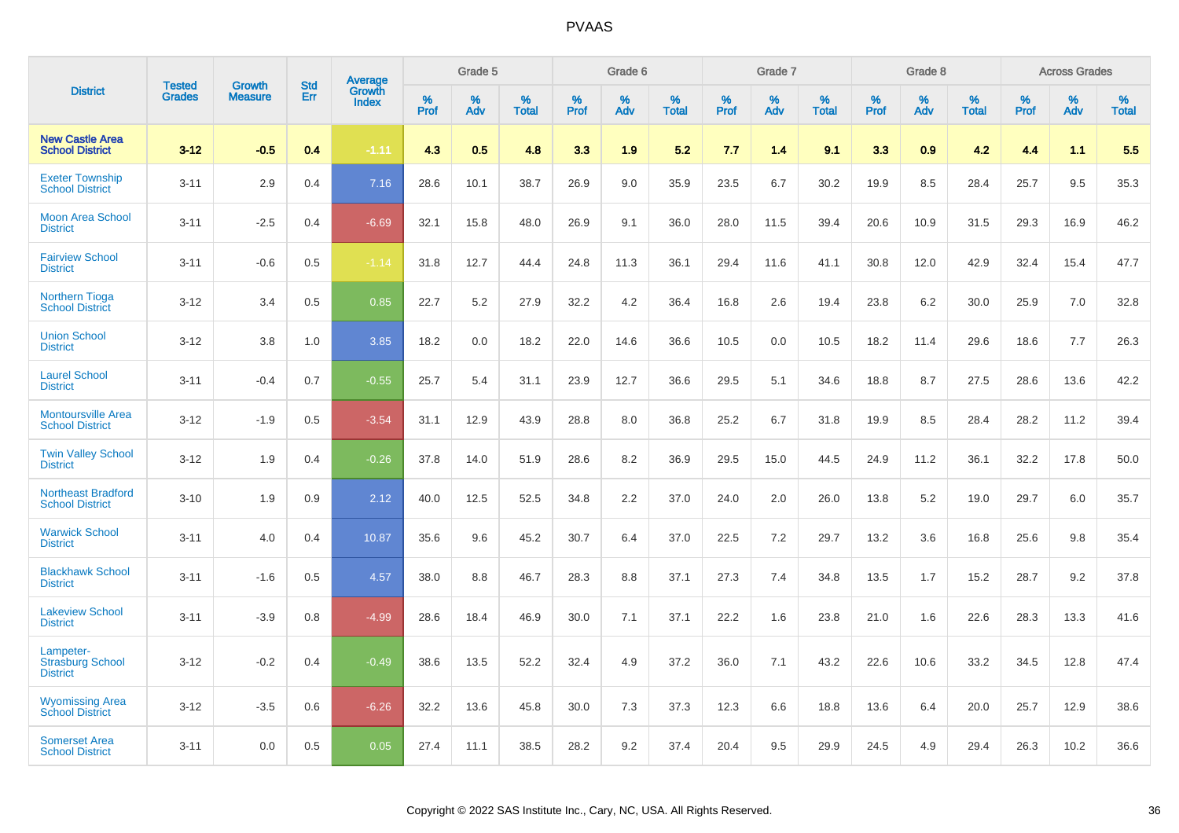|                                                         | <b>Tested</b> | <b>Growth</b>  | <b>Std</b> | Average                |              | Grade 5  |                   |              | Grade 6  |                   |              | Grade 7  |                   |              | Grade 8  |                   |              | <b>Across Grades</b> |                   |
|---------------------------------------------------------|---------------|----------------|------------|------------------------|--------------|----------|-------------------|--------------|----------|-------------------|--------------|----------|-------------------|--------------|----------|-------------------|--------------|----------------------|-------------------|
| <b>District</b>                                         | <b>Grades</b> | <b>Measure</b> | Err        | Growth<br><b>Index</b> | $\%$<br>Prof | %<br>Adv | %<br><b>Total</b> | $\%$<br>Prof | %<br>Adv | %<br><b>Total</b> | $\%$<br>Prof | %<br>Adv | %<br><b>Total</b> | $\%$<br>Prof | %<br>Adv | %<br><b>Total</b> | $\%$<br>Prof | %<br>Adv             | %<br><b>Total</b> |
| <b>New Castle Area</b><br><b>School District</b>        | $3 - 12$      | $-0.5$         | 0.4        | $-1.11$                | 4.3          | 0.5      | 4.8               | 3.3          | 1.9      | 5.2               | 7.7          | 1.4      | 9.1               | 3.3          | 0.9      | 4.2               | 4.4          | 1.1                  | 5.5               |
| <b>Exeter Township</b><br><b>School District</b>        | $3 - 11$      | 2.9            | 0.4        | 7.16                   | 28.6         | 10.1     | 38.7              | 26.9         | 9.0      | 35.9              | 23.5         | 6.7      | 30.2              | 19.9         | 8.5      | 28.4              | 25.7         | 9.5                  | 35.3              |
| <b>Moon Area School</b><br><b>District</b>              | $3 - 11$      | $-2.5$         | 0.4        | $-6.69$                | 32.1         | 15.8     | 48.0              | 26.9         | 9.1      | 36.0              | 28.0         | 11.5     | 39.4              | 20.6         | 10.9     | 31.5              | 29.3         | 16.9                 | 46.2              |
| <b>Fairview School</b><br><b>District</b>               | $3 - 11$      | $-0.6$         | 0.5        | $-1.14$                | 31.8         | 12.7     | 44.4              | 24.8         | 11.3     | 36.1              | 29.4         | 11.6     | 41.1              | 30.8         | 12.0     | 42.9              | 32.4         | 15.4                 | 47.7              |
| <b>Northern Tioga</b><br><b>School District</b>         | $3 - 12$      | 3.4            | 0.5        | 0.85                   | 22.7         | 5.2      | 27.9              | 32.2         | 4.2      | 36.4              | 16.8         | 2.6      | 19.4              | 23.8         | 6.2      | 30.0              | 25.9         | 7.0                  | 32.8              |
| <b>Union School</b><br><b>District</b>                  | $3 - 12$      | 3.8            | 1.0        | 3.85                   | 18.2         | 0.0      | 18.2              | 22.0         | 14.6     | 36.6              | 10.5         | 0.0      | 10.5              | 18.2         | 11.4     | 29.6              | 18.6         | 7.7                  | 26.3              |
| <b>Laurel School</b><br><b>District</b>                 | $3 - 11$      | $-0.4$         | 0.7        | $-0.55$                | 25.7         | 5.4      | 31.1              | 23.9         | 12.7     | 36.6              | 29.5         | 5.1      | 34.6              | 18.8         | 8.7      | 27.5              | 28.6         | 13.6                 | 42.2              |
| <b>Montoursville Area</b><br><b>School District</b>     | $3 - 12$      | $-1.9$         | 0.5        | $-3.54$                | 31.1         | 12.9     | 43.9              | 28.8         | 8.0      | 36.8              | 25.2         | 6.7      | 31.8              | 19.9         | 8.5      | 28.4              | 28.2         | 11.2                 | 39.4              |
| <b>Twin Valley School</b><br><b>District</b>            | $3 - 12$      | 1.9            | 0.4        | $-0.26$                | 37.8         | 14.0     | 51.9              | 28.6         | 8.2      | 36.9              | 29.5         | 15.0     | 44.5              | 24.9         | 11.2     | 36.1              | 32.2         | 17.8                 | 50.0              |
| <b>Northeast Bradford</b><br><b>School District</b>     | $3 - 10$      | 1.9            | 0.9        | 2.12                   | 40.0         | 12.5     | 52.5              | 34.8         | 2.2      | 37.0              | 24.0         | 2.0      | 26.0              | 13.8         | 5.2      | 19.0              | 29.7         | 6.0                  | 35.7              |
| <b>Warwick School</b><br><b>District</b>                | $3 - 11$      | 4.0            | 0.4        | 10.87                  | 35.6         | 9.6      | 45.2              | 30.7         | 6.4      | 37.0              | 22.5         | 7.2      | 29.7              | 13.2         | 3.6      | 16.8              | 25.6         | 9.8                  | 35.4              |
| <b>Blackhawk School</b><br><b>District</b>              | $3 - 11$      | $-1.6$         | 0.5        | 4.57                   | 38.0         | 8.8      | 46.7              | 28.3         | 8.8      | 37.1              | 27.3         | 7.4      | 34.8              | 13.5         | 1.7      | 15.2              | 28.7         | 9.2                  | 37.8              |
| <b>Lakeview School</b><br><b>District</b>               | $3 - 11$      | $-3.9$         | 0.8        | $-4.99$                | 28.6         | 18.4     | 46.9              | 30.0         | 7.1      | 37.1              | 22.2         | 1.6      | 23.8              | 21.0         | 1.6      | 22.6              | 28.3         | 13.3                 | 41.6              |
| Lampeter-<br><b>Strasburg School</b><br><b>District</b> | $3 - 12$      | $-0.2$         | 0.4        | $-0.49$                | 38.6         | 13.5     | 52.2              | 32.4         | 4.9      | 37.2              | 36.0         | 7.1      | 43.2              | 22.6         | 10.6     | 33.2              | 34.5         | 12.8                 | 47.4              |
| <b>Wyomissing Area</b><br><b>School District</b>        | $3 - 12$      | $-3.5$         | 0.6        | $-6.26$                | 32.2         | 13.6     | 45.8              | 30.0         | 7.3      | 37.3              | 12.3         | 6.6      | 18.8              | 13.6         | 6.4      | 20.0              | 25.7         | 12.9                 | 38.6              |
| <b>Somerset Area</b><br><b>School District</b>          | $3 - 11$      | 0.0            | 0.5        | 0.05                   | 27.4         | 11.1     | 38.5              | 28.2         | 9.2      | 37.4              | 20.4         | 9.5      | 29.9              | 24.5         | 4.9      | 29.4              | 26.3         | 10.2                 | 36.6              |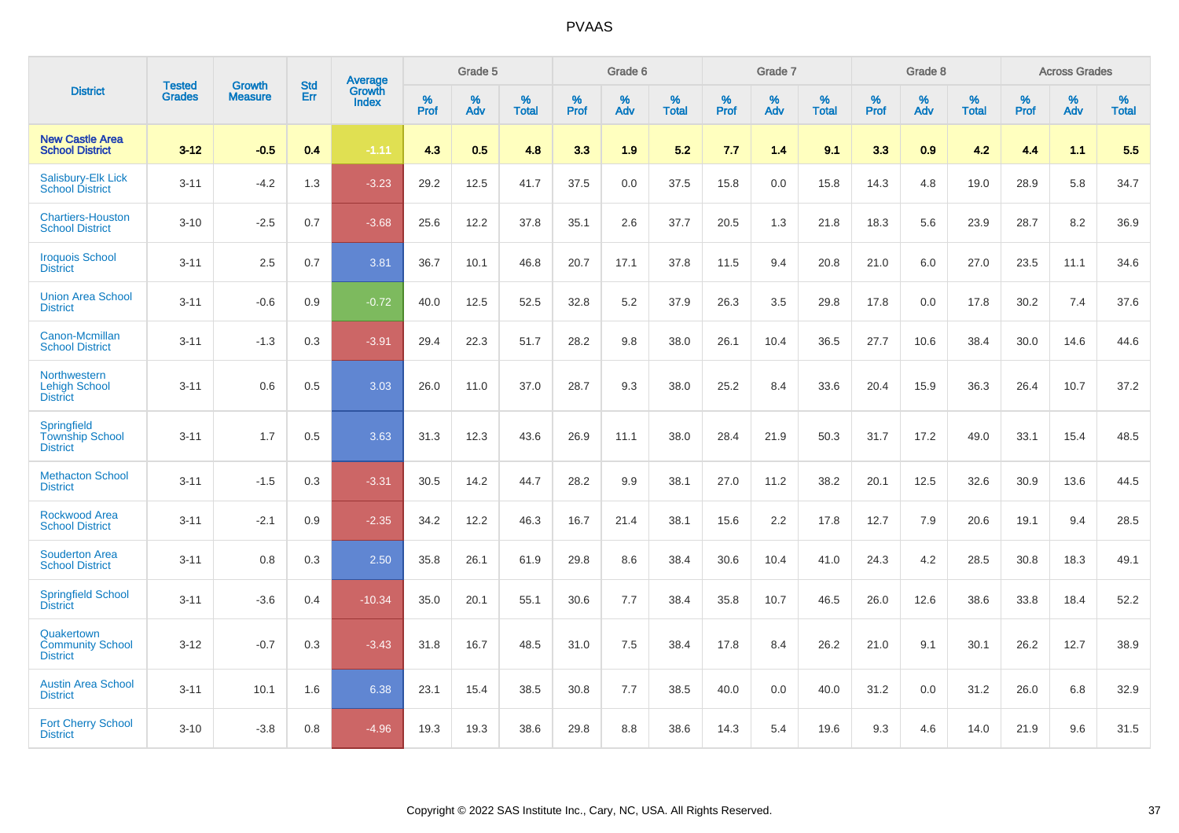|                                                                 |                                |                                 | <b>Std</b> | Average                       |           | Grade 5  |                   |           | Grade 6  |                   |           | Grade 7  |                   |           | Grade 8  |                   |           | <b>Across Grades</b> |                   |
|-----------------------------------------------------------------|--------------------------------|---------------------------------|------------|-------------------------------|-----------|----------|-------------------|-----------|----------|-------------------|-----------|----------|-------------------|-----------|----------|-------------------|-----------|----------------------|-------------------|
| <b>District</b>                                                 | <b>Tested</b><br><b>Grades</b> | <b>Growth</b><br><b>Measure</b> | Err        | <b>Growth</b><br><b>Index</b> | %<br>Prof | %<br>Adv | %<br><b>Total</b> | %<br>Prof | %<br>Adv | %<br><b>Total</b> | %<br>Prof | %<br>Adv | %<br><b>Total</b> | %<br>Prof | %<br>Adv | %<br><b>Total</b> | %<br>Prof | %<br>Adv             | %<br><b>Total</b> |
| <b>New Castle Area</b><br><b>School District</b>                | $3 - 12$                       | $-0.5$                          | 0.4        | $-1.11$                       | 4.3       | 0.5      | 4.8               | 3.3       | 1.9      | 5.2               | 7.7       | 1.4      | 9.1               | 3.3       | 0.9      | 4.2               | 4.4       | 1.1                  | 5.5               |
| <b>Salisbury-Elk Lick</b><br><b>School District</b>             | $3 - 11$                       | $-4.2$                          | 1.3        | $-3.23$                       | 29.2      | 12.5     | 41.7              | 37.5      | 0.0      | 37.5              | 15.8      | 0.0      | 15.8              | 14.3      | 4.8      | 19.0              | 28.9      | 5.8                  | 34.7              |
| <b>Chartiers-Houston</b><br><b>School District</b>              | $3 - 10$                       | $-2.5$                          | 0.7        | $-3.68$                       | 25.6      | 12.2     | 37.8              | 35.1      | 2.6      | 37.7              | 20.5      | 1.3      | 21.8              | 18.3      | 5.6      | 23.9              | 28.7      | 8.2                  | 36.9              |
| <b>Iroquois School</b><br><b>District</b>                       | $3 - 11$                       | 2.5                             | 0.7        | 3.81                          | 36.7      | 10.1     | 46.8              | 20.7      | 17.1     | 37.8              | 11.5      | 9.4      | 20.8              | 21.0      | 6.0      | 27.0              | 23.5      | 11.1                 | 34.6              |
| <b>Union Area School</b><br><b>District</b>                     | $3 - 11$                       | $-0.6$                          | 0.9        | $-0.72$                       | 40.0      | 12.5     | 52.5              | 32.8      | $5.2\,$  | 37.9              | 26.3      | 3.5      | 29.8              | 17.8      | 0.0      | 17.8              | 30.2      | 7.4                  | 37.6              |
| Canon-Mcmillan<br><b>School District</b>                        | $3 - 11$                       | $-1.3$                          | 0.3        | $-3.91$                       | 29.4      | 22.3     | 51.7              | 28.2      | 9.8      | 38.0              | 26.1      | 10.4     | 36.5              | 27.7      | 10.6     | 38.4              | 30.0      | 14.6                 | 44.6              |
| Northwestern<br><b>Lehigh School</b><br><b>District</b>         | $3 - 11$                       | 0.6                             | 0.5        | 3.03                          | 26.0      | 11.0     | 37.0              | 28.7      | 9.3      | 38.0              | 25.2      | 8.4      | 33.6              | 20.4      | 15.9     | 36.3              | 26.4      | 10.7                 | 37.2              |
| <b>Springfield</b><br><b>Township School</b><br><b>District</b> | $3 - 11$                       | 1.7                             | 0.5        | 3.63                          | 31.3      | 12.3     | 43.6              | 26.9      | 11.1     | 38.0              | 28.4      | 21.9     | 50.3              | 31.7      | 17.2     | 49.0              | 33.1      | 15.4                 | 48.5              |
| <b>Methacton School</b><br><b>District</b>                      | $3 - 11$                       | $-1.5$                          | 0.3        | $-3.31$                       | 30.5      | 14.2     | 44.7              | 28.2      | 9.9      | 38.1              | 27.0      | 11.2     | 38.2              | 20.1      | 12.5     | 32.6              | 30.9      | 13.6                 | 44.5              |
| <b>Rockwood Area</b><br><b>School District</b>                  | $3 - 11$                       | $-2.1$                          | 0.9        | $-2.35$                       | 34.2      | 12.2     | 46.3              | 16.7      | 21.4     | 38.1              | 15.6      | 2.2      | 17.8              | 12.7      | 7.9      | 20.6              | 19.1      | 9.4                  | 28.5              |
| <b>Souderton Area</b><br><b>School District</b>                 | $3 - 11$                       | 0.8                             | 0.3        | 2.50                          | 35.8      | 26.1     | 61.9              | 29.8      | 8.6      | 38.4              | 30.6      | 10.4     | 41.0              | 24.3      | 4.2      | 28.5              | 30.8      | 18.3                 | 49.1              |
| <b>Springfield School</b><br><b>District</b>                    | $3 - 11$                       | $-3.6$                          | 0.4        | $-10.34$                      | 35.0      | 20.1     | 55.1              | 30.6      | 7.7      | 38.4              | 35.8      | 10.7     | 46.5              | 26.0      | 12.6     | 38.6              | 33.8      | 18.4                 | 52.2              |
| Quakertown<br><b>Community School</b><br><b>District</b>        | $3 - 12$                       | $-0.7$                          | 0.3        | $-3.43$                       | 31.8      | 16.7     | 48.5              | 31.0      | 7.5      | 38.4              | 17.8      | 8.4      | 26.2              | 21.0      | 9.1      | 30.1              | 26.2      | 12.7                 | 38.9              |
| <b>Austin Area School</b><br><b>District</b>                    | $3 - 11$                       | 10.1                            | 1.6        | 6.38                          | 23.1      | 15.4     | 38.5              | 30.8      | 7.7      | 38.5              | 40.0      | 0.0      | 40.0              | 31.2      | 0.0      | 31.2              | 26.0      | 6.8                  | 32.9              |
| <b>Fort Cherry School</b><br><b>District</b>                    | $3 - 10$                       | $-3.8$                          | 0.8        | $-4.96$                       | 19.3      | 19.3     | 38.6              | 29.8      | 8.8      | 38.6              | 14.3      | 5.4      | 19.6              | 9.3       | 4.6      | 14.0              | 21.9      | 9.6                  | 31.5              |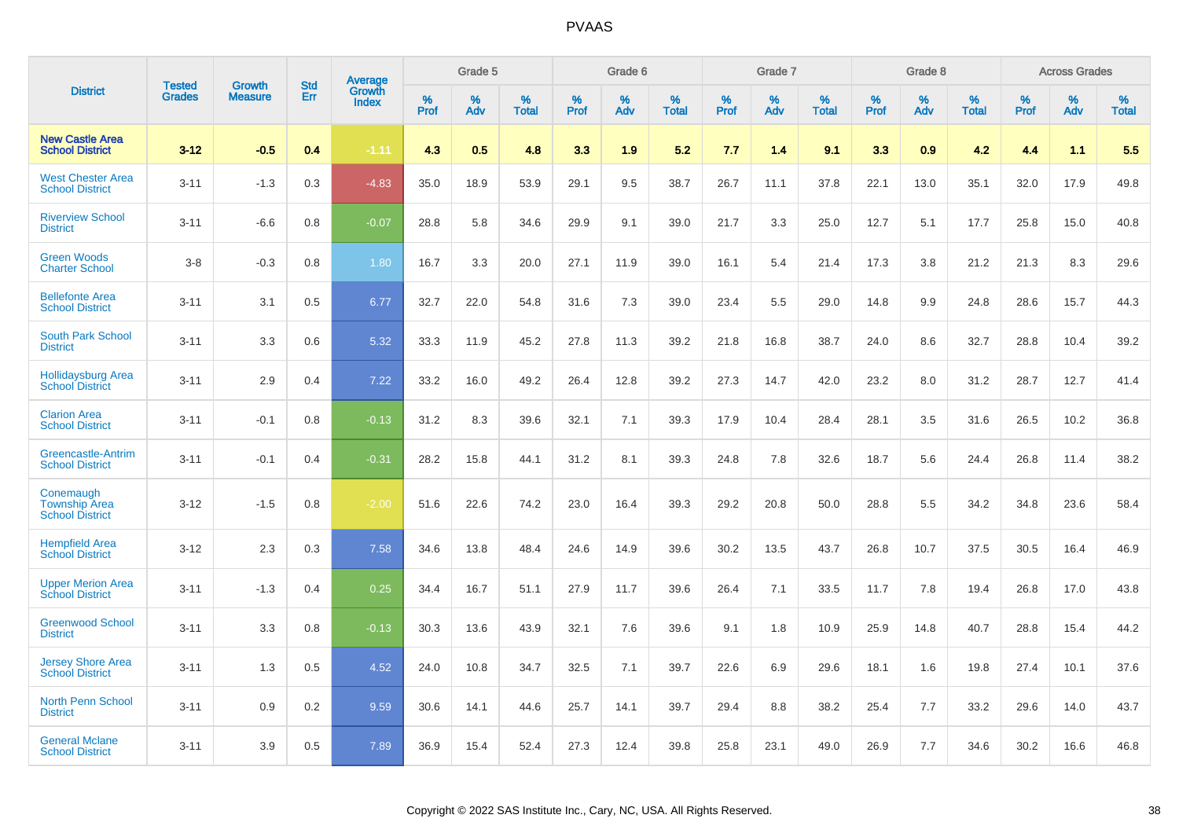|                                                             | <b>Tested</b> | <b>Growth</b>  | <b>Std</b> | Average                |              | Grade 5  |                   |              | Grade 6  |                   |           | Grade 7  |                   |              | Grade 8  |                   |           | <b>Across Grades</b> |                   |
|-------------------------------------------------------------|---------------|----------------|------------|------------------------|--------------|----------|-------------------|--------------|----------|-------------------|-----------|----------|-------------------|--------------|----------|-------------------|-----------|----------------------|-------------------|
| <b>District</b>                                             | <b>Grades</b> | <b>Measure</b> | Err        | Growth<br><b>Index</b> | $\%$<br>Prof | %<br>Adv | %<br><b>Total</b> | $\%$<br>Prof | %<br>Adv | %<br><b>Total</b> | %<br>Prof | %<br>Adv | %<br><b>Total</b> | $\%$<br>Prof | %<br>Adv | %<br><b>Total</b> | %<br>Prof | $\%$<br>Adv          | %<br><b>Total</b> |
| <b>New Castle Area</b><br><b>School District</b>            | $3 - 12$      | $-0.5$         | 0.4        | $-1.11$                | 4.3          | 0.5      | 4.8               | 3.3          | 1.9      | 5.2               | 7.7       | 1.4      | 9.1               | 3.3          | 0.9      | 4.2               | 4.4       | 1.1                  | 5.5               |
| <b>West Chester Area</b><br><b>School District</b>          | $3 - 11$      | $-1.3$         | 0.3        | $-4.83$                | 35.0         | 18.9     | 53.9              | 29.1         | 9.5      | 38.7              | 26.7      | 11.1     | 37.8              | 22.1         | 13.0     | 35.1              | 32.0      | 17.9                 | 49.8              |
| <b>Riverview School</b><br><b>District</b>                  | $3 - 11$      | $-6.6$         | 0.8        | $-0.07$                | 28.8         | 5.8      | 34.6              | 29.9         | 9.1      | 39.0              | 21.7      | 3.3      | 25.0              | 12.7         | 5.1      | 17.7              | 25.8      | 15.0                 | 40.8              |
| <b>Green Woods</b><br><b>Charter School</b>                 | $3 - 8$       | $-0.3$         | 0.8        | 1.80                   | 16.7         | 3.3      | 20.0              | 27.1         | 11.9     | 39.0              | 16.1      | 5.4      | 21.4              | 17.3         | 3.8      | 21.2              | 21.3      | 8.3                  | 29.6              |
| <b>Bellefonte Area</b><br><b>School District</b>            | $3 - 11$      | 3.1            | 0.5        | 6.77                   | 32.7         | 22.0     | 54.8              | 31.6         | 7.3      | 39.0              | 23.4      | 5.5      | 29.0              | 14.8         | 9.9      | 24.8              | 28.6      | 15.7                 | 44.3              |
| <b>South Park School</b><br><b>District</b>                 | $3 - 11$      | 3.3            | 0.6        | 5.32                   | 33.3         | 11.9     | 45.2              | 27.8         | 11.3     | 39.2              | 21.8      | 16.8     | 38.7              | 24.0         | 8.6      | 32.7              | 28.8      | 10.4                 | 39.2              |
| <b>Hollidaysburg Area</b><br><b>School District</b>         | $3 - 11$      | 2.9            | 0.4        | 7.22                   | 33.2         | 16.0     | 49.2              | 26.4         | 12.8     | 39.2              | 27.3      | 14.7     | 42.0              | 23.2         | 8.0      | 31.2              | 28.7      | 12.7                 | 41.4              |
| <b>Clarion Area</b><br><b>School District</b>               | $3 - 11$      | $-0.1$         | 0.8        | $-0.13$                | 31.2         | 8.3      | 39.6              | 32.1         | 7.1      | 39.3              | 17.9      | 10.4     | 28.4              | 28.1         | 3.5      | 31.6              | 26.5      | 10.2                 | 36.8              |
| Greencastle-Antrim<br><b>School District</b>                | $3 - 11$      | $-0.1$         | 0.4        | $-0.31$                | 28.2         | 15.8     | 44.1              | 31.2         | 8.1      | 39.3              | 24.8      | 7.8      | 32.6              | 18.7         | 5.6      | 24.4              | 26.8      | 11.4                 | 38.2              |
| Conemaugh<br><b>Township Area</b><br><b>School District</b> | $3 - 12$      | $-1.5$         | 0.8        | $-2.00$                | 51.6         | 22.6     | 74.2              | 23.0         | 16.4     | 39.3              | 29.2      | 20.8     | 50.0              | 28.8         | 5.5      | 34.2              | 34.8      | 23.6                 | 58.4              |
| <b>Hempfield Area</b><br><b>School District</b>             | $3 - 12$      | 2.3            | 0.3        | 7.58                   | 34.6         | 13.8     | 48.4              | 24.6         | 14.9     | 39.6              | 30.2      | 13.5     | 43.7              | 26.8         | 10.7     | 37.5              | 30.5      | 16.4                 | 46.9              |
| <b>Upper Merion Area</b><br><b>School District</b>          | $3 - 11$      | $-1.3$         | 0.4        | 0.25                   | 34.4         | 16.7     | 51.1              | 27.9         | 11.7     | 39.6              | 26.4      | 7.1      | 33.5              | 11.7         | 7.8      | 19.4              | 26.8      | 17.0                 | 43.8              |
| <b>Greenwood School</b><br><b>District</b>                  | $3 - 11$      | 3.3            | 0.8        | $-0.13$                | 30.3         | 13.6     | 43.9              | 32.1         | 7.6      | 39.6              | 9.1       | 1.8      | 10.9              | 25.9         | 14.8     | 40.7              | 28.8      | 15.4                 | 44.2              |
| <b>Jersey Shore Area</b><br><b>School District</b>          | $3 - 11$      | 1.3            | 0.5        | 4.52                   | 24.0         | 10.8     | 34.7              | 32.5         | 7.1      | 39.7              | 22.6      | 6.9      | 29.6              | 18.1         | 1.6      | 19.8              | 27.4      | 10.1                 | 37.6              |
| North Penn School<br><b>District</b>                        | $3 - 11$      | 0.9            | 0.2        | 9.59                   | 30.6         | 14.1     | 44.6              | 25.7         | 14.1     | 39.7              | 29.4      | 8.8      | 38.2              | 25.4         | 7.7      | 33.2              | 29.6      | 14.0                 | 43.7              |
| <b>General Mclane</b><br><b>School District</b>             | $3 - 11$      | 3.9            | 0.5        | 7.89                   | 36.9         | 15.4     | 52.4              | 27.3         | 12.4     | 39.8              | 25.8      | 23.1     | 49.0              | 26.9         | 7.7      | 34.6              | 30.2      | 16.6                 | 46.8              |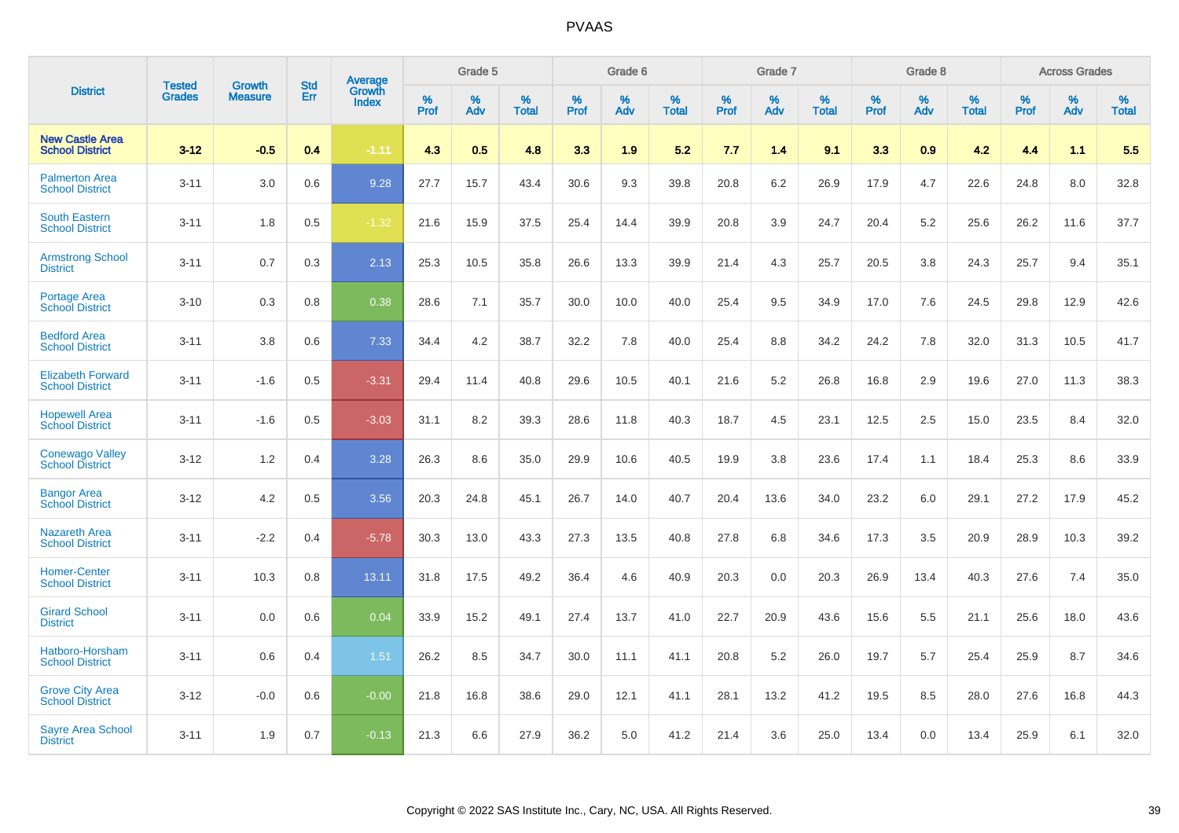|                                                    |                                |                                 | <b>Std</b> | Average                |           | Grade 5  |                   |           | Grade 6  |                   |              | Grade 7  |                   |              | Grade 8  |                   |           | <b>Across Grades</b> |                   |
|----------------------------------------------------|--------------------------------|---------------------------------|------------|------------------------|-----------|----------|-------------------|-----------|----------|-------------------|--------------|----------|-------------------|--------------|----------|-------------------|-----------|----------------------|-------------------|
| <b>District</b>                                    | <b>Tested</b><br><b>Grades</b> | <b>Growth</b><br><b>Measure</b> | Err        | Growth<br><b>Index</b> | %<br>Prof | %<br>Adv | %<br><b>Total</b> | %<br>Prof | %<br>Adv | %<br><b>Total</b> | $\%$<br>Prof | %<br>Adv | %<br><b>Total</b> | $\%$<br>Prof | %<br>Adv | %<br><b>Total</b> | %<br>Prof | %<br>Adv             | %<br><b>Total</b> |
| <b>New Castle Area</b><br><b>School District</b>   | $3 - 12$                       | $-0.5$                          | 0.4        | $-1.11$                | 4.3       | 0.5      | 4.8               | 3.3       | 1.9      | 5.2               | 7.7          | 1.4      | 9.1               | 3.3          | 0.9      | 4.2               | 4.4       | 1.1                  | 5.5               |
| <b>Palmerton Area</b><br><b>School District</b>    | $3 - 11$                       | 3.0                             | 0.6        | 9.28                   | 27.7      | 15.7     | 43.4              | 30.6      | 9.3      | 39.8              | 20.8         | 6.2      | 26.9              | 17.9         | 4.7      | 22.6              | 24.8      | 8.0                  | 32.8              |
| <b>South Eastern</b><br><b>School District</b>     | $3 - 11$                       | 1.8                             | 0.5        | $-1.32$                | 21.6      | 15.9     | 37.5              | 25.4      | 14.4     | 39.9              | 20.8         | 3.9      | 24.7              | 20.4         | 5.2      | 25.6              | 26.2      | 11.6                 | 37.7              |
| <b>Armstrong School</b><br><b>District</b>         | $3 - 11$                       | 0.7                             | 0.3        | 2.13                   | 25.3      | 10.5     | 35.8              | 26.6      | 13.3     | 39.9              | 21.4         | 4.3      | 25.7              | 20.5         | 3.8      | 24.3              | 25.7      | 9.4                  | 35.1              |
| <b>Portage Area</b><br><b>School District</b>      | $3 - 10$                       | 0.3                             | 0.8        | 0.38                   | 28.6      | 7.1      | 35.7              | 30.0      | 10.0     | 40.0              | 25.4         | 9.5      | 34.9              | 17.0         | 7.6      | 24.5              | 29.8      | 12.9                 | 42.6              |
| <b>Bedford Area</b><br><b>School District</b>      | $3 - 11$                       | 3.8                             | 0.6        | 7.33                   | 34.4      | 4.2      | 38.7              | 32.2      | 7.8      | 40.0              | 25.4         | 8.8      | 34.2              | 24.2         | 7.8      | 32.0              | 31.3      | 10.5                 | 41.7              |
| <b>Elizabeth Forward</b><br><b>School District</b> | $3 - 11$                       | $-1.6$                          | 0.5        | $-3.31$                | 29.4      | 11.4     | 40.8              | 29.6      | 10.5     | 40.1              | 21.6         | 5.2      | 26.8              | 16.8         | 2.9      | 19.6              | 27.0      | 11.3                 | 38.3              |
| <b>Hopewell Area</b><br><b>School District</b>     | $3 - 11$                       | $-1.6$                          | 0.5        | $-3.03$                | 31.1      | 8.2      | 39.3              | 28.6      | 11.8     | 40.3              | 18.7         | 4.5      | 23.1              | 12.5         | 2.5      | 15.0              | 23.5      | 8.4                  | 32.0              |
| <b>Conewago Valley</b><br><b>School District</b>   | $3 - 12$                       | 1.2                             | 0.4        | 3.28                   | 26.3      | 8.6      | 35.0              | 29.9      | 10.6     | 40.5              | 19.9         | 3.8      | 23.6              | 17.4         | 1.1      | 18.4              | 25.3      | 8.6                  | 33.9              |
| <b>Bangor Area</b><br><b>School District</b>       | $3 - 12$                       | 4.2                             | 0.5        | 3.56                   | 20.3      | 24.8     | 45.1              | 26.7      | 14.0     | 40.7              | 20.4         | 13.6     | 34.0              | 23.2         | 6.0      | 29.1              | 27.2      | 17.9                 | 45.2              |
| <b>Nazareth Area</b><br><b>School District</b>     | $3 - 11$                       | $-2.2$                          | 0.4        | $-5.78$                | 30.3      | 13.0     | 43.3              | 27.3      | 13.5     | 40.8              | 27.8         | 6.8      | 34.6              | 17.3         | 3.5      | 20.9              | 28.9      | 10.3                 | 39.2              |
| <b>Homer-Center</b><br><b>School District</b>      | $3 - 11$                       | 10.3                            | 0.8        | 13.11                  | 31.8      | 17.5     | 49.2              | 36.4      | 4.6      | 40.9              | 20.3         | 0.0      | 20.3              | 26.9         | 13.4     | 40.3              | 27.6      | 7.4                  | 35.0              |
| <b>Girard School</b><br><b>District</b>            | $3 - 11$                       | 0.0                             | 0.6        | 0.04                   | 33.9      | 15.2     | 49.1              | 27.4      | 13.7     | 41.0              | 22.7         | 20.9     | 43.6              | 15.6         | 5.5      | 21.1              | 25.6      | 18.0                 | 43.6              |
| Hatboro-Horsham<br><b>School District</b>          | $3 - 11$                       | 0.6                             | 0.4        | 1.51                   | 26.2      | 8.5      | 34.7              | 30.0      | 11.1     | 41.1              | 20.8         | 5.2      | 26.0              | 19.7         | 5.7      | 25.4              | 25.9      | 8.7                  | 34.6              |
| <b>Grove City Area</b><br><b>School District</b>   | $3 - 12$                       | $-0.0$                          | 0.6        | $-0.00$                | 21.8      | 16.8     | 38.6              | 29.0      | 12.1     | 41.1              | 28.1         | 13.2     | 41.2              | 19.5         | 8.5      | 28.0              | 27.6      | 16.8                 | 44.3              |
| <b>Sayre Area School</b><br><b>District</b>        | $3 - 11$                       | 1.9                             | 0.7        | $-0.13$                | 21.3      | 6.6      | 27.9              | 36.2      | 5.0      | 41.2              | 21.4         | 3.6      | 25.0              | 13.4         | 0.0      | 13.4              | 25.9      | 6.1                  | 32.0              |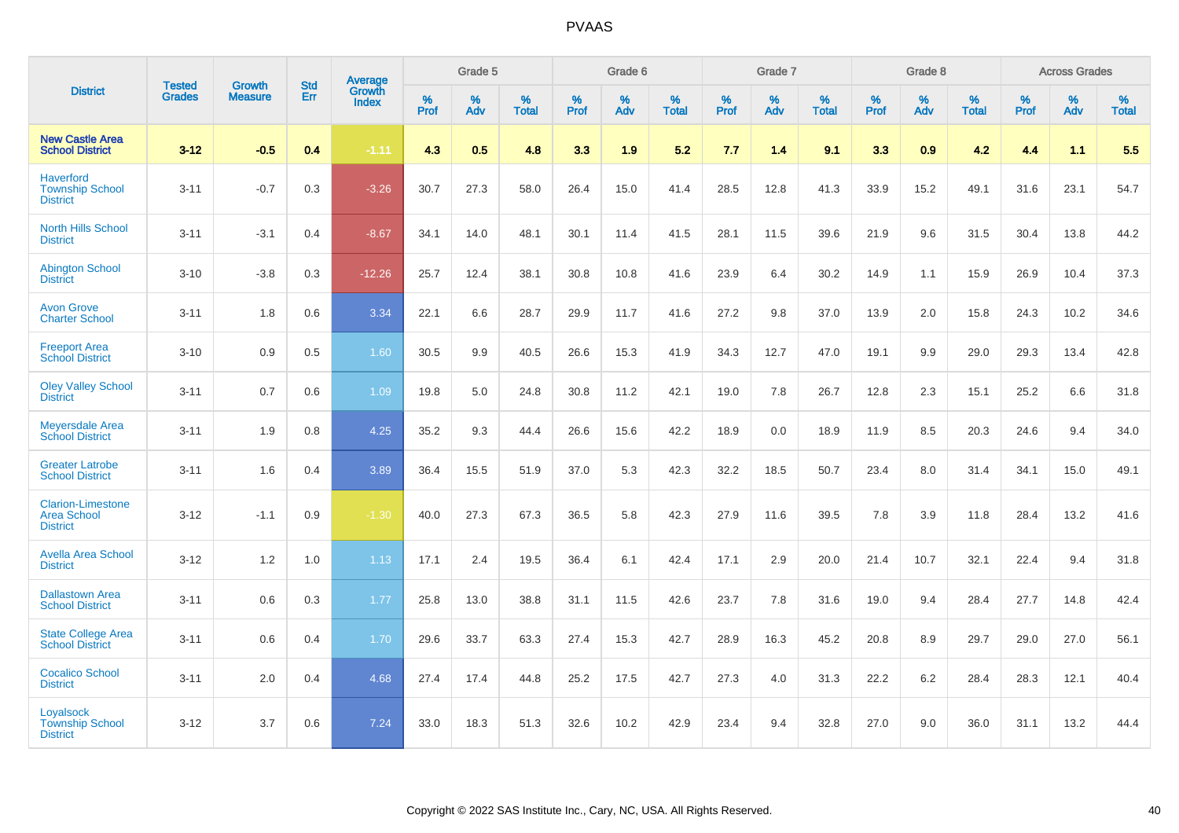|                                                                   | <b>Tested</b> | <b>Growth</b>  | <b>Std</b> | Average<br>Growth |              | Grade 5  |                      |           | Grade 6  |                   |           | Grade 7  |                      |           | Grade 8  |                   |              | <b>Across Grades</b> |                   |
|-------------------------------------------------------------------|---------------|----------------|------------|-------------------|--------------|----------|----------------------|-----------|----------|-------------------|-----------|----------|----------------------|-----------|----------|-------------------|--------------|----------------------|-------------------|
| <b>District</b>                                                   | <b>Grades</b> | <b>Measure</b> | Err        | <b>Index</b>      | $\%$<br>Prof | %<br>Adv | $\%$<br><b>Total</b> | %<br>Prof | %<br>Adv | %<br><b>Total</b> | %<br>Prof | %<br>Adv | $\%$<br><b>Total</b> | %<br>Prof | %<br>Adv | %<br><b>Total</b> | $\%$<br>Prof | %<br>Adv             | %<br><b>Total</b> |
| <b>New Castle Area</b><br><b>School District</b>                  | $3 - 12$      | $-0.5$         | 0.4        | $-1.11$           | 4.3          | 0.5      | 4.8                  | 3.3       | 1.9      | 5.2               | 7.7       | 1.4      | 9.1                  | 3.3       | 0.9      | 4.2               | 4.4          | 1.1                  | 5.5               |
| <b>Haverford</b><br><b>Township School</b><br><b>District</b>     | $3 - 11$      | $-0.7$         | 0.3        | $-3.26$           | 30.7         | 27.3     | 58.0                 | 26.4      | 15.0     | 41.4              | 28.5      | 12.8     | 41.3                 | 33.9      | 15.2     | 49.1              | 31.6         | 23.1                 | 54.7              |
| <b>North Hills School</b><br><b>District</b>                      | $3 - 11$      | $-3.1$         | 0.4        | $-8.67$           | 34.1         | 14.0     | 48.1                 | 30.1      | 11.4     | 41.5              | 28.1      | 11.5     | 39.6                 | 21.9      | 9.6      | 31.5              | 30.4         | 13.8                 | 44.2              |
| <b>Abington School</b><br><b>District</b>                         | $3 - 10$      | $-3.8$         | 0.3        | $-12.26$          | 25.7         | 12.4     | 38.1                 | 30.8      | 10.8     | 41.6              | 23.9      | 6.4      | 30.2                 | 14.9      | 1.1      | 15.9              | 26.9         | 10.4                 | 37.3              |
| <b>Avon Grove</b><br><b>Charter School</b>                        | $3 - 11$      | 1.8            | 0.6        | 3.34              | 22.1         | 6.6      | 28.7                 | 29.9      | 11.7     | 41.6              | 27.2      | 9.8      | 37.0                 | 13.9      | 2.0      | 15.8              | 24.3         | 10.2                 | 34.6              |
| <b>Freeport Area</b><br><b>School District</b>                    | $3 - 10$      | 0.9            | 0.5        | 1.60              | 30.5         | 9.9      | 40.5                 | 26.6      | 15.3     | 41.9              | 34.3      | 12.7     | 47.0                 | 19.1      | 9.9      | 29.0              | 29.3         | 13.4                 | 42.8              |
| <b>Oley Valley School</b><br><b>District</b>                      | $3 - 11$      | 0.7            | 0.6        | 1.09              | 19.8         | 5.0      | 24.8                 | 30.8      | 11.2     | 42.1              | 19.0      | 7.8      | 26.7                 | 12.8      | 2.3      | 15.1              | 25.2         | 6.6                  | 31.8              |
| <b>Meyersdale Area</b><br><b>School District</b>                  | $3 - 11$      | 1.9            | 0.8        | 4.25              | 35.2         | 9.3      | 44.4                 | 26.6      | 15.6     | 42.2              | 18.9      | 0.0      | 18.9                 | 11.9      | 8.5      | 20.3              | 24.6         | 9.4                  | 34.0              |
| <b>Greater Latrobe</b><br><b>School District</b>                  | $3 - 11$      | 1.6            | 0.4        | 3.89              | 36.4         | 15.5     | 51.9                 | 37.0      | 5.3      | 42.3              | 32.2      | 18.5     | 50.7                 | 23.4      | 8.0      | 31.4              | 34.1         | 15.0                 | 49.1              |
| <b>Clarion-Limestone</b><br><b>Area School</b><br><b>District</b> | $3 - 12$      | $-1.1$         | 0.9        | $-1.30$           | 40.0         | 27.3     | 67.3                 | 36.5      | 5.8      | 42.3              | 27.9      | 11.6     | 39.5                 | 7.8       | 3.9      | 11.8              | 28.4         | 13.2                 | 41.6              |
| <b>Avella Area School</b><br><b>District</b>                      | $3 - 12$      | 1.2            | 1.0        | 1.13              | 17.1         | 2.4      | 19.5                 | 36.4      | 6.1      | 42.4              | 17.1      | 2.9      | 20.0                 | 21.4      | 10.7     | 32.1              | 22.4         | 9.4                  | 31.8              |
| <b>Dallastown Area</b><br><b>School District</b>                  | $3 - 11$      | 0.6            | 0.3        | 1.77              | 25.8         | 13.0     | 38.8                 | 31.1      | 11.5     | 42.6              | 23.7      | 7.8      | 31.6                 | 19.0      | 9.4      | 28.4              | 27.7         | 14.8                 | 42.4              |
| <b>State College Area</b><br><b>School District</b>               | $3 - 11$      | 0.6            | 0.4        | 1.70              | 29.6         | 33.7     | 63.3                 | 27.4      | 15.3     | 42.7              | 28.9      | 16.3     | 45.2                 | 20.8      | 8.9      | 29.7              | 29.0         | 27.0                 | 56.1              |
| <b>Cocalico School</b><br><b>District</b>                         | $3 - 11$      | 2.0            | 0.4        | 4.68              | 27.4         | 17.4     | 44.8                 | 25.2      | 17.5     | 42.7              | 27.3      | 4.0      | 31.3                 | 22.2      | $6.2\,$  | 28.4              | 28.3         | 12.1                 | 40.4              |
| Loyalsock<br><b>Township School</b><br><b>District</b>            | $3 - 12$      | 3.7            | 0.6        | 7.24              | 33.0         | 18.3     | 51.3                 | 32.6      | 10.2     | 42.9              | 23.4      | 9.4      | 32.8                 | 27.0      | 9.0      | 36.0              | 31.1         | 13.2                 | 44.4              |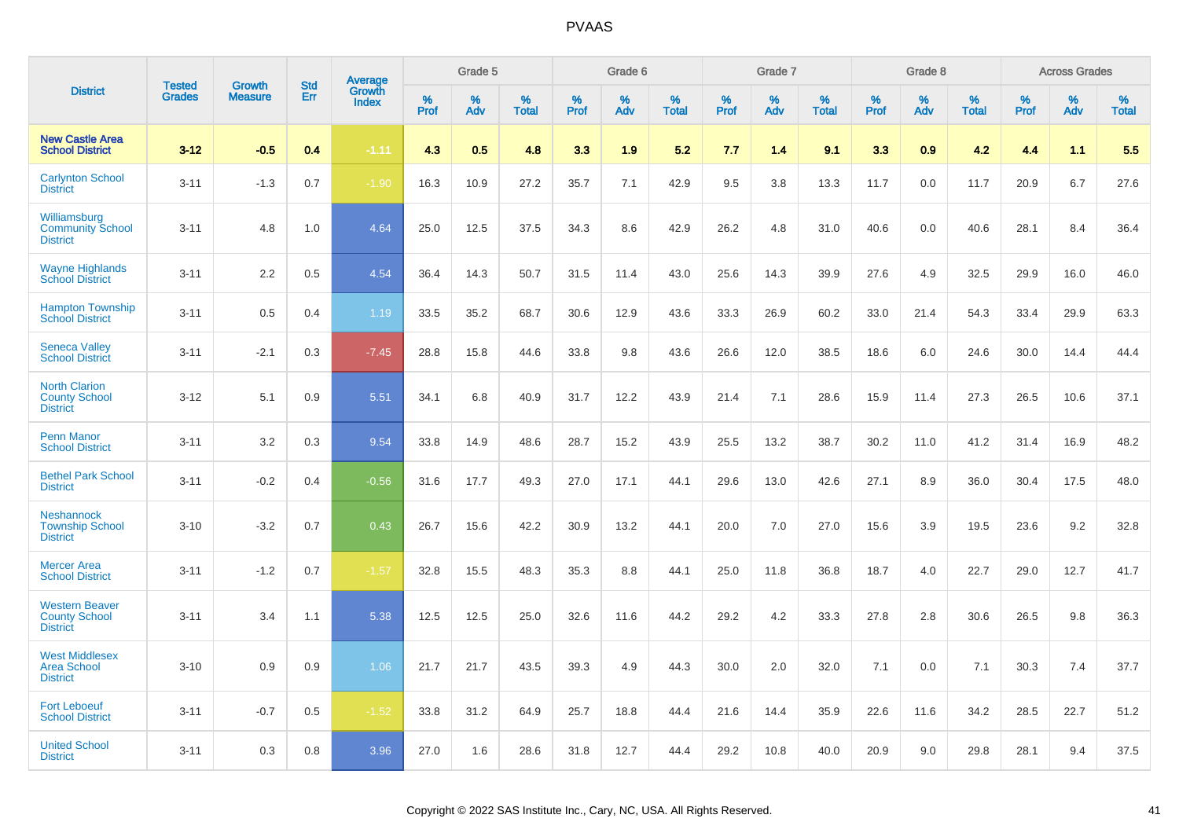|                                                                  | <b>Tested</b> | <b>Growth</b>  | <b>Std</b> |                                   |              | Grade 5  |                   |           | Grade 6  |                   |           | Grade 7  |                   |           | Grade 8  |                   |              | <b>Across Grades</b> |                   |
|------------------------------------------------------------------|---------------|----------------|------------|-----------------------------------|--------------|----------|-------------------|-----------|----------|-------------------|-----------|----------|-------------------|-----------|----------|-------------------|--------------|----------------------|-------------------|
| <b>District</b>                                                  | <b>Grades</b> | <b>Measure</b> | <b>Err</b> | <b>Average</b><br>Growth<br>Index | $\%$<br>Prof | %<br>Adv | %<br><b>Total</b> | %<br>Prof | %<br>Adv | %<br><b>Total</b> | %<br>Prof | %<br>Adv | %<br><b>Total</b> | %<br>Prof | %<br>Adv | %<br><b>Total</b> | $\%$<br>Prof | %<br>Adv             | %<br><b>Total</b> |
| <b>New Castle Area</b><br><b>School District</b>                 | $3 - 12$      | $-0.5$         | 0.4        | $-1.11$                           | 4.3          | 0.5      | 4.8               | 3.3       | 1.9      | 5.2               | 7.7       | 1.4      | 9.1               | 3.3       | 0.9      | 4.2               | 4.4          | 1.1                  | 5.5               |
| <b>Carlynton School</b><br><b>District</b>                       | $3 - 11$      | $-1.3$         | 0.7        | $-1.90$                           | 16.3         | 10.9     | 27.2              | 35.7      | 7.1      | 42.9              | 9.5       | 3.8      | 13.3              | 11.7      | 0.0      | 11.7              | 20.9         | 6.7                  | 27.6              |
| Williamsburg<br><b>Community School</b><br><b>District</b>       | $3 - 11$      | 4.8            | 1.0        | 4.64                              | 25.0         | 12.5     | 37.5              | 34.3      | 8.6      | 42.9              | 26.2      | 4.8      | 31.0              | 40.6      | 0.0      | 40.6              | 28.1         | 8.4                  | 36.4              |
| <b>Wayne Highlands</b><br><b>School District</b>                 | $3 - 11$      | 2.2            | 0.5        | 4.54                              | 36.4         | 14.3     | 50.7              | 31.5      | 11.4     | 43.0              | 25.6      | 14.3     | 39.9              | 27.6      | 4.9      | 32.5              | 29.9         | 16.0                 | 46.0              |
| <b>Hampton Township</b><br><b>School District</b>                | $3 - 11$      | 0.5            | 0.4        | 1.19                              | 33.5         | 35.2     | 68.7              | 30.6      | 12.9     | 43.6              | 33.3      | 26.9     | 60.2              | 33.0      | 21.4     | 54.3              | 33.4         | 29.9                 | 63.3              |
| <b>Seneca Valley</b><br><b>School District</b>                   | $3 - 11$      | $-2.1$         | 0.3        | $-7.45$                           | 28.8         | 15.8     | 44.6              | 33.8      | 9.8      | 43.6              | 26.6      | 12.0     | 38.5              | 18.6      | 6.0      | 24.6              | 30.0         | 14.4                 | 44.4              |
| <b>North Clarion</b><br><b>County School</b><br><b>District</b>  | $3 - 12$      | 5.1            | 0.9        | 5.51                              | 34.1         | 6.8      | 40.9              | 31.7      | 12.2     | 43.9              | 21.4      | 7.1      | 28.6              | 15.9      | 11.4     | 27.3              | 26.5         | 10.6                 | 37.1              |
| <b>Penn Manor</b><br><b>School District</b>                      | $3 - 11$      | 3.2            | 0.3        | 9.54                              | 33.8         | 14.9     | 48.6              | 28.7      | 15.2     | 43.9              | 25.5      | 13.2     | 38.7              | 30.2      | 11.0     | 41.2              | 31.4         | 16.9                 | 48.2              |
| <b>Bethel Park School</b><br><b>District</b>                     | $3 - 11$      | $-0.2$         | 0.4        | $-0.56$                           | 31.6         | 17.7     | 49.3              | 27.0      | 17.1     | 44.1              | 29.6      | 13.0     | 42.6              | 27.1      | 8.9      | 36.0              | 30.4         | 17.5                 | 48.0              |
| <b>Neshannock</b><br><b>Township School</b><br><b>District</b>   | $3 - 10$      | $-3.2$         | 0.7        | 0.43                              | 26.7         | 15.6     | 42.2              | 30.9      | 13.2     | 44.1              | 20.0      | 7.0      | 27.0              | 15.6      | 3.9      | 19.5              | 23.6         | 9.2                  | 32.8              |
| <b>Mercer Area</b><br><b>School District</b>                     | $3 - 11$      | $-1.2$         | 0.7        | $-1.57$                           | 32.8         | 15.5     | 48.3              | 35.3      | 8.8      | 44.1              | 25.0      | 11.8     | 36.8              | 18.7      | 4.0      | 22.7              | 29.0         | 12.7                 | 41.7              |
| <b>Western Beaver</b><br><b>County School</b><br><b>District</b> | $3 - 11$      | 3.4            | 1.1        | 5.38                              | 12.5         | 12.5     | 25.0              | 32.6      | 11.6     | 44.2              | 29.2      | 4.2      | 33.3              | 27.8      | 2.8      | 30.6              | 26.5         | 9.8                  | 36.3              |
| <b>West Middlesex</b><br><b>Area School</b><br><b>District</b>   | $3 - 10$      | 0.9            | 0.9        | 1.06                              | 21.7         | 21.7     | 43.5              | 39.3      | 4.9      | 44.3              | 30.0      | 2.0      | 32.0              | 7.1       | 0.0      | 7.1               | 30.3         | 7.4                  | 37.7              |
| <b>Fort Leboeuf</b><br><b>School District</b>                    | $3 - 11$      | $-0.7$         | 0.5        | $-1.52$                           | 33.8         | 31.2     | 64.9              | 25.7      | 18.8     | 44.4              | 21.6      | 14.4     | 35.9              | 22.6      | 11.6     | 34.2              | 28.5         | 22.7                 | 51.2              |
| <b>United School</b><br><b>District</b>                          | $3 - 11$      | 0.3            | 0.8        | 3.96                              | 27.0         | 1.6      | 28.6              | 31.8      | 12.7     | 44.4              | 29.2      | 10.8     | 40.0              | 20.9      | 9.0      | 29.8              | 28.1         | 9.4                  | 37.5              |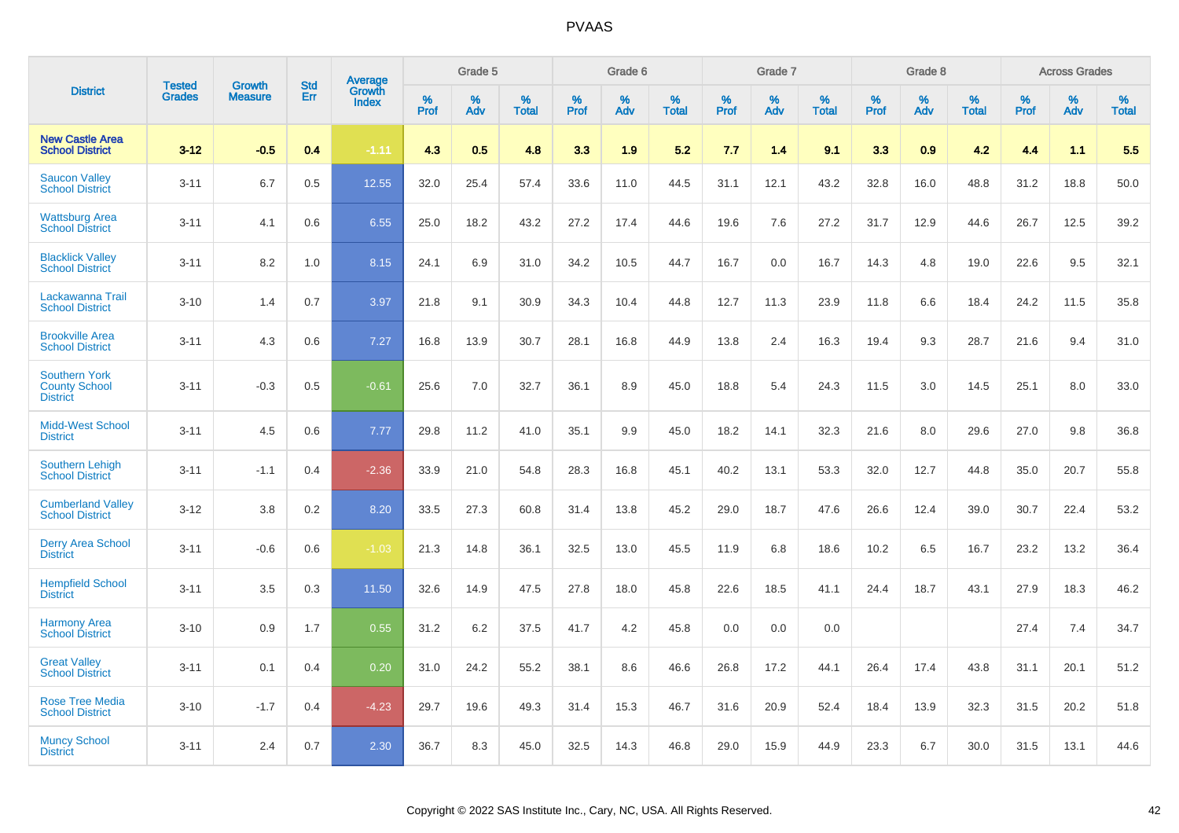|                                                                 | <b>Tested</b> | <b>Growth</b>  | <b>Std</b> |                                          |                     | Grade 5  |                      |              | Grade 6  |                      |              | Grade 7  |                      |              | Grade 8  |                      |                     | <b>Across Grades</b> |                      |
|-----------------------------------------------------------------|---------------|----------------|------------|------------------------------------------|---------------------|----------|----------------------|--------------|----------|----------------------|--------------|----------|----------------------|--------------|----------|----------------------|---------------------|----------------------|----------------------|
| <b>District</b>                                                 | <b>Grades</b> | <b>Measure</b> | Err        | <b>Average</b><br>Growth<br><b>Index</b> | $\%$<br><b>Prof</b> | %<br>Adv | $\%$<br><b>Total</b> | $\%$<br>Prof | %<br>Adv | $\%$<br><b>Total</b> | $\%$<br>Prof | %<br>Adv | $\%$<br><b>Total</b> | $\%$<br>Prof | %<br>Adv | $\%$<br><b>Total</b> | $\%$<br><b>Prof</b> | $\%$<br>Adv          | $\%$<br><b>Total</b> |
| <b>New Castle Area</b><br><b>School District</b>                | $3 - 12$      | $-0.5$         | 0.4        | $-1.11$                                  | 4.3                 | 0.5      | 4.8                  | 3.3          | 1.9      | 5.2                  | 7.7          | 1.4      | 9.1                  | 3.3          | 0.9      | 4.2                  | 4.4                 | 1.1                  | 5.5                  |
| <b>Saucon Valley</b><br><b>School District</b>                  | $3 - 11$      | 6.7            | 0.5        | 12.55                                    | 32.0                | 25.4     | 57.4                 | 33.6         | 11.0     | 44.5                 | 31.1         | 12.1     | 43.2                 | 32.8         | 16.0     | 48.8                 | 31.2                | 18.8                 | 50.0                 |
| <b>Wattsburg Area</b><br><b>School District</b>                 | $3 - 11$      | 4.1            | 0.6        | 6.55                                     | 25.0                | 18.2     | 43.2                 | 27.2         | 17.4     | 44.6                 | 19.6         | 7.6      | 27.2                 | 31.7         | 12.9     | 44.6                 | 26.7                | 12.5                 | 39.2                 |
| <b>Blacklick Vallev</b><br><b>School District</b>               | $3 - 11$      | 8.2            | 1.0        | 8.15                                     | 24.1                | 6.9      | 31.0                 | 34.2         | 10.5     | 44.7                 | 16.7         | 0.0      | 16.7                 | 14.3         | 4.8      | 19.0                 | 22.6                | 9.5                  | 32.1                 |
| Lackawanna Trail<br><b>School District</b>                      | $3 - 10$      | 1.4            | 0.7        | 3.97                                     | 21.8                | 9.1      | 30.9                 | 34.3         | 10.4     | 44.8                 | 12.7         | 11.3     | 23.9                 | 11.8         | 6.6      | 18.4                 | 24.2                | 11.5                 | 35.8                 |
| <b>Brookville Area</b><br><b>School District</b>                | $3 - 11$      | 4.3            | 0.6        | 7.27                                     | 16.8                | 13.9     | 30.7                 | 28.1         | 16.8     | 44.9                 | 13.8         | 2.4      | 16.3                 | 19.4         | 9.3      | 28.7                 | 21.6                | 9.4                  | 31.0                 |
| <b>Southern York</b><br><b>County School</b><br><b>District</b> | $3 - 11$      | $-0.3$         | 0.5        | $-0.61$                                  | 25.6                | 7.0      | 32.7                 | 36.1         | 8.9      | 45.0                 | 18.8         | 5.4      | 24.3                 | 11.5         | 3.0      | 14.5                 | 25.1                | 8.0                  | 33.0                 |
| <b>Midd-West School</b><br><b>District</b>                      | $3 - 11$      | 4.5            | 0.6        | 7.77                                     | 29.8                | 11.2     | 41.0                 | 35.1         | 9.9      | 45.0                 | 18.2         | 14.1     | 32.3                 | 21.6         | 8.0      | 29.6                 | 27.0                | 9.8                  | 36.8                 |
| <b>Southern Lehigh</b><br><b>School District</b>                | $3 - 11$      | $-1.1$         | 0.4        | $-2.36$                                  | 33.9                | 21.0     | 54.8                 | 28.3         | 16.8     | 45.1                 | 40.2         | 13.1     | 53.3                 | 32.0         | 12.7     | 44.8                 | 35.0                | 20.7                 | 55.8                 |
| <b>Cumberland Valley</b><br><b>School District</b>              | $3 - 12$      | 3.8            | 0.2        | 8.20                                     | 33.5                | 27.3     | 60.8                 | 31.4         | 13.8     | 45.2                 | 29.0         | 18.7     | 47.6                 | 26.6         | 12.4     | 39.0                 | 30.7                | 22.4                 | 53.2                 |
| <b>Derry Area School</b><br><b>District</b>                     | $3 - 11$      | $-0.6$         | 0.6        | $-1.03$                                  | 21.3                | 14.8     | 36.1                 | 32.5         | 13.0     | 45.5                 | 11.9         | 6.8      | 18.6                 | 10.2         | 6.5      | 16.7                 | 23.2                | 13.2                 | 36.4                 |
| <b>Hempfield School</b><br><b>District</b>                      | $3 - 11$      | 3.5            | 0.3        | 11.50                                    | 32.6                | 14.9     | 47.5                 | 27.8         | 18.0     | 45.8                 | 22.6         | 18.5     | 41.1                 | 24.4         | 18.7     | 43.1                 | 27.9                | 18.3                 | 46.2                 |
| <b>Harmony Area</b><br><b>School District</b>                   | $3 - 10$      | 0.9            | 1.7        | 0.55                                     | 31.2                | 6.2      | 37.5                 | 41.7         | 4.2      | 45.8                 | 0.0          | 0.0      | 0.0                  |              |          |                      | 27.4                | 7.4                  | 34.7                 |
| <b>Great Valley</b><br><b>School District</b>                   | $3 - 11$      | 0.1            | 0.4        | 0.20                                     | 31.0                | 24.2     | 55.2                 | 38.1         | 8.6      | 46.6                 | 26.8         | 17.2     | 44.1                 | 26.4         | 17.4     | 43.8                 | 31.1                | 20.1                 | 51.2                 |
| <b>Rose Tree Media</b><br><b>School District</b>                | $3 - 10$      | $-1.7$         | 0.4        | $-4.23$                                  | 29.7                | 19.6     | 49.3                 | 31.4         | 15.3     | 46.7                 | 31.6         | 20.9     | 52.4                 | 18.4         | 13.9     | 32.3                 | 31.5                | 20.2                 | 51.8                 |
| <b>Muncy School</b><br><b>District</b>                          | $3 - 11$      | 2.4            | 0.7        | 2.30                                     | 36.7                | 8.3      | 45.0                 | 32.5         | 14.3     | 46.8                 | 29.0         | 15.9     | 44.9                 | 23.3         | 6.7      | 30.0                 | 31.5                | 13.1                 | 44.6                 |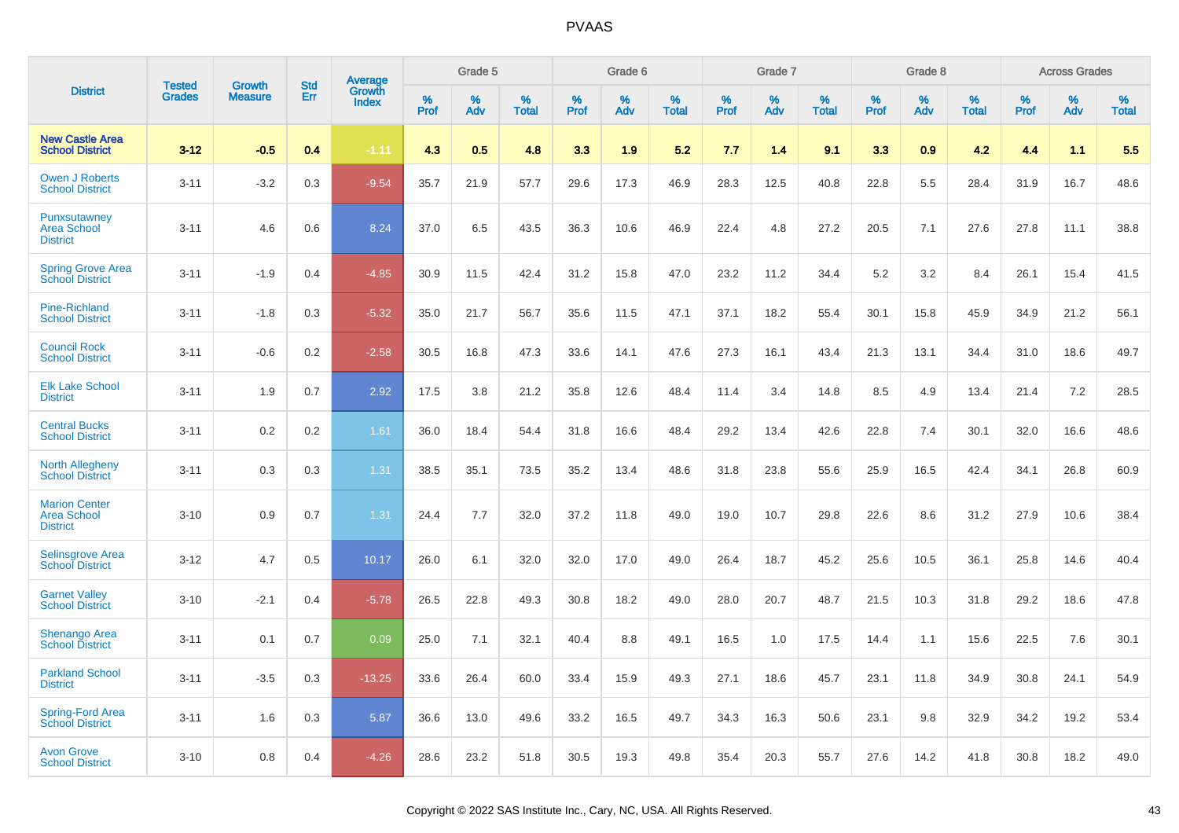|                                                               | <b>Tested</b> | <b>Growth</b>  | <b>Std</b> | Average                |              | Grade 5  |                   |              | Grade 6  |                   |              | Grade 7  |                   |                     | Grade 8  |                   |              | <b>Across Grades</b> |                   |
|---------------------------------------------------------------|---------------|----------------|------------|------------------------|--------------|----------|-------------------|--------------|----------|-------------------|--------------|----------|-------------------|---------------------|----------|-------------------|--------------|----------------------|-------------------|
| <b>District</b>                                               | <b>Grades</b> | <b>Measure</b> | Err        | Growth<br><b>Index</b> | $\%$<br>Prof | %<br>Adv | %<br><b>Total</b> | $\%$<br>Prof | %<br>Adv | %<br><b>Total</b> | $\%$<br>Prof | %<br>Adv | %<br><b>Total</b> | $\%$<br><b>Prof</b> | %<br>Adv | %<br><b>Total</b> | $\%$<br>Prof | %<br>Adv             | %<br><b>Total</b> |
| <b>New Castle Area</b><br><b>School District</b>              | $3 - 12$      | $-0.5$         | 0.4        | $-1.11$                | 4.3          | 0.5      | 4.8               | 3.3          | 1.9      | 5.2               | 7.7          | 1.4      | 9.1               | 3.3                 | 0.9      | 4.2               | 4.4          | 1.1                  | 5.5               |
| <b>Owen J Roberts</b><br><b>School District</b>               | $3 - 11$      | $-3.2$         | 0.3        | $-9.54$                | 35.7         | 21.9     | 57.7              | 29.6         | 17.3     | 46.9              | 28.3         | 12.5     | 40.8              | 22.8                | 5.5      | 28.4              | 31.9         | 16.7                 | 48.6              |
| Punxsutawney<br><b>Area School</b><br><b>District</b>         | $3 - 11$      | 4.6            | 0.6        | 8.24                   | 37.0         | 6.5      | 43.5              | 36.3         | 10.6     | 46.9              | 22.4         | 4.8      | 27.2              | 20.5                | 7.1      | 27.6              | 27.8         | 11.1                 | 38.8              |
| <b>Spring Grove Area</b><br><b>School District</b>            | $3 - 11$      | $-1.9$         | 0.4        | $-4.85$                | 30.9         | 11.5     | 42.4              | 31.2         | 15.8     | 47.0              | 23.2         | 11.2     | 34.4              | 5.2                 | 3.2      | 8.4               | 26.1         | 15.4                 | 41.5              |
| <b>Pine-Richland</b><br><b>School District</b>                | $3 - 11$      | $-1.8$         | 0.3        | $-5.32$                | 35.0         | 21.7     | 56.7              | 35.6         | 11.5     | 47.1              | 37.1         | 18.2     | 55.4              | 30.1                | 15.8     | 45.9              | 34.9         | 21.2                 | 56.1              |
| <b>Council Rock</b><br><b>School District</b>                 | $3 - 11$      | $-0.6$         | 0.2        | $-2.58$                | 30.5         | 16.8     | 47.3              | 33.6         | 14.1     | 47.6              | 27.3         | 16.1     | 43.4              | 21.3                | 13.1     | 34.4              | 31.0         | 18.6                 | 49.7              |
| <b>Elk Lake School</b><br><b>District</b>                     | $3 - 11$      | 1.9            | 0.7        | 2.92                   | 17.5         | 3.8      | 21.2              | 35.8         | 12.6     | 48.4              | 11.4         | 3.4      | 14.8              | 8.5                 | 4.9      | 13.4              | 21.4         | 7.2                  | 28.5              |
| <b>Central Bucks</b><br><b>School District</b>                | $3 - 11$      | 0.2            | 0.2        | 1.61                   | 36.0         | 18.4     | 54.4              | 31.8         | 16.6     | 48.4              | 29.2         | 13.4     | 42.6              | 22.8                | 7.4      | 30.1              | 32.0         | 16.6                 | 48.6              |
| <b>North Allegheny</b><br><b>School District</b>              | $3 - 11$      | 0.3            | 0.3        | 1.31                   | 38.5         | 35.1     | 73.5              | 35.2         | 13.4     | 48.6              | 31.8         | 23.8     | 55.6              | 25.9                | 16.5     | 42.4              | 34.1         | 26.8                 | 60.9              |
| <b>Marion Center</b><br><b>Area School</b><br><b>District</b> | $3 - 10$      | 0.9            | 0.7        | 1.31                   | 24.4         | 7.7      | 32.0              | 37.2         | 11.8     | 49.0              | 19.0         | 10.7     | 29.8              | 22.6                | 8.6      | 31.2              | 27.9         | 10.6                 | 38.4              |
| Selinsgrove Area<br><b>School District</b>                    | $3 - 12$      | 4.7            | 0.5        | 10.17                  | 26.0         | 6.1      | 32.0              | 32.0         | 17.0     | 49.0              | 26.4         | 18.7     | 45.2              | 25.6                | 10.5     | 36.1              | 25.8         | 14.6                 | 40.4              |
| <b>Garnet Valley</b><br><b>School District</b>                | $3 - 10$      | $-2.1$         | 0.4        | $-5.78$                | 26.5         | 22.8     | 49.3              | 30.8         | 18.2     | 49.0              | 28.0         | 20.7     | 48.7              | 21.5                | 10.3     | 31.8              | 29.2         | 18.6                 | 47.8              |
| <b>Shenango Area</b><br><b>School District</b>                | $3 - 11$      | 0.1            | 0.7        | 0.09                   | 25.0         | 7.1      | 32.1              | 40.4         | 8.8      | 49.1              | 16.5         | 1.0      | 17.5              | 14.4                | 1.1      | 15.6              | 22.5         | 7.6                  | 30.1              |
| <b>Parkland School</b><br><b>District</b>                     | $3 - 11$      | $-3.5$         | 0.3        | $-13.25$               | 33.6         | 26.4     | 60.0              | 33.4         | 15.9     | 49.3              | 27.1         | 18.6     | 45.7              | 23.1                | 11.8     | 34.9              | 30.8         | 24.1                 | 54.9              |
| <b>Spring-Ford Area</b><br><b>School District</b>             | $3 - 11$      | 1.6            | 0.3        | 5.87                   | 36.6         | 13.0     | 49.6              | 33.2         | 16.5     | 49.7              | 34.3         | 16.3     | 50.6              | 23.1                | 9.8      | 32.9              | 34.2         | 19.2                 | 53.4              |
| <b>Avon Grove</b><br><b>School District</b>                   | $3 - 10$      | 0.8            | 0.4        | $-4.26$                | 28.6         | 23.2     | 51.8              | 30.5         | 19.3     | 49.8              | 35.4         | 20.3     | 55.7              | 27.6                | 14.2     | 41.8              | 30.8         | 18.2                 | 49.0              |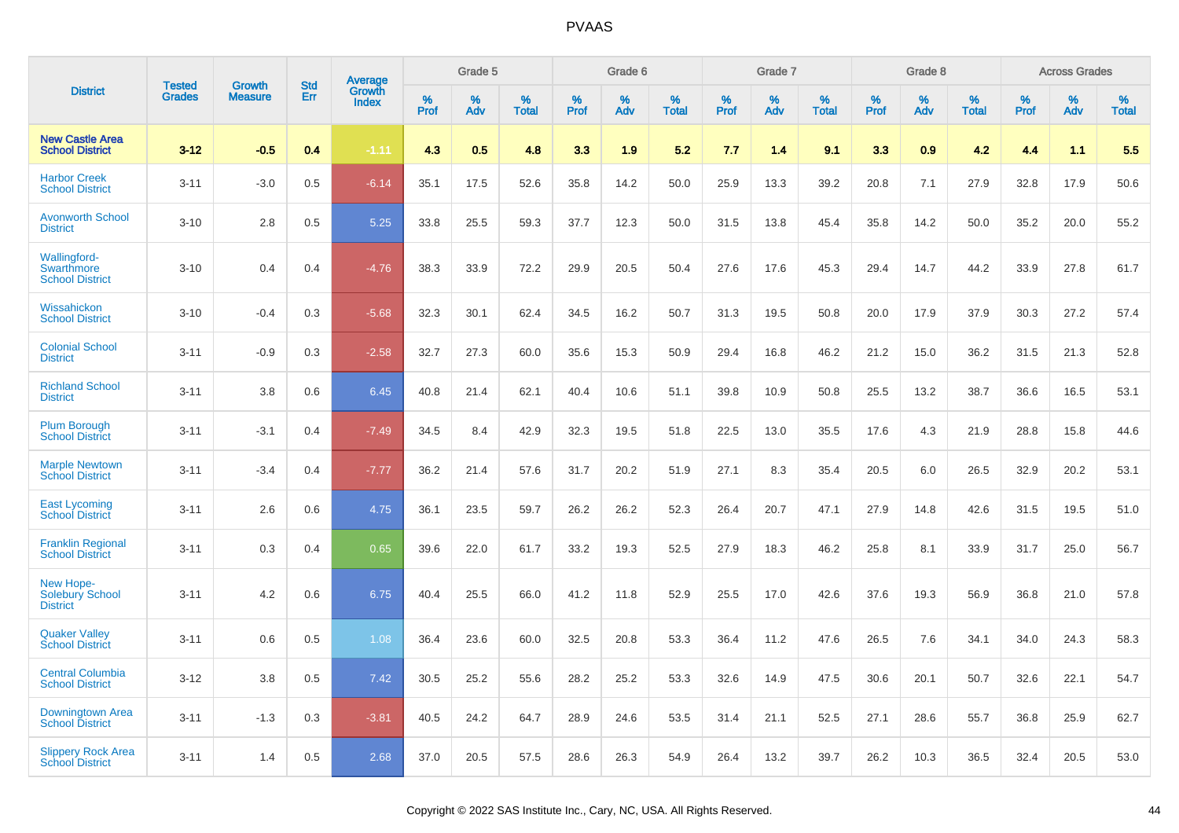|                                                                    |                                |                                 | <b>Std</b> | Average                |              | Grade 5  |                   |              | Grade 6  |                   |              | Grade 7  |                   |              | Grade 8  |                   |              | <b>Across Grades</b> |                   |
|--------------------------------------------------------------------|--------------------------------|---------------------------------|------------|------------------------|--------------|----------|-------------------|--------------|----------|-------------------|--------------|----------|-------------------|--------------|----------|-------------------|--------------|----------------------|-------------------|
| <b>District</b>                                                    | <b>Tested</b><br><b>Grades</b> | <b>Growth</b><br><b>Measure</b> | Err        | Growth<br><b>Index</b> | $\%$<br>Prof | %<br>Adv | %<br><b>Total</b> | $\%$<br>Prof | %<br>Adv | %<br><b>Total</b> | $\%$<br>Prof | %<br>Adv | %<br><b>Total</b> | $\%$<br>Prof | %<br>Adv | %<br><b>Total</b> | $\%$<br>Prof | %<br>Adv             | %<br><b>Total</b> |
| <b>New Castle Area</b><br><b>School District</b>                   | $3 - 12$                       | $-0.5$                          | 0.4        | $-1.11$                | 4.3          | 0.5      | 4.8               | 3.3          | 1.9      | 5.2               | 7.7          | 1.4      | 9.1               | 3.3          | 0.9      | 4.2               | 4.4          | 1.1                  | 5.5               |
| <b>Harbor Creek</b><br><b>School District</b>                      | $3 - 11$                       | $-3.0$                          | 0.5        | $-6.14$                | 35.1         | 17.5     | 52.6              | 35.8         | 14.2     | 50.0              | 25.9         | 13.3     | 39.2              | 20.8         | 7.1      | 27.9              | 32.8         | 17.9                 | 50.6              |
| <b>Avonworth School</b><br><b>District</b>                         | $3 - 10$                       | 2.8                             | 0.5        | 5.25                   | 33.8         | 25.5     | 59.3              | 37.7         | 12.3     | 50.0              | 31.5         | 13.8     | 45.4              | 35.8         | 14.2     | 50.0              | 35.2         | 20.0                 | 55.2              |
| <b>Wallingford-</b><br><b>Swarthmore</b><br><b>School District</b> | $3 - 10$                       | 0.4                             | 0.4        | $-4.76$                | 38.3         | 33.9     | 72.2              | 29.9         | 20.5     | 50.4              | 27.6         | 17.6     | 45.3              | 29.4         | 14.7     | 44.2              | 33.9         | 27.8                 | 61.7              |
| Wissahickon<br><b>School District</b>                              | $3 - 10$                       | $-0.4$                          | 0.3        | $-5.68$                | 32.3         | 30.1     | 62.4              | 34.5         | 16.2     | 50.7              | 31.3         | 19.5     | 50.8              | 20.0         | 17.9     | 37.9              | 30.3         | 27.2                 | 57.4              |
| <b>Colonial School</b><br><b>District</b>                          | $3 - 11$                       | $-0.9$                          | 0.3        | $-2.58$                | 32.7         | 27.3     | 60.0              | 35.6         | 15.3     | 50.9              | 29.4         | 16.8     | 46.2              | 21.2         | 15.0     | 36.2              | 31.5         | 21.3                 | 52.8              |
| <b>Richland School</b><br><b>District</b>                          | $3 - 11$                       | 3.8                             | 0.6        | 6.45                   | 40.8         | 21.4     | 62.1              | 40.4         | 10.6     | 51.1              | 39.8         | 10.9     | 50.8              | 25.5         | 13.2     | 38.7              | 36.6         | 16.5                 | 53.1              |
| <b>Plum Borough</b><br><b>School District</b>                      | $3 - 11$                       | $-3.1$                          | 0.4        | $-7.49$                | 34.5         | 8.4      | 42.9              | 32.3         | 19.5     | 51.8              | 22.5         | 13.0     | 35.5              | 17.6         | 4.3      | 21.9              | 28.8         | 15.8                 | 44.6              |
| <b>Marple Newtown</b><br><b>School District</b>                    | $3 - 11$                       | $-3.4$                          | 0.4        | $-7.77$                | 36.2         | 21.4     | 57.6              | 31.7         | 20.2     | 51.9              | 27.1         | 8.3      | 35.4              | 20.5         | 6.0      | 26.5              | 32.9         | 20.2                 | 53.1              |
| <b>East Lycoming</b><br><b>School District</b>                     | $3 - 11$                       | 2.6                             | 0.6        | 4.75                   | 36.1         | 23.5     | 59.7              | 26.2         | 26.2     | 52.3              | 26.4         | 20.7     | 47.1              | 27.9         | 14.8     | 42.6              | 31.5         | 19.5                 | 51.0              |
| <b>Franklin Regional</b><br><b>School District</b>                 | $3 - 11$                       | 0.3                             | 0.4        | 0.65                   | 39.6         | 22.0     | 61.7              | 33.2         | 19.3     | 52.5              | 27.9         | 18.3     | 46.2              | 25.8         | 8.1      | 33.9              | 31.7         | 25.0                 | 56.7              |
| New Hope-<br><b>Solebury School</b><br><b>District</b>             | $3 - 11$                       | 4.2                             | 0.6        | 6.75                   | 40.4         | 25.5     | 66.0              | 41.2         | 11.8     | 52.9              | 25.5         | 17.0     | 42.6              | 37.6         | 19.3     | 56.9              | 36.8         | 21.0                 | 57.8              |
| <b>Quaker Vallev</b><br><b>School District</b>                     | $3 - 11$                       | 0.6                             | 0.5        | 1.08                   | 36.4         | 23.6     | 60.0              | 32.5         | 20.8     | 53.3              | 36.4         | 11.2     | 47.6              | 26.5         | 7.6      | 34.1              | 34.0         | 24.3                 | 58.3              |
| <b>Central Columbia</b><br><b>School District</b>                  | $3 - 12$                       | 3.8                             | 0.5        | 7.42                   | 30.5         | 25.2     | 55.6              | 28.2         | 25.2     | 53.3              | 32.6         | 14.9     | 47.5              | 30.6         | 20.1     | 50.7              | 32.6         | 22.1                 | 54.7              |
| Downingtown Area<br><b>School District</b>                         | $3 - 11$                       | $-1.3$                          | 0.3        | $-3.81$                | 40.5         | 24.2     | 64.7              | 28.9         | 24.6     | 53.5              | 31.4         | 21.1     | 52.5              | 27.1         | 28.6     | 55.7              | 36.8         | 25.9                 | 62.7              |
| <b>Slippery Rock Area</b><br><b>School District</b>                | $3 - 11$                       | 1.4                             | 0.5        | 2.68                   | 37.0         | 20.5     | 57.5              | 28.6         | 26.3     | 54.9              | 26.4         | 13.2     | 39.7              | 26.2         | 10.3     | 36.5              | 32.4         | 20.5                 | 53.0              |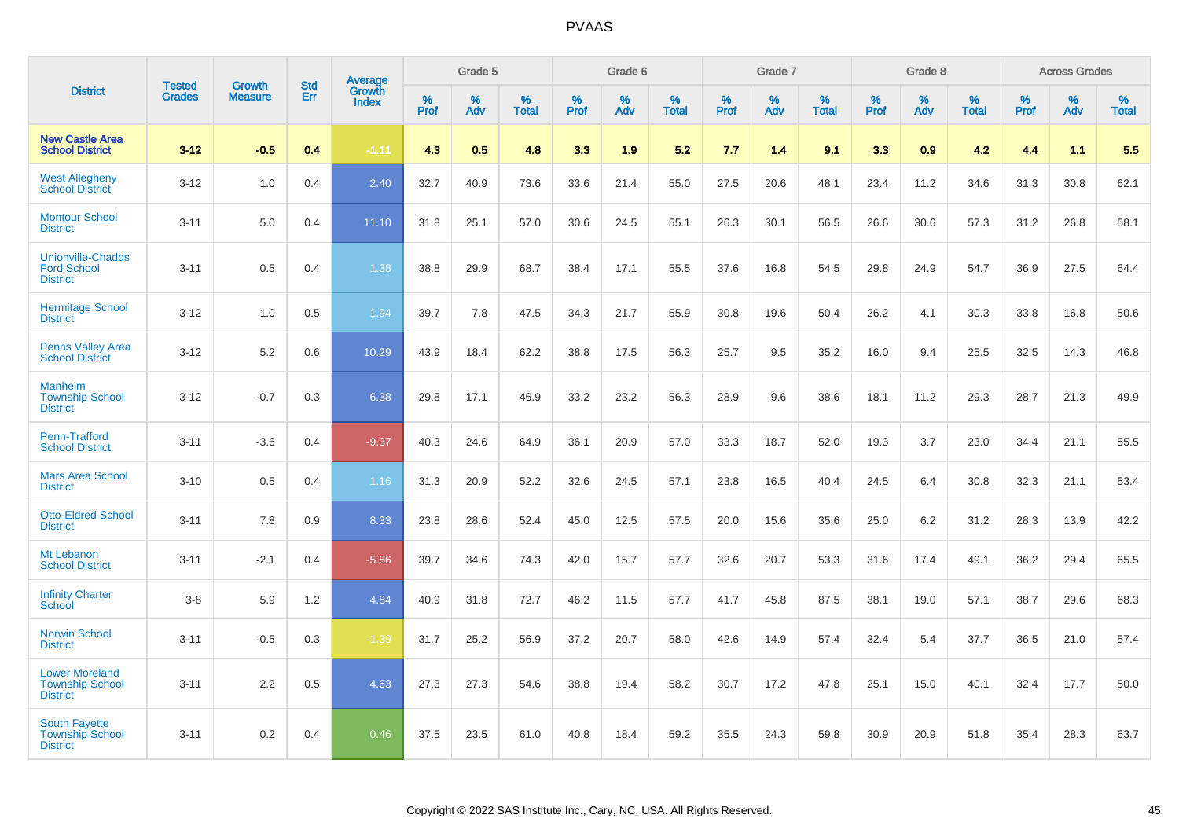|                                                                    |                                |                                 | <b>Std</b> | Average                |              | Grade 5  |                   |           | Grade 6  |                   |           | Grade 7  |                      |              | Grade 8  |                   |              | <b>Across Grades</b> |                   |
|--------------------------------------------------------------------|--------------------------------|---------------------------------|------------|------------------------|--------------|----------|-------------------|-----------|----------|-------------------|-----------|----------|----------------------|--------------|----------|-------------------|--------------|----------------------|-------------------|
| <b>District</b>                                                    | <b>Tested</b><br><b>Grades</b> | <b>Growth</b><br><b>Measure</b> | Err        | Growth<br><b>Index</b> | $\%$<br>Prof | %<br>Adv | %<br><b>Total</b> | %<br>Prof | %<br>Adv | %<br><b>Total</b> | %<br>Prof | %<br>Adv | $\%$<br><b>Total</b> | $\%$<br>Prof | %<br>Adv | %<br><b>Total</b> | $\%$<br>Prof | %<br>Adv             | %<br><b>Total</b> |
| <b>New Castle Area</b><br><b>School District</b>                   | $3 - 12$                       | $-0.5$                          | 0.4        | $-1.11$                | 4.3          | 0.5      | 4.8               | 3.3       | 1.9      | 5.2               | 7.7       | 1.4      | 9.1                  | 3.3          | 0.9      | 4.2               | 4.4          | 1.1                  | 5.5               |
| <b>West Allegheny</b><br><b>School District</b>                    | $3 - 12$                       | 1.0                             | 0.4        | 2.40                   | 32.7         | 40.9     | 73.6              | 33.6      | 21.4     | 55.0              | 27.5      | 20.6     | 48.1                 | 23.4         | 11.2     | 34.6              | 31.3         | 30.8                 | 62.1              |
| <b>Montour School</b><br><b>District</b>                           | $3 - 11$                       | 5.0                             | 0.4        | 11.10                  | 31.8         | 25.1     | 57.0              | 30.6      | 24.5     | 55.1              | 26.3      | 30.1     | 56.5                 | 26.6         | 30.6     | 57.3              | 31.2         | 26.8                 | 58.1              |
| Unionville-Chadds<br><b>Ford School</b><br><b>District</b>         | $3 - 11$                       | 0.5                             | 0.4        | 1.38                   | 38.8         | 29.9     | 68.7              | 38.4      | 17.1     | 55.5              | 37.6      | 16.8     | 54.5                 | 29.8         | 24.9     | 54.7              | 36.9         | 27.5                 | 64.4              |
| <b>Hermitage School</b><br><b>District</b>                         | $3 - 12$                       | 1.0                             | 0.5        | 1.94                   | 39.7         | 7.8      | 47.5              | 34.3      | 21.7     | 55.9              | 30.8      | 19.6     | 50.4                 | 26.2         | 4.1      | 30.3              | 33.8         | 16.8                 | 50.6              |
| <b>Penns Valley Area</b><br><b>School District</b>                 | $3 - 12$                       | 5.2                             | 0.6        | 10.29                  | 43.9         | 18.4     | 62.2              | 38.8      | 17.5     | 56.3              | 25.7      | 9.5      | 35.2                 | 16.0         | 9.4      | 25.5              | 32.5         | 14.3                 | 46.8              |
| <b>Manheim</b><br><b>Township School</b><br><b>District</b>        | $3 - 12$                       | $-0.7$                          | 0.3        | 6.38                   | 29.8         | 17.1     | 46.9              | 33.2      | 23.2     | 56.3              | 28.9      | 9.6      | 38.6                 | 18.1         | 11.2     | 29.3              | 28.7         | 21.3                 | 49.9              |
| <b>Penn-Trafford</b><br><b>School District</b>                     | $3 - 11$                       | $-3.6$                          | 0.4        | $-9.37$                | 40.3         | 24.6     | 64.9              | 36.1      | 20.9     | 57.0              | 33.3      | 18.7     | 52.0                 | 19.3         | 3.7      | 23.0              | 34.4         | 21.1                 | 55.5              |
| <b>Mars Area School</b><br><b>District</b>                         | $3 - 10$                       | 0.5                             | 0.4        | 1.16                   | 31.3         | 20.9     | 52.2              | 32.6      | 24.5     | 57.1              | 23.8      | 16.5     | 40.4                 | 24.5         | 6.4      | 30.8              | 32.3         | 21.1                 | 53.4              |
| <b>Otto-Eldred School</b><br><b>District</b>                       | $3 - 11$                       | 7.8                             | 0.9        | 8.33                   | 23.8         | 28.6     | 52.4              | 45.0      | 12.5     | 57.5              | 20.0      | 15.6     | 35.6                 | 25.0         | 6.2      | 31.2              | 28.3         | 13.9                 | 42.2              |
| Mt Lebanon<br><b>School District</b>                               | $3 - 11$                       | $-2.1$                          | 0.4        | $-5.86$                | 39.7         | 34.6     | 74.3              | 42.0      | 15.7     | 57.7              | 32.6      | 20.7     | 53.3                 | 31.6         | 17.4     | 49.1              | 36.2         | 29.4                 | 65.5              |
| <b>Infinity Charter</b><br>School                                  | $3 - 8$                        | 5.9                             | 1.2        | 4.84                   | 40.9         | 31.8     | 72.7              | 46.2      | 11.5     | 57.7              | 41.7      | 45.8     | 87.5                 | 38.1         | 19.0     | 57.1              | 38.7         | 29.6                 | 68.3              |
| <b>Norwin School</b><br><b>District</b>                            | $3 - 11$                       | $-0.5$                          | 0.3        | $-1.39$                | 31.7         | 25.2     | 56.9              | 37.2      | 20.7     | 58.0              | 42.6      | 14.9     | 57.4                 | 32.4         | 5.4      | 37.7              | 36.5         | 21.0                 | 57.4              |
| <b>Lower Moreland</b><br><b>Township School</b><br><b>District</b> | $3 - 11$                       | 2.2                             | 0.5        | 4.63                   | 27.3         | 27.3     | 54.6              | 38.8      | 19.4     | 58.2              | 30.7      | 17.2     | 47.8                 | 25.1         | 15.0     | 40.1              | 32.4         | 17.7                 | 50.0              |
| <b>South Fayette</b><br><b>Township School</b><br><b>District</b>  | $3 - 11$                       | 0.2                             | 0.4        | 0.46                   | 37.5         | 23.5     | 61.0              | 40.8      | 18.4     | 59.2              | 35.5      | 24.3     | 59.8                 | 30.9         | 20.9     | 51.8              | 35.4         | 28.3                 | 63.7              |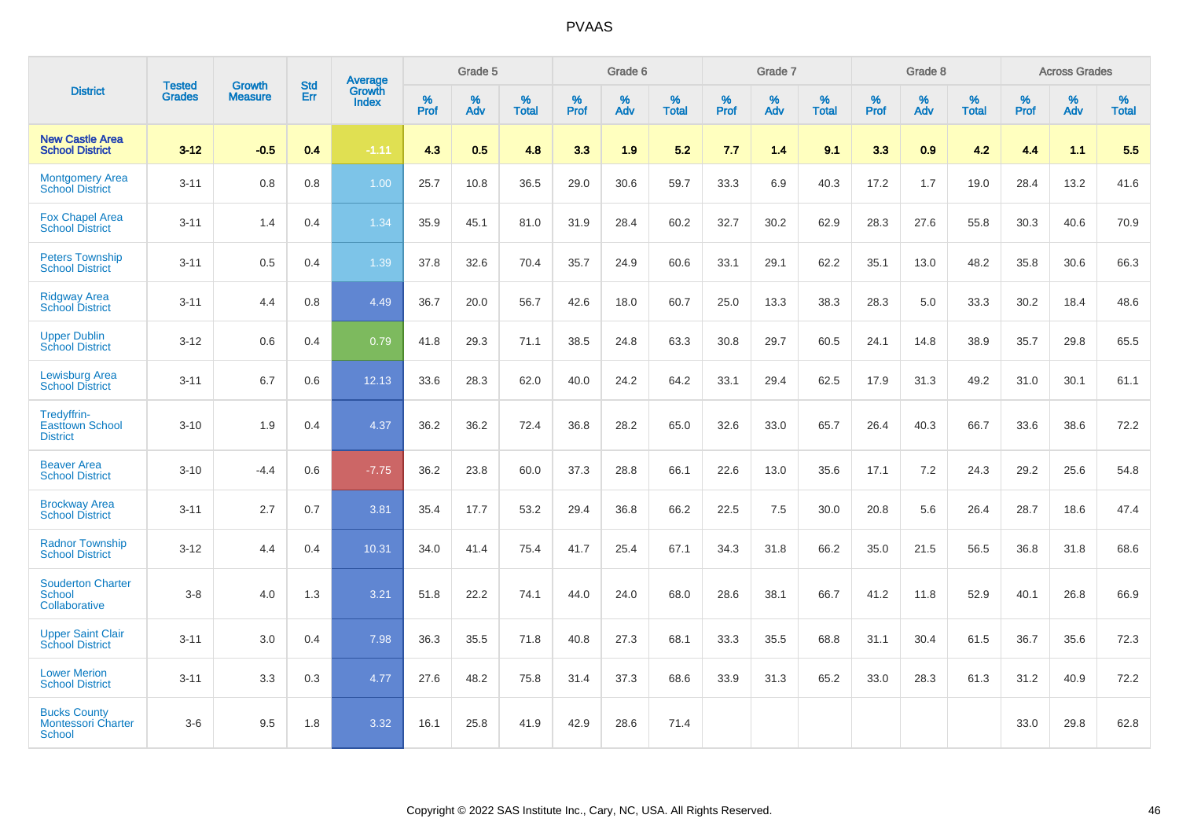|                                                            | <b>Tested</b> | <b>Growth</b>  | <b>Std</b> | Average                |           | Grade 5  |                   |           | Grade 6  |                   |           | Grade 7  |                   |           | Grade 8  |                   |           | <b>Across Grades</b> |                   |
|------------------------------------------------------------|---------------|----------------|------------|------------------------|-----------|----------|-------------------|-----------|----------|-------------------|-----------|----------|-------------------|-----------|----------|-------------------|-----------|----------------------|-------------------|
| <b>District</b>                                            | <b>Grades</b> | <b>Measure</b> | Err        | Growth<br><b>Index</b> | %<br>Prof | %<br>Adv | %<br><b>Total</b> | %<br>Prof | %<br>Adv | %<br><b>Total</b> | %<br>Prof | %<br>Adv | %<br><b>Total</b> | %<br>Prof | %<br>Adv | %<br><b>Total</b> | %<br>Prof | %<br>Adv             | %<br><b>Total</b> |
| <b>New Castle Area</b><br><b>School District</b>           | $3 - 12$      | $-0.5$         | 0.4        | $-1.11$                | 4.3       | 0.5      | 4.8               | 3.3       | 1.9      | 5.2               | 7.7       | 1.4      | 9.1               | 3.3       | 0.9      | 4.2               | 4.4       | 1.1                  | 5.5               |
| <b>Montgomery Area</b><br><b>School District</b>           | $3 - 11$      | 0.8            | 0.8        | 1.00                   | 25.7      | 10.8     | 36.5              | 29.0      | 30.6     | 59.7              | 33.3      | 6.9      | 40.3              | 17.2      | 1.7      | 19.0              | 28.4      | 13.2                 | 41.6              |
| <b>Fox Chapel Area</b><br><b>School District</b>           | $3 - 11$      | 1.4            | 0.4        | 1.34                   | 35.9      | 45.1     | 81.0              | 31.9      | 28.4     | 60.2              | 32.7      | 30.2     | 62.9              | 28.3      | 27.6     | 55.8              | 30.3      | 40.6                 | 70.9              |
| <b>Peters Township</b><br><b>School District</b>           | $3 - 11$      | 0.5            | 0.4        | 1.39                   | 37.8      | 32.6     | 70.4              | 35.7      | 24.9     | 60.6              | 33.1      | 29.1     | 62.2              | 35.1      | 13.0     | 48.2              | 35.8      | 30.6                 | 66.3              |
| <b>Ridgway Area</b><br><b>School District</b>              | $3 - 11$      | 4.4            | 0.8        | 4.49                   | 36.7      | 20.0     | 56.7              | 42.6      | 18.0     | 60.7              | 25.0      | 13.3     | 38.3              | 28.3      | 5.0      | 33.3              | 30.2      | 18.4                 | 48.6              |
| <b>Upper Dublin</b><br><b>School District</b>              | $3 - 12$      | 0.6            | 0.4        | 0.79                   | 41.8      | 29.3     | 71.1              | 38.5      | 24.8     | 63.3              | 30.8      | 29.7     | 60.5              | 24.1      | 14.8     | 38.9              | 35.7      | 29.8                 | 65.5              |
| <b>Lewisburg Area</b><br><b>School District</b>            | $3 - 11$      | 6.7            | 0.6        | 12.13                  | 33.6      | 28.3     | 62.0              | 40.0      | 24.2     | 64.2              | 33.1      | 29.4     | 62.5              | 17.9      | 31.3     | 49.2              | 31.0      | 30.1                 | 61.1              |
| Tredyffrin-<br><b>Easttown School</b><br><b>District</b>   | $3 - 10$      | 1.9            | 0.4        | 4.37                   | 36.2      | 36.2     | 72.4              | 36.8      | 28.2     | 65.0              | 32.6      | 33.0     | 65.7              | 26.4      | 40.3     | 66.7              | 33.6      | 38.6                 | 72.2              |
| <b>Beaver Area</b><br><b>School District</b>               | $3 - 10$      | $-4.4$         | 0.6        | $-7.75$                | 36.2      | 23.8     | 60.0              | 37.3      | 28.8     | 66.1              | 22.6      | 13.0     | 35.6              | 17.1      | 7.2      | 24.3              | 29.2      | 25.6                 | 54.8              |
| <b>Brockway Area</b><br><b>School District</b>             | $3 - 11$      | 2.7            | 0.7        | 3.81                   | 35.4      | 17.7     | 53.2              | 29.4      | 36.8     | 66.2              | 22.5      | 7.5      | 30.0              | 20.8      | 5.6      | 26.4              | 28.7      | 18.6                 | 47.4              |
| <b>Radnor Township</b><br><b>School District</b>           | $3 - 12$      | 4.4            | 0.4        | 10.31                  | 34.0      | 41.4     | 75.4              | 41.7      | 25.4     | 67.1              | 34.3      | 31.8     | 66.2              | 35.0      | 21.5     | 56.5              | 36.8      | 31.8                 | 68.6              |
| <b>Souderton Charter</b><br><b>School</b><br>Collaborative | $3 - 8$       | 4.0            | 1.3        | 3.21                   | 51.8      | 22.2     | 74.1              | 44.0      | 24.0     | 68.0              | 28.6      | 38.1     | 66.7              | 41.2      | 11.8     | 52.9              | 40.1      | 26.8                 | 66.9              |
| <b>Upper Saint Clair</b><br><b>School District</b>         | $3 - 11$      | 3.0            | 0.4        | 7.98                   | 36.3      | 35.5     | 71.8              | 40.8      | 27.3     | 68.1              | 33.3      | 35.5     | 68.8              | 31.1      | 30.4     | 61.5              | 36.7      | 35.6                 | 72.3              |
| <b>Lower Merion</b><br><b>School District</b>              | $3 - 11$      | 3.3            | 0.3        | 4.77                   | 27.6      | 48.2     | 75.8              | 31.4      | 37.3     | 68.6              | 33.9      | 31.3     | 65.2              | 33.0      | 28.3     | 61.3              | 31.2      | 40.9                 | 72.2              |
| <b>Bucks County</b><br><b>Montessori Charter</b><br>School | $3-6$         | 9.5            | 1.8        | 3.32                   | 16.1      | 25.8     | 41.9              | 42.9      | 28.6     | 71.4              |           |          |                   |           |          |                   | 33.0      | 29.8                 | 62.8              |